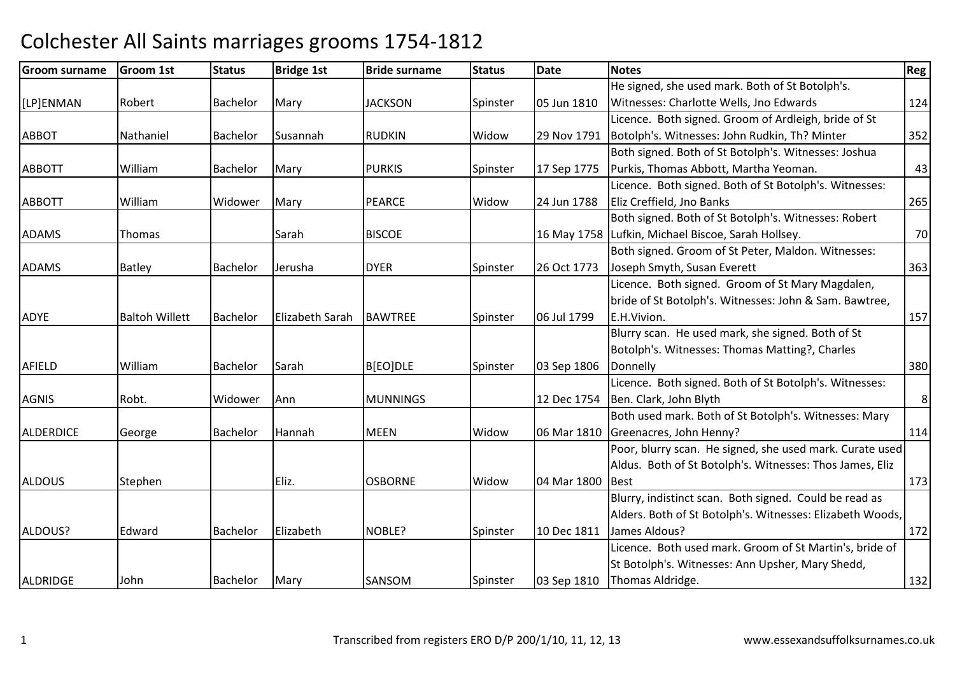#### Groom surnamee Groom 1st Status Bridge 1st Bride surname Status Date Notes Regge Regge Regge Regge Regge Regge Regge Regge R [LP]ENMANN Robert Bachelor Mary JACKSON Spinster 05 Jun 1810 He signed, she used mark. Both of St Botolph's. Witnesses: Charlotte Wells, Jno Edwards <sup>124</sup>ABBOT Nathaniel Bachelor Susannah RUDKIN Widow 29 Nov 1791 Licence. Both signed. Groom of Ardleigh, bride of St Botolph's. Witnesses: John Rudkin, Th? Minter <sup>352</sup>ABBOTTT | William | Bachelor | Mary | PURKIS | Spinster | 17 Sep 1775 Both signed. Both of St Botolph's. Witnesses: Joshua Purkis, Thomas Abbott, Martha Yeoman. 43ABBOTTT William Widower Mary PEARCE Widow Widow | 24 Jun 1788 Licence. Both signed. Both of St Botolph's. Witnesses: Eliz Creffield, Jno Bankss 265 ADAMSThomas I Sarah h BISCOE 16 May 1758 Lufkin, Michael Biscoe, Sarah Hollsey. 20 Both signed. Both of St Botolph's. Witnesses: Robert ADAMSS Batley Bachelor Jerusha DYER DYER Spinster 26 Oct 1773 Both signed. Groom of St Peter, Maldon. Witnesses: Joseph Smyth, Susan Everettt 363 ADYE Baltoh Willett Bachelor Elizabeth Sarah BAWTREE Spinster 06 Jul 1799 Licence. Both signed. Groom of St Mary Magdalen, bride of St Botolph's. Witnesses: John & Sam. Bawtree, E.H.Vivion. 157AFIELDD William Bachelor Sarah B[EO]DLE Spinster 03 Sep 1806 Blurry scan. He used mark, she signed. Both of St Botolph's. Witnesses: Thomas Matting?, Charles Donnellyy 380 AGNISRobt. Widower Ann MUNNINGS 12 Dec 1754 Licence. Both signed. Both of St Botolph's. Witnesses: Ben. Clark, John Blyth Both used mark. Both of St Botolph's. Witnesses: Mary 8ALDERDICEGeorge Bachelor Hannah **MFFN**  Widow 06 Mar 1810 Greenacres, John Henny? <sup>114</sup>ALDOUSS Stephen | Eliz. | OSBORNE | Widow Widow | 04 Mar 1800 Poor, blurry scan. He signed, she used mark. Curate used Aldus. Both of St Botolph's. Witnesses: Thos James, Eliz **Best** t and  $\frac{173}{2}$ ALDOUS? Edward Bachelor Elizabethh NOBLE? Spinster 10 Dec 1811 James Aldous? Blurry, indistinct scan. Both signed. Could be read as Alders. Both of St Botolph's. Witnesses: Elizabeth Woods, <sup>172</sup>ALDRIDGEE John Bachelor Mary SANSOM SANSOM Spinster 03 Sep 1810 Licence. Both used mark. Groom of St Martin's, bride of St Botolph's. Witnesses: Ann Upsher, Mary Shedd, **Thomas Aldridge.** 132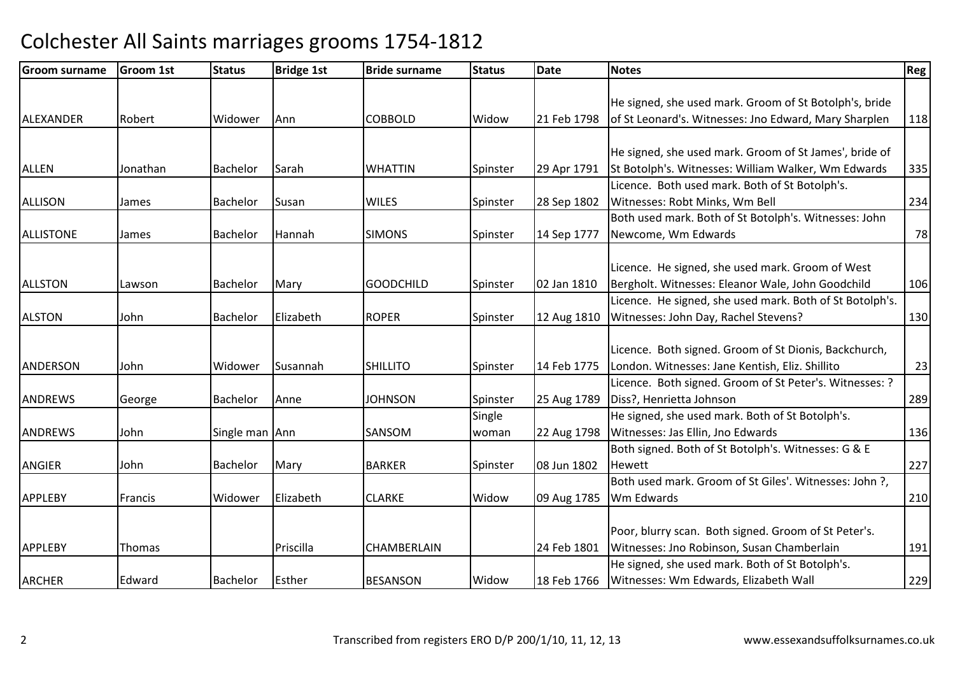| <b>Groom surname</b> | <b>Groom 1st</b> | <b>Status</b>   | <b>Bridge 1st</b> | <b>Bride surname</b> | <b>Status</b> | Date        | <b>Notes</b>                                             | Reg |
|----------------------|------------------|-----------------|-------------------|----------------------|---------------|-------------|----------------------------------------------------------|-----|
|                      |                  |                 |                   |                      |               |             |                                                          |     |
|                      |                  |                 |                   |                      |               |             | He signed, she used mark. Groom of St Botolph's, bride   |     |
| ALEXANDER            | Robert           | Widower         | Ann               | <b>COBBOLD</b>       | Widow         | 21 Feb 1798 | of St Leonard's. Witnesses: Jno Edward, Mary Sharplen    | 118 |
|                      |                  |                 |                   |                      |               |             |                                                          |     |
|                      |                  |                 |                   |                      |               |             | He signed, she used mark. Groom of St James', bride of   |     |
| <b>ALLEN</b>         | Jonathan         | Bachelor        | Sarah             | <b>WHATTIN</b>       | Spinster      | 29 Apr 1791 | St Botolph's. Witnesses: William Walker, Wm Edwards      | 335 |
|                      |                  |                 |                   |                      |               |             | Licence. Both used mark. Both of St Botolph's.           |     |
| <b>ALLISON</b>       | James            | Bachelor        | Susan             | <b>WILES</b>         | Spinster      | 28 Sep 1802 | Witnesses: Robt Minks, Wm Bell                           | 234 |
|                      |                  |                 |                   |                      |               |             | Both used mark. Both of St Botolph's. Witnesses: John    |     |
| <b>ALLISTONE</b>     | James            | Bachelor        | Hannah            | <b>SIMONS</b>        | Spinster      | 14 Sep 1777 | Newcome, Wm Edwards                                      | 78  |
|                      |                  |                 |                   |                      |               |             |                                                          |     |
|                      |                  |                 |                   |                      |               |             | Licence. He signed, she used mark. Groom of West         |     |
| <b>ALLSTON</b>       | Lawson           | Bachelor        | Mary              | <b>GOODCHILD</b>     | Spinster      | 02 Jan 1810 | Bergholt. Witnesses: Eleanor Wale, John Goodchild        | 106 |
|                      |                  |                 |                   |                      |               |             | Licence. He signed, she used mark. Both of St Botolph's. |     |
| <b>ALSTON</b>        | John             | Bachelor        | Elizabeth         | <b>ROPER</b>         | Spinster      | 12 Aug 1810 | Witnesses: John Day, Rachel Stevens?                     | 130 |
|                      |                  |                 |                   |                      |               |             |                                                          |     |
|                      |                  |                 |                   |                      |               |             | Licence. Both signed. Groom of St Dionis, Backchurch,    |     |
| ANDERSON             | John             | Widower         | Susannah          | <b>SHILLITO</b>      | Spinster      | 14 Feb 1775 | London. Witnesses: Jane Kentish, Eliz. Shillito          | 23  |
|                      |                  |                 |                   |                      |               |             | Licence. Both signed. Groom of St Peter's. Witnesses: ?  |     |
| <b>ANDREWS</b>       | George           | <b>Bachelor</b> | Anne              | <b>JOHNSON</b>       | Spinster      | 25 Aug 1789 | Diss?, Henrietta Johnson                                 | 289 |
|                      |                  |                 |                   |                      | Single        |             | He signed, she used mark. Both of St Botolph's.          |     |
| <b>ANDREWS</b>       | John             | Single man Ann  |                   | SANSOM               | woman         | 22 Aug 1798 | Witnesses: Jas Ellin, Jno Edwards                        | 136 |
|                      |                  |                 |                   |                      |               |             | Both signed. Both of St Botolph's. Witnesses: G & E      |     |
| <b>ANGIER</b>        | John             | Bachelor        | Mary              | <b>BARKER</b>        | Spinster      | 08 Jun 1802 | Hewett                                                   | 227 |
|                      |                  |                 |                   |                      |               |             | Both used mark. Groom of St Giles'. Witnesses: John ?,   |     |
| <b>APPLEBY</b>       | Francis          | Widower         | Elizabeth         | <b>CLARKE</b>        | Widow         | 09 Aug 1785 | Wm Edwards                                               | 210 |
|                      |                  |                 |                   |                      |               |             |                                                          |     |
|                      |                  |                 |                   |                      |               |             | Poor, blurry scan. Both signed. Groom of St Peter's.     |     |
| <b>APPLEBY</b>       | Thomas           |                 | Priscilla         | <b>CHAMBERLAIN</b>   |               | 24 Feb 1801 | Witnesses: Jno Robinson, Susan Chamberlain               | 191 |
|                      |                  |                 |                   |                      |               |             | He signed, she used mark. Both of St Botolph's.          |     |
| <b>ARCHER</b>        | Edward           | Bachelor        | Esther            | <b>BESANSON</b>      | Widow         | 18 Feb 1766 | Witnesses: Wm Edwards, Elizabeth Wall                    | 229 |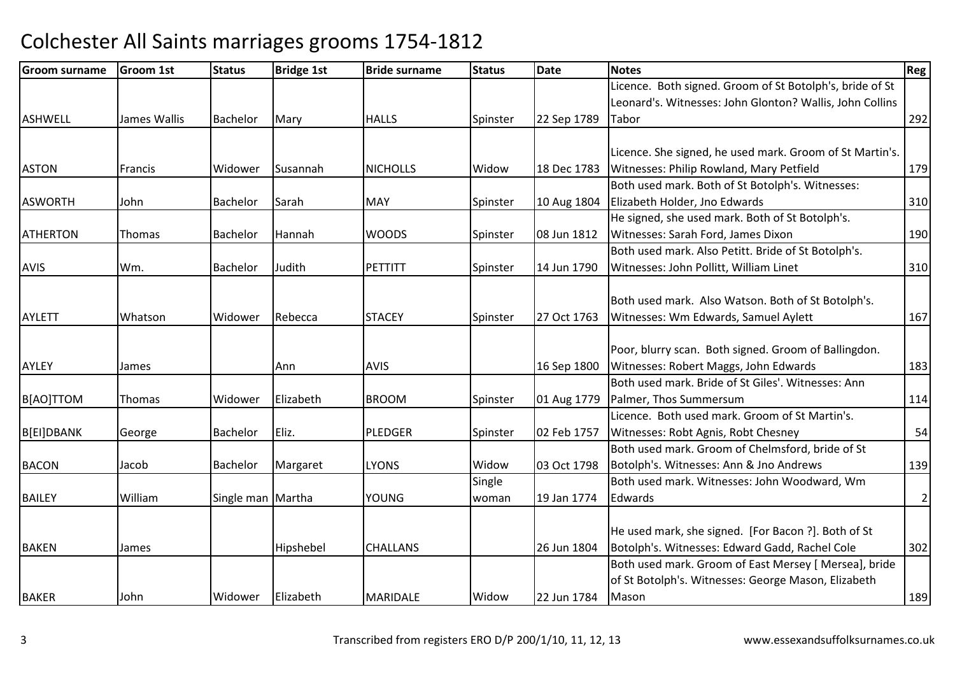| <b>Groom surname</b> | <b>Groom 1st</b> | <b>Status</b>     | <b>Bridge 1st</b> | <b>Bride surname</b> | <b>Status</b> | Date        | <b>Notes</b>                                             | Reg            |
|----------------------|------------------|-------------------|-------------------|----------------------|---------------|-------------|----------------------------------------------------------|----------------|
|                      |                  |                   |                   |                      |               |             | Licence. Both signed. Groom of St Botolph's, bride of St |                |
|                      |                  |                   |                   |                      |               |             | Leonard's. Witnesses: John Glonton? Wallis, John Collins |                |
| <b>ASHWELL</b>       | James Wallis     | <b>Bachelor</b>   | Mary              | <b>HALLS</b>         | Spinster      | 22 Sep 1789 | Tabor                                                    | 292            |
|                      |                  |                   |                   |                      |               |             |                                                          |                |
|                      |                  |                   |                   |                      |               |             | Licence. She signed, he used mark. Groom of St Martin's. |                |
| <b>ASTON</b>         | <b>Francis</b>   | Widower           | Susannah          | <b>NICHOLLS</b>      | Widow         | 18 Dec 1783 | Witnesses: Philip Rowland, Mary Petfield                 | 179            |
|                      |                  |                   |                   |                      |               |             | Both used mark. Both of St Botolph's. Witnesses:         |                |
| <b>ASWORTH</b>       | John             | Bachelor          | Sarah             | <b>MAY</b>           | Spinster      | 10 Aug 1804 | Elizabeth Holder, Jno Edwards                            | 310            |
|                      |                  |                   |                   |                      |               |             | He signed, she used mark. Both of St Botolph's.          |                |
| <b>ATHERTON</b>      | Thomas           | <b>Bachelor</b>   | Hannah            | <b>WOODS</b>         | Spinster      | 08 Jun 1812 | Witnesses: Sarah Ford, James Dixon                       | 190            |
|                      |                  |                   |                   |                      |               |             | Both used mark. Also Petitt. Bride of St Botolph's.      |                |
| <b>AVIS</b>          | Wm.              | Bachelor          | Judith            | PETTITT              | Spinster      | 14 Jun 1790 | Witnesses: John Pollitt, William Linet                   | 310            |
|                      |                  |                   |                   |                      |               |             |                                                          |                |
|                      |                  |                   |                   |                      |               |             | Both used mark. Also Watson. Both of St Botolph's.       |                |
| <b>AYLETT</b>        | Whatson          | Widower           | Rebecca           | <b>STACEY</b>        | Spinster      | 27 Oct 1763 | Witnesses: Wm Edwards, Samuel Aylett                     | 167            |
|                      |                  |                   |                   |                      |               |             |                                                          |                |
|                      |                  |                   |                   |                      |               |             | Poor, blurry scan. Both signed. Groom of Ballingdon.     |                |
| AYLEY                | James            |                   | Ann               | <b>AVIS</b>          |               | 16 Sep 1800 | Witnesses: Robert Maggs, John Edwards                    | 183            |
|                      |                  |                   |                   |                      |               |             | Both used mark. Bride of St Giles'. Witnesses: Ann       |                |
| B[AO]TTOM            | Thomas           | Widower           | Elizabeth         | <b>BROOM</b>         | Spinster      | 01 Aug 1779 | Palmer, Thos Summersum                                   | 114            |
|                      |                  |                   |                   |                      |               |             | Licence. Both used mark. Groom of St Martin's.           |                |
| B[EI]DBANK           | George           | <b>Bachelor</b>   | Eliz.             | <b>PLEDGER</b>       | Spinster      | 02 Feb 1757 | Witnesses: Robt Agnis, Robt Chesney                      | 54             |
|                      |                  |                   |                   |                      |               |             | Both used mark. Groom of Chelmsford, bride of St         |                |
| <b>BACON</b>         | Jacob            | Bachelor          | Margaret          | <b>LYONS</b>         | Widow         | 03 Oct 1798 | Botolph's. Witnesses: Ann & Jno Andrews                  | 139            |
|                      |                  |                   |                   |                      | Single        |             | Both used mark. Witnesses: John Woodward, Wm             |                |
| <b>BAILEY</b>        | William          | Single man Martha |                   | <b>YOUNG</b>         | woman         | 19 Jan 1774 | Edwards                                                  | $\overline{2}$ |
|                      |                  |                   |                   |                      |               |             |                                                          |                |
|                      |                  |                   |                   |                      |               |             | He used mark, she signed. [For Bacon ?]. Both of St      |                |
| <b>BAKEN</b>         | James            |                   | Hipshebel         | <b>CHALLANS</b>      |               | 26 Jun 1804 | Botolph's. Witnesses: Edward Gadd, Rachel Cole           | 302            |
|                      |                  |                   |                   |                      |               |             | Both used mark. Groom of East Mersey [ Mersea], bride    |                |
|                      |                  |                   |                   |                      |               |             | of St Botolph's. Witnesses: George Mason, Elizabeth      |                |
| <b>BAKER</b>         | John             | Widower           | Elizabeth         | <b>MARIDALE</b>      | Widow         | 22 Jun 1784 | Mason                                                    | 189            |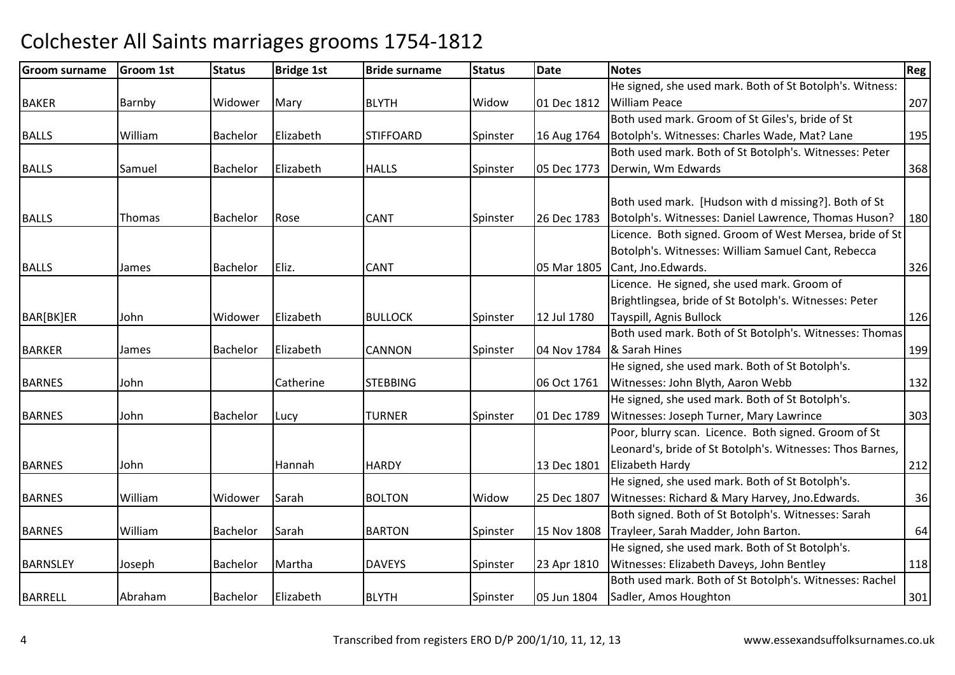| <b>Groom surname</b> | <b>Groom 1st</b> | <b>Status</b> | <b>Bridge 1st</b> | <b>Bride surname</b> | <b>Status</b> | Date        | <b>Notes</b>                                              | Reg |
|----------------------|------------------|---------------|-------------------|----------------------|---------------|-------------|-----------------------------------------------------------|-----|
|                      |                  |               |                   |                      |               |             | He signed, she used mark. Both of St Botolph's. Witness:  |     |
| <b>BAKER</b>         | Barnby           | Widower       | Mary              | <b>BLYTH</b>         | Widow         | 01 Dec 1812 | <b>William Peace</b>                                      | 207 |
|                      |                  |               |                   |                      |               |             | Both used mark. Groom of St Giles's, bride of St          |     |
| <b>BALLS</b>         | William          | Bachelor      | Elizabeth         | <b>STIFFOARD</b>     | Spinster      | 16 Aug 1764 | Botolph's. Witnesses: Charles Wade, Mat? Lane             | 195 |
|                      |                  |               |                   |                      |               |             | Both used mark. Both of St Botolph's. Witnesses: Peter    |     |
| <b>BALLS</b>         | Samuel           | Bachelor      | Elizabeth         | <b>HALLS</b>         | Spinster      | 05 Dec 1773 | Derwin, Wm Edwards                                        | 368 |
|                      |                  |               |                   |                      |               |             |                                                           |     |
|                      |                  |               |                   |                      |               |             | Both used mark. [Hudson with d missing?]. Both of St      |     |
| <b>BALLS</b>         | Thomas           | Bachelor      | Rose              | <b>CANT</b>          | Spinster      | 26 Dec 1783 | Botolph's. Witnesses: Daniel Lawrence, Thomas Huson?      | 180 |
|                      |                  |               |                   |                      |               |             | Licence. Both signed. Groom of West Mersea, bride of St   |     |
|                      |                  |               |                   |                      |               |             | Botolph's. Witnesses: William Samuel Cant, Rebecca        |     |
| <b>BALLS</b>         | James            | Bachelor      | Eliz.             | <b>CANT</b>          |               | 05 Mar 1805 | Cant, Jno.Edwards.                                        | 326 |
|                      |                  |               |                   |                      |               |             | Licence. He signed, she used mark. Groom of               |     |
|                      |                  |               |                   |                      |               |             | Brightlingsea, bride of St Botolph's. Witnesses: Peter    |     |
| BAR[BK]ER            | John             | Widower       | Elizabeth         | <b>BULLOCK</b>       | Spinster      | 12 Jul 1780 | Tayspill, Agnis Bullock                                   | 126 |
|                      |                  |               |                   |                      |               |             | Both used mark. Both of St Botolph's. Witnesses: Thomas   |     |
| <b>BARKER</b>        | James            | Bachelor      | Elizabeth         | <b>CANNON</b>        | Spinster      |             | 04 Nov 1784  & Sarah Hines                                | 199 |
|                      |                  |               |                   |                      |               |             | He signed, she used mark. Both of St Botolph's.           |     |
| <b>BARNES</b>        | John             |               | Catherine         | <b>STEBBING</b>      |               | 06 Oct 1761 | Witnesses: John Blyth, Aaron Webb                         | 132 |
|                      |                  |               |                   |                      |               |             | He signed, she used mark. Both of St Botolph's.           |     |
| <b>BARNES</b>        | John             | Bachelor      | Lucy              | <b>TURNER</b>        | Spinster      | 01 Dec 1789 | Witnesses: Joseph Turner, Mary Lawrince                   | 303 |
|                      |                  |               |                   |                      |               |             | Poor, blurry scan. Licence. Both signed. Groom of St      |     |
|                      |                  |               |                   |                      |               |             | Leonard's, bride of St Botolph's. Witnesses: Thos Barnes, |     |
| <b>BARNES</b>        | John             |               | Hannah            | <b>HARDY</b>         |               | 13 Dec 1801 | Elizabeth Hardy                                           | 212 |
|                      |                  |               |                   |                      |               |             | He signed, she used mark. Both of St Botolph's.           |     |
| <b>BARNES</b>        | William          | Widower       | Sarah             | <b>BOLTON</b>        | Widow         | 25 Dec 1807 | Witnesses: Richard & Mary Harvey, Jno.Edwards.            | 36  |
|                      |                  |               |                   |                      |               |             | Both signed. Both of St Botolph's. Witnesses: Sarah       |     |
| <b>BARNES</b>        | William          | Bachelor      | Sarah             | <b>BARTON</b>        | Spinster      | 15 Nov 1808 | Trayleer, Sarah Madder, John Barton.                      | 64  |
|                      |                  |               |                   |                      |               |             | He signed, she used mark. Both of St Botolph's.           |     |
| <b>BARNSLEY</b>      | Joseph           | Bachelor      | Martha            | <b>DAVEYS</b>        | Spinster      | 23 Apr 1810 | Witnesses: Elizabeth Daveys, John Bentley                 | 118 |
|                      |                  |               |                   |                      |               |             | Both used mark. Both of St Botolph's. Witnesses: Rachel   |     |
| <b>BARRELL</b>       | Abraham          | Bachelor      | Elizabeth         | <b>BLYTH</b>         | Spinster      | 05 Jun 1804 | Sadler, Amos Houghton                                     | 301 |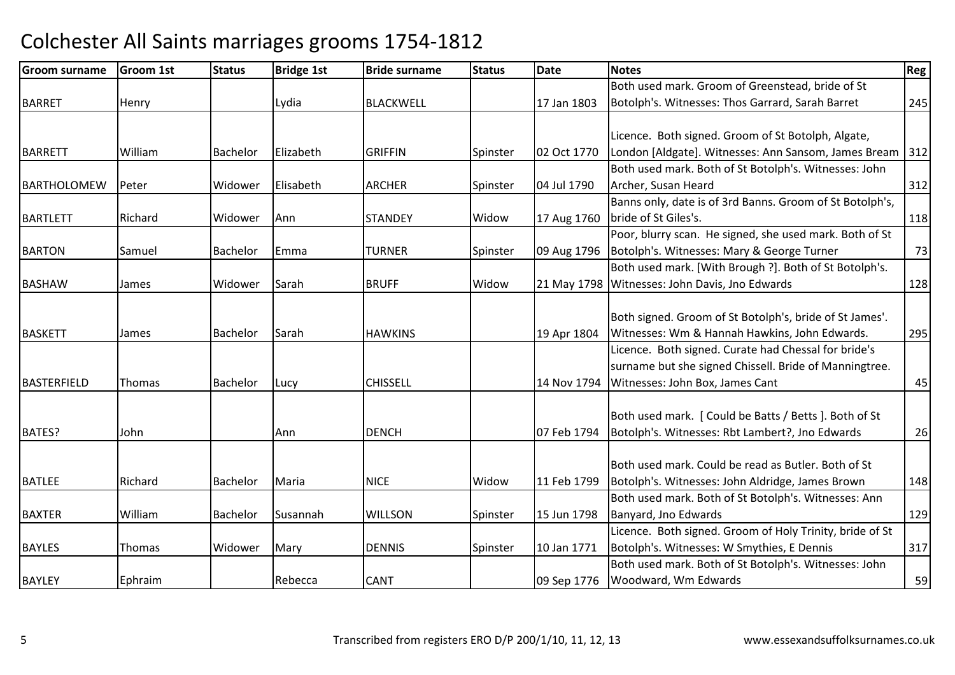| <b>Groom surname</b> | <b>Groom 1st</b> | <b>Status</b>   | <b>Bridge 1st</b> | <b>Bride surname</b> | <b>Status</b> | <b>Date</b> | <b>Notes</b>                                             | Reg   |
|----------------------|------------------|-----------------|-------------------|----------------------|---------------|-------------|----------------------------------------------------------|-------|
|                      |                  |                 |                   |                      |               |             | Both used mark. Groom of Greenstead, bride of St         |       |
| <b>BARRET</b>        | Henry            |                 | Lydia             | <b>BLACKWELL</b>     |               | 17 Jan 1803 | Botolph's. Witnesses: Thos Garrard, Sarah Barret         | 245   |
|                      |                  |                 |                   |                      |               |             |                                                          |       |
|                      |                  |                 |                   |                      |               |             | Licence. Both signed. Groom of St Botolph, Algate,       |       |
| <b>BARRETT</b>       | William          | <b>Bachelor</b> | Elizabeth         | <b>GRIFFIN</b>       | Spinster      | 02 Oct 1770 | London [Aldgate]. Witnesses: Ann Sansom, James Bream     | $312$ |
|                      |                  |                 |                   |                      |               |             | Both used mark. Both of St Botolph's. Witnesses: John    |       |
| BARTHOLOMEW          | Peter            | Widower         | Elisabeth         | <b>ARCHER</b>        | Spinster      | 04 Jul 1790 | Archer, Susan Heard                                      | 312   |
|                      |                  |                 |                   |                      |               |             | Banns only, date is of 3rd Banns. Groom of St Botolph's, |       |
| <b>BARTLETT</b>      | Richard          | Widower         | Ann               | <b>STANDEY</b>       | Widow         | 17 Aug 1760 | bride of St Giles's.                                     | 118   |
|                      |                  |                 |                   |                      |               |             | Poor, blurry scan. He signed, she used mark. Both of St  |       |
| <b>BARTON</b>        | Samuel           | <b>Bachelor</b> | Emma              | <b>TURNER</b>        | Spinster      | 09 Aug 1796 | Botolph's. Witnesses: Mary & George Turner               | 73    |
|                      |                  |                 |                   |                      |               |             | Both used mark. [With Brough ?]. Both of St Botolph's.   |       |
| <b>BASHAW</b>        | James            | Widower         | Sarah             | <b>BRUFF</b>         | Widow         |             | 21 May 1798 Witnesses: John Davis, Jno Edwards           | 128   |
|                      |                  |                 |                   |                      |               |             |                                                          |       |
|                      |                  |                 |                   |                      |               |             | Both signed. Groom of St Botolph's, bride of St James'.  |       |
| <b>BASKETT</b>       | James            | Bachelor        | Sarah             | <b>HAWKINS</b>       |               | 19 Apr 1804 | Witnesses: Wm & Hannah Hawkins, John Edwards.            | 295   |
|                      |                  |                 |                   |                      |               |             | Licence. Both signed. Curate had Chessal for bride's     |       |
|                      |                  |                 |                   |                      |               |             | surname but she signed Chissell. Bride of Manningtree.   |       |
| <b>BASTERFIELD</b>   | Thomas           | Bachelor        | Lucy              | <b>CHISSELL</b>      |               | 14 Nov 1794 | Witnesses: John Box, James Cant                          | 45    |
|                      |                  |                 |                   |                      |               |             |                                                          |       |
|                      |                  |                 |                   |                      |               |             | Both used mark. [ Could be Batts / Betts ]. Both of St   |       |
| BATES?               | John             |                 | lAnn.             | <b>DENCH</b>         |               | 07 Feb 1794 | Botolph's. Witnesses: Rbt Lambert?, Jno Edwards          | 26    |
|                      |                  |                 |                   |                      |               |             |                                                          |       |
|                      |                  |                 |                   |                      |               |             | Both used mark. Could be read as Butler. Both of St      |       |
| <b>BATLEE</b>        | Richard          | Bachelor        | Maria             | <b>NICE</b>          | Widow         | 11 Feb 1799 | Botolph's. Witnesses: John Aldridge, James Brown         | 148   |
|                      |                  |                 |                   |                      |               |             | Both used mark. Both of St Botolph's. Witnesses: Ann     |       |
| <b>BAXTER</b>        | William          | Bachelor        | Susannah          | <b>WILLSON</b>       | Spinster      | 15 Jun 1798 | Banyard, Jno Edwards                                     | 129   |
|                      |                  |                 |                   |                      |               |             | Licence. Both signed. Groom of Holy Trinity, bride of St |       |
| <b>BAYLES</b>        | Thomas           | Widower         | Mary              | <b>DENNIS</b>        | Spinster      | 10 Jan 1771 | Botolph's. Witnesses: W Smythies, E Dennis               | 317   |
|                      |                  |                 |                   |                      |               |             | Both used mark. Both of St Botolph's. Witnesses: John    |       |
| <b>BAYLEY</b>        | Ephraim          |                 | Rebecca           | <b>CANT</b>          |               | 09 Sep 1776 | Woodward, Wm Edwards                                     | 59    |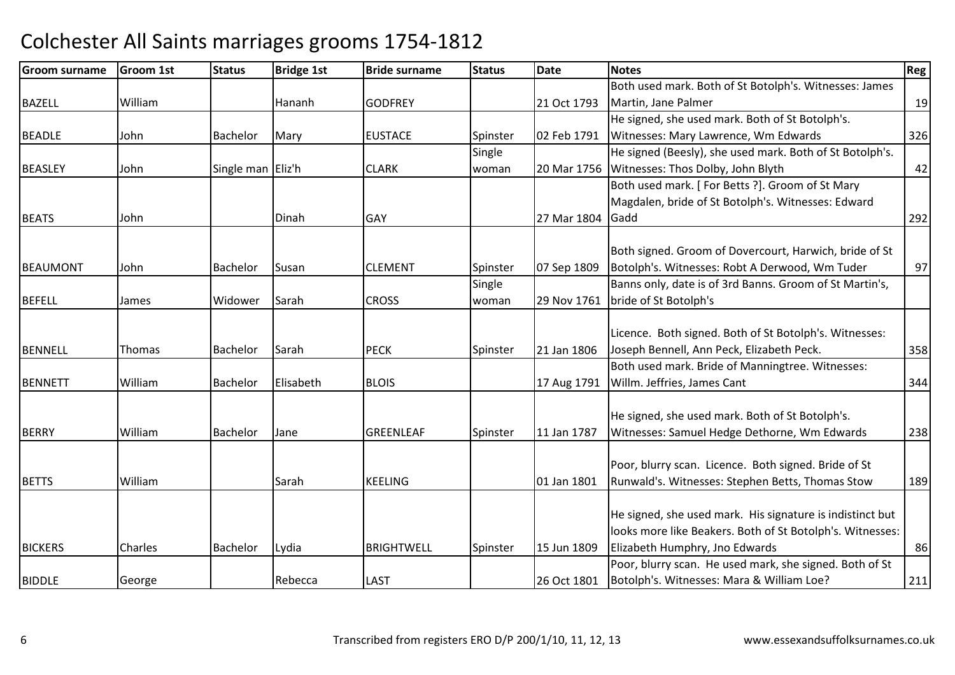| <b>Groom surname</b> | Groom 1st | <b>Status</b>     | <b>Bridge 1st</b> | <b>Bride surname</b> | <b>Status</b> | <b>Date</b> | <b>Notes</b>                                              | <b>Reg</b> |
|----------------------|-----------|-------------------|-------------------|----------------------|---------------|-------------|-----------------------------------------------------------|------------|
|                      |           |                   |                   |                      |               |             | Both used mark. Both of St Botolph's. Witnesses: James    |            |
| <b>BAZELL</b>        | William   |                   | Hananh            | <b>GODFREY</b>       |               | 21 Oct 1793 | Martin, Jane Palmer                                       | 19         |
|                      |           |                   |                   |                      |               |             | He signed, she used mark. Both of St Botolph's.           |            |
| <b>BEADLE</b>        | John      | Bachelor          | Mary              | <b>EUSTACE</b>       | Spinster      | 02 Feb 1791 | Witnesses: Mary Lawrence, Wm Edwards                      | 326        |
|                      |           |                   |                   |                      | Single        |             | He signed (Beesly), she used mark. Both of St Botolph's.  |            |
| <b>BEASLEY</b>       | John      | Single man Eliz'h |                   | <b>CLARK</b>         | woman         | 20 Mar 1756 | Witnesses: Thos Dolby, John Blyth                         | 42         |
|                      |           |                   |                   |                      |               |             | Both used mark. [For Betts ?]. Groom of St Mary           |            |
|                      |           |                   |                   |                      |               |             | Magdalen, bride of St Botolph's. Witnesses: Edward        |            |
| <b>BEATS</b>         | John      |                   | Dinah             | <b>GAY</b>           |               | 27 Mar 1804 | Gadd                                                      | 292        |
|                      |           |                   |                   |                      |               |             | Both signed. Groom of Dovercourt, Harwich, bride of St    |            |
| <b>BEAUMONT</b>      | John      | Bachelor          | Susan             | <b>CLEMENT</b>       | Spinster      | 07 Sep 1809 | Botolph's. Witnesses: Robt A Derwood, Wm Tuder            | 97         |
|                      |           |                   |                   |                      | Single        |             | Banns only, date is of 3rd Banns. Groom of St Martin's,   |            |
| <b>BEFELL</b>        | James     | Widower           | Sarah             | <b>CROSS</b>         | woman         | 29 Nov 1761 | bride of St Botolph's                                     |            |
|                      |           |                   |                   |                      |               |             |                                                           |            |
|                      |           |                   |                   |                      |               |             | Licence. Both signed. Both of St Botolph's. Witnesses:    |            |
| <b>BENNELL</b>       | Thomas    | Bachelor          | Sarah             | <b>PECK</b>          | Spinster      | 21 Jan 1806 | Joseph Bennell, Ann Peck, Elizabeth Peck.                 | 358        |
|                      |           |                   |                   |                      |               |             | Both used mark. Bride of Manningtree. Witnesses:          |            |
| <b>BENNETT</b>       | William   | Bachelor          | Elisabeth         | <b>BLOIS</b>         |               | 17 Aug 1791 | Willm. Jeffries, James Cant                               | 344        |
|                      |           |                   |                   |                      |               |             |                                                           |            |
|                      |           |                   |                   |                      |               |             | He signed, she used mark. Both of St Botolph's.           |            |
| <b>BERRY</b>         | William   | Bachelor          | Jane              | <b>GREENLEAF</b>     | Spinster      | 11 Jan 1787 | Witnesses: Samuel Hedge Dethorne, Wm Edwards              | 238        |
|                      |           |                   |                   |                      |               |             |                                                           |            |
|                      |           |                   |                   |                      |               |             | Poor, blurry scan. Licence. Both signed. Bride of St      |            |
| <b>BETTS</b>         | William   |                   | Sarah             | <b>KEELING</b>       |               | 01 Jan 1801 | Runwald's. Witnesses: Stephen Betts, Thomas Stow          | 189        |
|                      |           |                   |                   |                      |               |             | He signed, she used mark. His signature is indistinct but |            |
|                      |           |                   |                   |                      |               |             | looks more like Beakers. Both of St Botolph's. Witnesses: |            |
| <b>BICKERS</b>       | Charles   | Bachelor          | Lydia             | <b>BRIGHTWELL</b>    | Spinster      | 15 Jun 1809 | Elizabeth Humphry, Jno Edwards                            | 86         |
|                      |           |                   |                   |                      |               |             | Poor, blurry scan. He used mark, she signed. Both of St   |            |
| <b>BIDDLE</b>        | George    |                   | Rebecca           | <b>LAST</b>          |               | 26 Oct 1801 | Botolph's. Witnesses: Mara & William Loe?                 | 211        |
|                      |           |                   |                   |                      |               |             |                                                           |            |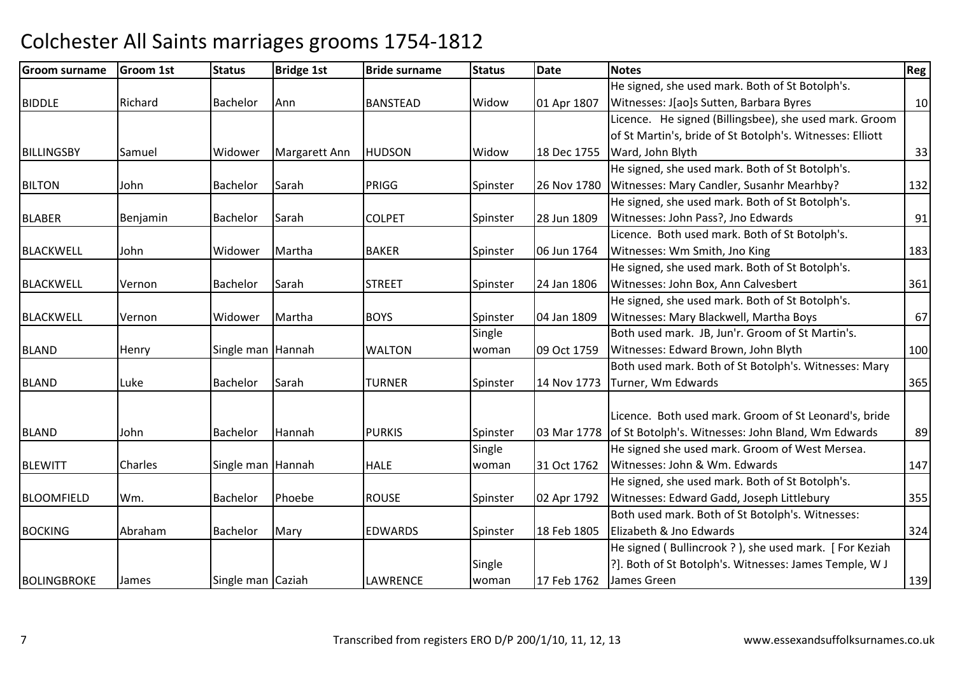#### Groom surnamee Groom 1st Status Bridge 1st Bride surname Status Date Notes Regge Regge Regge Regge Regge Regge Regge Regge R BIDDLERichard Bachelor Ann **BANSTEAD**  Widow 01 Apr 1807 He signed, she used mark. Both of St Botolph's. Witnesses: J[ao]s Sutten, Barbara Byress 10 **BILLINGSBY** Samuel | Widower | Margarett Ann **HUDSON**  Widow 18 Dec 1755 Licence. He signed (Billingsbee), she used mark. Groom of St Martin's, bride of St Botolph's. Witnesses: Elliott Ward, John Blythh 33 BILTONN John Bachelor Sarah PRIGG Spinster 26 Nov 1780 He signed, she used mark. Both of St Botolph's. Witnesses: Mary Candler, Susanhr Mearhby? <sup>132</sup>**BLABER** R Benjamin Bachelor Sarah COLPET Spinster 28 Jun 1809 He signed, she used mark. Both of St Botolph's. Witnesses: John Pass?, Jno Edwardss 91 BLACKWELL John Widower Martha BAKERBAKER Spinster 06 Jun 1764 Licence. Both used mark. Both of St Botolph's. Witnesses: Wm Smith, Jno Kingg 183 BLACKWELLVernon Bachelor Sarah STREET Spinster 24 Jan 1806 He signed, she used mark. Both of St Botolph's. Witnesses: John Box, Ann Calvesbert <sup>361</sup>BLACKWELLL Vernon Midower Martha BOYS Spinster 04 Jan 1809 He signed, she used mark. Both of St Botolph's. Witnesses: Mary Blackwell, Martha Boyss 67 BLANDHenry Single man Hannah MALTON **Single** woman 09 Oct 1759 Both used mark. JB, Jun'r. Groom of St Martin's. Witnesses: Edward Brown, John Blythh 100 BLANDD Luke Bachelor Sarah TURNER Spinster 14 Nov 1773 Both used mark. Both of St Botolph's. Witnesses: Mary Turner, Wm Edwards $\sim$  365 BLANDD John Bachelor Hannah PURKIS Spinster 03 Mar 1778 Licence. Both used mark. Groom of St Leonard's, bride of St Botolph's. Witnesses: John Bland, Wm Edwards <sup>89</sup>**BLEWITT**  $[Charles]$ Single man Hannah **HALE** Single woman 31 Oct 1762 He signed she used mark. Groom of West Mersea. Witnesses: John & Wm. Edwardss 147 BLOOMFIELDD Wm. Bachelor Phoebe ROUSE Spinster 02 Apr 1792 He signed, she used mark. Both of St Botolph's. Witnesses: Edward Gadd, Joseph Littlebury <sup>355</sup>BOCKINGG Abraham Bachelor Mary EDWARDS Spinster 18 Feb 1805 Both used mark. Both of St Botolph's. Witnesses: Elizabeth & Jno Edwards $\sim$  324 **BOLINGBROKE** James Single man Caziah **LAWRENCE** Single woman 17 Feb 1762 He signed ( Bullincrook ? ), she used mark. [ For Keziah ?]. Both of St Botolph's. Witnesses: James Temple, W J James Greenn 139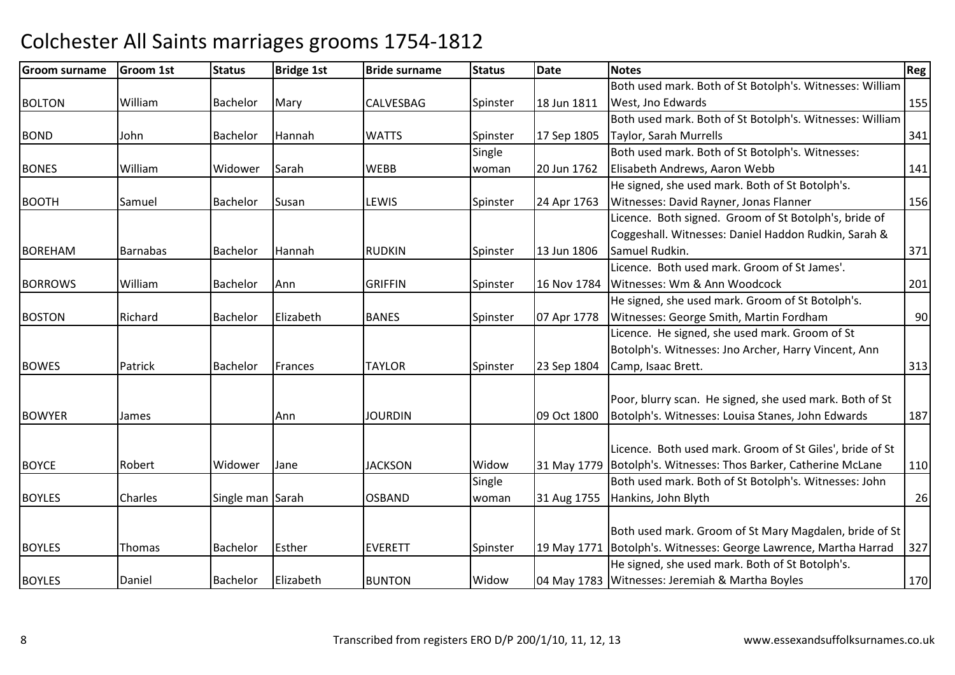| <b>Groom surname</b> | <b>Groom 1st</b> | <b>Status</b>    | <b>Bridge 1st</b> | <b>Bride surname</b> | <b>Status</b> | Date        | <b>Notes</b>                                                      | <b>Reg</b> |
|----------------------|------------------|------------------|-------------------|----------------------|---------------|-------------|-------------------------------------------------------------------|------------|
|                      |                  |                  |                   |                      |               |             | Both used mark. Both of St Botolph's. Witnesses: William          |            |
| <b>BOLTON</b>        | William          | <b>Bachelor</b>  | Mary              | CALVESBAG            | Spinster      | 18 Jun 1811 | West, Jno Edwards                                                 | 155        |
|                      |                  |                  |                   |                      |               |             | Both used mark. Both of St Botolph's. Witnesses: William          |            |
| <b>BOND</b>          | John             | <b>Bachelor</b>  | Hannah            | <b>WATTS</b>         | Spinster      | 17 Sep 1805 | Taylor, Sarah Murrells                                            | 341        |
|                      |                  |                  |                   |                      | Single        |             | Both used mark. Both of St Botolph's. Witnesses:                  |            |
| <b>BONES</b>         | William          | Widower          | Sarah             | <b>WEBB</b>          | woman         | 20 Jun 1762 | Elisabeth Andrews, Aaron Webb                                     | 141        |
|                      |                  |                  |                   |                      |               |             | He signed, she used mark. Both of St Botolph's.                   |            |
| <b>BOOTH</b>         | Samuel           | Bachelor         | Susan             | LEWIS                | Spinster      | 24 Apr 1763 | Witnesses: David Rayner, Jonas Flanner                            | 156        |
|                      |                  |                  |                   |                      |               |             | Licence. Both signed. Groom of St Botolph's, bride of             |            |
|                      |                  |                  |                   |                      |               |             | Coggeshall. Witnesses: Daniel Haddon Rudkin, Sarah &              |            |
| <b>BOREHAM</b>       | <b>Barnabas</b>  | Bachelor         | Hannah            | <b>RUDKIN</b>        | Spinster      | 13 Jun 1806 | Samuel Rudkin.                                                    | 371        |
|                      |                  |                  |                   |                      |               |             | Licence. Both used mark. Groom of St James'.                      |            |
| <b>BORROWS</b>       | William          | Bachelor         | Ann               | <b>GRIFFIN</b>       | Spinster      | 16 Nov 1784 | Witnesses: Wm & Ann Woodcock                                      | 201        |
|                      |                  |                  |                   |                      |               |             | He signed, she used mark. Groom of St Botolph's.                  |            |
| <b>BOSTON</b>        | Richard          | <b>Bachelor</b>  | Elizabeth         | <b>BANES</b>         | Spinster      | 07 Apr 1778 | Witnesses: George Smith, Martin Fordham                           | 90         |
|                      |                  |                  |                   |                      |               |             | Licence. He signed, she used mark. Groom of St                    |            |
|                      |                  |                  |                   |                      |               |             | Botolph's. Witnesses: Jno Archer, Harry Vincent, Ann              |            |
| <b>BOWES</b>         | Patrick          | Bachelor         | Frances           | <b>TAYLOR</b>        | Spinster      | 23 Sep 1804 | Camp, Isaac Brett.                                                | 313        |
|                      |                  |                  |                   |                      |               |             |                                                                   |            |
|                      |                  |                  |                   |                      |               |             | Poor, blurry scan. He signed, she used mark. Both of St           |            |
| <b>BOWYER</b>        | James            |                  | Ann               | <b>JOURDIN</b>       |               | 09 Oct 1800 | Botolph's. Witnesses: Louisa Stanes, John Edwards                 | 187        |
|                      |                  |                  |                   |                      |               |             |                                                                   |            |
|                      |                  |                  |                   |                      |               |             | Licence. Both used mark. Groom of St Giles', bride of St          |            |
| <b>BOYCE</b>         | Robert           | Widower          | Jane              | <b>JACKSON</b>       | Widow         |             | 31 May 1779   Botolph's. Witnesses: Thos Barker, Catherine McLane | 110        |
|                      |                  |                  |                   |                      | Single        |             | Both used mark. Both of St Botolph's. Witnesses: John             |            |
| <b>BOYLES</b>        | Charles          | Single man Sarah |                   | <b>OSBAND</b>        | woman         | 31 Aug 1755 | Hankins, John Blyth                                               | 26         |
|                      |                  |                  |                   |                      |               |             |                                                                   |            |
|                      |                  |                  |                   |                      |               |             | Both used mark. Groom of St Mary Magdalen, bride of St            |            |
| <b>BOYLES</b>        | Thomas           | Bachelor         | Esther            | <b>EVERETT</b>       | Spinster      | 19 May 1771 | Botolph's. Witnesses: George Lawrence, Martha Harrad              | 327        |
|                      |                  |                  |                   |                      |               |             | He signed, she used mark. Both of St Botolph's.                   |            |
| <b>BOYLES</b>        | Daniel           | <b>Bachelor</b>  | Elizabeth         | <b>BUNTON</b>        | Widow         |             | 04 May 1783 Witnesses: Jeremiah & Martha Boyles                   | 170        |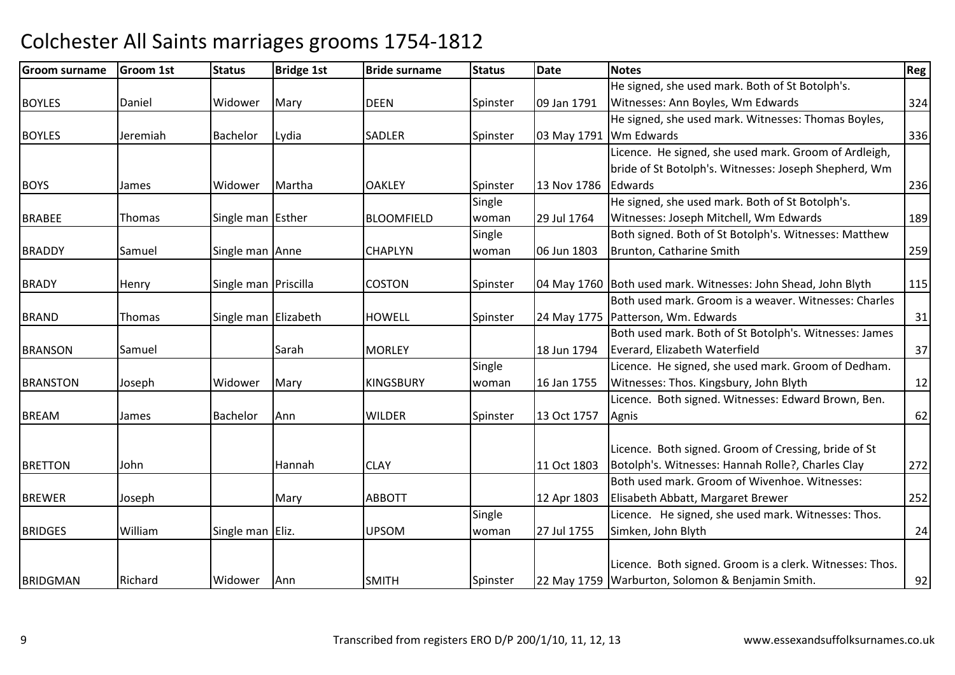| <b>Groom surname</b> | Groom 1st | <b>Status</b>        | <b>Bridge 1st</b> | <b>Bride surname</b> | <b>Status</b> | Date        | <b>Notes</b>                                                  | Reg |
|----------------------|-----------|----------------------|-------------------|----------------------|---------------|-------------|---------------------------------------------------------------|-----|
|                      |           |                      |                   |                      |               |             | He signed, she used mark. Both of St Botolph's.               |     |
| <b>BOYLES</b>        | Daniel    | Widower              | Mary              | <b>DEEN</b>          | Spinster      | 09 Jan 1791 | Witnesses: Ann Boyles, Wm Edwards                             | 324 |
|                      |           |                      |                   |                      |               |             | He signed, she used mark. Witnesses: Thomas Boyles,           |     |
| <b>BOYLES</b>        | Jeremiah  | <b>Bachelor</b>      | Lydia             | <b>SADLER</b>        | Spinster      |             | 03 May 1791 Wm Edwards                                        | 336 |
|                      |           |                      |                   |                      |               |             | Licence. He signed, she used mark. Groom of Ardleigh,         |     |
|                      |           |                      |                   |                      |               |             | bride of St Botolph's. Witnesses: Joseph Shepherd, Wm         |     |
| <b>BOYS</b>          | James     | Widower              | Martha            | <b>OAKLEY</b>        | Spinster      | 13 Nov 1786 | Edwards                                                       | 236 |
|                      |           |                      |                   |                      | Single        |             | He signed, she used mark. Both of St Botolph's.               |     |
| <b>BRABEE</b>        | Thomas    | Single man Esther    |                   | <b>BLOOMFIELD</b>    | woman         | 29 Jul 1764 | Witnesses: Joseph Mitchell, Wm Edwards                        | 189 |
|                      |           |                      |                   |                      | Single        |             | Both signed. Both of St Botolph's. Witnesses: Matthew         |     |
| <b>BRADDY</b>        | Samuel    | Single man Anne      |                   | <b>CHAPLYN</b>       | woman         | 06 Jun 1803 | Brunton, Catharine Smith                                      | 259 |
|                      |           |                      |                   |                      |               |             |                                                               |     |
| <b>BRADY</b>         | Henry     | Single man Priscilla |                   | <b>COSTON</b>        | Spinster      |             | 04 May 1760 Both used mark. Witnesses: John Shead, John Blyth | 115 |
|                      |           |                      |                   |                      |               |             | Both used mark. Groom is a weaver. Witnesses: Charles         |     |
| <b>BRAND</b>         | Thomas    | Single man Elizabeth |                   | <b>HOWELL</b>        | Spinster      |             | 24 May 1775   Patterson, Wm. Edwards                          | 31  |
|                      |           |                      |                   |                      |               |             | Both used mark. Both of St Botolph's. Witnesses: James        |     |
| <b>BRANSON</b>       | Samuel    |                      | Sarah             | <b>MORLEY</b>        |               | 18 Jun 1794 | Everard, Elizabeth Waterfield                                 | 37  |
|                      |           |                      |                   |                      | Single        |             | Licence. He signed, she used mark. Groom of Dedham.           |     |
| <b>BRANSTON</b>      | Joseph    | Widower              | Mary              | <b>KINGSBURY</b>     | woman         | 16 Jan 1755 | Witnesses: Thos. Kingsbury, John Blyth                        | 12  |
|                      |           |                      |                   |                      |               |             | Licence. Both signed. Witnesses: Edward Brown, Ben.           |     |
| <b>BREAM</b>         | James     | Bachelor             | Ann               | <b>WILDER</b>        | Spinster      | 13 Oct 1757 | Agnis                                                         | 62  |
|                      |           |                      |                   |                      |               |             |                                                               |     |
|                      |           |                      |                   |                      |               |             | Licence. Both signed. Groom of Cressing, bride of St          |     |
| <b>BRETTON</b>       | John      |                      | Hannah            | <b>CLAY</b>          |               | 11 Oct 1803 | Botolph's. Witnesses: Hannah Rolle?, Charles Clay             | 272 |
|                      |           |                      |                   |                      |               |             | Both used mark. Groom of Wivenhoe. Witnesses:                 |     |
| <b>BREWER</b>        | Joseph    |                      | Mary              | <b>ABBOTT</b>        |               | 12 Apr 1803 | Elisabeth Abbatt, Margaret Brewer                             | 252 |
|                      |           |                      |                   |                      | Single        |             | Licence. He signed, she used mark. Witnesses: Thos.           |     |
| <b>BRIDGES</b>       | William   | Single man Eliz.     |                   | <b>UPSOM</b>         | woman         | 27 Jul 1755 | Simken, John Blyth                                            | 24  |
|                      |           |                      |                   |                      |               |             |                                                               |     |
|                      |           |                      |                   |                      |               |             | Licence. Both signed. Groom is a clerk. Witnesses: Thos.      |     |
| BRIDGMAN             | Richard   | Widower              | Ann               | <b>SMITH</b>         | Spinster      |             | 22 May 1759 Warburton, Solomon & Benjamin Smith.              | 92  |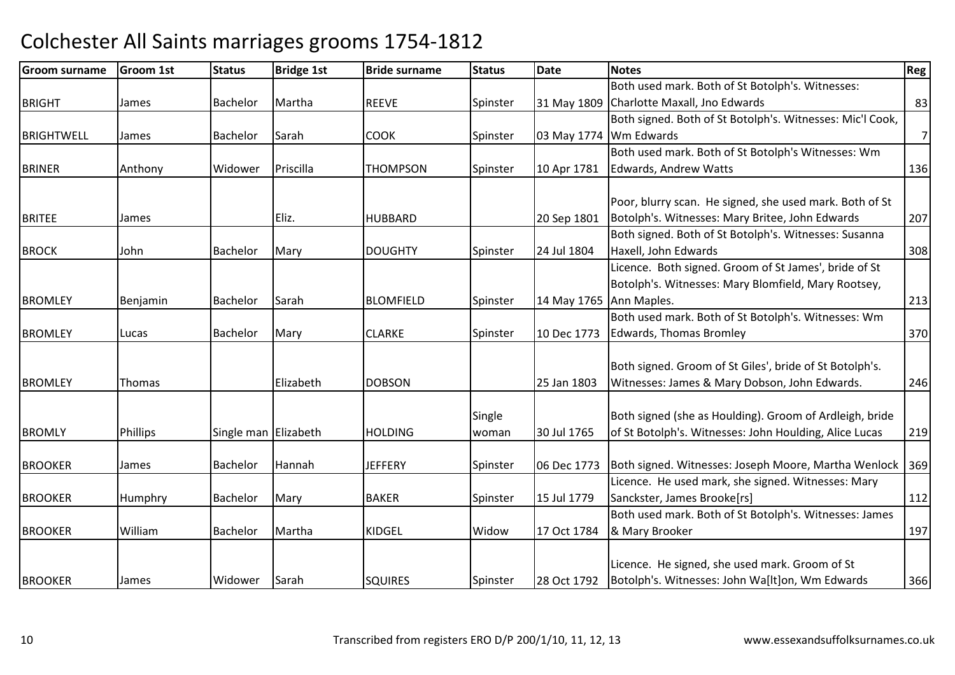| <b>Groom surname</b> | <b>Groom 1st</b> | <b>Status</b>        | <b>Bridge 1st</b> | <b>Bride surname</b> | <b>Status</b> | <b>Date</b>             | <b>Notes</b>                                              | <b>Reg</b> |
|----------------------|------------------|----------------------|-------------------|----------------------|---------------|-------------------------|-----------------------------------------------------------|------------|
|                      |                  |                      |                   |                      |               |                         | Both used mark. Both of St Botolph's. Witnesses:          |            |
| <b>BRIGHT</b>        | James            | <b>Bachelor</b>      | Martha            | <b>REEVE</b>         | Spinster      |                         | 31 May 1809 Charlotte Maxall, Jno Edwards                 | 83         |
|                      |                  |                      |                   |                      |               |                         | Both signed. Both of St Botolph's. Witnesses: Mic'l Cook, |            |
| <b>BRIGHTWELL</b>    | James            | Bachelor             | Sarah             | <b>COOK</b>          | Spinster      | 03 May 1774             | Wm Edwards                                                | 7          |
|                      |                  |                      |                   |                      |               |                         | Both used mark. Both of St Botolph's Witnesses: Wm        |            |
| <b>BRINER</b>        | Anthony          | Widower              | Priscilla         | <b>THOMPSON</b>      | Spinster      | 10 Apr 1781             | <b>Edwards, Andrew Watts</b>                              | 136        |
|                      |                  |                      |                   |                      |               |                         |                                                           |            |
|                      |                  |                      |                   |                      |               |                         | Poor, blurry scan. He signed, she used mark. Both of St   |            |
| <b>BRITEE</b>        | James            |                      | Eliz.             | <b>HUBBARD</b>       |               | 20 Sep 1801             | Botolph's. Witnesses: Mary Britee, John Edwards           | 207        |
|                      |                  |                      |                   |                      |               |                         | Both signed. Both of St Botolph's. Witnesses: Susanna     |            |
| <b>BROCK</b>         | John             | <b>Bachelor</b>      | Mary              | <b>DOUGHTY</b>       | Spinster      | 24 Jul 1804             | Haxell, John Edwards                                      | 308        |
|                      |                  |                      |                   |                      |               |                         | Licence. Both signed. Groom of St James', bride of St     |            |
|                      |                  |                      |                   |                      |               |                         | Botolph's. Witnesses: Mary Blomfield, Mary Rootsey,       |            |
| <b>BROMLEY</b>       | Benjamin         | <b>Bachelor</b>      | Sarah             | <b>BLOMFIELD</b>     | Spinster      | 14 May 1765 Ann Maples. |                                                           | 213        |
|                      |                  |                      |                   |                      |               |                         | Both used mark. Both of St Botolph's. Witnesses: Wm       |            |
| <b>BROMLEY</b>       | Lucas            | <b>Bachelor</b>      | Mary              | <b>CLARKE</b>        | Spinster      | 10 Dec 1773             | <b>Edwards, Thomas Bromley</b>                            | 370        |
|                      |                  |                      |                   |                      |               |                         |                                                           |            |
|                      |                  |                      |                   |                      |               |                         | Both signed. Groom of St Giles', bride of St Botolph's.   |            |
| <b>BROMLEY</b>       | Thomas           |                      | Elizabeth         | <b>DOBSON</b>        |               | 25 Jan 1803             | Witnesses: James & Mary Dobson, John Edwards.             | 246        |
|                      |                  |                      |                   |                      | Single        |                         | Both signed (she as Houlding). Groom of Ardleigh, bride   |            |
| <b>BROMLY</b>        | Phillips         | Single man Elizabeth |                   | <b>HOLDING</b>       | woman         | 30 Jul 1765             | of St Botolph's. Witnesses: John Houlding, Alice Lucas    | 219        |
|                      |                  |                      |                   |                      |               |                         |                                                           |            |
| <b>BROOKER</b>       | James            | Bachelor             | Hannah            | <b>JEFFERY</b>       | Spinster      | 06 Dec 1773             | Both signed. Witnesses: Joseph Moore, Martha Wenlock      | 369        |
|                      |                  |                      |                   |                      |               |                         | Licence. He used mark, she signed. Witnesses: Mary        |            |
| <b>BROOKER</b>       | Humphry          | Bachelor             | Mary              | <b>BAKER</b>         | Spinster      | 15 Jul 1779             | Sanckster, James Brooke[rs]                               | 112        |
|                      |                  |                      |                   |                      |               |                         | Both used mark. Both of St Botolph's. Witnesses: James    |            |
| <b>BROOKER</b>       | William          | <b>Bachelor</b>      | Martha            | <b>KIDGEL</b>        | Widow         | 17 Oct 1784             | & Mary Brooker                                            | 197        |
|                      |                  |                      |                   |                      |               |                         |                                                           |            |
|                      |                  |                      |                   |                      |               |                         | Licence. He signed, she used mark. Groom of St            |            |
| <b>BROOKER</b>       | James            | Widower              | Sarah             | <b>SQUIRES</b>       | Spinster      | 28 Oct 1792             | Botolph's. Witnesses: John Wa[lt]on, Wm Edwards           | 366        |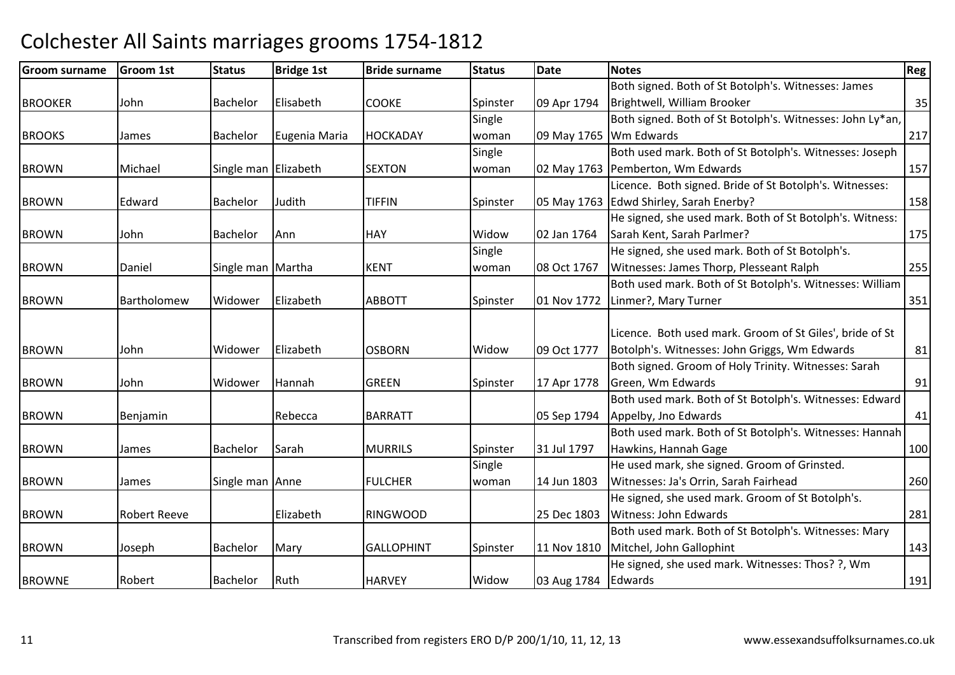| Groom surname  | <b>Groom 1st</b>    | <b>Status</b>        | <b>Bridge 1st</b> | <b>Bride surname</b> | <b>Status</b> | <b>Date</b>         | <b>Notes</b>                                              | <b>Reg</b> |
|----------------|---------------------|----------------------|-------------------|----------------------|---------------|---------------------|-----------------------------------------------------------|------------|
|                |                     |                      |                   |                      |               |                     | Both signed. Both of St Botolph's. Witnesses: James       |            |
| <b>BROOKER</b> | John                | <b>Bachelor</b>      | Elisabeth         | <b>COOKE</b>         | Spinster      | 09 Apr 1794         | Brightwell, William Brooker                               | 35         |
|                |                     |                      |                   |                      | Single        |                     | Both signed. Both of St Botolph's. Witnesses: John Ly*an, |            |
| <b>BROOKS</b>  | James               | Bachelor             | Eugenia Maria     | <b>HOCKADAY</b>      | woman         |                     | 09 May 1765 Wm Edwards                                    | 217        |
|                |                     |                      |                   |                      | Single        |                     | Both used mark. Both of St Botolph's. Witnesses: Joseph   |            |
| <b>BROWN</b>   | Michael             | Single man Elizabeth |                   | <b>SEXTON</b>        | woman         |                     | 02 May 1763 Pemberton, Wm Edwards                         | 157        |
|                |                     |                      |                   |                      |               |                     | Licence. Both signed. Bride of St Botolph's. Witnesses:   |            |
| <b>BROWN</b>   | Edward              | Bachelor             | Judith            | <b>TIFFIN</b>        | Spinster      |                     | 05 May 1763 Edwd Shirley, Sarah Enerby?                   | 158        |
|                |                     |                      |                   |                      |               |                     | He signed, she used mark. Both of St Botolph's. Witness:  |            |
| <b>BROWN</b>   | John                | Bachelor             | Ann               | <b>HAY</b>           | Widow         | 02 Jan 1764         | Sarah Kent, Sarah Parlmer?                                | 175        |
|                |                     |                      |                   |                      | Single        |                     | He signed, she used mark. Both of St Botolph's.           |            |
| <b>BROWN</b>   | Daniel              | Single man Martha    |                   | <b>KENT</b>          | woman         | 08 Oct 1767         | Witnesses: James Thorp, Plesseant Ralph                   | 255        |
|                |                     |                      |                   |                      |               |                     | Both used mark. Both of St Botolph's. Witnesses: William  |            |
| <b>BROWN</b>   | Bartholomew         | Widower              | Elizabeth         | <b>ABBOTT</b>        | Spinster      | 01 Nov 1772         | Linmer?, Mary Turner                                      | 351        |
|                |                     |                      |                   |                      |               |                     |                                                           |            |
|                |                     |                      |                   |                      |               |                     | Licence. Both used mark. Groom of St Giles', bride of St  |            |
| <b>BROWN</b>   | John                | Widower              | Elizabeth         | <b>OSBORN</b>        | Widow         | 09 Oct 1777         | Botolph's. Witnesses: John Griggs, Wm Edwards             | 81         |
|                |                     |                      |                   |                      |               |                     | Both signed. Groom of Holy Trinity. Witnesses: Sarah      |            |
| <b>BROWN</b>   | John                | Widower              | Hannah            | <b>GREEN</b>         | Spinster      | 17 Apr 1778         | Green, Wm Edwards                                         | 91         |
|                |                     |                      |                   |                      |               |                     | Both used mark. Both of St Botolph's. Witnesses: Edward   |            |
| <b>BROWN</b>   | Benjamin            |                      | Rebecca           | <b>BARRATT</b>       |               | 05 Sep 1794         | Appelby, Jno Edwards                                      | 41         |
|                |                     |                      |                   |                      |               |                     | Both used mark. Both of St Botolph's. Witnesses: Hannah   |            |
| <b>BROWN</b>   | James               | <b>Bachelor</b>      | Sarah             | <b>MURRILS</b>       | Spinster      | 31 Jul 1797         | Hawkins, Hannah Gage                                      | 100        |
|                |                     |                      |                   |                      | Single        |                     | He used mark, she signed. Groom of Grinsted.              |            |
| <b>BROWN</b>   | James               | Single man Anne      |                   | <b>FULCHER</b>       | woman         | 14 Jun 1803         | Witnesses: Ja's Orrin, Sarah Fairhead                     | 260        |
|                |                     |                      |                   |                      |               |                     | He signed, she used mark. Groom of St Botolph's.          |            |
| <b>BROWN</b>   | <b>Robert Reeve</b> |                      | Elizabeth         | <b>RINGWOOD</b>      |               | 25 Dec 1803         | Witness: John Edwards                                     | 281        |
|                |                     |                      |                   |                      |               |                     | Both used mark. Both of St Botolph's. Witnesses: Mary     |            |
| <b>BROWN</b>   | Joseph              | <b>Bachelor</b>      | Mary              | <b>GALLOPHINT</b>    | Spinster      | 11 Nov 1810         | Mitchel, John Gallophint                                  | 143        |
|                |                     |                      |                   |                      |               |                     | He signed, she used mark. Witnesses: Thos? ?, Wm          |            |
| <b>BROWNE</b>  | Robert              | <b>Bachelor</b>      | Ruth              | <b>HARVEY</b>        | Widow         | 03 Aug 1784 Edwards |                                                           | 191        |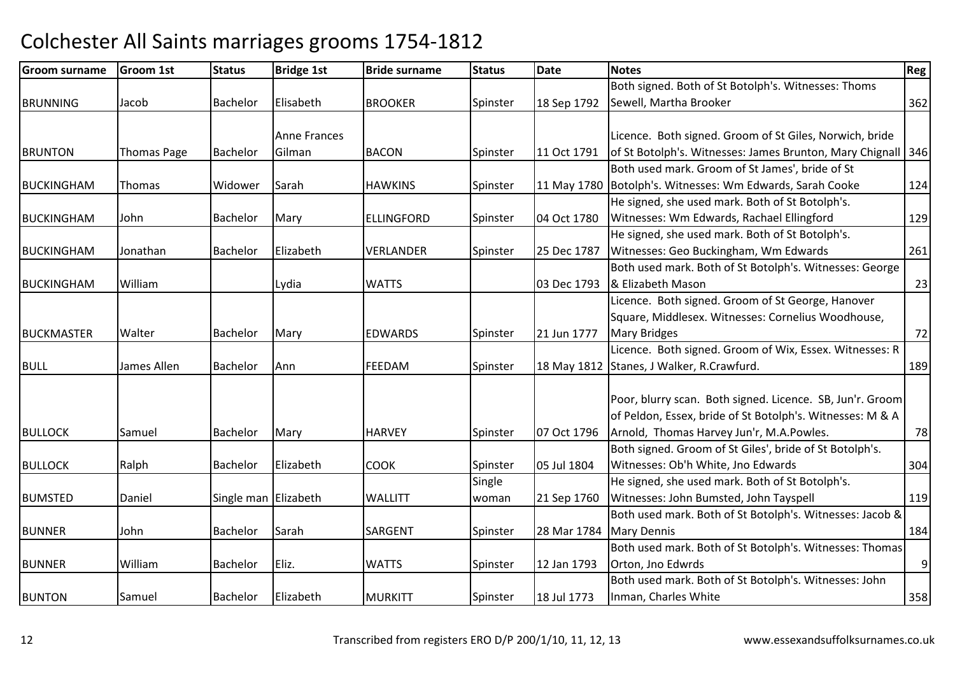| <b>Groom surname</b> | <b>Groom 1st</b>   | <b>Status</b>        | <b>Bridge 1st</b>   | <b>Bride surname</b> | <b>Status</b> | Date        | Notes                                                          | Reg |
|----------------------|--------------------|----------------------|---------------------|----------------------|---------------|-------------|----------------------------------------------------------------|-----|
|                      |                    |                      |                     |                      |               |             | Both signed. Both of St Botolph's. Witnesses: Thoms            |     |
| <b>BRUNNING</b>      | Jacob              | <b>Bachelor</b>      | Elisabeth           | <b>BROOKER</b>       | Spinster      | 18 Sep 1792 | Sewell, Martha Brooker                                         | 362 |
|                      |                    |                      |                     |                      |               |             |                                                                |     |
|                      |                    |                      | <b>Anne Frances</b> |                      |               |             | Licence. Both signed. Groom of St Giles, Norwich, bride        |     |
| <b>BRUNTON</b>       | <b>Thomas Page</b> | <b>Bachelor</b>      | Gilman              | <b>BACON</b>         | Spinster      | 11 Oct 1791 | of St Botolph's. Witnesses: James Brunton, Mary Chignall   346 |     |
|                      |                    |                      |                     |                      |               |             | Both used mark. Groom of St James', bride of St                |     |
| <b>BUCKINGHAM</b>    | <b>Thomas</b>      | Widower              | Sarah               | <b>HAWKINS</b>       | Spinster      |             | 11 May 1780 Botolph's. Witnesses: Wm Edwards, Sarah Cooke      | 124 |
|                      |                    |                      |                     |                      |               |             | He signed, she used mark. Both of St Botolph's.                |     |
| <b>BUCKINGHAM</b>    | John               | Bachelor             | Mary                | <b>ELLINGFORD</b>    | Spinster      | 04 Oct 1780 | Witnesses: Wm Edwards, Rachael Ellingford                      | 129 |
|                      |                    |                      |                     |                      |               |             | He signed, she used mark. Both of St Botolph's.                |     |
| <b>BUCKINGHAM</b>    | Jonathan           | Bachelor             | Elizabeth           | <b>VERLANDER</b>     | Spinster      | 25 Dec 1787 | Witnesses: Geo Buckingham, Wm Edwards                          | 261 |
|                      |                    |                      |                     |                      |               |             | Both used mark. Both of St Botolph's. Witnesses: George        |     |
| <b>BUCKINGHAM</b>    | William            |                      | Lydia               | <b>WATTS</b>         |               | 03 Dec 1793 | & Elizabeth Mason                                              | 23  |
|                      |                    |                      |                     |                      |               |             | Licence. Both signed. Groom of St George, Hanover              |     |
|                      |                    |                      |                     |                      |               |             | Square, Middlesex. Witnesses: Cornelius Woodhouse,             |     |
| <b>BUCKMASTER</b>    | Walter             | Bachelor             | Mary                | <b>EDWARDS</b>       | Spinster      | 21 Jun 1777 | <b>Mary Bridges</b>                                            | 72  |
|                      |                    |                      |                     |                      |               |             | Licence. Both signed. Groom of Wix, Essex. Witnesses: R        |     |
| <b>BULL</b>          | James Allen        | <b>Bachelor</b>      | Ann                 | FEEDAM               | Spinster      |             | 18 May 1812 Stanes, J Walker, R.Crawfurd.                      | 189 |
|                      |                    |                      |                     |                      |               |             |                                                                |     |
|                      |                    |                      |                     |                      |               |             | Poor, blurry scan. Both signed. Licence. SB, Jun'r. Groom      |     |
|                      |                    |                      |                     |                      |               |             | of Peldon, Essex, bride of St Botolph's. Witnesses: M & A      |     |
| <b>BULLOCK</b>       | Samuel             | Bachelor             | Mary                | <b>HARVEY</b>        | Spinster      | 07 Oct 1796 | Arnold, Thomas Harvey Jun'r, M.A.Powles.                       | 78  |
|                      |                    |                      |                     |                      |               |             | Both signed. Groom of St Giles', bride of St Botolph's.        |     |
| <b>BULLOCK</b>       | Ralph              | <b>Bachelor</b>      | Elizabeth           | <b>COOK</b>          | Spinster      | 05 Jul 1804 | Witnesses: Ob'h White, Jno Edwards                             | 304 |
|                      |                    |                      |                     |                      | Single        |             | He signed, she used mark. Both of St Botolph's.                |     |
| <b>BUMSTED</b>       | Daniel             | Single man Elizabeth |                     | <b>WALLITT</b>       | woman         | 21 Sep 1760 | Witnesses: John Bumsted, John Tayspell                         | 119 |
|                      |                    |                      |                     |                      |               |             | Both used mark. Both of St Botolph's. Witnesses: Jacob &       |     |
| <b>BUNNER</b>        | John               | Bachelor             | Sarah               | SARGENT              | Spinster      | 28 Mar 1784 | <b>Mary Dennis</b>                                             | 184 |
|                      |                    |                      |                     |                      |               |             | Both used mark. Both of St Botolph's. Witnesses: Thomas        |     |
| <b>BUNNER</b>        | William            | Bachelor             | Eliz.               | <b>WATTS</b>         | Spinster      | 12 Jan 1793 | Orton, Jno Edwrds                                              | 9   |
|                      |                    |                      |                     |                      |               |             | Both used mark. Both of St Botolph's. Witnesses: John          |     |
| <b>BUNTON</b>        | Samuel             | Bachelor             | Elizabeth           | <b>MURKITT</b>       | Spinster      | 18 Jul 1773 | Inman, Charles White                                           | 358 |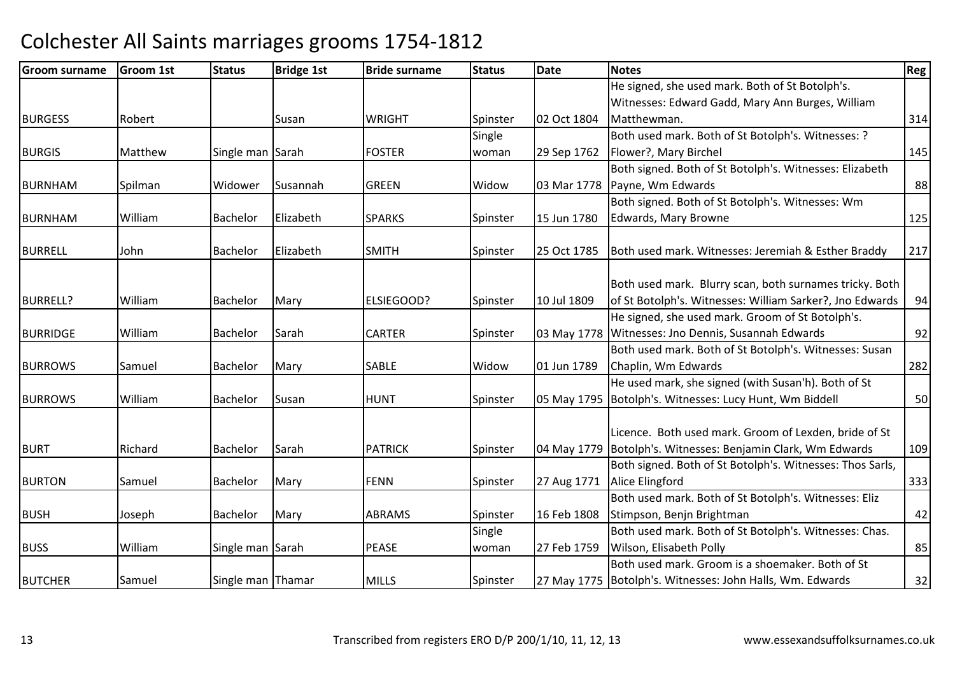| <b>Groom surname</b> | <b>Groom 1st</b> | <b>Status</b>     | <b>Bridge 1st</b> | <b>Bride surname</b> | <b>Status</b> | <b>Date</b> | <b>Notes</b>                                                 | Reg |
|----------------------|------------------|-------------------|-------------------|----------------------|---------------|-------------|--------------------------------------------------------------|-----|
|                      |                  |                   |                   |                      |               |             | He signed, she used mark. Both of St Botolph's.              |     |
|                      |                  |                   |                   |                      |               |             | Witnesses: Edward Gadd, Mary Ann Burges, William             |     |
| <b>BURGESS</b>       | Robert           |                   | Susan             | <b>WRIGHT</b>        | Spinster      | 02 Oct 1804 | Matthewman.                                                  | 314 |
|                      |                  |                   |                   |                      | Single        |             | Both used mark. Both of St Botolph's. Witnesses: ?           |     |
| <b>BURGIS</b>        | Matthew          | Single man Sarah  |                   | <b>FOSTER</b>        | woman         | 29 Sep 1762 | Flower?, Mary Birchel                                        | 145 |
|                      |                  |                   |                   |                      |               |             | Both signed. Both of St Botolph's. Witnesses: Elizabeth      |     |
| <b>BURNHAM</b>       | Spilman          | Widower           | Susannah          | <b>GREEN</b>         | Widow         | 03 Mar 1778 | Payne, Wm Edwards                                            | 88  |
|                      |                  |                   |                   |                      |               |             | Both signed. Both of St Botolph's. Witnesses: Wm             |     |
| <b>BURNHAM</b>       | William          | Bachelor          | Elizabeth         | <b>SPARKS</b>        | Spinster      | 15 Jun 1780 | Edwards, Mary Browne                                         | 125 |
|                      |                  |                   |                   |                      |               |             |                                                              |     |
| <b>BURRELL</b>       | John             | <b>Bachelor</b>   | Elizabeth         | <b>SMITH</b>         | Spinster      | 25 Oct 1785 | Both used mark. Witnesses: Jeremiah & Esther Braddy          | 217 |
|                      |                  |                   |                   |                      |               |             |                                                              |     |
|                      |                  |                   |                   |                      |               |             | Both used mark. Blurry scan, both surnames tricky. Both      |     |
| <b>BURRELL?</b>      | William          | Bachelor          | Mary              | <b>ELSIEGOOD?</b>    | Spinster      | 10 Jul 1809 | of St Botolph's. Witnesses: William Sarker?, Jno Edwards     | 94  |
|                      |                  |                   |                   |                      |               |             | He signed, she used mark. Groom of St Botolph's.             |     |
| <b>BURRIDGE</b>      | William          | Bachelor          | Sarah             | <b>CARTER</b>        | Spinster      | 03 May 1778 | Witnesses: Jno Dennis, Susannah Edwards                      | 92  |
|                      |                  |                   |                   |                      |               |             | Both used mark. Both of St Botolph's. Witnesses: Susan       |     |
| <b>BURROWS</b>       | Samuel           | Bachelor          | Mary              | <b>SABLE</b>         | Widow         | 01 Jun 1789 | Chaplin, Wm Edwards                                          | 282 |
|                      |                  |                   |                   |                      |               |             | He used mark, she signed (with Susan'h). Both of St          |     |
| <b>BURROWS</b>       | William          | Bachelor          | Susan             | <b>HUNT</b>          | Spinster      |             | 05 May 1795 Botolph's. Witnesses: Lucy Hunt, Wm Biddell      | 50  |
|                      |                  |                   |                   |                      |               |             | Licence. Both used mark. Groom of Lexden, bride of St        |     |
| <b>BURT</b>          | Richard          | Bachelor          | Sarah             | <b>PATRICK</b>       | Spinster      |             | 04 May 1779 Botolph's. Witnesses: Benjamin Clark, Wm Edwards | 109 |
|                      |                  |                   |                   |                      |               |             | Both signed. Both of St Botolph's. Witnesses: Thos Sarls,    |     |
| <b>BURTON</b>        | Samuel           | <b>Bachelor</b>   | Mary              | <b>FENN</b>          | Spinster      | 27 Aug 1771 | Alice Elingford                                              | 333 |
|                      |                  |                   |                   |                      |               |             | Both used mark. Both of St Botolph's. Witnesses: Eliz        |     |
| <b>BUSH</b>          | Joseph           | Bachelor          | Mary              | <b>ABRAMS</b>        | Spinster      | 16 Feb 1808 | Stimpson, Benjn Brightman                                    | 42  |
|                      |                  |                   |                   |                      | Single        |             | Both used mark. Both of St Botolph's. Witnesses: Chas.       |     |
| <b>BUSS</b>          | William          | Single man Sarah  |                   | <b>PEASE</b>         | woman         | 27 Feb 1759 | Wilson, Elisabeth Polly                                      | 85  |
|                      |                  |                   |                   |                      |               |             | Both used mark. Groom is a shoemaker. Both of St             |     |
| <b>BUTCHER</b>       | Samuel           | Single man Thamar |                   | <b>MILLS</b>         | Spinster      |             | 27 May 1775 Botolph's. Witnesses: John Halls, Wm. Edwards    | 32  |
|                      |                  |                   |                   |                      |               |             |                                                              |     |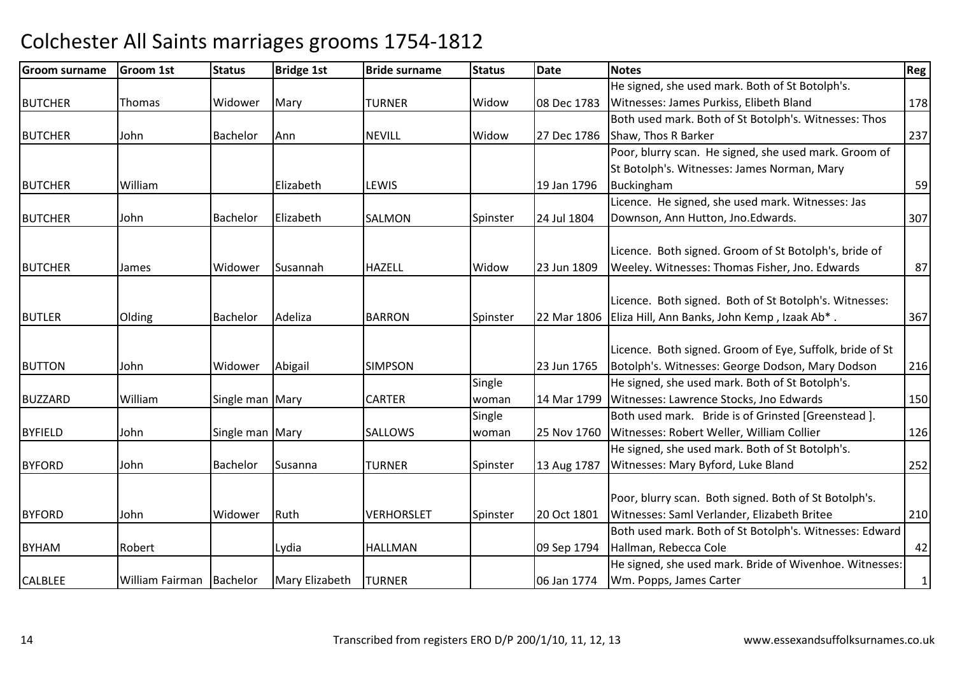| <b>Groom surname</b> | Groom 1st                | <b>Status</b>   | <b>Bridge 1st</b> | <b>Bride surname</b> | <b>Status</b> | <b>Date</b> | <b>Notes</b>                                             | Reg         |
|----------------------|--------------------------|-----------------|-------------------|----------------------|---------------|-------------|----------------------------------------------------------|-------------|
|                      |                          |                 |                   |                      |               |             | He signed, she used mark. Both of St Botolph's.          |             |
| <b>BUTCHER</b>       | <b>Thomas</b>            | Widower         | Mary              | <b>TURNER</b>        | Widow         | 08 Dec 1783 | Witnesses: James Purkiss, Elibeth Bland                  | 178         |
|                      |                          |                 |                   |                      |               |             | Both used mark. Both of St Botolph's. Witnesses: Thos    |             |
| <b>BUTCHER</b>       | John                     | <b>Bachelor</b> | Ann               | <b>NEVILL</b>        | Widow         | 27 Dec 1786 | Shaw, Thos R Barker                                      | 237         |
|                      |                          |                 |                   |                      |               |             | Poor, blurry scan. He signed, she used mark. Groom of    |             |
|                      |                          |                 |                   |                      |               |             | St Botolph's. Witnesses: James Norman, Mary              |             |
| <b>BUTCHER</b>       | William                  |                 | Elizabeth         | LEWIS                |               | 19 Jan 1796 | Buckingham                                               | 59          |
|                      |                          |                 |                   |                      |               |             | Licence. He signed, she used mark. Witnesses: Jas        |             |
| <b>BUTCHER</b>       | John                     | <b>Bachelor</b> | Elizabeth         | SALMON               | Spinster      | 24 Jul 1804 | Downson, Ann Hutton, Jno. Edwards.                       | 307         |
|                      |                          |                 |                   |                      |               |             |                                                          |             |
|                      |                          |                 |                   |                      |               |             | Licence. Both signed. Groom of St Botolph's, bride of    |             |
| <b>BUTCHER</b>       | James                    | Widower         | Susannah          | <b>HAZELL</b>        | Widow         | 23 Jun 1809 | Weeley. Witnesses: Thomas Fisher, Jno. Edwards           | 87          |
|                      |                          |                 |                   |                      |               |             | Licence. Both signed. Both of St Botolph's. Witnesses:   |             |
| <b>BUTLER</b>        | Olding                   | Bachelor        | Adeliza           | <b>BARRON</b>        | Spinster      | 22 Mar 1806 | Eliza Hill, Ann Banks, John Kemp, Izaak Ab*.             | 367         |
|                      |                          |                 |                   |                      |               |             |                                                          |             |
|                      |                          |                 |                   |                      |               |             | Licence. Both signed. Groom of Eye, Suffolk, bride of St |             |
| <b>BUTTON</b>        | John                     | Widower         | Abigail           | <b>SIMPSON</b>       |               | 23 Jun 1765 | Botolph's. Witnesses: George Dodson, Mary Dodson         | 216         |
|                      |                          |                 |                   |                      | Single        |             | He signed, she used mark. Both of St Botolph's.          |             |
| <b>BUZZARD</b>       | William                  | Single man Mary |                   | <b>CARTER</b>        | woman         |             | 14 Mar 1799   Witnesses: Lawrence Stocks, Jno Edwards    | 150         |
|                      |                          |                 |                   |                      | Single        |             | Both used mark. Bride is of Grinsted [Greenstead ].      |             |
| <b>BYFIELD</b>       | John                     | Single man Mary |                   | <b>SALLOWS</b>       | woman         | 25 Nov 1760 | Witnesses: Robert Weller, William Collier                | 126         |
|                      |                          |                 |                   |                      |               |             | He signed, she used mark. Both of St Botolph's.          |             |
| <b>BYFORD</b>        | John                     | Bachelor        | Susanna           | <b>TURNER</b>        | Spinster      | 13 Aug 1787 | Witnesses: Mary Byford, Luke Bland                       | 252         |
|                      |                          |                 |                   |                      |               |             |                                                          |             |
|                      |                          |                 |                   |                      |               |             | Poor, blurry scan. Both signed. Both of St Botolph's.    |             |
| <b>BYFORD</b>        | John                     | Widower         | Ruth              | <b>VERHORSLET</b>    | Spinster      | 20 Oct 1801 | Witnesses: Saml Verlander, Elizabeth Britee              | 210         |
|                      |                          |                 |                   |                      |               |             | Both used mark. Both of St Botolph's. Witnesses: Edward  |             |
| <b>BYHAM</b>         | Robert                   |                 | Lydia             | <b>HALLMAN</b>       |               | 09 Sep 1794 | Hallman, Rebecca Cole                                    | 42          |
|                      |                          |                 |                   |                      |               |             | He signed, she used mark. Bride of Wivenhoe. Witnesses:  |             |
| <b>CALBLEE</b>       | William Fairman Bachelor |                 | Mary Elizabeth    | <b>TURNER</b>        |               | 06 Jan 1774 | Wm. Popps, James Carter                                  | $\mathbf 1$ |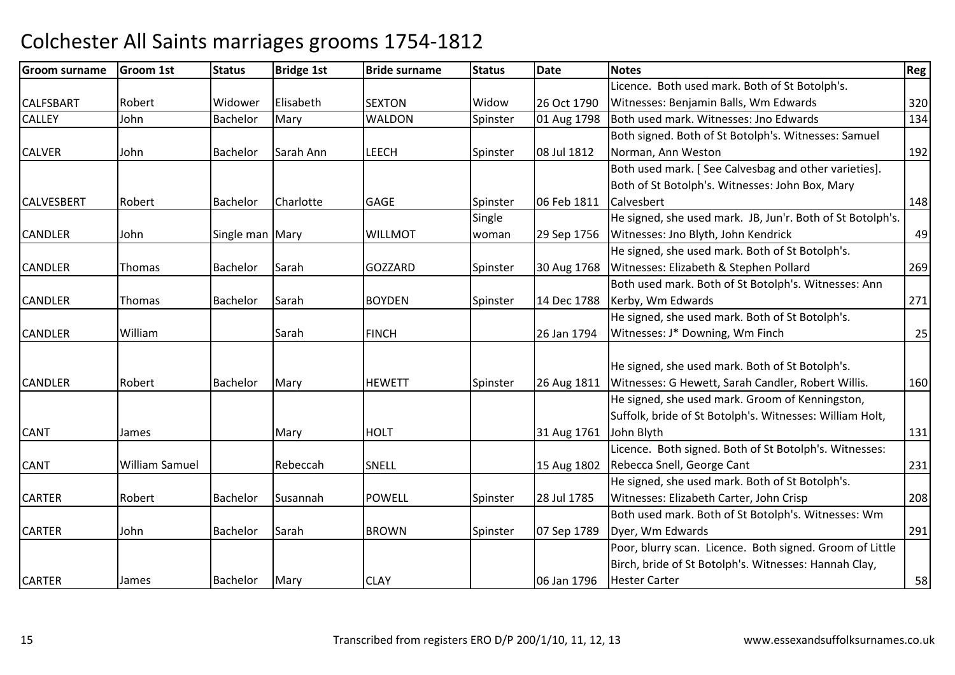| <b>Groom surname</b> | <b>Groom 1st</b>      | <b>Status</b>   | <b>Bridge 1st</b> | <b>Bride surname</b> | <b>Status</b> | <b>Date</b> | <b>Notes</b>                                               | Reg |
|----------------------|-----------------------|-----------------|-------------------|----------------------|---------------|-------------|------------------------------------------------------------|-----|
|                      |                       |                 |                   |                      |               |             | Licence. Both used mark. Both of St Botolph's.             |     |
| <b>CALFSBART</b>     | Robert                | Widower         | Elisabeth         | <b>SEXTON</b>        | Widow         | 26 Oct 1790 | Witnesses: Benjamin Balls, Wm Edwards                      | 320 |
| <b>CALLEY</b>        | John                  | Bachelor        | Mary              | <b>WALDON</b>        | Spinster      | 01 Aug 1798 | Both used mark. Witnesses: Jno Edwards                     | 134 |
|                      |                       |                 |                   |                      |               |             | Both signed. Both of St Botolph's. Witnesses: Samuel       |     |
| <b>CALVER</b>        | John                  | <b>Bachelor</b> | Sarah Ann         | <b>LEECH</b>         | Spinster      | 08 Jul 1812 | Norman, Ann Weston                                         | 192 |
|                      |                       |                 |                   |                      |               |             | Both used mark. [See Calvesbag and other varieties].       |     |
|                      |                       |                 |                   |                      |               |             | Both of St Botolph's. Witnesses: John Box, Mary            |     |
| <b>CALVESBERT</b>    | Robert                | Bachelor        | Charlotte         | GAGE                 | Spinster      | 06 Feb 1811 | Calvesbert                                                 | 148 |
|                      |                       |                 |                   |                      | Single        |             | He signed, she used mark. JB, Jun'r. Both of St Botolph's. |     |
| <b>CANDLER</b>       | John                  | Single man Mary |                   | <b>WILLMOT</b>       | woman         | 29 Sep 1756 | Witnesses: Jno Blyth, John Kendrick                        | 49  |
|                      |                       |                 |                   |                      |               |             | He signed, she used mark. Both of St Botolph's.            |     |
| <b>CANDLER</b>       | Thomas                | Bachelor        | Sarah             | GOZZARD              | Spinster      | 30 Aug 1768 | Witnesses: Elizabeth & Stephen Pollard                     | 269 |
|                      |                       |                 |                   |                      |               |             | Both used mark. Both of St Botolph's. Witnesses: Ann       |     |
| <b>CANDLER</b>       | Thomas                | Bachelor        | Sarah             | <b>BOYDEN</b>        | Spinster      | 14 Dec 1788 | Kerby, Wm Edwards                                          | 271 |
|                      |                       |                 |                   |                      |               |             | He signed, she used mark. Both of St Botolph's.            |     |
| <b>CANDLER</b>       | William               |                 | Sarah             | <b>FINCH</b>         |               | 26 Jan 1794 | Witnesses: J* Downing, Wm Finch                            | 25  |
|                      |                       |                 |                   |                      |               |             |                                                            |     |
|                      |                       |                 |                   |                      |               |             | He signed, she used mark. Both of St Botolph's.            |     |
| <b>CANDLER</b>       | Robert                | Bachelor        | Mary              | <b>HEWETT</b>        | Spinster      | 26 Aug 1811 | Witnesses: G Hewett, Sarah Candler, Robert Willis.         | 160 |
|                      |                       |                 |                   |                      |               |             | He signed, she used mark. Groom of Kenningston,            |     |
|                      |                       |                 |                   |                      |               |             | Suffolk, bride of St Botolph's. Witnesses: William Holt,   |     |
| <b>CANT</b>          | James                 |                 | Mary              | <b>HOLT</b>          |               | 31 Aug 1761 | John Blyth                                                 | 131 |
|                      |                       |                 |                   |                      |               |             | Licence. Both signed. Both of St Botolph's. Witnesses:     |     |
| <b>CANT</b>          | <b>William Samuel</b> |                 | Rebeccah          | SNELL                |               | 15 Aug 1802 | Rebecca Snell, George Cant                                 | 231 |
|                      |                       |                 |                   |                      |               |             | He signed, she used mark. Both of St Botolph's.            |     |
| <b>CARTER</b>        | Robert                | Bachelor        | Susannah          | <b>POWELL</b>        | Spinster      | 28 Jul 1785 | Witnesses: Elizabeth Carter, John Crisp                    | 208 |
|                      |                       |                 |                   |                      |               |             | Both used mark. Both of St Botolph's. Witnesses: Wm        |     |
| <b>CARTER</b>        | John                  | Bachelor        | Sarah             | <b>BROWN</b>         | Spinster      | 07 Sep 1789 | Dyer, Wm Edwards                                           | 291 |
|                      |                       |                 |                   |                      |               |             | Poor, blurry scan. Licence. Both signed. Groom of Little   |     |
|                      |                       |                 |                   |                      |               |             | Birch, bride of St Botolph's. Witnesses: Hannah Clay,      |     |
| <b>CARTER</b>        | James                 | Bachelor        | Mary              | <b>CLAY</b>          |               | 06 Jan 1796 | <b>Hester Carter</b>                                       | 58  |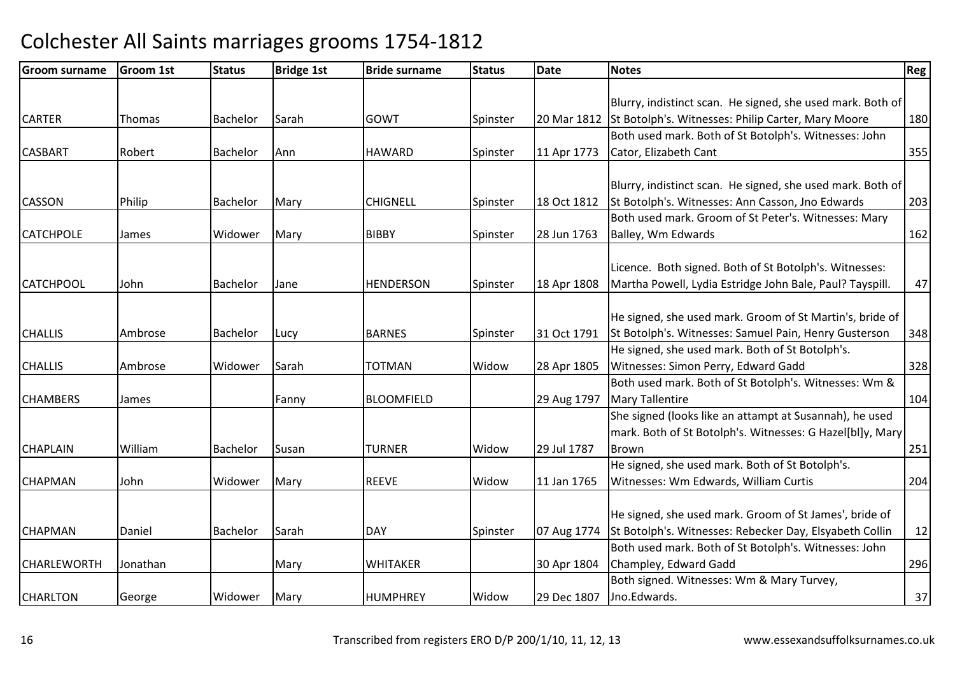| <b>Groom surname</b> | <b>Groom 1st</b> | <b>Status</b>   | <b>Bridge 1st</b> | <b>Bride surname</b> | <b>Status</b> | Date        | <b>Notes</b>                                                   | <b>Reg</b> |
|----------------------|------------------|-----------------|-------------------|----------------------|---------------|-------------|----------------------------------------------------------------|------------|
|                      |                  |                 |                   |                      |               |             |                                                                |            |
|                      |                  |                 |                   |                      |               |             | Blurry, indistinct scan. He signed, she used mark. Both of     |            |
| <b>CARTER</b>        | Thomas           | <b>Bachelor</b> | Sarah             | <b>GOWT</b>          | Spinster      |             | 20 Mar 1812 St Botolph's. Witnesses: Philip Carter, Mary Moore | 180        |
|                      |                  |                 |                   |                      |               |             | Both used mark. Both of St Botolph's. Witnesses: John          |            |
| <b>CASBART</b>       | Robert           | Bachelor        | Ann               | <b>HAWARD</b>        | Spinster      | 11 Apr 1773 | Cator, Elizabeth Cant                                          | 355        |
|                      |                  |                 |                   |                      |               |             |                                                                |            |
|                      |                  |                 |                   |                      |               |             | Blurry, indistinct scan. He signed, she used mark. Both of     |            |
| <b>CASSON</b>        | Philip           | Bachelor        | Mary              | <b>CHIGNELL</b>      | Spinster      | 18 Oct 1812 | St Botolph's. Witnesses: Ann Casson, Jno Edwards               | 203        |
|                      |                  |                 |                   |                      |               |             | Both used mark. Groom of St Peter's. Witnesses: Mary           |            |
| <b>CATCHPOLE</b>     | James            | Widower         | Mary              | <b>BIBBY</b>         | Spinster      | 28 Jun 1763 | Balley, Wm Edwards                                             | 162        |
|                      |                  |                 |                   |                      |               |             |                                                                |            |
|                      |                  |                 |                   |                      |               |             | Licence. Both signed. Both of St Botolph's. Witnesses:         |            |
| <b>CATCHPOOL</b>     | John             | Bachelor        | Jane              | <b>HENDERSON</b>     | Spinster      | 18 Apr 1808 | Martha Powell, Lydia Estridge John Bale, Paul? Tayspill.       | 47         |
|                      |                  |                 |                   |                      |               |             |                                                                |            |
|                      |                  |                 |                   |                      |               |             | He signed, she used mark. Groom of St Martin's, bride of       |            |
| <b>CHALLIS</b>       | Ambrose          | Bachelor        | Lucy              | <b>BARNES</b>        | Spinster      | 31 Oct 1791 | St Botolph's. Witnesses: Samuel Pain, Henry Gusterson          | 348        |
|                      |                  |                 |                   |                      |               |             | He signed, she used mark. Both of St Botolph's.                |            |
| <b>CHALLIS</b>       | Ambrose          | Widower         | Sarah             | <b>TOTMAN</b>        | Widow         | 28 Apr 1805 | Witnesses: Simon Perry, Edward Gadd                            | 328        |
|                      |                  |                 |                   |                      |               |             | Both used mark. Both of St Botolph's. Witnesses: Wm &          |            |
| <b>CHAMBERS</b>      | James            |                 | Fanny             | <b>BLOOMFIELD</b>    |               | 29 Aug 1797 | <b>Mary Tallentire</b>                                         | 104        |
|                      |                  |                 |                   |                      |               |             | She signed (looks like an attampt at Susannah), he used        |            |
|                      |                  |                 |                   |                      |               |             | mark. Both of St Botolph's. Witnesses: G Hazel[bl]y, Mary      |            |
| <b>CHAPLAIN</b>      | William          | Bachelor        | Susan             | <b>TURNER</b>        | Widow         | 29 Jul 1787 | Brown                                                          | 251        |
|                      |                  |                 |                   |                      |               |             | He signed, she used mark. Both of St Botolph's.                |            |
| <b>CHAPMAN</b>       | John             | Widower         | Mary              | <b>REEVE</b>         | Widow         | 11 Jan 1765 | Witnesses: Wm Edwards, William Curtis                          | 204        |
|                      |                  |                 |                   |                      |               |             |                                                                |            |
|                      |                  |                 |                   |                      |               |             | He signed, she used mark. Groom of St James', bride of         |            |
| <b>CHAPMAN</b>       | Daniel           | Bachelor        | Sarah             | <b>DAY</b>           | Spinster      | 07 Aug 1774 | St Botolph's. Witnesses: Rebecker Day, Elsyabeth Collin        | 12         |
|                      |                  |                 |                   |                      |               |             | Both used mark. Both of St Botolph's. Witnesses: John          |            |
| <b>CHARLEWORTH</b>   | Jonathan         |                 | Mary              | <b>WHITAKER</b>      |               | 30 Apr 1804 | Champley, Edward Gadd                                          | 296        |
|                      |                  |                 |                   |                      |               |             | Both signed. Witnesses: Wm & Mary Turvey,                      |            |
| <b>CHARLTON</b>      | George           | Widower         | Mary              | <b>HUMPHREY</b>      | Widow         | 29 Dec 1807 | Jno.Edwards.                                                   | 37         |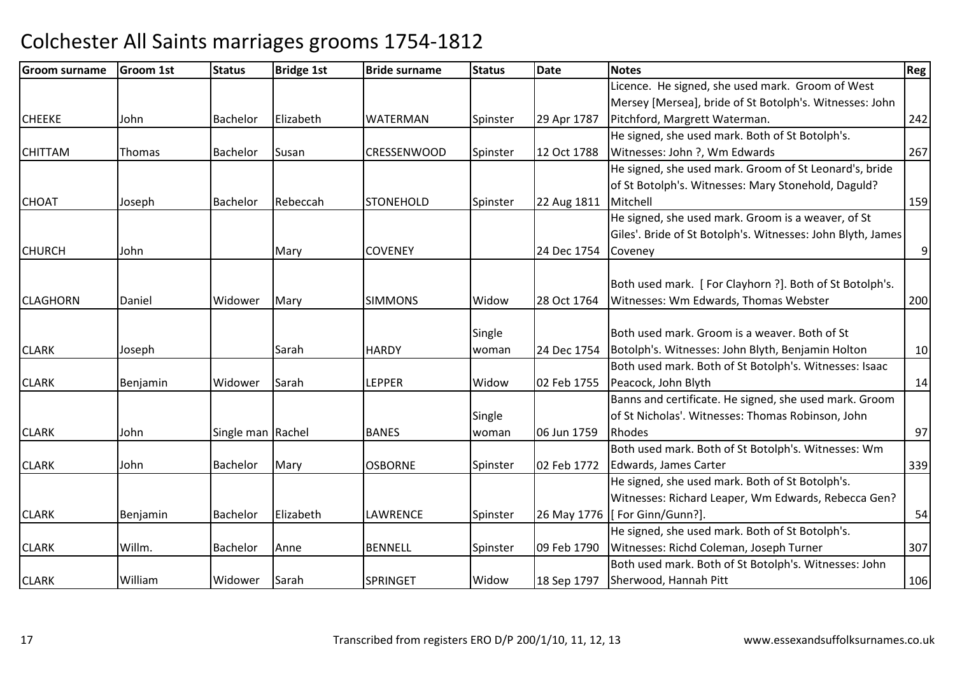| <b>Groom surname</b> | <b>Groom 1st</b> | <b>Status</b>     | <b>Bridge 1st</b> | <b>Bride surname</b> | <b>Status</b> | Date        | <b>Notes</b>                                                | Reg            |
|----------------------|------------------|-------------------|-------------------|----------------------|---------------|-------------|-------------------------------------------------------------|----------------|
|                      |                  |                   |                   |                      |               |             | Licence. He signed, she used mark. Groom of West            |                |
|                      |                  |                   |                   |                      |               |             | Mersey [Mersea], bride of St Botolph's. Witnesses: John     |                |
| <b>CHEEKE</b>        | John             | Bachelor          | Elizabeth         | <b>WATERMAN</b>      | Spinster      | 29 Apr 1787 | Pitchford, Margrett Waterman.                               | 242            |
|                      |                  |                   |                   |                      |               |             | He signed, she used mark. Both of St Botolph's.             |                |
| <b>CHITTAM</b>       | Thomas           | Bachelor          | Susan             | <b>CRESSENWOOD</b>   | Spinster      | 12 Oct 1788 | Witnesses: John ?, Wm Edwards                               | 267            |
|                      |                  |                   |                   |                      |               |             | He signed, she used mark. Groom of St Leonard's, bride      |                |
|                      |                  |                   |                   |                      |               |             | of St Botolph's. Witnesses: Mary Stonehold, Daguld?         |                |
| <b>CHOAT</b>         | Joseph           | <b>Bachelor</b>   | Rebeccah          | <b>STONEHOLD</b>     | Spinster      | 22 Aug 1811 | Mitchell                                                    | 159            |
|                      |                  |                   |                   |                      |               |             | He signed, she used mark. Groom is a weaver, of St          |                |
|                      |                  |                   |                   |                      |               |             | Giles'. Bride of St Botolph's. Witnesses: John Blyth, James |                |
| <b>CHURCH</b>        | John             |                   | Mary              | <b>COVENEY</b>       |               | 24 Dec 1754 | Coveney                                                     | $\overline{9}$ |
|                      |                  |                   |                   |                      |               |             |                                                             |                |
|                      |                  |                   |                   |                      |               |             | Both used mark. [For Clayhorn ?]. Both of St Botolph's.     |                |
| <b>CLAGHORN</b>      | Daniel           | Widower           | Mary              | <b>SIMMONS</b>       | Widow         | 28 Oct 1764 | Witnesses: Wm Edwards, Thomas Webster                       | 200            |
|                      |                  |                   |                   |                      |               |             |                                                             |                |
|                      |                  |                   |                   |                      | Single        |             | Both used mark. Groom is a weaver. Both of St               |                |
| <b>CLARK</b>         | Joseph           |                   | Sarah             | <b>HARDY</b>         | woman         | 24 Dec 1754 | Botolph's. Witnesses: John Blyth, Benjamin Holton           | 10             |
|                      |                  |                   |                   |                      |               |             | Both used mark. Both of St Botolph's. Witnesses: Isaac      |                |
| <b>CLARK</b>         | Benjamin         | Widower           | Sarah             | <b>LEPPER</b>        | Widow         | 02 Feb 1755 | Peacock, John Blyth                                         | 14             |
|                      |                  |                   |                   |                      |               |             | Banns and certificate. He signed, she used mark. Groom      |                |
|                      |                  |                   |                   |                      | Single        |             | of St Nicholas'. Witnesses: Thomas Robinson, John           |                |
| <b>CLARK</b>         | John             | Single man Rachel |                   | <b>BANES</b>         | woman         | 06 Jun 1759 | Rhodes                                                      | 97             |
|                      |                  |                   |                   |                      |               |             | Both used mark. Both of St Botolph's. Witnesses: Wm         |                |
| <b>CLARK</b>         | John             | <b>Bachelor</b>   | Mary              | <b>OSBORNE</b>       | Spinster      | 02 Feb 1772 | Edwards, James Carter                                       | 339            |
|                      |                  |                   |                   |                      |               |             | He signed, she used mark. Both of St Botolph's.             |                |
|                      |                  |                   |                   |                      |               |             | Witnesses: Richard Leaper, Wm Edwards, Rebecca Gen?         |                |
| <b>CLARK</b>         | Benjamin         | <b>Bachelor</b>   | <b>Elizabeth</b>  | LAWRENCE             | Spinster      | 26 May 1776 | [For Ginn/Gunn?].                                           | 54             |
|                      |                  |                   |                   |                      |               |             | He signed, she used mark. Both of St Botolph's.             |                |
| <b>CLARK</b>         | Willm.           | <b>Bachelor</b>   | Anne              | <b>BENNELL</b>       | Spinster      | 09 Feb 1790 | Witnesses: Richd Coleman, Joseph Turner                     | 307            |
|                      |                  |                   |                   |                      |               |             | Both used mark. Both of St Botolph's. Witnesses: John       |                |
| <b>CLARK</b>         | William          | Widower           | Sarah             | <b>SPRINGET</b>      | Widow         | 18 Sep 1797 | Sherwood, Hannah Pitt                                       | 106            |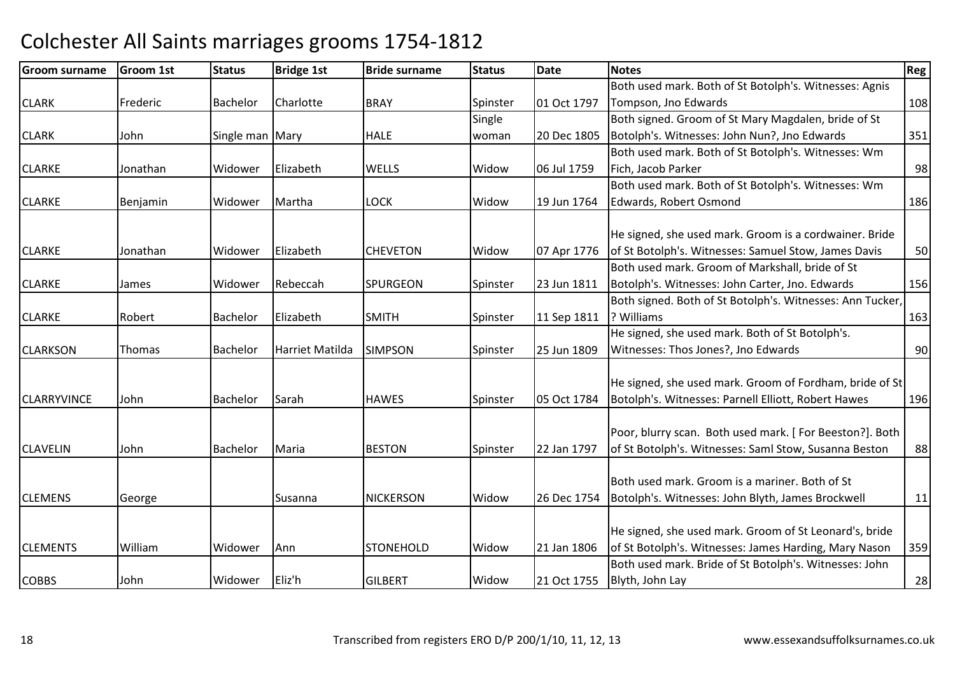| <b>Groom surname</b> | Groom 1st | <b>Status</b>   | <b>Bridge 1st</b> | <b>Bride surname</b> | <b>Status</b> | <b>Date</b> | <b>Notes</b>                                              | Reg |
|----------------------|-----------|-----------------|-------------------|----------------------|---------------|-------------|-----------------------------------------------------------|-----|
|                      |           |                 |                   |                      |               |             | Both used mark. Both of St Botolph's. Witnesses: Agnis    |     |
| <b>CLARK</b>         | Frederic  | <b>Bachelor</b> | Charlotte         | <b>BRAY</b>          | Spinster      | 01 Oct 1797 | Tompson, Jno Edwards                                      | 108 |
|                      |           |                 |                   |                      | Single        |             | Both signed. Groom of St Mary Magdalen, bride of St       |     |
| <b>CLARK</b>         | John      | Single man Mary |                   | <b>HALE</b>          | woman         | 20 Dec 1805 | Botolph's. Witnesses: John Nun?, Jno Edwards              | 351 |
|                      |           |                 |                   |                      |               |             | Both used mark. Both of St Botolph's. Witnesses: Wm       |     |
| <b>CLARKE</b>        | Jonathan  | Widower         | Elizabeth         | <b>WELLS</b>         | Widow         | 06 Jul 1759 | Fich, Jacob Parker                                        | 98  |
|                      |           |                 |                   |                      |               |             | Both used mark. Both of St Botolph's. Witnesses: Wm       |     |
| <b>CLARKE</b>        | Benjamin  | Widower         | Martha            | <b>LOCK</b>          | Widow         | 19 Jun 1764 | Edwards, Robert Osmond                                    | 186 |
|                      |           |                 |                   |                      |               |             | He signed, she used mark. Groom is a cordwainer. Bride    |     |
| <b>CLARKE</b>        | Jonathan  | Widower         | Elizabeth         | <b>CHEVETON</b>      | Widow         | 07 Apr 1776 | of St Botolph's. Witnesses: Samuel Stow, James Davis      | 50  |
|                      |           |                 |                   |                      |               |             | Both used mark. Groom of Markshall, bride of St           |     |
| <b>CLARKE</b>        | James     | Widower         | Rebeccah          | <b>SPURGEON</b>      | Spinster      | 23 Jun 1811 | Botolph's. Witnesses: John Carter, Jno. Edwards           | 156 |
|                      |           |                 |                   |                      |               |             | Both signed. Both of St Botolph's. Witnesses: Ann Tucker, |     |
| <b>CLARKE</b>        | Robert    | Bachelor        | Elizabeth         | <b>SMITH</b>         | Spinster      | 11 Sep 1811 | ? Williams                                                | 163 |
|                      |           |                 |                   |                      |               |             | He signed, she used mark. Both of St Botolph's.           |     |
| <b>CLARKSON</b>      | Thomas    | Bachelor        | Harriet Matilda   | <b>SIMPSON</b>       | Spinster      | 25 Jun 1809 | Witnesses: Thos Jones?, Jno Edwards                       | 90  |
|                      |           |                 |                   |                      |               |             | He signed, she used mark. Groom of Fordham, bride of St   |     |
| <b>CLARRYVINCE</b>   | John      | <b>Bachelor</b> | Sarah             | <b>HAWES</b>         | Spinster      | 05 Oct 1784 | Botolph's. Witnesses: Parnell Elliott, Robert Hawes       | 196 |
|                      |           |                 |                   |                      |               |             |                                                           |     |
|                      |           |                 |                   |                      |               |             | Poor, blurry scan. Both used mark. [For Beeston?]. Both   |     |
| <b>CLAVELIN</b>      | John      | <b>Bachelor</b> | Maria             | <b>BESTON</b>        | Spinster      | 22 Jan 1797 | of St Botolph's. Witnesses: Saml Stow, Susanna Beston     | 88  |
|                      |           |                 |                   |                      |               |             |                                                           |     |
|                      |           |                 |                   |                      |               |             | Both used mark. Groom is a mariner. Both of St            |     |
| <b>CLEMENS</b>       | George    |                 | Susanna           | <b>NICKERSON</b>     | Widow         | 26 Dec 1754 | Botolph's. Witnesses: John Blyth, James Brockwell         | 11  |
|                      |           |                 |                   |                      |               |             | He signed, she used mark. Groom of St Leonard's, bride    |     |
| <b>CLEMENTS</b>      | William   | Widower         | Ann               | <b>STONEHOLD</b>     | Widow         | 21 Jan 1806 | of St Botolph's. Witnesses: James Harding, Mary Nason     | 359 |
|                      |           |                 |                   |                      |               |             | Both used mark. Bride of St Botolph's. Witnesses: John    |     |
| <b>COBBS</b>         | John      | Widower         | Eliz'h            | <b>GILBERT</b>       | Widow         | 21 Oct 1755 | Blyth, John Lay                                           | 28  |
|                      |           |                 |                   |                      |               |             |                                                           |     |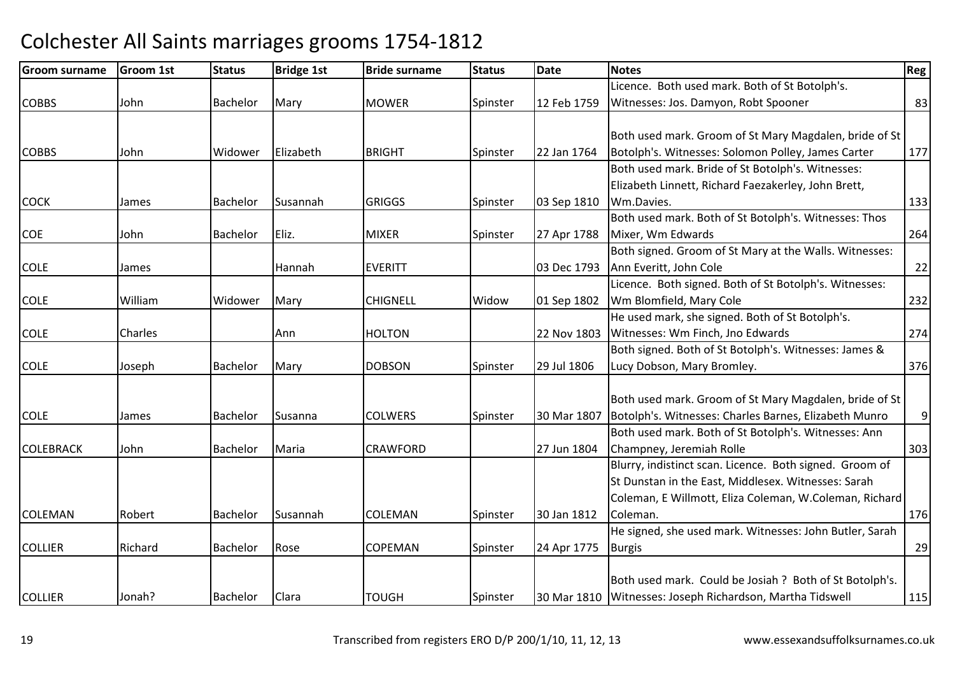#### Groom surnamee Groom 1st Status Bridge 1st Bride surname Status Date Notes Regge Regge Regge Regge Regge Regge Regge Regge R COBBS John Bachelor Mary MOWER Spinster 12 Feb 1759 Licence. Both used mark. Both of St Botolph's. Witnesses: Jos. Damyon, Robt Spoonerr 83 **COBBS**  John Widower ElizabethBRIGHT Spinster 22 Jan 1764 Both used mark. Groom of St Mary Magdalen, bride of St Botolph's. Witnesses: Solomon Polley, James Carter <sup>177</sup>**COCK** K 1993 James Bachelor Susannah GRIGGS Spinster 103 Sep 1810 Both used mark. Bride of St Botolph's. Witnesses: Elizabeth Linnett, Richard Faezakerley, John Brett,**I** Wm.Davies. **133 COE**  John Bachelor Eliz. MIXERMIXER Spinster 27 Apr 1788 Both used mark. Both of St Botolph's. Witnesses: Thos Mixer, Wm Edwards $\sim$  264 COLEE James | Hannah Hannah EVERITT | 03 Dec 1793 Both signed. Groom of St Mary at the Walls. Witnesses: Ann Everitt, John Colee 22 COLEE William Widower Mary CHIGNELL Widow Widow | 01 Sep 1802 Licence. Both signed. Both of St Botolph's. Witnesses: Wm Blomfield, Mary Colee 232 COLEE Charles Ann Ann | HOLTON | 22 Nov 1803 He used mark, she signed. Both of St Botolph's. Witnesses: Wm Finch, Jno Edwardss 274 COLEE Someth Bachelor Mary DOBSON Spinster 29 Jul 1806 Both signed. Both of St Botolph's. Witnesses: James & Lucy Dobson, Mary Bromley. 376**COLE** E 1990 James Bachelor Susanna COLWERS Spinster 30 Mar 1807 Both used mark. Groom of St Mary Magdalen, bride of St Botolph's. Witnesses: Charles Barnes, Elizabeth Munro Both used mark. Both of St Botolph's. Witnesses: Ann 9COLEBRACKK John Bachelor Maria CRAWFORD 27 Jun 1804 Champney, Jeremiah Rolle <sup>303</sup>COLEMANRobert Bachelor Susannah COLEMAN Spinster 30 Jan 1812 Blurry, indistinct scan. Licence. Both signed. Groom of St Dunstan in the East, Middlesex. Witnesses: Sarah Coleman, E Willmott, Eliza Coleman, W.Coleman, Richard Coleman. 176**COLLIER** R Richard Bachelor Rose COPEMAN COPEMAN Spinster 24 Apr 1775 He signed, she used mark. Witnesses: John Butler, Sarah Burgiss and  $\sim$  29 **COLLIER**  Jonah? Bachelor Clara TOUGH Spinster 30 Mar 1810 Both used mark. Could be Josiah ? Both of St Botolph's. Witnesses: Joseph Richardson, Martha Tidswell115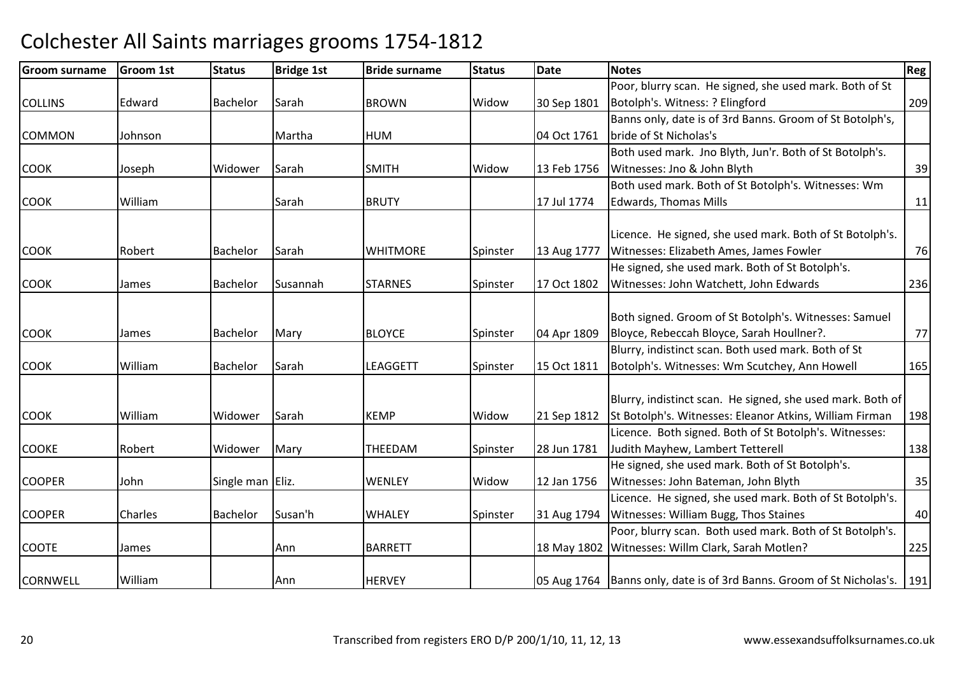| <b>Groom surname</b> | <b>Groom 1st</b> | <b>Status</b>    | <b>Bridge 1st</b> | <b>Bride surname</b> | <b>Status</b> | <b>Date</b> | <b>Notes</b>                                                          | Reg |
|----------------------|------------------|------------------|-------------------|----------------------|---------------|-------------|-----------------------------------------------------------------------|-----|
|                      |                  |                  |                   |                      |               |             | Poor, blurry scan. He signed, she used mark. Both of St               |     |
| <b>COLLINS</b>       | Edward           | <b>Bachelor</b>  | Sarah             | <b>BROWN</b>         | Widow         | 30 Sep 1801 | Botolph's. Witness: ? Elingford                                       | 209 |
|                      |                  |                  |                   |                      |               |             | Banns only, date is of 3rd Banns. Groom of St Botolph's,              |     |
| <b>COMMON</b>        | Johnson          |                  | Martha            | <b>HUM</b>           |               | 04 Oct 1761 | bride of St Nicholas's                                                |     |
|                      |                  |                  |                   |                      |               |             | Both used mark. Jno Blyth, Jun'r. Both of St Botolph's.               |     |
| <b>COOK</b>          | Joseph           | Widower          | Sarah             | <b>SMITH</b>         | Widow         | 13 Feb 1756 | Witnesses: Jno & John Blyth                                           | 39  |
|                      |                  |                  |                   |                      |               |             | Both used mark. Both of St Botolph's. Witnesses: Wm                   |     |
| <b>COOK</b>          | William          |                  | Sarah             | <b>BRUTY</b>         |               | 17 Jul 1774 | <b>Edwards, Thomas Mills</b>                                          | 11  |
|                      |                  |                  |                   |                      |               |             | Licence. He signed, she used mark. Both of St Botolph's.              |     |
| <b>COOK</b>          | Robert           | Bachelor         | Sarah             | <b>WHITMORE</b>      | Spinster      | 13 Aug 1777 | Witnesses: Elizabeth Ames, James Fowler                               | 76  |
|                      |                  |                  |                   |                      |               |             | He signed, she used mark. Both of St Botolph's.                       |     |
| <b>COOK</b>          | James            | <b>Bachelor</b>  | Susannah          | <b>STARNES</b>       | Spinster      | 17 Oct 1802 | Witnesses: John Watchett, John Edwards                                | 236 |
|                      |                  |                  |                   |                      |               |             |                                                                       |     |
|                      |                  |                  |                   |                      |               |             | Both signed. Groom of St Botolph's. Witnesses: Samuel                 |     |
| <b>COOK</b>          | James            | Bachelor         | Mary              | <b>BLOYCE</b>        | Spinster      | 04 Apr 1809 | Bloyce, Rebeccah Bloyce, Sarah Houllner?.                             | 77  |
|                      |                  |                  |                   |                      |               |             | Blurry, indistinct scan. Both used mark. Both of St                   |     |
| <b>COOK</b>          | William          | Bachelor         | Sarah             | <b>LEAGGETT</b>      | Spinster      | 15 Oct 1811 | Botolph's. Witnesses: Wm Scutchey, Ann Howell                         | 165 |
|                      |                  |                  |                   |                      |               |             | Blurry, indistinct scan. He signed, she used mark. Both of            |     |
| <b>COOK</b>          | William          | Widower          | Sarah             | <b>KEMP</b>          | Widow         | 21 Sep 1812 | St Botolph's. Witnesses: Eleanor Atkins, William Firman               | 198 |
|                      |                  |                  |                   |                      |               |             | Licence. Both signed. Both of St Botolph's. Witnesses:                |     |
| <b>COOKE</b>         | Robert           | Widower          | Mary              | THEEDAM              |               | 28 Jun 1781 | Judith Mayhew, Lambert Tetterell                                      | 138 |
|                      |                  |                  |                   |                      | Spinster      |             | He signed, she used mark. Both of St Botolph's.                       |     |
| <b>COOPER</b>        | John             | Single man Eliz. |                   | WENLEY               | Widow         | 12 Jan 1756 | Witnesses: John Bateman, John Blyth                                   | 35  |
|                      |                  |                  |                   |                      |               |             | Licence. He signed, she used mark. Both of St Botolph's.              |     |
| <b>COOPER</b>        | Charles          | Bachelor         | Susan'h           | <b>WHALEY</b>        | Spinster      | 31 Aug 1794 | Witnesses: William Bugg, Thos Staines                                 | 40  |
|                      |                  |                  |                   |                      |               |             | Poor, blurry scan. Both used mark. Both of St Botolph's.              |     |
| <b>COOTE</b>         |                  |                  | Ann               | <b>BARRETT</b>       |               |             | 18 May 1802 Witnesses: Willm Clark, Sarah Motlen?                     | 225 |
|                      | James            |                  |                   |                      |               |             |                                                                       |     |
| <b>CORNWELL</b>      | William          |                  | Ann               | <b>HERVEY</b>        |               |             | 05 Aug 1764 Banns only, date is of 3rd Banns. Groom of St Nicholas's. | 191 |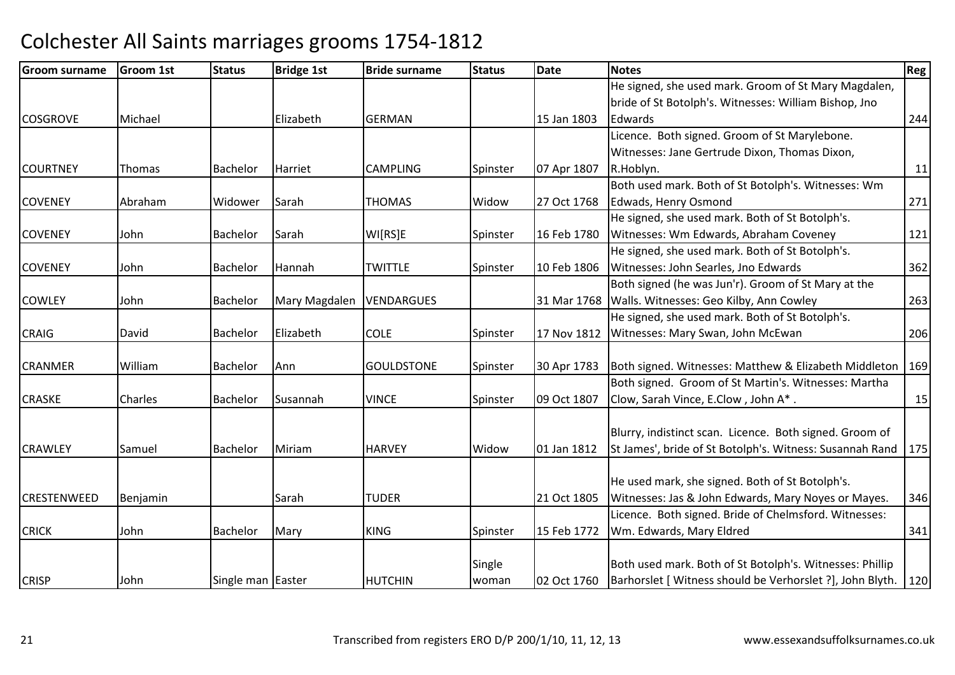| <b>Groom surname</b> | <b>Groom 1st</b> | <b>Status</b>     | <b>Bridge 1st</b> | <b>Bride surname</b> | <b>Status</b> | Date        | <b>Notes</b>                                              | <b>Reg</b> |
|----------------------|------------------|-------------------|-------------------|----------------------|---------------|-------------|-----------------------------------------------------------|------------|
|                      |                  |                   |                   |                      |               |             | He signed, she used mark. Groom of St Mary Magdalen,      |            |
|                      |                  |                   |                   |                      |               |             | bride of St Botolph's. Witnesses: William Bishop, Jno     |            |
| <b>COSGROVE</b>      | Michael          |                   | Elizabeth         | <b>GERMAN</b>        |               | 15 Jan 1803 | Edwards                                                   | 244        |
|                      |                  |                   |                   |                      |               |             | Licence. Both signed. Groom of St Marylebone.             |            |
|                      |                  |                   |                   |                      |               |             | Witnesses: Jane Gertrude Dixon, Thomas Dixon,             |            |
| <b>COURTNEY</b>      | Thomas           | Bachelor          | Harriet           | <b>CAMPLING</b>      | Spinster      | 07 Apr 1807 | R.Hoblyn.                                                 | 11         |
|                      |                  |                   |                   |                      |               |             | Both used mark. Both of St Botolph's. Witnesses: Wm       |            |
| <b>COVENEY</b>       | Abraham          | Widower           | Sarah             | <b>THOMAS</b>        | Widow         | 27 Oct 1768 | Edwads, Henry Osmond                                      | 271        |
|                      |                  |                   |                   |                      |               |             | He signed, she used mark. Both of St Botolph's.           |            |
| <b>COVENEY</b>       | John             | Bachelor          | Sarah             | WI[RS]E              | Spinster      | 16 Feb 1780 | Witnesses: Wm Edwards, Abraham Coveney                    | 121        |
|                      |                  |                   |                   |                      |               |             | He signed, she used mark. Both of St Botolph's.           |            |
| <b>COVENEY</b>       | John             | Bachelor          | Hannah            | <b>TWITTLE</b>       | Spinster      | 10 Feb 1806 | Witnesses: John Searles, Jno Edwards                      | 362        |
|                      |                  |                   |                   |                      |               |             | Both signed (he was Jun'r). Groom of St Mary at the       |            |
| <b>COWLEY</b>        | John             | Bachelor          | Mary Magdalen     | VENDARGUES           |               |             | 31 Mar 1768   Walls. Witnesses: Geo Kilby, Ann Cowley     | 263        |
|                      |                  |                   |                   |                      |               |             | He signed, she used mark. Both of St Botolph's.           |            |
| <b>CRAIG</b>         | David            | Bachelor          | Elizabeth         | <b>COLE</b>          | Spinster      | 17 Nov 1812 | Witnesses: Mary Swan, John McEwan                         | 206        |
| <b>CRANMER</b>       | William          | Bachelor          | Ann               | <b>GOULDSTONE</b>    | Spinster      | 30 Apr 1783 | Both signed. Witnesses: Matthew & Elizabeth Middleton     | 169        |
|                      |                  |                   |                   |                      |               |             | Both signed. Groom of St Martin's. Witnesses: Martha      |            |
| <b>CRASKE</b>        | Charles          | <b>Bachelor</b>   | Susannah          | <b>VINCE</b>         | Spinster      | 09 Oct 1807 | Clow, Sarah Vince, E.Clow, John A*.                       | 15         |
|                      |                  |                   |                   |                      |               |             | Blurry, indistinct scan. Licence. Both signed. Groom of   |            |
| <b>CRAWLEY</b>       | Samuel           | Bachelor          | Miriam            | <b>HARVEY</b>        | Widow         | 01 Jan 1812 | St James', bride of St Botolph's. Witness: Susannah Rand  | 175        |
|                      |                  |                   |                   |                      |               |             |                                                           |            |
|                      |                  |                   |                   |                      |               |             | He used mark, she signed. Both of St Botolph's.           |            |
| <b>CRESTENWEED</b>   | Benjamin         |                   | Sarah             | <b>TUDER</b>         |               | 21 Oct 1805 | Witnesses: Jas & John Edwards, Mary Noyes or Mayes.       | 346        |
|                      |                  |                   |                   |                      |               |             | Licence. Both signed. Bride of Chelmsford. Witnesses:     |            |
| <b>CRICK</b>         | John             | Bachelor          | Mary              | <b>KING</b>          | Spinster      | 15 Feb 1772 | Wm. Edwards, Mary Eldred                                  | 341        |
|                      |                  |                   |                   |                      |               |             |                                                           |            |
|                      |                  |                   |                   |                      | Single        |             | Both used mark. Both of St Botolph's. Witnesses: Phillip  |            |
| <b>CRISP</b>         | John             | Single man Easter |                   | <b>HUTCHIN</b>       | woman         | 02 Oct 1760 | Barhorslet [ Witness should be Verhorslet ?], John Blyth. | 120        |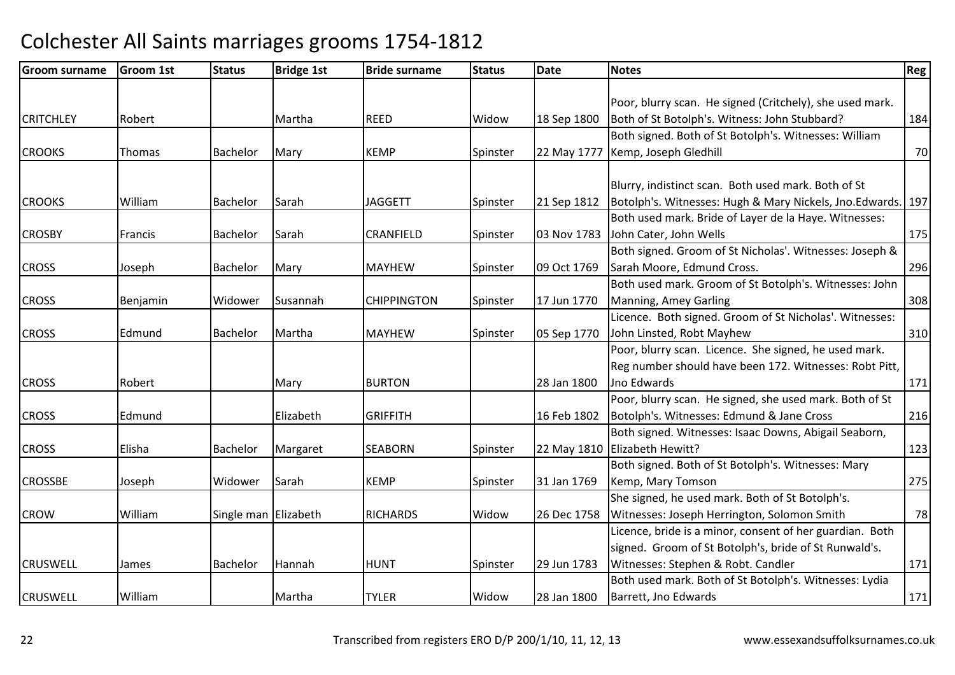| <b>Groom surname</b> | Groom 1st | <b>Status</b>        | <b>Bridge 1st</b> | <b>Bride surname</b> | <b>Status</b> | <b>Date</b> | <b>Notes</b>                                                | Reg |
|----------------------|-----------|----------------------|-------------------|----------------------|---------------|-------------|-------------------------------------------------------------|-----|
|                      |           |                      |                   |                      |               |             |                                                             |     |
|                      |           |                      |                   |                      |               |             | Poor, blurry scan. He signed (Critchely), she used mark.    |     |
| <b>CRITCHLEY</b>     | Robert    |                      | Martha            | <b>REED</b>          | Widow         | 18 Sep 1800 | Both of St Botolph's. Witness: John Stubbard?               | 184 |
|                      |           |                      |                   |                      |               |             | Both signed. Both of St Botolph's. Witnesses: William       |     |
| <b>CROOKS</b>        | Thomas    | <b>Bachelor</b>      | Mary              | <b>KEMP</b>          | Spinster      | 22 May 1777 | Kemp, Joseph Gledhill                                       | 70  |
|                      |           |                      |                   |                      |               |             |                                                             |     |
|                      |           |                      |                   |                      |               |             | Blurry, indistinct scan. Both used mark. Both of St         |     |
| <b>CROOKS</b>        | William   | Bachelor             | Sarah             | <b>JAGGETT</b>       | Spinster      | 21 Sep 1812 | Botolph's. Witnesses: Hugh & Mary Nickels, Jno.Edwards. 197 |     |
|                      |           |                      |                   |                      |               |             | Both used mark. Bride of Layer de la Haye. Witnesses:       |     |
| <b>CROSBY</b>        | Francis   | Bachelor             | Sarah             | <b>CRANFIELD</b>     | Spinster      | 03 Nov 1783 | John Cater, John Wells                                      | 175 |
|                      |           |                      |                   |                      |               |             | Both signed. Groom of St Nicholas'. Witnesses: Joseph &     |     |
| <b>CROSS</b>         | Joseph    | Bachelor             | Mary              | <b>MAYHEW</b>        | Spinster      | 09 Oct 1769 | Sarah Moore, Edmund Cross.                                  | 296 |
|                      |           |                      |                   |                      |               |             | Both used mark. Groom of St Botolph's. Witnesses: John      |     |
| <b>CROSS</b>         | Benjamin  | Widower              | Susannah          | <b>CHIPPINGTON</b>   | Spinster      | 17 Jun 1770 | Manning, Amey Garling                                       | 308 |
|                      |           |                      |                   |                      |               |             | Licence. Both signed. Groom of St Nicholas'. Witnesses:     |     |
| <b>CROSS</b>         | Edmund    | <b>Bachelor</b>      | Martha            | <b>MAYHEW</b>        | Spinster      | 05 Sep 1770 | John Linsted, Robt Mayhew                                   | 310 |
|                      |           |                      |                   |                      |               |             | Poor, blurry scan. Licence. She signed, he used mark.       |     |
|                      |           |                      |                   |                      |               |             | Reg number should have been 172. Witnesses: Robt Pitt,      |     |
| <b>CROSS</b>         | Robert    |                      | Mary              | <b>BURTON</b>        |               | 28 Jan 1800 | Jno Edwards                                                 | 171 |
|                      |           |                      |                   |                      |               |             | Poor, blurry scan. He signed, she used mark. Both of St     |     |
| <b>CROSS</b>         | Edmund    |                      | Elizabeth         | <b>GRIFFITH</b>      |               | 16 Feb 1802 | Botolph's. Witnesses: Edmund & Jane Cross                   | 216 |
|                      |           |                      |                   |                      |               |             | Both signed. Witnesses: Isaac Downs, Abigail Seaborn,       |     |
| <b>CROSS</b>         | Elisha    | Bachelor             | Margaret          | <b>SEABORN</b>       | Spinster      |             | 22 May 1810 Elizabeth Hewitt?                               | 123 |
|                      |           |                      |                   |                      |               |             | Both signed. Both of St Botolph's. Witnesses: Mary          |     |
| <b>CROSSBE</b>       | Joseph    | Widower              | Sarah             | <b>KEMP</b>          | Spinster      | 31 Jan 1769 | Kemp, Mary Tomson                                           | 275 |
|                      |           |                      |                   |                      |               |             | She signed, he used mark. Both of St Botolph's.             |     |
| <b>CROW</b>          | William   | Single man Elizabeth |                   | <b>RICHARDS</b>      | Widow         | 26 Dec 1758 | Witnesses: Joseph Herrington, Solomon Smith                 | 78  |
|                      |           |                      |                   |                      |               |             | Licence, bride is a minor, consent of her guardian. Both    |     |
|                      |           |                      |                   |                      |               |             | signed. Groom of St Botolph's, bride of St Runwald's.       |     |
| <b>CRUSWELL</b>      | James     | Bachelor             | Hannah            | <b>HUNT</b>          | Spinster      | 29 Jun 1783 | Witnesses: Stephen & Robt. Candler                          | 171 |
|                      |           |                      |                   |                      |               |             | Both used mark. Both of St Botolph's. Witnesses: Lydia      |     |
| <b>CRUSWELL</b>      | William   |                      | Martha            | <b>TYLER</b>         | Widow         | 28 Jan 1800 | Barrett, Jno Edwards                                        | 171 |
|                      |           |                      |                   |                      |               |             |                                                             |     |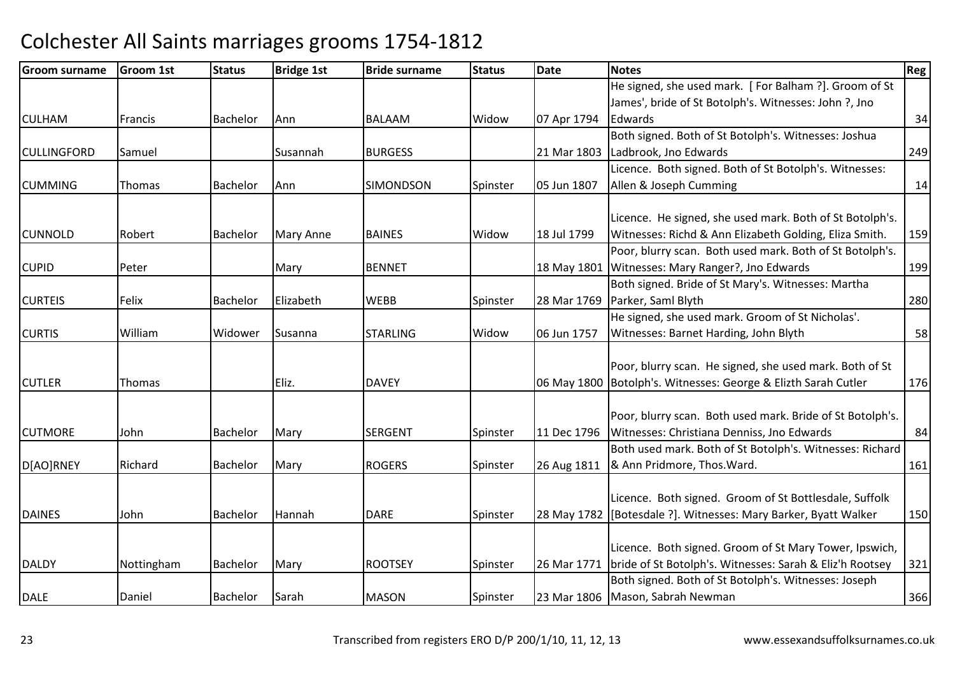| <b>Groom surname</b> | Groom 1st  | <b>Status</b>   | <b>Bridge 1st</b> | <b>Bride surname</b> | <b>Status</b> | <b>Date</b> | <b>Notes</b>                                                                                            | Reg |
|----------------------|------------|-----------------|-------------------|----------------------|---------------|-------------|---------------------------------------------------------------------------------------------------------|-----|
|                      |            |                 |                   |                      |               |             | He signed, she used mark. [For Balham ?]. Groom of St                                                   |     |
|                      |            |                 |                   |                      |               |             | James', bride of St Botolph's. Witnesses: John ?, Jno                                                   |     |
| <b>CULHAM</b>        | Francis    | Bachelor        | Ann               | <b>BALAAM</b>        | Widow         | 07 Apr 1794 | Edwards                                                                                                 | 34  |
|                      |            |                 |                   |                      |               |             | Both signed. Both of St Botolph's. Witnesses: Joshua                                                    |     |
| <b>CULLINGFORD</b>   | Samuel     |                 | Susannah          | <b>BURGESS</b>       |               | 21 Mar 1803 | Ladbrook, Jno Edwards                                                                                   | 249 |
|                      |            |                 |                   |                      |               |             | Licence. Both signed. Both of St Botolph's. Witnesses:                                                  |     |
| <b>CUMMING</b>       | Thomas     | Bachelor        | Ann               | <b>SIMONDSON</b>     | Spinster      | 05 Jun 1807 | Allen & Joseph Cumming                                                                                  | 14  |
|                      |            |                 |                   |                      |               |             |                                                                                                         |     |
|                      |            |                 |                   |                      |               |             | Licence. He signed, she used mark. Both of St Botolph's.                                                |     |
| <b>CUNNOLD</b>       | Robert     | <b>Bachelor</b> | <b>Mary Anne</b>  | <b>BAINES</b>        | Widow         | 18 Jul 1799 | Witnesses: Richd & Ann Elizabeth Golding, Eliza Smith.                                                  | 159 |
|                      |            |                 |                   |                      |               |             | Poor, blurry scan. Both used mark. Both of St Botolph's.                                                |     |
| <b>CUPID</b>         | Peter      |                 | Mary              | <b>BENNET</b>        |               | 18 May 1801 | Witnesses: Mary Ranger?, Jno Edwards                                                                    | 199 |
|                      |            |                 |                   |                      |               |             | Both signed. Bride of St Mary's. Witnesses: Martha                                                      |     |
| <b>CURTEIS</b>       | Felix      | <b>Bachelor</b> | Elizabeth         | <b>WEBB</b>          | Spinster      | 28 Mar 1769 | Parker, Saml Blyth                                                                                      | 280 |
|                      |            |                 |                   |                      |               |             | He signed, she used mark. Groom of St Nicholas'.                                                        |     |
| <b>CURTIS</b>        | William    | Widower         | Susanna           | <b>STARLING</b>      | Widow         | 06 Jun 1757 | Witnesses: Barnet Harding, John Blyth                                                                   | 58  |
|                      |            |                 |                   |                      |               |             |                                                                                                         |     |
|                      |            |                 |                   |                      |               |             | Poor, blurry scan. He signed, she used mark. Both of St                                                 |     |
| <b>CUTLER</b>        | Thomas     |                 | Eliz.             | <b>DAVEY</b>         |               |             | 06 May 1800   Botolph's. Witnesses: George & Elizth Sarah Cutler                                        | 176 |
|                      |            |                 |                   |                      |               |             |                                                                                                         |     |
| <b>CUTMORE</b>       |            |                 |                   | <b>SERGENT</b>       |               |             | Poor, blurry scan. Both used mark. Bride of St Botolph's.<br>Witnesses: Christiana Denniss, Jno Edwards |     |
|                      | John       | Bachelor        | Mary              |                      | Spinster      | 11 Dec 1796 |                                                                                                         | 84  |
|                      |            |                 |                   |                      |               |             | Both used mark. Both of St Botolph's. Witnesses: Richard                                                |     |
| D[AO]RNEY            | Richard    | Bachelor        | Mary              | <b>ROGERS</b>        | Spinster      | 26 Aug 1811 | & Ann Pridmore, Thos. Ward.                                                                             | 161 |
|                      |            |                 |                   |                      |               |             | Licence. Both signed. Groom of St Bottlesdale, Suffolk                                                  |     |
| <b>DAINES</b>        | John       | <b>Bachelor</b> | Hannah            | <b>DARE</b>          | Spinster      | 28 May 1782 | [Botesdale ?]. Witnesses: Mary Barker, Byatt Walker                                                     | 150 |
|                      |            |                 |                   |                      |               |             |                                                                                                         |     |
|                      |            |                 |                   |                      |               |             | Licence. Both signed. Groom of St Mary Tower, Ipswich,                                                  |     |
| <b>DALDY</b>         | Nottingham | <b>Bachelor</b> | Mary              | <b>ROOTSEY</b>       | Spinster      | 26 Mar 1771 | bride of St Botolph's. Witnesses: Sarah & Eliz'h Rootsey                                                | 321 |
|                      |            |                 |                   |                      |               |             | Both signed. Both of St Botolph's. Witnesses: Joseph                                                    |     |
| <b>DALE</b>          | Daniel     | <b>Bachelor</b> | Sarah             | <b>MASON</b>         | Spinster      |             | 23 Mar 1806 Mason, Sabrah Newman                                                                        | 366 |
|                      |            |                 |                   |                      |               |             |                                                                                                         |     |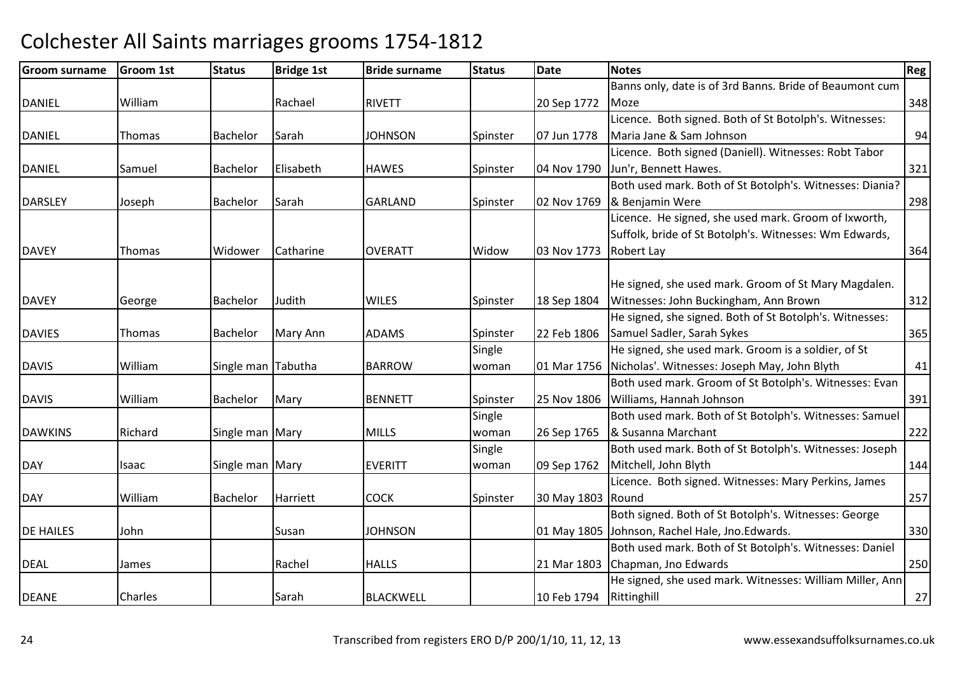| <b>Groom surname</b> | Groom 1st | <b>Status</b>      | <b>Bridge 1st</b> | <b>Bride surname</b> | <b>Status</b> | <b>Date</b>             | <b>Notes</b>                                             | Reg |
|----------------------|-----------|--------------------|-------------------|----------------------|---------------|-------------------------|----------------------------------------------------------|-----|
|                      |           |                    |                   |                      |               |                         | Banns only, date is of 3rd Banns. Bride of Beaumont cum  |     |
| <b>DANIEL</b>        | William   |                    | Rachael           | <b>RIVETT</b>        |               | 20 Sep 1772             | Moze                                                     | 348 |
|                      |           |                    |                   |                      |               |                         | Licence. Both signed. Both of St Botolph's. Witnesses:   |     |
| <b>DANIEL</b>        | Thomas    | Bachelor           | Sarah             | <b>JOHNSON</b>       | Spinster      | 07 Jun 1778             | Maria Jane & Sam Johnson                                 | 94  |
|                      |           |                    |                   |                      |               |                         | Licence. Both signed (Daniell). Witnesses: Robt Tabor    |     |
| <b>DANIEL</b>        | Samuel    | <b>Bachelor</b>    | Elisabeth         | <b>HAWES</b>         | Spinster      | 04 Nov 1790             | Jun'r, Bennett Hawes.                                    | 321 |
|                      |           |                    |                   |                      |               |                         | Both used mark. Both of St Botolph's. Witnesses: Diania? |     |
| <b>DARSLEY</b>       | Joseph    | Bachelor           | Sarah             | <b>GARLAND</b>       | Spinster      | 02 Nov 1769             | & Benjamin Were                                          | 298 |
|                      |           |                    |                   |                      |               |                         | Licence. He signed, she used mark. Groom of Ixworth,     |     |
|                      |           |                    |                   |                      |               |                         | Suffolk, bride of St Botolph's. Witnesses: Wm Edwards,   |     |
| <b>DAVEY</b>         | Thomas    | Widower            | Catharine         | <b>OVERATT</b>       | Widow         | 03 Nov 1773             | <b>Robert Lay</b>                                        | 364 |
|                      |           |                    |                   |                      |               |                         |                                                          |     |
|                      |           |                    |                   |                      |               |                         | He signed, she used mark. Groom of St Mary Magdalen.     |     |
| <b>DAVEY</b>         | George    | Bachelor           | Judith            | <b>WILES</b>         | Spinster      | 18 Sep 1804             | Witnesses: John Buckingham, Ann Brown                    | 312 |
|                      |           |                    |                   |                      |               |                         | He signed, she signed. Both of St Botolph's. Witnesses:  |     |
| <b>DAVIES</b>        | Thomas    | <b>Bachelor</b>    | Mary Ann          | <b>ADAMS</b>         | Spinster      | 22 Feb 1806             | Samuel Sadler, Sarah Sykes                               | 365 |
|                      |           |                    |                   |                      | Single        |                         | He signed, she used mark. Groom is a soldier, of St      |     |
| <b>DAVIS</b>         | William   | Single man Tabutha |                   | <b>BARROW</b>        | woman         |                         | 01 Mar 1756 Nicholas'. Witnesses: Joseph May, John Blyth | 41  |
|                      |           |                    |                   |                      |               |                         | Both used mark. Groom of St Botolph's. Witnesses: Evan   |     |
| <b>DAVIS</b>         | William   | Bachelor           | Mary              | <b>BENNETT</b>       | Spinster      | 25 Nov 1806             | Williams, Hannah Johnson                                 | 391 |
|                      |           |                    |                   |                      | Single        |                         | Both used mark. Both of St Botolph's. Witnesses: Samuel  |     |
| <b>DAWKINS</b>       | Richard   | Single man Mary    |                   | <b>MILLS</b>         | woman         | 26 Sep 1765             | & Susanna Marchant                                       | 222 |
|                      |           |                    |                   |                      | Single        |                         | Both used mark. Both of St Botolph's. Witnesses: Joseph  |     |
| <b>DAY</b>           | Isaac     | Single man Mary    |                   | <b>EVERITT</b>       | woman         | 09 Sep 1762             | Mitchell, John Blyth                                     | 144 |
|                      |           |                    |                   |                      |               |                         | Licence. Both signed. Witnesses: Mary Perkins, James     |     |
| <b>DAY</b>           | William   | Bachelor           | Harriett          | <b>COCK</b>          | Spinster      | 30 May 1803             | Round                                                    | 257 |
|                      |           |                    |                   |                      |               |                         | Both signed. Both of St Botolph's. Witnesses: George     |     |
| <b>DE HAILES</b>     | John      |                    | Susan             | <b>JOHNSON</b>       |               |                         | 01 May 1805 Johnson, Rachel Hale, Jno. Edwards.          | 330 |
|                      |           |                    |                   |                      |               |                         | Both used mark. Both of St Botolph's. Witnesses: Daniel  |     |
| <b>DEAL</b>          | James     |                    | Rachel            | <b>HALLS</b>         |               |                         | 21 Mar 1803 Chapman, Jno Edwards                         | 250 |
|                      |           |                    |                   |                      |               |                         | He signed, she used mark. Witnesses: William Miller, Ann |     |
| <b>DEANE</b>         | Charles   |                    | Sarah             | <b>BLACKWELL</b>     |               | 10 Feb 1794 Rittinghill |                                                          | 27  |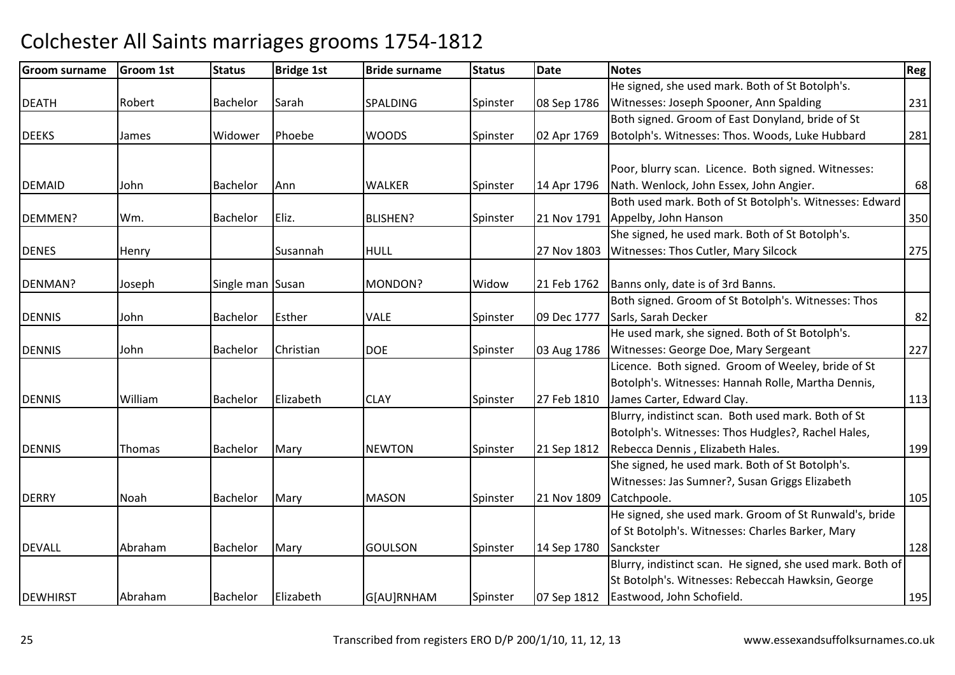| <b>Groom surname</b> | <b>Groom 1st</b> | <b>Status</b>    | <b>Bridge 1st</b> | <b>Bride surname</b> | <b>Status</b> | <b>Date</b> | <b>Notes</b>                                               | Reg |
|----------------------|------------------|------------------|-------------------|----------------------|---------------|-------------|------------------------------------------------------------|-----|
|                      |                  |                  |                   |                      |               |             | He signed, she used mark. Both of St Botolph's.            |     |
| <b>DEATH</b>         | Robert           | Bachelor         | Sarah             | <b>SPALDING</b>      | Spinster      | 08 Sep 1786 | Witnesses: Joseph Spooner, Ann Spalding                    | 231 |
|                      |                  |                  |                   |                      |               |             | Both signed. Groom of East Donyland, bride of St           |     |
| <b>DEEKS</b>         | James            | Widower          | Phoebe            | <b>WOODS</b>         | Spinster      | 02 Apr 1769 | Botolph's. Witnesses: Thos. Woods, Luke Hubbard            | 281 |
|                      |                  |                  |                   |                      |               |             |                                                            |     |
|                      |                  |                  |                   |                      |               |             | Poor, blurry scan. Licence. Both signed. Witnesses:        |     |
| <b>DEMAID</b>        | John             | Bachelor         | Ann               | <b>WALKER</b>        | Spinster      | 14 Apr 1796 | Nath. Wenlock, John Essex, John Angier.                    | 68  |
|                      |                  |                  |                   |                      |               |             | Both used mark. Both of St Botolph's. Witnesses: Edward    |     |
| DEMMEN?              | Wm.              | <b>Bachelor</b>  | Eliz.             | <b>BLISHEN?</b>      | Spinster      | 21 Nov 1791 | Appelby, John Hanson                                       | 350 |
|                      |                  |                  |                   |                      |               |             | She signed, he used mark. Both of St Botolph's.            |     |
| <b>DENES</b>         | Henry            |                  | Susannah          | <b>HULL</b>          |               | 27 Nov 1803 | Witnesses: Thos Cutler, Mary Silcock                       | 275 |
|                      |                  |                  |                   |                      |               |             |                                                            |     |
| DENMAN?              | Joseph           | Single man Susan |                   | MONDON?              | Widow         | 21 Feb 1762 | Banns only, date is of 3rd Banns.                          |     |
|                      |                  |                  |                   |                      |               |             | Both signed. Groom of St Botolph's. Witnesses: Thos        |     |
| <b>DENNIS</b>        | John             | Bachelor         | Esther            | <b>VALE</b>          | Spinster      | 09 Dec 1777 | Sarls, Sarah Decker                                        | 82  |
|                      |                  |                  |                   |                      |               |             | He used mark, she signed. Both of St Botolph's.            |     |
| <b>DENNIS</b>        | John             | <b>Bachelor</b>  | Christian         | <b>DOE</b>           | Spinster      | 03 Aug 1786 | Witnesses: George Doe, Mary Sergeant                       | 227 |
|                      |                  |                  |                   |                      |               |             | Licence. Both signed. Groom of Weeley, bride of St         |     |
|                      |                  |                  |                   |                      |               |             | Botolph's. Witnesses: Hannah Rolle, Martha Dennis,         |     |
| <b>DENNIS</b>        | William          | Bachelor         | Elizabeth         | <b>CLAY</b>          | Spinster      | 27 Feb 1810 | James Carter, Edward Clay.                                 | 113 |
|                      |                  |                  |                   |                      |               |             | Blurry, indistinct scan. Both used mark. Both of St        |     |
|                      |                  |                  |                   |                      |               |             | Botolph's. Witnesses: Thos Hudgles?, Rachel Hales,         |     |
| <b>DENNIS</b>        | Thomas           | Bachelor         | Mary              | <b>NEWTON</b>        | Spinster      | 21 Sep 1812 | Rebecca Dennis, Elizabeth Hales.                           | 199 |
|                      |                  |                  |                   |                      |               |             | She signed, he used mark. Both of St Botolph's.            |     |
|                      |                  |                  |                   |                      |               |             | Witnesses: Jas Sumner?, Susan Griggs Elizabeth             |     |
| <b>DERRY</b>         | Noah             | Bachelor         | Mary              | <b>MASON</b>         | Spinster      | 21 Nov 1809 | Catchpoole.                                                | 105 |
|                      |                  |                  |                   |                      |               |             | He signed, she used mark. Groom of St Runwald's, bride     |     |
|                      |                  |                  |                   |                      |               |             | of St Botolph's. Witnesses: Charles Barker, Mary           |     |
| <b>DEVALL</b>        | Abraham          | Bachelor         | Mary              | <b>GOULSON</b>       | Spinster      | 14 Sep 1780 | Sanckster                                                  | 128 |
|                      |                  |                  |                   |                      |               |             | Blurry, indistinct scan. He signed, she used mark. Both of |     |
|                      |                  |                  |                   |                      |               |             | St Botolph's. Witnesses: Rebeccah Hawksin, George          |     |
| <b>DEWHIRST</b>      | Abraham          | Bachelor         | Elizabeth         | G[AU]RNHAM           | Spinster      | 07 Sep 1812 | Eastwood, John Schofield.                                  | 195 |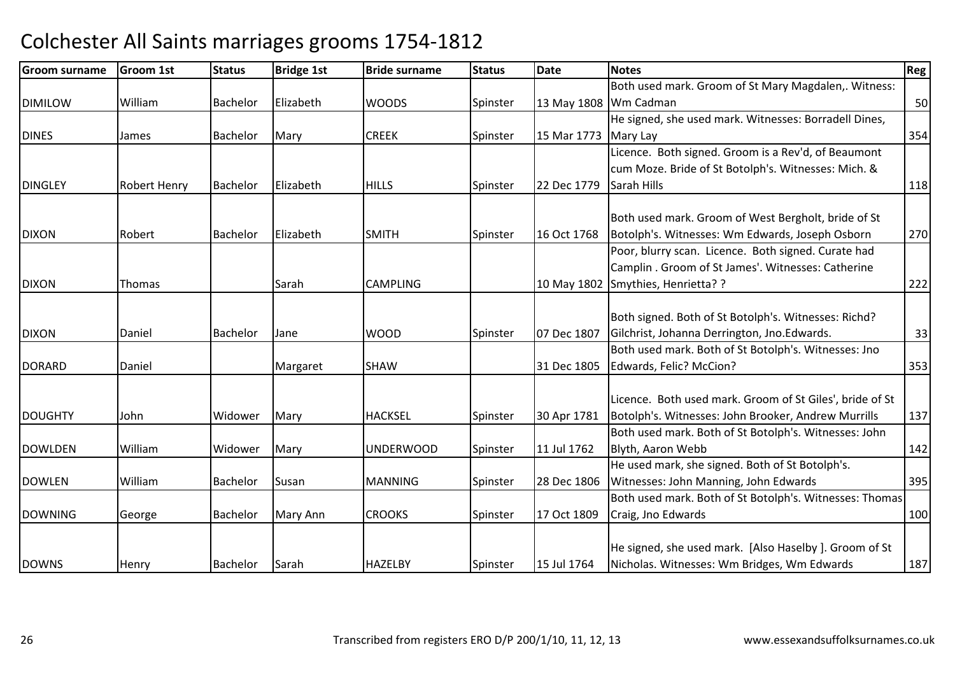| <b>Groom surname</b> | <b>Groom 1st</b>    | <b>Status</b>   | <b>Bridge 1st</b> | <b>Bride surname</b> | <b>Status</b> | <b>Date</b> | <b>Notes</b>                                             | Reg |
|----------------------|---------------------|-----------------|-------------------|----------------------|---------------|-------------|----------------------------------------------------------|-----|
|                      |                     |                 |                   |                      |               |             | Both used mark. Groom of St Mary Magdalen,. Witness:     |     |
| <b>DIMILOW</b>       | William             | <b>Bachelor</b> | Elizabeth         | <b>WOODS</b>         | Spinster      |             | 13 May 1808 Wm Cadman                                    | 50  |
|                      |                     |                 |                   |                      |               |             | He signed, she used mark. Witnesses: Borradell Dines,    |     |
| <b>DINES</b>         | James               | <b>Bachelor</b> | Mary              | <b>CREEK</b>         | Spinster      | 15 Mar 1773 | Mary Lay                                                 | 354 |
|                      |                     |                 |                   |                      |               |             | Licence. Both signed. Groom is a Rev'd, of Beaumont      |     |
|                      |                     |                 |                   |                      |               |             | cum Moze. Bride of St Botolph's. Witnesses: Mich. &      |     |
| <b>DINGLEY</b>       | <b>Robert Henry</b> | <b>Bachelor</b> | Elizabeth         | <b>HILLS</b>         | Spinster      | 22 Dec 1779 | Sarah Hills                                              | 118 |
|                      |                     |                 |                   |                      |               |             |                                                          |     |
|                      |                     |                 |                   |                      |               |             | Both used mark. Groom of West Bergholt, bride of St      |     |
| <b>DIXON</b>         | Robert              | Bachelor        | Elizabeth         | <b>SMITH</b>         | Spinster      | 16 Oct 1768 | Botolph's. Witnesses: Wm Edwards, Joseph Osborn          | 270 |
|                      |                     |                 |                   |                      |               |             | Poor, blurry scan. Licence. Both signed. Curate had      |     |
|                      |                     |                 |                   |                      |               |             | Camplin . Groom of St James'. Witnesses: Catherine       |     |
| <b>DIXON</b>         | Thomas              |                 | Sarah             | <b>CAMPLING</b>      |               | 10 May 1802 | Smythies, Henrietta? ?                                   | 222 |
|                      |                     |                 |                   |                      |               |             |                                                          |     |
|                      |                     |                 |                   |                      |               |             | Both signed. Both of St Botolph's. Witnesses: Richd?     |     |
| <b>DIXON</b>         | Daniel              | <b>Bachelor</b> | Jane              | <b>WOOD</b>          | Spinster      | 07 Dec 1807 | Gilchrist, Johanna Derrington, Jno.Edwards.              | 33  |
|                      |                     |                 |                   |                      |               |             | Both used mark. Both of St Botolph's. Witnesses: Jno     |     |
| <b>DORARD</b>        | Daniel              |                 | Margaret          | <b>SHAW</b>          |               | 31 Dec 1805 | Edwards, Felic? McCion?                                  | 353 |
|                      |                     |                 |                   |                      |               |             | Licence. Both used mark. Groom of St Giles', bride of St |     |
| <b>DOUGHTY</b>       | John                | Widower         | Mary              | <b>HACKSEL</b>       | Spinster      | 30 Apr 1781 | Botolph's. Witnesses: John Brooker, Andrew Murrills      | 137 |
|                      |                     |                 |                   |                      |               |             | Both used mark. Both of St Botolph's. Witnesses: John    |     |
| <b>DOWLDEN</b>       | William             | Widower         | Mary              | <b>UNDERWOOD</b>     | Spinster      | 11 Jul 1762 | Blyth, Aaron Webb                                        | 142 |
|                      |                     |                 |                   |                      |               |             | He used mark, she signed. Both of St Botolph's.          |     |
| <b>DOWLEN</b>        | William             | Bachelor        | Susan             | <b>MANNING</b>       | Spinster      | 28 Dec 1806 | Witnesses: John Manning, John Edwards                    | 395 |
|                      |                     |                 |                   |                      |               |             | Both used mark. Both of St Botolph's. Witnesses: Thomas  |     |
| <b>DOWNING</b>       | George              | Bachelor        | Mary Ann          | <b>CROOKS</b>        | Spinster      | 17 Oct 1809 | Craig, Jno Edwards                                       | 100 |
|                      |                     |                 |                   |                      |               |             |                                                          |     |
|                      |                     |                 |                   |                      |               |             | He signed, she used mark. [Also Haselby ]. Groom of St   |     |
| <b>DOWNS</b>         | Henry               | Bachelor        | Sarah             | <b>HAZELBY</b>       | Spinster      | 15 Jul 1764 | Nicholas. Witnesses: Wm Bridges, Wm Edwards              | 187 |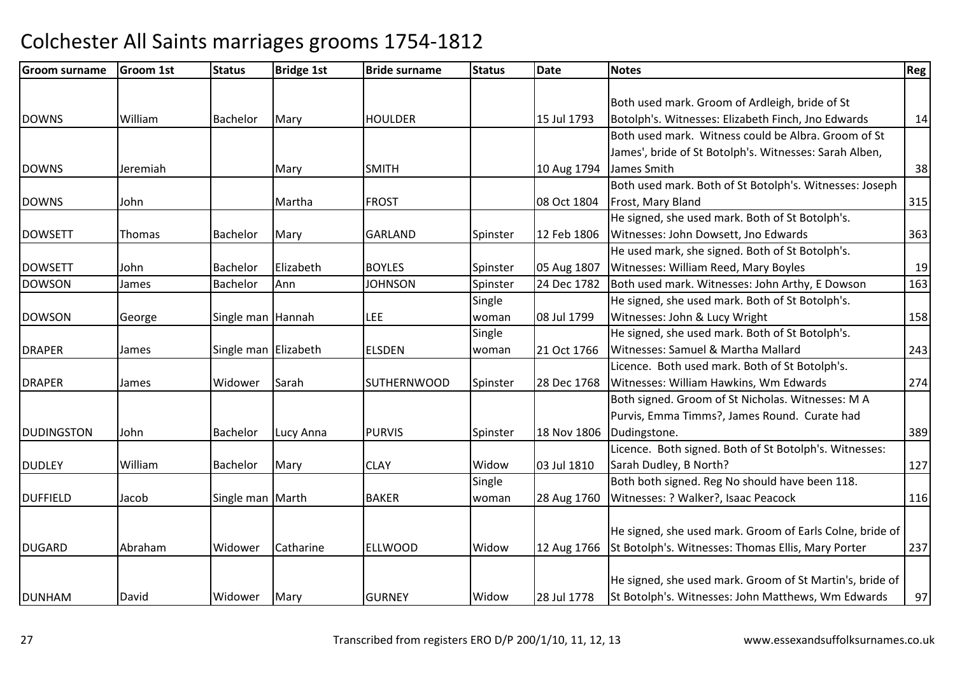| <b>Groom surname</b> | <b>Groom 1st</b> | <b>Status</b>        | <b>Bridge 1st</b> | <b>Bride surname</b> | <b>Status</b> | Date        | <b>Notes</b>                                             | <b>Reg</b> |
|----------------------|------------------|----------------------|-------------------|----------------------|---------------|-------------|----------------------------------------------------------|------------|
|                      |                  |                      |                   |                      |               |             |                                                          |            |
|                      |                  |                      |                   |                      |               |             | Both used mark. Groom of Ardleigh, bride of St           |            |
| <b>DOWNS</b>         | William          | <b>Bachelor</b>      | Mary              | <b>HOULDER</b>       |               | 15 Jul 1793 | Botolph's. Witnesses: Elizabeth Finch, Jno Edwards       | 14         |
|                      |                  |                      |                   |                      |               |             | Both used mark. Witness could be Albra. Groom of St      |            |
|                      |                  |                      |                   |                      |               |             | James', bride of St Botolph's. Witnesses: Sarah Alben,   |            |
| <b>DOWNS</b>         | Jeremiah         |                      | Mary              | <b>SMITH</b>         |               | 10 Aug 1794 | James Smith                                              | 38         |
|                      |                  |                      |                   |                      |               |             | Both used mark. Both of St Botolph's. Witnesses: Joseph  |            |
| <b>DOWNS</b>         | John             |                      | Martha            | <b>FROST</b>         |               | 08 Oct 1804 | Frost, Mary Bland                                        | 315        |
|                      |                  |                      |                   |                      |               |             | He signed, she used mark. Both of St Botolph's.          |            |
| <b>DOWSETT</b>       | Thomas           | <b>Bachelor</b>      | Mary              | <b>GARLAND</b>       | Spinster      | 12 Feb 1806 | Witnesses: John Dowsett, Jno Edwards                     | 363        |
|                      |                  |                      |                   |                      |               |             | He used mark, she signed. Both of St Botolph's.          |            |
| <b>DOWSETT</b>       | John             | <b>Bachelor</b>      | Elizabeth         | <b>BOYLES</b>        | Spinster      | 05 Aug 1807 | Witnesses: William Reed, Mary Boyles                     | 19         |
| <b>DOWSON</b>        | James            | Bachelor             | Ann               | <b>JOHNSON</b>       | Spinster      | 24 Dec 1782 | Both used mark. Witnesses: John Arthy, E Dowson          | 163        |
|                      |                  |                      |                   |                      | Single        |             | He signed, she used mark. Both of St Botolph's.          |            |
| <b>DOWSON</b>        | George           | Single man Hannah    |                   | <b>LEE</b>           | woman         | 08 Jul 1799 | Witnesses: John & Lucy Wright                            | 158        |
|                      |                  |                      |                   |                      | Single        |             | He signed, she used mark. Both of St Botolph's.          |            |
| <b>DRAPER</b>        | James            | Single man Elizabeth |                   | <b>ELSDEN</b>        | woman         | 21 Oct 1766 | Witnesses: Samuel & Martha Mallard                       | 243        |
|                      |                  |                      |                   |                      |               |             | Licence. Both used mark. Both of St Botolph's.           |            |
| <b>DRAPER</b>        | James            | Widower              | Sarah             | <b>SUTHERNWOOD</b>   | Spinster      | 28 Dec 1768 | Witnesses: William Hawkins, Wm Edwards                   | 274        |
|                      |                  |                      |                   |                      |               |             | Both signed. Groom of St Nicholas. Witnesses: M A        |            |
|                      |                  |                      |                   |                      |               |             | Purvis, Emma Timms?, James Round. Curate had             |            |
| <b>DUDINGSTON</b>    | John             | Bachelor             | Lucy Anna         | <b>PURVIS</b>        | Spinster      | 18 Nov 1806 | Dudingstone.                                             | 389        |
|                      |                  |                      |                   |                      |               |             | Licence. Both signed. Both of St Botolph's. Witnesses:   |            |
| <b>DUDLEY</b>        | William          | Bachelor             | Mary              | <b>CLAY</b>          | Widow         | 03 Jul 1810 | Sarah Dudley, B North?                                   | 127        |
|                      |                  |                      |                   |                      | Single        |             | Both both signed. Reg No should have been 118.           |            |
| <b>DUFFIELD</b>      | Jacob            | Single man Marth     |                   | <b>BAKER</b>         | woman         | 28 Aug 1760 | Witnesses: ? Walker?, Isaac Peacock                      | 116        |
|                      |                  |                      |                   |                      |               |             |                                                          |            |
|                      |                  |                      |                   |                      |               |             | He signed, she used mark. Groom of Earls Colne, bride of |            |
| <b>DUGARD</b>        | Abraham          | Widower              | Catharine         | <b>ELLWOOD</b>       | Widow         | 12 Aug 1766 | St Botolph's. Witnesses: Thomas Ellis, Mary Porter       | 237        |
|                      |                  |                      |                   |                      |               |             |                                                          |            |
|                      |                  |                      |                   |                      |               |             | He signed, she used mark. Groom of St Martin's, bride of |            |
| <b>DUNHAM</b>        | David            | Widower              | Mary              | <b>GURNEY</b>        | Widow         | 28 Jul 1778 | St Botolph's. Witnesses: John Matthews, Wm Edwards       | 97         |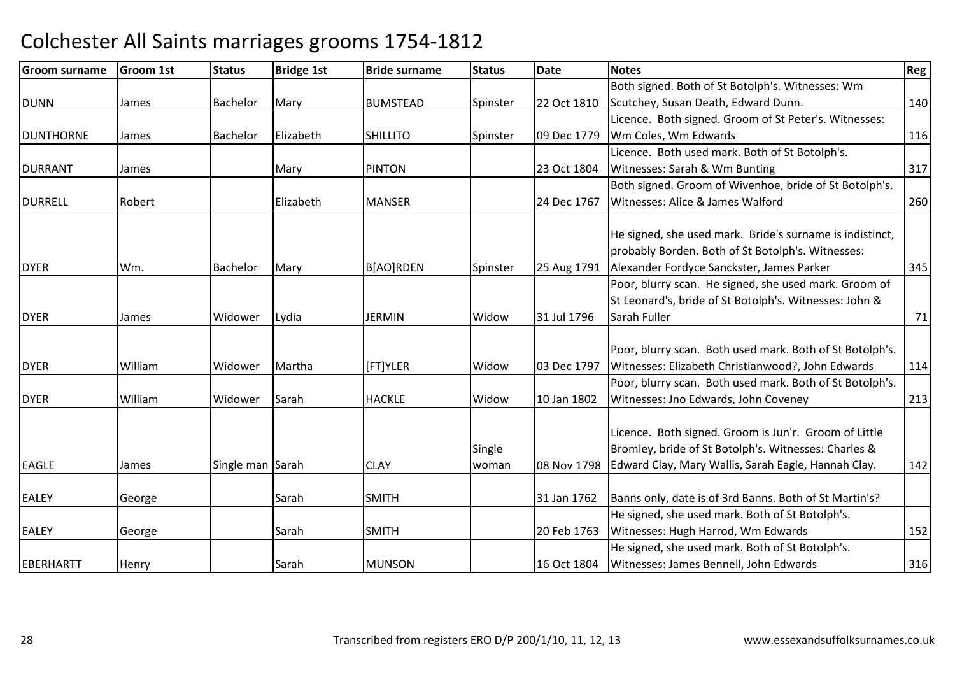| <b>Groom surname</b> | <b>Groom 1st</b> | <b>Status</b>    | <b>Bridge 1st</b> | <b>Bride surname</b> | <b>Status</b> | <b>Date</b> | <b>Notes</b>                                                                                                  | Reg |
|----------------------|------------------|------------------|-------------------|----------------------|---------------|-------------|---------------------------------------------------------------------------------------------------------------|-----|
|                      |                  |                  |                   |                      |               |             | Both signed. Both of St Botolph's. Witnesses: Wm                                                              |     |
| <b>DUNN</b>          | James            | <b>Bachelor</b>  | Mary              | <b>BUMSTEAD</b>      | Spinster      | 22 Oct 1810 | Scutchey, Susan Death, Edward Dunn.                                                                           | 140 |
|                      |                  |                  |                   |                      |               |             | Licence. Both signed. Groom of St Peter's. Witnesses:                                                         |     |
| <b>DUNTHORNE</b>     | James            | Bachelor         | Elizabeth         | <b>SHILLITO</b>      | Spinster      | 09 Dec 1779 | Wm Coles, Wm Edwards                                                                                          | 116 |
|                      |                  |                  |                   |                      |               |             | Licence. Both used mark. Both of St Botolph's.                                                                |     |
| <b>DURRANT</b>       | James            |                  | Mary              | <b>PINTON</b>        |               | 23 Oct 1804 | Witnesses: Sarah & Wm Bunting                                                                                 | 317 |
|                      |                  |                  |                   |                      |               |             | Both signed. Groom of Wivenhoe, bride of St Botolph's.                                                        |     |
| <b>DURRELL</b>       | Robert           |                  | Elizabeth         | <b>MANSER</b>        |               | 24 Dec 1767 | Witnesses: Alice & James Walford                                                                              | 260 |
|                      |                  |                  |                   |                      |               |             | He signed, she used mark. Bride's surname is indistinct,                                                      |     |
|                      |                  |                  |                   |                      |               |             | probably Borden. Both of St Botolph's. Witnesses:                                                             |     |
| <b>DYER</b>          | Wm.              | <b>Bachelor</b>  | Mary              | B[AO]RDEN            | Spinster      | 25 Aug 1791 | Alexander Fordyce Sanckster, James Parker                                                                     | 345 |
|                      |                  |                  |                   |                      |               |             | Poor, blurry scan. He signed, she used mark. Groom of                                                         |     |
|                      |                  |                  |                   |                      |               |             | St Leonard's, bride of St Botolph's. Witnesses: John &                                                        |     |
| <b>DYER</b>          | James            | Widower          | Lydia             | <b>JERMIN</b>        | Widow         | 31 Jul 1796 | Sarah Fuller                                                                                                  | 71  |
|                      |                  |                  |                   |                      |               |             |                                                                                                               |     |
|                      |                  |                  |                   |                      |               |             | Poor, blurry scan. Both used mark. Both of St Botolph's.                                                      |     |
| <b>DYER</b>          | William          | Widower          | Martha            | [FT]YLER             | Widow         | 03 Dec 1797 | Witnesses: Elizabeth Christianwood?, John Edwards                                                             | 114 |
|                      |                  |                  |                   |                      |               |             | Poor, blurry scan. Both used mark. Both of St Botolph's.                                                      |     |
| <b>DYER</b>          | William          | Widower          | Sarah             | <b>HACKLE</b>        | Widow         | 10 Jan 1802 | Witnesses: Jno Edwards, John Coveney                                                                          | 213 |
|                      |                  |                  |                   |                      | Single        |             | Licence. Both signed. Groom is Jun'r. Groom of Little<br>Bromley, bride of St Botolph's. Witnesses: Charles & |     |
| <b>EAGLE</b>         | James            | Single man Sarah |                   | <b>CLAY</b>          | woman         | 08 Nov 1798 | Edward Clay, Mary Wallis, Sarah Eagle, Hannah Clay.                                                           | 142 |
|                      |                  |                  |                   |                      |               |             |                                                                                                               |     |
| <b>EALEY</b>         | George           |                  | Sarah             | <b>SMITH</b>         |               | 31 Jan 1762 | Banns only, date is of 3rd Banns. Both of St Martin's?                                                        |     |
|                      |                  |                  |                   |                      |               |             | He signed, she used mark. Both of St Botolph's.                                                               |     |
| <b>EALEY</b>         | George           |                  | Sarah             | <b>SMITH</b>         |               | 20 Feb 1763 | Witnesses: Hugh Harrod, Wm Edwards                                                                            | 152 |
|                      |                  |                  |                   |                      |               |             | He signed, she used mark. Both of St Botolph's.                                                               |     |
| EBERHARTT            | Henry            |                  | Sarah             | <b>MUNSON</b>        |               |             | 16 Oct 1804   Witnesses: James Bennell, John Edwards                                                          | 316 |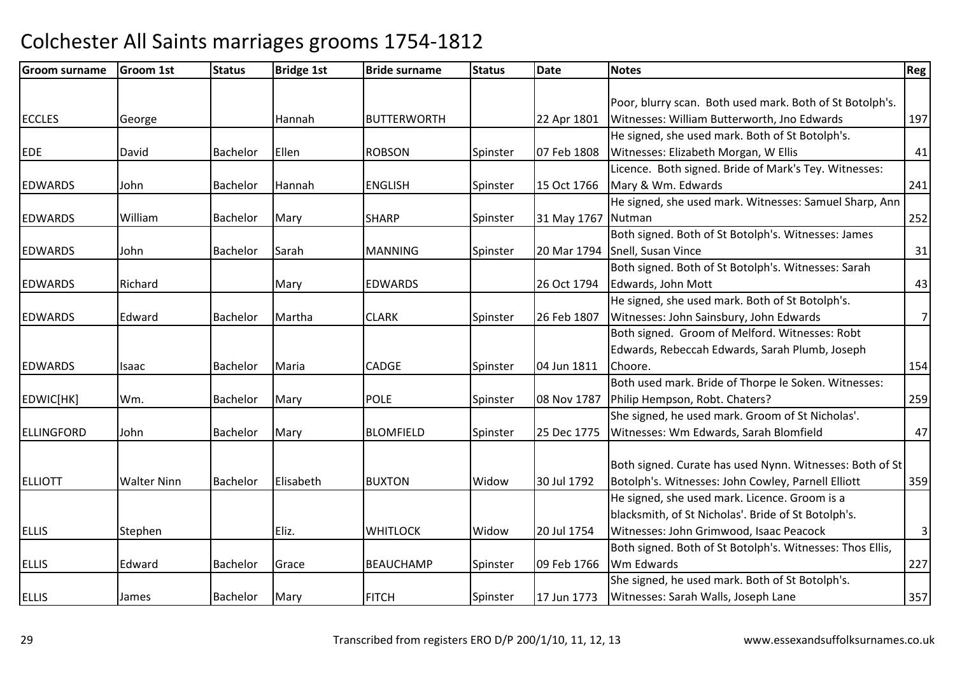| <b>Groom surname</b> | <b>Groom 1st</b>   | <b>Status</b>   | <b>Bridge 1st</b> | <b>Bride surname</b> | <b>Status</b> | Date               | <b>Notes</b>                                              | <b>Reg</b> |
|----------------------|--------------------|-----------------|-------------------|----------------------|---------------|--------------------|-----------------------------------------------------------|------------|
|                      |                    |                 |                   |                      |               |                    |                                                           |            |
|                      |                    |                 |                   |                      |               |                    | Poor, blurry scan. Both used mark. Both of St Botolph's.  |            |
| <b>ECCLES</b>        | George             |                 | Hannah            | <b>BUTTERWORTH</b>   |               | 22 Apr 1801        | Witnesses: William Butterworth, Jno Edwards               | 197        |
|                      |                    |                 |                   |                      |               |                    | He signed, she used mark. Both of St Botolph's.           |            |
| <b>EDE</b>           | David              | Bachelor        | Ellen             | <b>ROBSON</b>        | Spinster      | 07 Feb 1808        | Witnesses: Elizabeth Morgan, W Ellis                      | 41         |
|                      |                    |                 |                   |                      |               |                    | Licence. Both signed. Bride of Mark's Tey. Witnesses:     |            |
| <b>EDWARDS</b>       | John               | <b>Bachelor</b> | Hannah            | <b>ENGLISH</b>       | Spinster      | 15 Oct 1766        | Mary & Wm. Edwards                                        | 241        |
|                      |                    |                 |                   |                      |               |                    | He signed, she used mark. Witnesses: Samuel Sharp, Ann    |            |
| <b>EDWARDS</b>       | William            | <b>Bachelor</b> | Mary              | <b>SHARP</b>         | Spinster      | 31 May 1767 Nutman |                                                           | 252        |
|                      |                    |                 |                   |                      |               |                    | Both signed. Both of St Botolph's. Witnesses: James       |            |
| <b>EDWARDS</b>       | John               | <b>Bachelor</b> | Sarah             | <b>MANNING</b>       | Spinster      |                    | 20 Mar 1794 Snell, Susan Vince                            | 31         |
|                      |                    |                 |                   |                      |               |                    | Both signed. Both of St Botolph's. Witnesses: Sarah       |            |
| <b>EDWARDS</b>       | Richard            |                 | Mary              | <b>EDWARDS</b>       |               | 26 Oct 1794        | Edwards, John Mott                                        | 43         |
|                      |                    |                 |                   |                      |               |                    | He signed, she used mark. Both of St Botolph's.           |            |
| <b>EDWARDS</b>       | Edward             | <b>Bachelor</b> | Martha            | <b>CLARK</b>         | Spinster      | 26 Feb 1807        | Witnesses: John Sainsbury, John Edwards                   | 7          |
|                      |                    |                 |                   |                      |               |                    | Both signed. Groom of Melford. Witnesses: Robt            |            |
|                      |                    |                 |                   |                      |               |                    | Edwards, Rebeccah Edwards, Sarah Plumb, Joseph            |            |
| <b>EDWARDS</b>       | Isaac              | Bachelor        | Maria             | <b>CADGE</b>         | Spinster      | 04 Jun 1811        | Choore.                                                   | 154        |
|                      |                    |                 |                   |                      |               |                    | Both used mark. Bride of Thorpe le Soken. Witnesses:      |            |
| EDWIC[HK]            | Wm.                | <b>Bachelor</b> | Mary              | <b>POLE</b>          | Spinster      | 08 Nov 1787        | Philip Hempson, Robt. Chaters?                            | 259        |
|                      |                    |                 |                   |                      |               |                    | She signed, he used mark. Groom of St Nicholas'.          |            |
| <b>ELLINGFORD</b>    | John               | Bachelor        | Mary              | <b>BLOMFIELD</b>     | Spinster      | 25 Dec 1775        | Witnesses: Wm Edwards, Sarah Blomfield                    | 47         |
|                      |                    |                 |                   |                      |               |                    |                                                           |            |
|                      |                    |                 |                   |                      |               |                    | Both signed. Curate has used Nynn. Witnesses: Both of St  |            |
| <b>ELLIOTT</b>       | <b>Walter Ninn</b> | <b>Bachelor</b> | Elisabeth         | <b>BUXTON</b>        | Widow         | 30 Jul 1792        | Botolph's. Witnesses: John Cowley, Parnell Elliott        | 359        |
|                      |                    |                 |                   |                      |               |                    | He signed, she used mark. Licence. Groom is a             |            |
|                      |                    |                 |                   |                      |               |                    | blacksmith, of St Nicholas'. Bride of St Botolph's.       |            |
| <b>ELLIS</b>         | Stephen            |                 | Eliz.             | <b>WHITLOCK</b>      | Widow         | 20 Jul 1754        | Witnesses: John Grimwood, Isaac Peacock                   | 3          |
|                      |                    |                 |                   |                      |               |                    | Both signed. Both of St Botolph's. Witnesses: Thos Ellis, |            |
| <b>ELLIS</b>         | Edward             | Bachelor        | Grace             | <b>BEAUCHAMP</b>     | Spinster      | 09 Feb 1766        | Wm Edwards                                                | 227        |
|                      |                    |                 |                   |                      |               |                    | She signed, he used mark. Both of St Botolph's.           |            |
| <b>ELLIS</b>         | James              | Bachelor        | Mary              | <b>FITCH</b>         | Spinster      | 17 Jun 1773        | Witnesses: Sarah Walls, Joseph Lane                       |            |
|                      |                    |                 |                   |                      |               |                    |                                                           | 357        |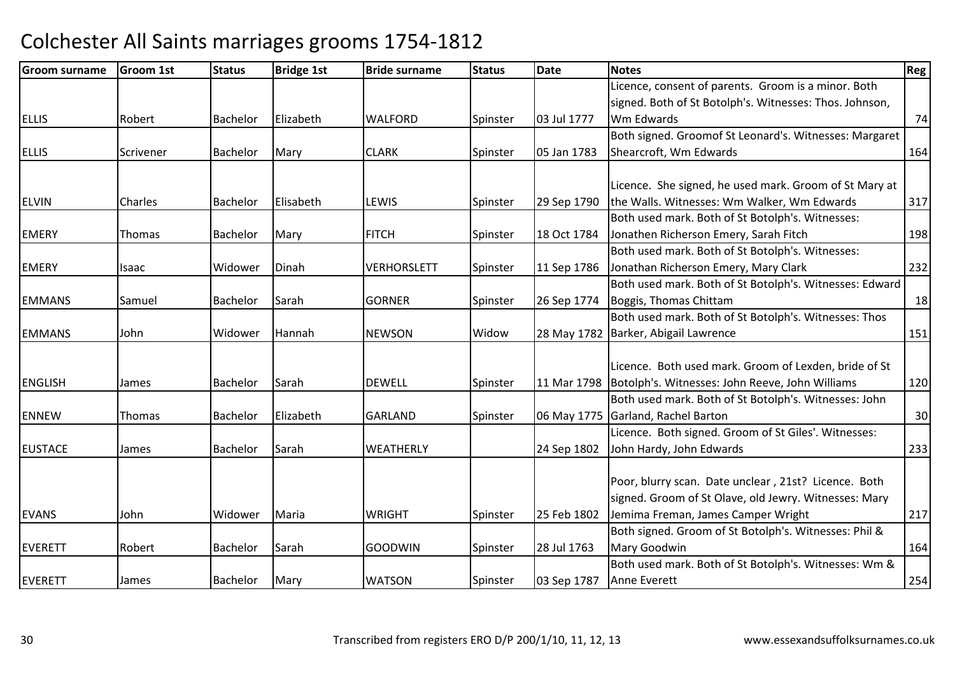| <b>Groom surname</b> | <b>Groom 1st</b> | <b>Status</b>   | <b>Bridge 1st</b> | <b>Bride surname</b> | <b>Status</b> | <b>Date</b> | <b>Notes</b>                                            | <b>Reg</b> |
|----------------------|------------------|-----------------|-------------------|----------------------|---------------|-------------|---------------------------------------------------------|------------|
|                      |                  |                 |                   |                      |               |             | Licence, consent of parents. Groom is a minor. Both     |            |
|                      |                  |                 |                   |                      |               |             | signed. Both of St Botolph's. Witnesses: Thos. Johnson, |            |
| <b>ELLIS</b>         | Robert           | Bachelor        | Elizabeth         | <b>WALFORD</b>       | Spinster      | 03 Jul 1777 | Wm Edwards                                              | 74         |
|                      |                  |                 |                   |                      |               |             | Both signed. Groomof St Leonard's. Witnesses: Margaret  |            |
| <b>ELLIS</b>         | Scrivener        | Bachelor        | Mary              | <b>CLARK</b>         | Spinster      | 05 Jan 1783 | Shearcroft, Wm Edwards                                  | 164        |
|                      |                  |                 |                   |                      |               |             |                                                         |            |
|                      |                  |                 |                   |                      |               |             | Licence. She signed, he used mark. Groom of St Mary at  |            |
| <b>ELVIN</b>         | Charles          | Bachelor        | Elisabeth         | LEWIS                | Spinster      | 29 Sep 1790 | the Walls. Witnesses: Wm Walker, Wm Edwards             | 317        |
|                      |                  |                 |                   |                      |               |             | Both used mark. Both of St Botolph's. Witnesses:        |            |
| <b>EMERY</b>         | Thomas           | Bachelor        | Mary              | <b>FITCH</b>         | Spinster      | 18 Oct 1784 | Jonathen Richerson Emery, Sarah Fitch                   | 198        |
|                      |                  |                 |                   |                      |               |             | Both used mark. Both of St Botolph's. Witnesses:        |            |
| <b>EMERY</b>         | Isaac            | Widower         | Dinah             | <b>VERHORSLETT</b>   | Spinster      | 11 Sep 1786 | Jonathan Richerson Emery, Mary Clark                    | 232        |
|                      |                  |                 |                   |                      |               |             | Both used mark. Both of St Botolph's. Witnesses: Edward |            |
| <b>EMMANS</b>        | Samuel           | Bachelor        | Sarah             | <b>GORNER</b>        | Spinster      | 26 Sep 1774 | Boggis, Thomas Chittam                                  | 18         |
|                      |                  |                 |                   |                      |               |             | Both used mark. Both of St Botolph's. Witnesses: Thos   |            |
| <b>EMMANS</b>        | John             | Widower         | Hannah            | <b>NEWSON</b>        | Widow         | 28 May 1782 | Barker, Abigail Lawrence                                | 151        |
|                      |                  |                 |                   |                      |               |             |                                                         |            |
|                      |                  |                 |                   |                      |               |             | Licence. Both used mark. Groom of Lexden, bride of St   |            |
| <b>ENGLISH</b>       | James            | Bachelor        | Sarah             | <b>DEWELL</b>        | Spinster      | 11 Mar 1798 | Botolph's. Witnesses: John Reeve, John Williams         | 120        |
|                      |                  |                 |                   |                      |               |             | Both used mark. Both of St Botolph's. Witnesses: John   |            |
| <b>ENNEW</b>         | Thomas           | Bachelor        | Elizabeth         | <b>GARLAND</b>       | Spinster      | 06 May 1775 | Garland, Rachel Barton                                  | 30         |
|                      |                  |                 |                   |                      |               |             | Licence. Both signed. Groom of St Giles'. Witnesses:    |            |
| <b>EUSTACE</b>       | James            | <b>Bachelor</b> | Sarah             | WEATHERLY            |               | 24 Sep 1802 | John Hardy, John Edwards                                | 233        |
|                      |                  |                 |                   |                      |               |             |                                                         |            |
|                      |                  |                 |                   |                      |               |             | Poor, blurry scan. Date unclear, 21st? Licence. Both    |            |
|                      |                  |                 |                   |                      |               |             | signed. Groom of St Olave, old Jewry. Witnesses: Mary   |            |
| <b>EVANS</b>         | John             | Widower         | Maria             | <b>WRIGHT</b>        | Spinster      | 25 Feb 1802 | Jemima Freman, James Camper Wright                      | 217        |
|                      |                  |                 |                   |                      |               |             | Both signed. Groom of St Botolph's. Witnesses: Phil &   |            |
| <b>EVERETT</b>       | Robert           | Bachelor        | Sarah             | <b>GOODWIN</b>       | Spinster      | 28 Jul 1763 | Mary Goodwin                                            | 164        |
|                      |                  |                 |                   |                      |               |             | Both used mark. Both of St Botolph's. Witnesses: Wm &   |            |
| <b>EVERETT</b>       | James            | Bachelor        | Mary              | <b>WATSON</b>        | Spinster      | 03 Sep 1787 | Anne Everett                                            | 254        |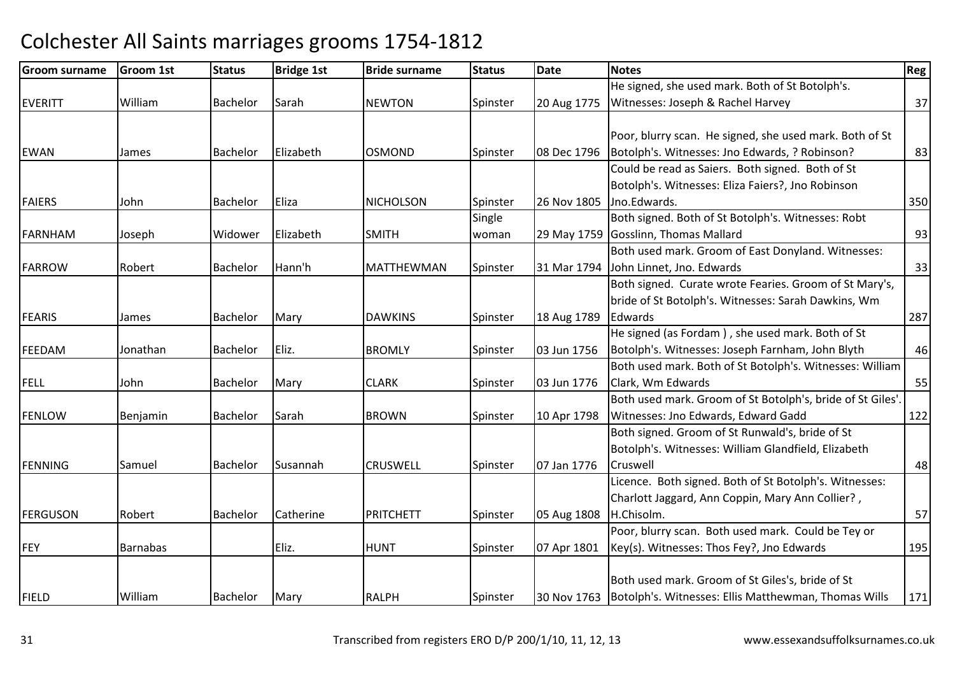| <b>Groom surname</b> | <b>Groom 1st</b> | <b>Status</b>   | <b>Bridge 1st</b> | <b>Bride surname</b> | <b>Status</b> | Date        | <b>Notes</b>                                               | Reg |
|----------------------|------------------|-----------------|-------------------|----------------------|---------------|-------------|------------------------------------------------------------|-----|
|                      |                  |                 |                   |                      |               |             | He signed, she used mark. Both of St Botolph's.            |     |
| <b>EVERITT</b>       | William          | Bachelor        | Sarah             | <b>NEWTON</b>        | Spinster      | 20 Aug 1775 | Witnesses: Joseph & Rachel Harvey                          | 37  |
|                      |                  |                 |                   |                      |               |             |                                                            |     |
|                      |                  |                 |                   |                      |               |             | Poor, blurry scan. He signed, she used mark. Both of St    |     |
| <b>EWAN</b>          | James            | Bachelor        | Elizabeth         | <b>OSMOND</b>        | Spinster      | 08 Dec 1796 | Botolph's. Witnesses: Jno Edwards, ? Robinson?             | 83  |
|                      |                  |                 |                   |                      |               |             | Could be read as Saiers. Both signed. Both of St           |     |
|                      |                  |                 |                   |                      |               |             | Botolph's. Witnesses: Eliza Faiers?, Jno Robinson          |     |
| <b>FAIERS</b>        | John             | <b>Bachelor</b> | Eliza             | <b>NICHOLSON</b>     | Spinster      | 26 Nov 1805 | Jno.Edwards.                                               | 350 |
|                      |                  |                 |                   |                      | Single        |             | Both signed. Both of St Botolph's. Witnesses: Robt         |     |
| <b>FARNHAM</b>       | Joseph           | Widower         | Elizabeth         | <b>SMITH</b>         | woman         |             | 29 May 1759 Gosslinn, Thomas Mallard                       | 93  |
|                      |                  |                 |                   |                      |               |             | Both used mark. Groom of East Donyland. Witnesses:         |     |
| <b>FARROW</b>        | Robert           | Bachelor        | Hann'h            | <b>MATTHEWMAN</b>    | Spinster      | 31 Mar 1794 | John Linnet, Jno. Edwards                                  | 33  |
|                      |                  |                 |                   |                      |               |             | Both signed. Curate wrote Fearies. Groom of St Mary's,     |     |
|                      |                  |                 |                   |                      |               |             | bride of St Botolph's. Witnesses: Sarah Dawkins, Wm        |     |
| <b>FEARIS</b>        | James            | Bachelor        | Mary              | <b>DAWKINS</b>       | Spinster      | 18 Aug 1789 | Edwards                                                    | 287 |
|                      |                  |                 |                   |                      |               |             | He signed (as Fordam), she used mark. Both of St           |     |
| FEEDAM               | Jonathan         | Bachelor        | Eliz.             | <b>BROMLY</b>        | Spinster      | 03 Jun 1756 | Botolph's. Witnesses: Joseph Farnham, John Blyth           | 46  |
|                      |                  |                 |                   |                      |               |             | Both used mark. Both of St Botolph's. Witnesses: William   |     |
| <b>FELL</b>          | John             | Bachelor        | Mary              | <b>CLARK</b>         | Spinster      | 03 Jun 1776 | Clark, Wm Edwards                                          | 55  |
|                      |                  |                 |                   |                      |               |             | Both used mark. Groom of St Botolph's, bride of St Giles'. |     |
| <b>FENLOW</b>        | Benjamin         | <b>Bachelor</b> | Sarah             | <b>BROWN</b>         | Spinster      | 10 Apr 1798 | Witnesses: Jno Edwards, Edward Gadd                        | 122 |
|                      |                  |                 |                   |                      |               |             | Both signed. Groom of St Runwald's, bride of St            |     |
|                      |                  |                 |                   |                      |               |             | Botolph's. Witnesses: William Glandfield, Elizabeth        |     |
| <b>FENNING</b>       | Samuel           | Bachelor        | Susannah          | <b>CRUSWELL</b>      | Spinster      | 07 Jan 1776 | Cruswell                                                   | 48  |
|                      |                  |                 |                   |                      |               |             | Licence. Both signed. Both of St Botolph's. Witnesses:     |     |
|                      |                  |                 |                   |                      |               |             | Charlott Jaggard, Ann Coppin, Mary Ann Collier?,           |     |
| <b>FERGUSON</b>      | Robert           | Bachelor        | Catherine         | PRITCHETT            | Spinster      | 05 Aug 1808 | H.Chisolm.                                                 | 57  |
|                      |                  |                 |                   |                      |               |             | Poor, blurry scan. Both used mark. Could be Tey or         |     |
| <b>FEY</b>           | <b>Barnabas</b>  |                 | Eliz.             | <b>HUNT</b>          | Spinster      | 07 Apr 1801 | Key(s). Witnesses: Thos Fey?, Jno Edwards                  | 195 |
|                      |                  |                 |                   |                      |               |             |                                                            |     |
|                      |                  |                 |                   |                      |               |             | Both used mark. Groom of St Giles's, bride of St           |     |
| <b>FIELD</b>         | William          | Bachelor        | Mary              | <b>RALPH</b>         | Spinster      | 30 Nov 1763 | Botolph's. Witnesses: Ellis Matthewman, Thomas Wills       | 171 |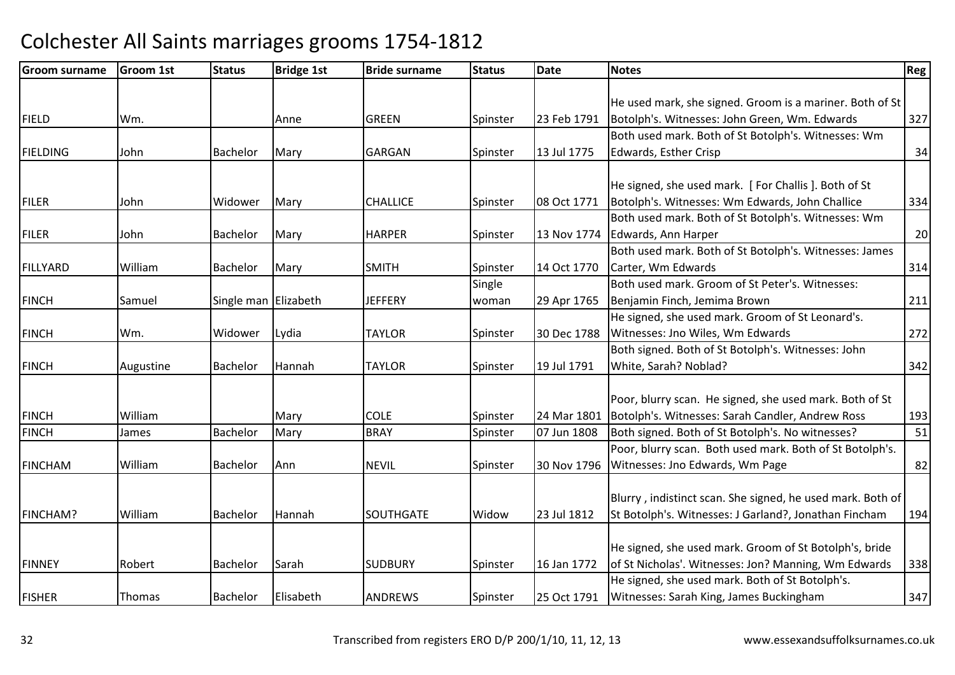| <b>Groom surname</b> | <b>Groom 1st</b> | <b>Status</b>        | <b>Bridge 1st</b> | <b>Bride surname</b> | <b>Status</b> | Date        | <b>Notes</b>                                               | Reg |
|----------------------|------------------|----------------------|-------------------|----------------------|---------------|-------------|------------------------------------------------------------|-----|
|                      |                  |                      |                   |                      |               |             |                                                            |     |
|                      |                  |                      |                   |                      |               |             | He used mark, she signed. Groom is a mariner. Both of St   |     |
| <b>FIELD</b>         | Wm.              |                      | Anne              | <b>GREEN</b>         | Spinster      | 23 Feb 1791 | Botolph's. Witnesses: John Green, Wm. Edwards              | 327 |
|                      |                  |                      |                   |                      |               |             | Both used mark. Both of St Botolph's. Witnesses: Wm        |     |
| <b>FIELDING</b>      | John             | <b>Bachelor</b>      | Mary              | <b>GARGAN</b>        | Spinster      | 13 Jul 1775 | Edwards, Esther Crisp                                      | 34  |
|                      |                  |                      |                   |                      |               |             | He signed, she used mark. [For Challis]. Both of St        |     |
| <b>FILER</b>         | John             | Widower              | Mary              | <b>CHALLICE</b>      |               | 08 Oct 1771 | Botolph's. Witnesses: Wm Edwards, John Challice            | 334 |
|                      |                  |                      |                   |                      | Spinster      |             | Both used mark. Both of St Botolph's. Witnesses: Wm        |     |
|                      |                  |                      |                   |                      |               |             |                                                            |     |
| <b>FILER</b>         | John             | Bachelor             | Mary              | <b>HARPER</b>        | Spinster      | 13 Nov 1774 | Edwards, Ann Harper                                        | 20  |
|                      |                  |                      |                   |                      |               |             | Both used mark. Both of St Botolph's. Witnesses: James     |     |
| <b>FILLYARD</b>      | William          | Bachelor             | Mary              | <b>SMITH</b>         | Spinster      | 14 Oct 1770 | Carter, Wm Edwards                                         | 314 |
|                      |                  |                      |                   |                      | Single        |             | Both used mark. Groom of St Peter's. Witnesses:            |     |
| <b>FINCH</b>         | Samuel           | Single man Elizabeth |                   | <b>JEFFERY</b>       | woman         | 29 Apr 1765 | Benjamin Finch, Jemima Brown                               | 211 |
|                      |                  |                      |                   |                      |               |             | He signed, she used mark. Groom of St Leonard's.           |     |
| <b>FINCH</b>         | Wm.              | Widower              | Lydia             | <b>TAYLOR</b>        | Spinster      | 30 Dec 1788 | Witnesses: Jno Wiles, Wm Edwards                           | 272 |
|                      |                  |                      |                   |                      |               |             | Both signed. Both of St Botolph's. Witnesses: John         |     |
| <b>FINCH</b>         | Augustine        | <b>Bachelor</b>      | Hannah            | <b>TAYLOR</b>        | Spinster      | 19 Jul 1791 | White, Sarah? Noblad?                                      | 342 |
|                      |                  |                      |                   |                      |               |             | Poor, blurry scan. He signed, she used mark. Both of St    |     |
| <b>FINCH</b>         | William          |                      | Mary              | <b>COLE</b>          | Spinster      | 24 Mar 1801 | Botolph's. Witnesses: Sarah Candler, Andrew Ross           | 193 |
| <b>FINCH</b>         |                  | Bachelor             |                   | <b>BRAY</b>          | Spinster      |             | Both signed. Both of St Botolph's. No witnesses?           | 51  |
|                      | James            |                      | Mary              |                      |               | 07 Jun 1808 |                                                            |     |
|                      |                  |                      |                   |                      |               |             | Poor, blurry scan. Both used mark. Both of St Botolph's.   |     |
| <b>FINCHAM</b>       | William          | Bachelor             | Ann               | <b>NEVIL</b>         | Spinster      | 30 Nov 1796 | Witnesses: Jno Edwards, Wm Page                            | 82  |
|                      |                  |                      |                   |                      |               |             | Blurry, indistinct scan. She signed, he used mark. Both of |     |
| FINCHAM?             | William          | Bachelor             | Hannah            | <b>SOUTHGATE</b>     | Widow         | 23 Jul 1812 | St Botolph's. Witnesses: J Garland?, Jonathan Fincham      | 194 |
|                      |                  |                      |                   |                      |               |             |                                                            |     |
|                      |                  |                      |                   |                      |               |             | He signed, she used mark. Groom of St Botolph's, bride     |     |
| <b>FINNEY</b>        | Robert           | <b>Bachelor</b>      | Sarah             | <b>SUDBURY</b>       | Spinster      | 16 Jan 1772 | of St Nicholas'. Witnesses: Jon? Manning, Wm Edwards       | 338 |
|                      |                  |                      |                   |                      |               |             | He signed, she used mark. Both of St Botolph's.            |     |
|                      |                  | Bachelor             | Elisabeth         | <b>ANDREWS</b>       |               |             |                                                            |     |
| <b>FISHER</b>        | Thomas           |                      |                   |                      | Spinster      | 25 Oct 1791 | Witnesses: Sarah King, James Buckingham                    | 347 |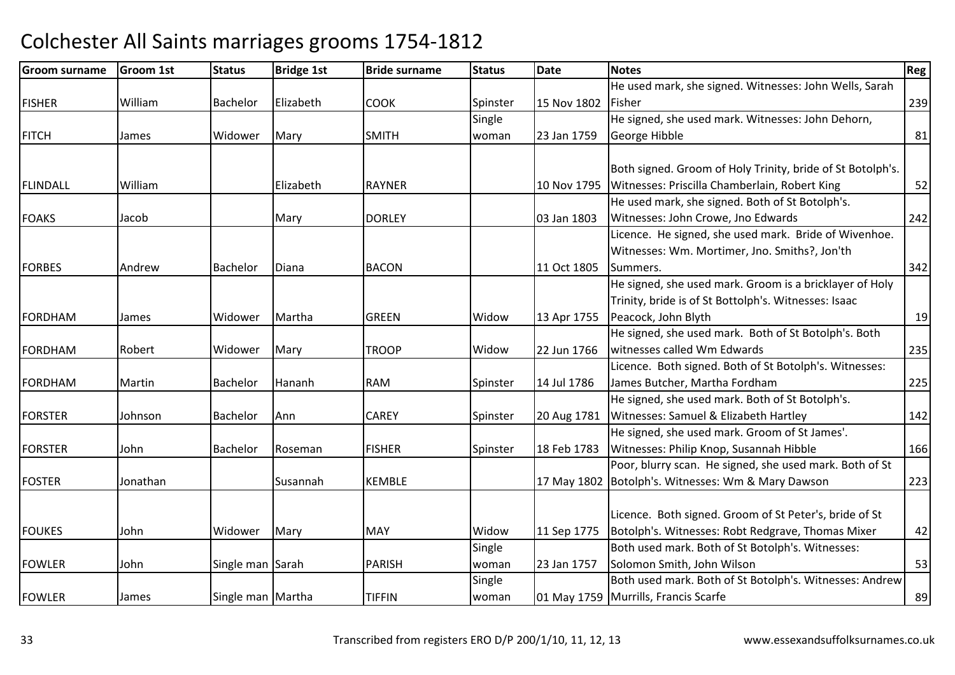| <b>Groom surname</b> | Groom 1st | <b>Status</b>     | <b>Bridge 1st</b> | <b>Bride surname</b> | <b>Status</b> | <b>Date</b> | <b>Notes</b>                                               | <b>Reg</b> |
|----------------------|-----------|-------------------|-------------------|----------------------|---------------|-------------|------------------------------------------------------------|------------|
|                      |           |                   |                   |                      |               |             | He used mark, she signed. Witnesses: John Wells, Sarah     |            |
| <b>FISHER</b>        | William   | Bachelor          | Elizabeth         | <b>COOK</b>          | Spinster      | 15 Nov 1802 | Fisher                                                     | 239        |
|                      |           |                   |                   |                      | Single        |             | He signed, she used mark. Witnesses: John Dehorn,          |            |
| <b>FITCH</b>         | James     | Widower           | Mary              | <b>SMITH</b>         | woman         | 23 Jan 1759 | George Hibble                                              | 81         |
|                      |           |                   |                   |                      |               |             |                                                            |            |
|                      |           |                   |                   |                      |               |             | Both signed. Groom of Holy Trinity, bride of St Botolph's. |            |
| FLINDALL             | William   |                   | Elizabeth         | <b>RAYNER</b>        |               | 10 Nov 1795 | Witnesses: Priscilla Chamberlain, Robert King              | 52         |
|                      |           |                   |                   |                      |               |             | He used mark, she signed. Both of St Botolph's.            |            |
| <b>FOAKS</b>         | Jacob     |                   | Mary              | <b>DORLEY</b>        |               | 03 Jan 1803 | Witnesses: John Crowe, Jno Edwards                         | 242        |
|                      |           |                   |                   |                      |               |             | Licence. He signed, she used mark. Bride of Wivenhoe.      |            |
|                      |           |                   |                   |                      |               |             | Witnesses: Wm. Mortimer, Jno. Smiths?, Jon'th              |            |
| <b>FORBES</b>        | Andrew    | Bachelor          | Diana             | <b>BACON</b>         |               | 11 Oct 1805 | Summers.                                                   | 342        |
|                      |           |                   |                   |                      |               |             | He signed, she used mark. Groom is a bricklayer of Holy    |            |
|                      |           |                   |                   |                      |               |             | Trinity, bride is of St Bottolph's. Witnesses: Isaac       |            |
| FORDHAM              | James     | Widower           | Martha            | <b>GREEN</b>         | Widow         | 13 Apr 1755 | Peacock, John Blyth                                        | 19         |
|                      |           |                   |                   |                      |               |             | He signed, she used mark. Both of St Botolph's. Both       |            |
| <b>FORDHAM</b>       | Robert    | Widower           | Mary              | <b>TROOP</b>         | Widow         | 22 Jun 1766 | witnesses called Wm Edwards                                | 235        |
|                      |           |                   |                   |                      |               |             | Licence. Both signed. Both of St Botolph's. Witnesses:     |            |
| <b>FORDHAM</b>       | Martin    | Bachelor          | Hananh            | <b>RAM</b>           | Spinster      | 14 Jul 1786 | James Butcher, Martha Fordham                              | 225        |
|                      |           |                   |                   |                      |               |             | He signed, she used mark. Both of St Botolph's.            |            |
| <b>FORSTER</b>       | Johnson   | <b>Bachelor</b>   | Ann               | <b>CAREY</b>         | Spinster      | 20 Aug 1781 | Witnesses: Samuel & Elizabeth Hartley                      | 142        |
|                      |           |                   |                   |                      |               |             | He signed, she used mark. Groom of St James'.              |            |
| <b>FORSTER</b>       | John      | Bachelor          | Roseman           | <b>FISHER</b>        | Spinster      | 18 Feb 1783 | Witnesses: Philip Knop, Susannah Hibble                    | 166        |
|                      |           |                   |                   |                      |               |             | Poor, blurry scan. He signed, she used mark. Both of St    |            |
| <b>FOSTER</b>        | Jonathan  |                   | Susannah          | <b>KEMBLE</b>        |               |             | 17 May 1802 Botolph's. Witnesses: Wm & Mary Dawson         | 223        |
|                      |           |                   |                   |                      |               |             |                                                            |            |
|                      |           |                   |                   |                      |               |             | Licence. Both signed. Groom of St Peter's, bride of St     |            |
| <b>FOUKES</b>        | John      | Widower           | Mary              | <b>MAY</b>           | Widow         | 11 Sep 1775 | Botolph's. Witnesses: Robt Redgrave, Thomas Mixer          | 42         |
|                      |           |                   |                   |                      | Single        |             | Both used mark. Both of St Botolph's. Witnesses:           |            |
| <b>FOWLER</b>        | John      | Single man Sarah  |                   | <b>PARISH</b>        | woman         | 23 Jan 1757 | Solomon Smith, John Wilson                                 | 53         |
|                      |           |                   |                   |                      | Single        |             | Both used mark. Both of St Botolph's. Witnesses: Andrew    |            |
| <b>FOWLER</b>        | James     | Single man Martha |                   | <b>TIFFIN</b>        | woman         |             | 01 May 1759 Murrills, Francis Scarfe                       | 89         |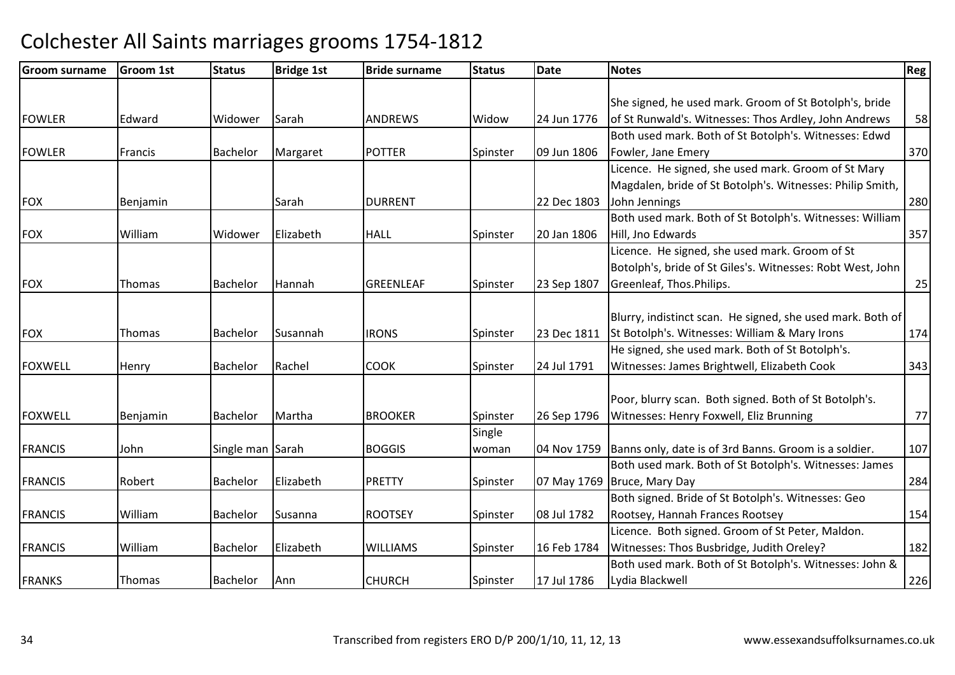| <b>Groom surname</b> | <b>Groom 1st</b> | <b>Status</b>    | <b>Bridge 1st</b> | <b>Bride surname</b> | <b>Status</b> | <b>Date</b> | <b>Notes</b>                                               | Reg |
|----------------------|------------------|------------------|-------------------|----------------------|---------------|-------------|------------------------------------------------------------|-----|
|                      |                  |                  |                   |                      |               |             |                                                            |     |
|                      |                  |                  |                   |                      |               |             | She signed, he used mark. Groom of St Botolph's, bride     |     |
| <b>FOWLER</b>        | Edward           | Widower          | Sarah             | <b>ANDREWS</b>       | Widow         | 24 Jun 1776 | of St Runwald's. Witnesses: Thos Ardley, John Andrews      | 58  |
|                      |                  |                  |                   |                      |               |             | Both used mark. Both of St Botolph's. Witnesses: Edwd      |     |
| <b>FOWLER</b>        | Francis          | <b>Bachelor</b>  | Margaret          | <b>POTTER</b>        | Spinster      | 09 Jun 1806 | Fowler, Jane Emery                                         | 370 |
|                      |                  |                  |                   |                      |               |             | Licence. He signed, she used mark. Groom of St Mary        |     |
|                      |                  |                  |                   |                      |               |             | Magdalen, bride of St Botolph's. Witnesses: Philip Smith,  |     |
| <b>FOX</b>           | Benjamin         |                  | Sarah             | <b>DURRENT</b>       |               | 22 Dec 1803 | John Jennings                                              | 280 |
|                      |                  |                  |                   |                      |               |             | Both used mark. Both of St Botolph's. Witnesses: William   |     |
| <b>FOX</b>           | William          | Widower          | Elizabeth         | <b>HALL</b>          | Spinster      | 20 Jan 1806 | Hill, Jno Edwards                                          | 357 |
|                      |                  |                  |                   |                      |               |             | Licence. He signed, she used mark. Groom of St             |     |
|                      |                  |                  |                   |                      |               |             | Botolph's, bride of St Giles's. Witnesses: Robt West, John |     |
| <b>FOX</b>           | Thomas           | <b>Bachelor</b>  | Hannah            | <b>GREENLEAF</b>     | Spinster      | 23 Sep 1807 | Greenleaf, Thos.Philips.                                   | 25  |
|                      |                  |                  |                   |                      |               |             |                                                            |     |
|                      |                  |                  |                   |                      |               |             | Blurry, indistinct scan. He signed, she used mark. Both of |     |
| <b>FOX</b>           | Thomas           | Bachelor         | Susannah          | <b>IRONS</b>         | Spinster      | 23 Dec 1811 | St Botolph's. Witnesses: William & Mary Irons              | 174 |
|                      |                  |                  |                   |                      |               |             | He signed, she used mark. Both of St Botolph's.            |     |
| <b>FOXWELL</b>       | Henry            | <b>Bachelor</b>  | Rachel            | <b>COOK</b>          | Spinster      | 24 Jul 1791 | Witnesses: James Brightwell, Elizabeth Cook                | 343 |
|                      |                  |                  |                   |                      |               |             |                                                            |     |
|                      |                  |                  |                   |                      |               |             | Poor, blurry scan. Both signed. Both of St Botolph's.      |     |
| <b>FOXWELL</b>       | Benjamin         | Bachelor         | Martha            | <b>BROOKER</b>       | Spinster      | 26 Sep 1796 | Witnesses: Henry Foxwell, Eliz Brunning                    | 77  |
|                      |                  |                  |                   |                      | Single        |             |                                                            |     |
| <b>FRANCIS</b>       | John             | Single man Sarah |                   | <b>BOGGIS</b>        | woman         | 04 Nov 1759 | Banns only, date is of 3rd Banns. Groom is a soldier.      | 107 |
|                      |                  |                  |                   |                      |               |             | Both used mark. Both of St Botolph's. Witnesses: James     |     |
| <b>FRANCIS</b>       | Robert           | Bachelor         | Elizabeth         | <b>PRETTY</b>        | Spinster      | 07 May 1769 | Bruce, Mary Day                                            | 284 |
|                      |                  |                  |                   |                      |               |             | Both signed. Bride of St Botolph's. Witnesses: Geo         |     |
| <b>FRANCIS</b>       | William          | Bachelor         | Susanna           | <b>ROOTSEY</b>       | Spinster      | 08 Jul 1782 | Rootsey, Hannah Frances Rootsey                            | 154 |
|                      |                  |                  |                   |                      |               |             | Licence. Both signed. Groom of St Peter, Maldon.           |     |
| <b>FRANCIS</b>       | William          | <b>Bachelor</b>  | Elizabeth         | <b>WILLIAMS</b>      | Spinster      | 16 Feb 1784 | Witnesses: Thos Busbridge, Judith Oreley?                  | 182 |
|                      |                  |                  |                   |                      |               |             | Both used mark. Both of St Botolph's. Witnesses: John &    |     |
| <b>FRANKS</b>        | Thomas           | <b>Bachelor</b>  | Ann               | <b>CHURCH</b>        | Spinster      | 17 Jul 1786 | Lydia Blackwell                                            | 226 |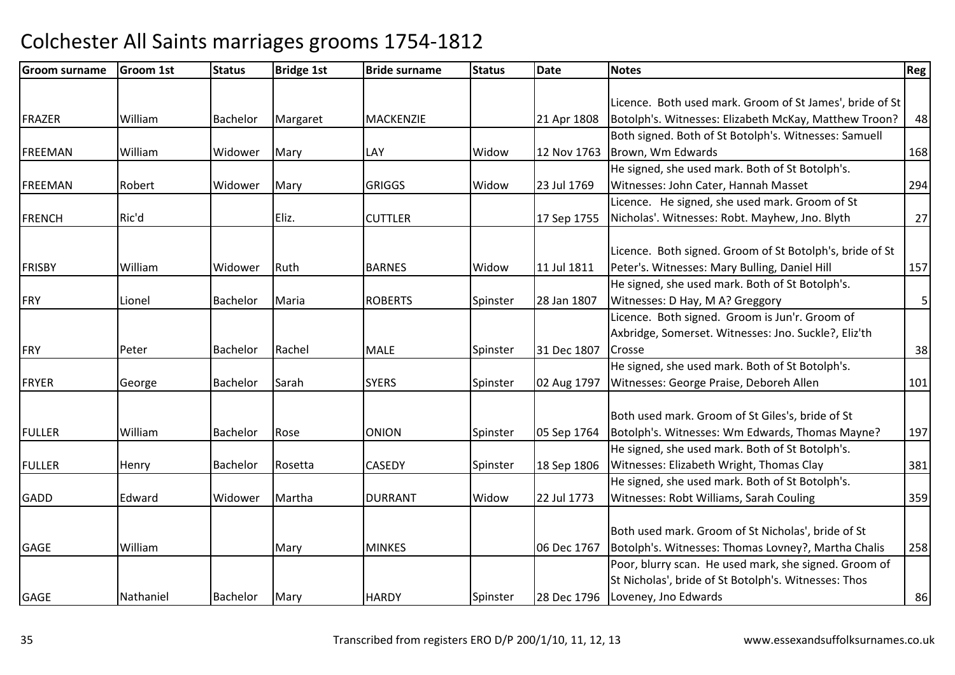| <b>Groom surname</b> | Groom 1st | <b>Status</b>   | <b>Bridge 1st</b> | <b>Bride surname</b> | <b>Status</b> | <b>Date</b> | <b>Notes</b>                                             | Reg |
|----------------------|-----------|-----------------|-------------------|----------------------|---------------|-------------|----------------------------------------------------------|-----|
|                      |           |                 |                   |                      |               |             |                                                          |     |
|                      |           |                 |                   |                      |               |             | Licence. Both used mark. Groom of St James', bride of St |     |
| <b>FRAZER</b>        | William   | <b>Bachelor</b> | Margaret          | <b>MACKENZIE</b>     |               | 21 Apr 1808 | Botolph's. Witnesses: Elizabeth McKay, Matthew Troon?    | 48  |
|                      |           |                 |                   |                      |               |             | Both signed. Both of St Botolph's. Witnesses: Samuell    |     |
| <b>FREEMAN</b>       | William   | Widower         | Mary              | LAY                  | Widow         | 12 Nov 1763 | Brown, Wm Edwards                                        | 168 |
|                      |           |                 |                   |                      |               |             | He signed, she used mark. Both of St Botolph's.          |     |
| <b>FREEMAN</b>       | Robert    | Widower         | Mary              | <b>GRIGGS</b>        | Widow         | 23 Jul 1769 | Witnesses: John Cater, Hannah Masset                     | 294 |
|                      |           |                 |                   |                      |               |             | Licence. He signed, she used mark. Groom of St           |     |
| <b>FRENCH</b>        | Ric'd     |                 | Eliz.             | <b>CUTTLER</b>       |               | 17 Sep 1755 | Nicholas'. Witnesses: Robt. Mayhew, Jno. Blyth           | 27  |
|                      |           |                 |                   |                      |               |             |                                                          |     |
|                      |           |                 |                   |                      |               |             | Licence. Both signed. Groom of St Botolph's, bride of St |     |
| <b>FRISBY</b>        | William   | Widower         | Ruth              | <b>BARNES</b>        | Widow         | 11 Jul 1811 | Peter's. Witnesses: Mary Bulling, Daniel Hill            | 157 |
|                      |           |                 |                   |                      |               |             | He signed, she used mark. Both of St Botolph's.          |     |
| <b>FRY</b>           | Lionel    | <b>Bachelor</b> | Maria             | <b>ROBERTS</b>       | Spinster      | 28 Jan 1807 | Witnesses: D Hay, M A? Greggory                          | 5   |
|                      |           |                 |                   |                      |               |             | Licence. Both signed. Groom is Jun'r. Groom of           |     |
|                      |           |                 |                   |                      |               |             | Axbridge, Somerset. Witnesses: Jno. Suckle?, Eliz'th     |     |
| FRY                  | Peter     | <b>Bachelor</b> | Rachel            | <b>MALE</b>          | Spinster      | 31 Dec 1807 | Crosse                                                   | 38  |
|                      |           |                 |                   |                      |               |             | He signed, she used mark. Both of St Botolph's.          |     |
| <b>FRYER</b>         | George    | Bachelor        | Sarah             | <b>SYERS</b>         | Spinster      | 02 Aug 1797 | Witnesses: George Praise, Deboreh Allen                  | 101 |
|                      |           |                 |                   |                      |               |             |                                                          |     |
|                      |           |                 |                   |                      |               |             | Both used mark. Groom of St Giles's, bride of St         |     |
| <b>FULLER</b>        | William   | Bachelor        | Rose              | <b>ONION</b>         | Spinster      | 05 Sep 1764 | Botolph's. Witnesses: Wm Edwards, Thomas Mayne?          | 197 |
|                      |           |                 |                   |                      |               |             | He signed, she used mark. Both of St Botolph's.          |     |
| <b>FULLER</b>        | Henry     | Bachelor        | Rosetta           | CASEDY               | Spinster      | 18 Sep 1806 | Witnesses: Elizabeth Wright, Thomas Clay                 | 381 |
|                      |           |                 |                   |                      |               |             | He signed, she used mark. Both of St Botolph's.          |     |
| <b>GADD</b>          | Edward    | Widower         | Martha            | <b>DURRANT</b>       | Widow         | 22 Jul 1773 | Witnesses: Robt Williams, Sarah Couling                  | 359 |
|                      |           |                 |                   |                      |               |             |                                                          |     |
|                      |           |                 |                   |                      |               |             | Both used mark. Groom of St Nicholas', bride of St       |     |
| <b>GAGE</b>          | William   |                 | Mary              | <b>MINKES</b>        |               | 06 Dec 1767 | Botolph's. Witnesses: Thomas Lovney?, Martha Chalis      | 258 |
|                      |           |                 |                   |                      |               |             | Poor, blurry scan. He used mark, she signed. Groom of    |     |
|                      |           |                 |                   |                      |               |             | St Nicholas', bride of St Botolph's. Witnesses: Thos     |     |
| GAGE                 | Nathaniel | <b>Bachelor</b> | Mary              | <b>HARDY</b>         | Spinster      | 28 Dec 1796 | Loveney, Jno Edwards                                     | 86  |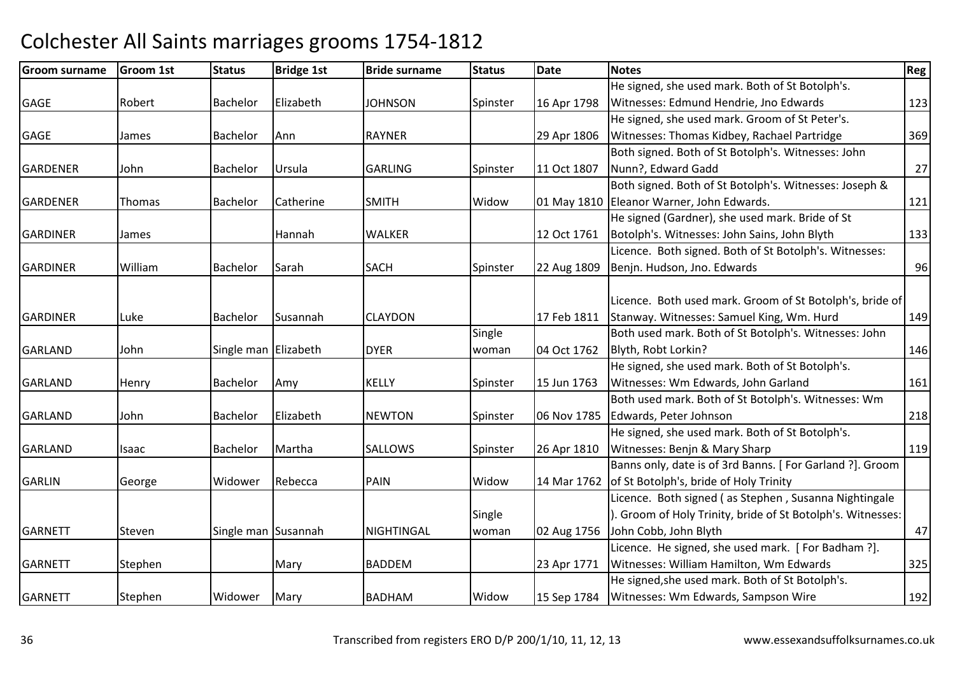| <b>Groom surname</b> | Groom 1st | <b>Status</b>        | <b>Bridge 1st</b> | <b>Bride surname</b> | <b>Status</b> | <b>Date</b> | <b>Notes</b>                                                | Reg |
|----------------------|-----------|----------------------|-------------------|----------------------|---------------|-------------|-------------------------------------------------------------|-----|
|                      |           |                      |                   |                      |               |             | He signed, she used mark. Both of St Botolph's.             |     |
| <b>GAGE</b>          | Robert    | <b>Bachelor</b>      | Elizabeth         | <b>JOHNSON</b>       | Spinster      | 16 Apr 1798 | Witnesses: Edmund Hendrie, Jno Edwards                      | 123 |
|                      |           |                      |                   |                      |               |             | He signed, she used mark. Groom of St Peter's.              |     |
| <b>GAGE</b>          | James     | Bachelor             | Ann               | <b>RAYNER</b>        |               | 29 Apr 1806 | Witnesses: Thomas Kidbey, Rachael Partridge                 | 369 |
|                      |           |                      |                   |                      |               |             | Both signed. Both of St Botolph's. Witnesses: John          |     |
| <b>GARDENER</b>      | John      | <b>Bachelor</b>      | Ursula            | <b>GARLING</b>       | Spinster      | 11 Oct 1807 | Nunn?, Edward Gadd                                          | 27  |
|                      |           |                      |                   |                      |               |             | Both signed. Both of St Botolph's. Witnesses: Joseph &      |     |
| <b>GARDENER</b>      | Thomas    | <b>Bachelor</b>      | Catherine         | <b>SMITH</b>         | Widow         |             | 01 May 1810 Eleanor Warner, John Edwards.                   | 121 |
|                      |           |                      |                   |                      |               |             | He signed (Gardner), she used mark. Bride of St             |     |
| <b>GARDINER</b>      | James     |                      | Hannah            | <b>WALKER</b>        |               | 12 Oct 1761 | Botolph's. Witnesses: John Sains, John Blyth                | 133 |
|                      |           |                      |                   |                      |               |             | Licence. Both signed. Both of St Botolph's. Witnesses:      |     |
| <b>GARDINER</b>      | William   | Bachelor             | Sarah             | <b>SACH</b>          | Spinster      | 22 Aug 1809 | Benjn. Hudson, Jno. Edwards                                 | 96  |
|                      |           |                      |                   |                      |               |             |                                                             |     |
|                      |           |                      |                   |                      |               |             | Licence. Both used mark. Groom of St Botolph's, bride of    |     |
| <b>GARDINER</b>      | Luke      | Bachelor             | Susannah          | <b>CLAYDON</b>       |               | 17 Feb 1811 | Stanway. Witnesses: Samuel King, Wm. Hurd                   | 149 |
|                      |           |                      |                   |                      | Single        |             | Both used mark. Both of St Botolph's. Witnesses: John       |     |
| <b>GARLAND</b>       | John      | Single man Elizabeth |                   | <b>DYER</b>          | woman         | 04 Oct 1762 | Blyth, Robt Lorkin?                                         | 146 |
|                      |           |                      |                   |                      |               |             | He signed, she used mark. Both of St Botolph's.             |     |
| <b>GARLAND</b>       | Henry     | Bachelor             | Amy               | <b>KELLY</b>         | Spinster      | 15 Jun 1763 | Witnesses: Wm Edwards, John Garland                         | 161 |
|                      |           |                      |                   |                      |               |             | Both used mark. Both of St Botolph's. Witnesses: Wm         |     |
| <b>GARLAND</b>       | John      | Bachelor             | Elizabeth         | <b>NEWTON</b>        | Spinster      | 06 Nov 1785 | Edwards, Peter Johnson                                      | 218 |
|                      |           |                      |                   |                      |               |             | He signed, she used mark. Both of St Botolph's.             |     |
| <b>GARLAND</b>       | Isaac     | <b>Bachelor</b>      | Martha            | <b>SALLOWS</b>       | Spinster      | 26 Apr 1810 | Witnesses: Benjn & Mary Sharp                               | 119 |
|                      |           |                      |                   |                      |               |             | Banns only, date is of 3rd Banns. [For Garland ?]. Groom    |     |
| <b>GARLIN</b>        | George    | Widower              | Rebecca           | <b>PAIN</b>          | Widow         | 14 Mar 1762 | of St Botolph's, bride of Holy Trinity                      |     |
|                      |           |                      |                   |                      |               |             | Licence. Both signed (as Stephen, Susanna Nightingale       |     |
|                      |           |                      |                   |                      | Single        |             | ). Groom of Holy Trinity, bride of St Botolph's. Witnesses: |     |
| <b>GARNETT</b>       | Steven    | Single man Susannah  |                   | <b>NIGHTINGAL</b>    | woman         | 02 Aug 1756 | John Cobb, John Blyth                                       | 47  |
|                      |           |                      |                   |                      |               |             | Licence. He signed, she used mark. [For Badham ?].          |     |
| <b>GARNETT</b>       | Stephen   |                      | Mary              | <b>BADDEM</b>        |               | 23 Apr 1771 | Witnesses: William Hamilton, Wm Edwards                     | 325 |
|                      |           |                      |                   |                      |               |             | He signed, she used mark. Both of St Botolph's.             |     |
| <b>GARNETT</b>       | Stephen   | Widower              | Mary              | <b>BADHAM</b>        | Widow         | 15 Sep 1784 | Witnesses: Wm Edwards, Sampson Wire                         | 192 |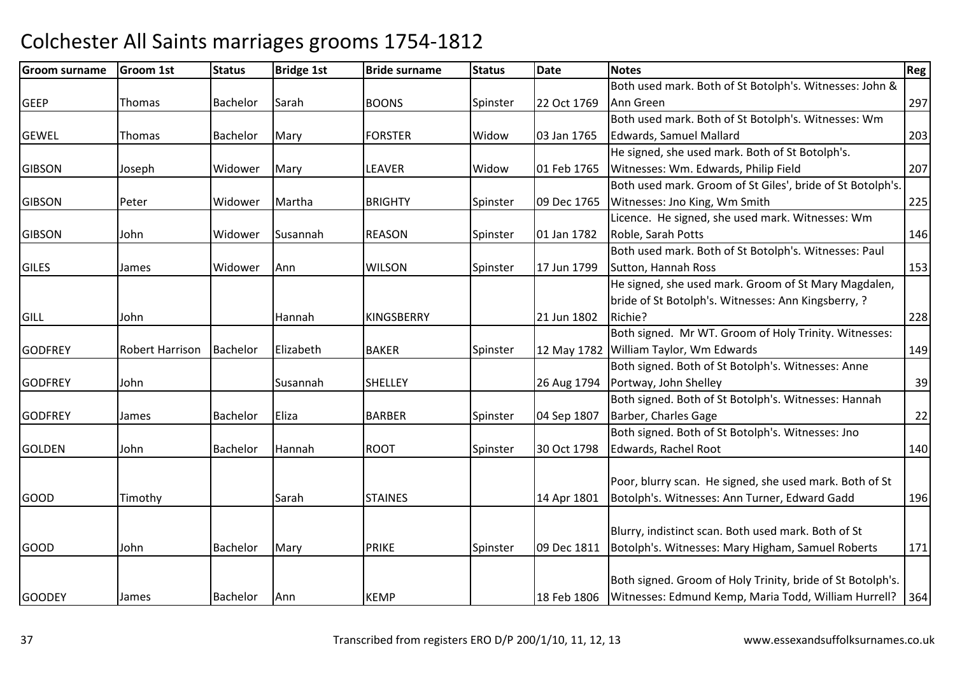| <b>Groom surname</b> | <b>Groom 1st</b>       | <b>Status</b> | <b>Bridge 1st</b> | <b>Bride surname</b> | <b>Status</b> | <b>Date</b> | <b>Notes</b>                                               | Reg |
|----------------------|------------------------|---------------|-------------------|----------------------|---------------|-------------|------------------------------------------------------------|-----|
|                      |                        |               |                   |                      |               |             | Both used mark. Both of St Botolph's. Witnesses: John &    |     |
| <b>GEEP</b>          | Thomas                 | Bachelor      | Sarah             | <b>BOONS</b>         | Spinster      | 22 Oct 1769 | Ann Green                                                  | 297 |
|                      |                        |               |                   |                      |               |             | Both used mark. Both of St Botolph's. Witnesses: Wm        |     |
| <b>GEWEL</b>         | Thomas                 | Bachelor      | Mary              | <b>FORSTER</b>       | Widow         | 03 Jan 1765 | <b>Edwards, Samuel Mallard</b>                             | 203 |
|                      |                        |               |                   |                      |               |             | He signed, she used mark. Both of St Botolph's.            |     |
| <b>GIBSON</b>        | Joseph                 | Widower       | Mary              | LEAVER               | Widow         | 01 Feb 1765 | Witnesses: Wm. Edwards, Philip Field                       | 207 |
|                      |                        |               |                   |                      |               |             | Both used mark. Groom of St Giles', bride of St Botolph's. |     |
| <b>GIBSON</b>        | Peter                  | Widower       | Martha            | <b>BRIGHTY</b>       | Spinster      | 09 Dec 1765 | Witnesses: Jno King, Wm Smith                              | 225 |
|                      |                        |               |                   |                      |               |             | Licence. He signed, she used mark. Witnesses: Wm           |     |
| <b>GIBSON</b>        | John                   | Widower       | Susannah          | <b>REASON</b>        | Spinster      | 01 Jan 1782 | Roble, Sarah Potts                                         | 146 |
|                      |                        |               |                   |                      |               |             | Both used mark. Both of St Botolph's. Witnesses: Paul      |     |
| <b>GILES</b>         | James                  | Widower       | Ann               | <b>WILSON</b>        | Spinster      | 17 Jun 1799 | Sutton, Hannah Ross                                        | 153 |
|                      |                        |               |                   |                      |               |             | He signed, she used mark. Groom of St Mary Magdalen,       |     |
|                      |                        |               |                   |                      |               |             | bride of St Botolph's. Witnesses: Ann Kingsberry, ?        |     |
| <b>GILL</b>          | John                   |               | Hannah            | <b>KINGSBERRY</b>    |               | 21 Jun 1802 | Richie?                                                    | 228 |
|                      |                        |               |                   |                      |               |             | Both signed. Mr WT. Groom of Holy Trinity. Witnesses:      |     |
| <b>GODFREY</b>       | <b>Robert Harrison</b> | Bachelor      | Elizabeth         | <b>BAKER</b>         | Spinster      |             | 12 May 1782 William Taylor, Wm Edwards                     | 149 |
|                      |                        |               |                   |                      |               |             | Both signed. Both of St Botolph's. Witnesses: Anne         |     |
| <b>GODFREY</b>       | John                   |               | Susannah          | <b>SHELLEY</b>       |               | 26 Aug 1794 | Portway, John Shelley                                      | 39  |
|                      |                        |               |                   |                      |               |             | Both signed. Both of St Botolph's. Witnesses: Hannah       |     |
| <b>GODFREY</b>       | James                  | Bachelor      | Eliza             | <b>BARBER</b>        | Spinster      | 04 Sep 1807 | Barber, Charles Gage                                       | 22  |
|                      |                        |               |                   |                      |               |             | Both signed. Both of St Botolph's. Witnesses: Jno          |     |
| <b>GOLDEN</b>        | John                   | Bachelor      | Hannah            | <b>ROOT</b>          | Spinster      | 30 Oct 1798 | Edwards, Rachel Root                                       | 140 |
|                      |                        |               |                   |                      |               |             |                                                            |     |
|                      |                        |               |                   |                      |               |             | Poor, blurry scan. He signed, she used mark. Both of St    |     |
| <b>GOOD</b>          | Timothy                |               | Sarah             | <b>STAINES</b>       |               | 14 Apr 1801 | Botolph's. Witnesses: Ann Turner, Edward Gadd              | 196 |
|                      |                        |               |                   |                      |               |             |                                                            |     |
|                      |                        |               |                   |                      |               |             | Blurry, indistinct scan. Both used mark. Both of St        |     |
| <b>GOOD</b>          | John                   | Bachelor      | Mary              | <b>PRIKE</b>         | Spinster      | 09 Dec 1811 | Botolph's. Witnesses: Mary Higham, Samuel Roberts          | 171 |
|                      |                        |               |                   |                      |               |             |                                                            |     |
|                      |                        |               |                   |                      |               |             | Both signed. Groom of Holy Trinity, bride of St Botolph's. |     |
| <b>GOODEY</b>        | James                  | Bachelor      | Ann               | <b>KEMP</b>          |               | 18 Feb 1806 | Witnesses: Edmund Kemp, Maria Todd, William Hurrell?       | 364 |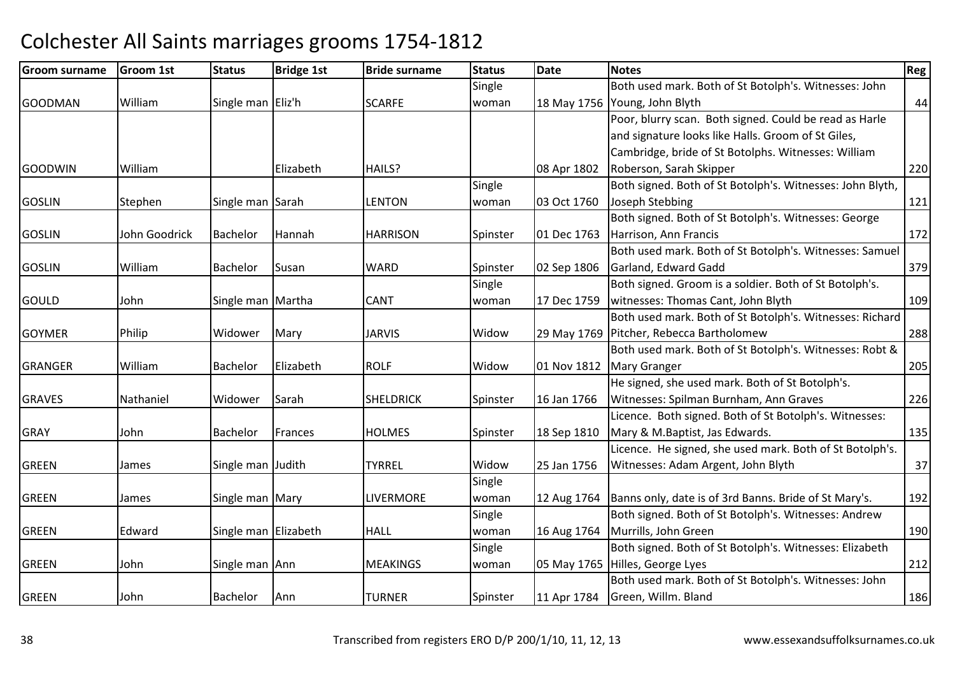| Groom surname  | <b>Groom 1st</b> | <b>Status</b>        | <b>Bridge 1st</b> | <b>Bride surname</b> | <b>Status</b> | <b>Date</b> | <b>Notes</b>                                              | <b>Reg</b> |
|----------------|------------------|----------------------|-------------------|----------------------|---------------|-------------|-----------------------------------------------------------|------------|
|                |                  |                      |                   |                      | Single        |             | Both used mark. Both of St Botolph's. Witnesses: John     |            |
| <b>GOODMAN</b> | William          | Single man Eliz'h    |                   | <b>SCARFE</b>        | woman         | 18 May 1756 | Young, John Blyth                                         | 44         |
|                |                  |                      |                   |                      |               |             | Poor, blurry scan. Both signed. Could be read as Harle    |            |
|                |                  |                      |                   |                      |               |             | and signature looks like Halls. Groom of St Giles,        |            |
|                |                  |                      |                   |                      |               |             | Cambridge, bride of St Botolphs. Witnesses: William       |            |
| <b>GOODWIN</b> | William          |                      | Elizabeth         | HAILS?               |               | 08 Apr 1802 | Roberson, Sarah Skipper                                   | 220        |
|                |                  |                      |                   |                      | Single        |             | Both signed. Both of St Botolph's. Witnesses: John Blyth, |            |
| <b>GOSLIN</b>  | Stephen          | Single man Sarah     |                   | <b>LENTON</b>        | woman         | 03 Oct 1760 | Joseph Stebbing                                           | 121        |
|                |                  |                      |                   |                      |               |             | Both signed. Both of St Botolph's. Witnesses: George      |            |
| <b>GOSLIN</b>  | John Goodrick    | <b>Bachelor</b>      | Hannah            | <b>HARRISON</b>      | Spinster      | 01 Dec 1763 | Harrison, Ann Francis                                     | 172        |
|                |                  |                      |                   |                      |               |             | Both used mark. Both of St Botolph's. Witnesses: Samuel   |            |
| <b>GOSLIN</b>  | William          | Bachelor             | Susan             | <b>WARD</b>          | Spinster      | 02 Sep 1806 | Garland, Edward Gadd                                      | 379        |
|                |                  |                      |                   |                      | Single        |             | Both signed. Groom is a soldier. Both of St Botolph's.    |            |
| <b>GOULD</b>   | John             | Single man Martha    |                   | <b>CANT</b>          | woman         | 17 Dec 1759 | witnesses: Thomas Cant, John Blyth                        | 109        |
|                |                  |                      |                   |                      |               |             | Both used mark. Both of St Botolph's. Witnesses: Richard  |            |
| <b>GOYMER</b>  | Philip           | Widower              | Mary              | <b>JARVIS</b>        | Widow         | 29 May 1769 | Pitcher, Rebecca Bartholomew                              | 288        |
|                |                  |                      |                   |                      |               |             | Both used mark. Both of St Botolph's. Witnesses: Robt &   |            |
| <b>GRANGER</b> | William          | Bachelor             | Elizabeth         | <b>ROLF</b>          | Widow         | 01 Nov 1812 | <b>Mary Granger</b>                                       | 205        |
|                |                  |                      |                   |                      |               |             | He signed, she used mark. Both of St Botolph's.           |            |
| <b>GRAVES</b>  | Nathaniel        | Widower              | Sarah             | <b>SHELDRICK</b>     | Spinster      | 16 Jan 1766 | Witnesses: Spilman Burnham, Ann Graves                    | 226        |
|                |                  |                      |                   |                      |               |             | Licence. Both signed. Both of St Botolph's. Witnesses:    |            |
| <b>GRAY</b>    | John             | Bachelor             | Frances           | <b>HOLMES</b>        | Spinster      | 18 Sep 1810 | Mary & M.Baptist, Jas Edwards.                            | 135        |
|                |                  |                      |                   |                      |               |             | Licence. He signed, she used mark. Both of St Botolph's.  |            |
| <b>GREEN</b>   | James            | Single man Judith    |                   | <b>TYRREL</b>        | Widow         | 25 Jan 1756 | Witnesses: Adam Argent, John Blyth                        | 37         |
|                |                  |                      |                   |                      | Single        |             |                                                           |            |
| <b>GREEN</b>   | James            | Single man Mary      |                   | LIVERMORE            | woman         | 12 Aug 1764 | Banns only, date is of 3rd Banns. Bride of St Mary's.     | 192        |
|                |                  |                      |                   |                      | Single        |             | Both signed. Both of St Botolph's. Witnesses: Andrew      |            |
| <b>GREEN</b>   | Edward           | Single man Elizabeth |                   | <b>HALL</b>          | woman         | 16 Aug 1764 | Murrills, John Green                                      | 190        |
|                |                  |                      |                   |                      | Single        |             | Both signed. Both of St Botolph's. Witnesses: Elizabeth   |            |
| <b>GREEN</b>   | John             | Single man Ann       |                   | <b>MEAKINGS</b>      | woman         |             | 05 May 1765 Hilles, George Lyes                           | 212        |
|                |                  |                      |                   |                      |               |             | Both used mark. Both of St Botolph's. Witnesses: John     |            |
| <b>GREEN</b>   | John             | Bachelor             | Ann               | <b>TURNER</b>        | Spinster      | 11 Apr 1784 | Green, Willm. Bland                                       | 186        |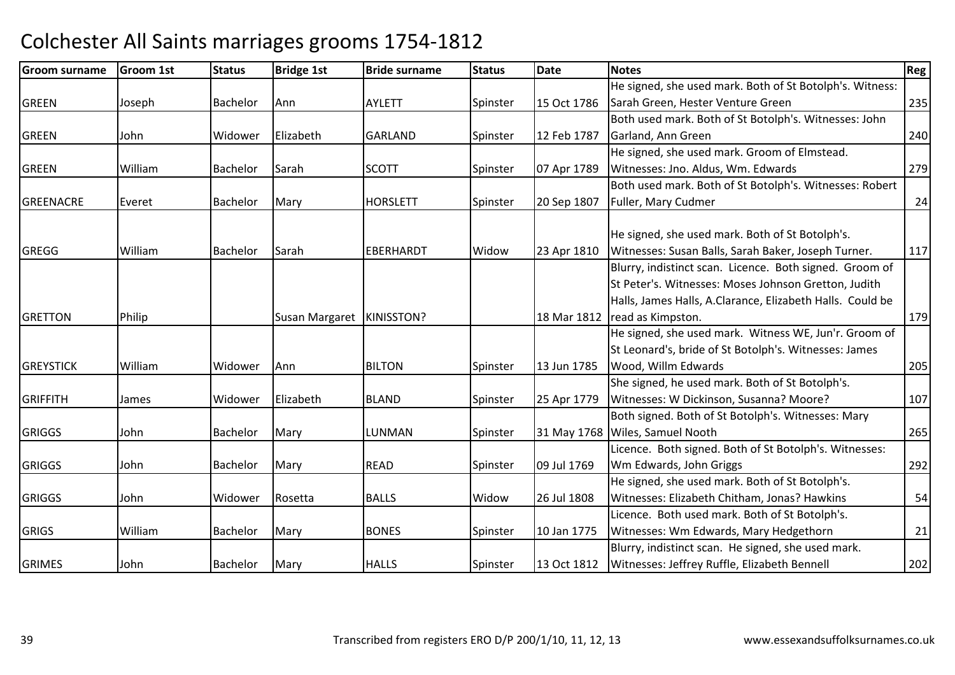| <b>Groom surname</b> | Groom 1st | <b>Status</b>   | <b>Bridge 1st</b>           | <b>Bride surname</b> | <b>Status</b> | <b>Date</b> | <b>Notes</b>                                              | Reg |
|----------------------|-----------|-----------------|-----------------------------|----------------------|---------------|-------------|-----------------------------------------------------------|-----|
|                      |           |                 |                             |                      |               |             | He signed, she used mark. Both of St Botolph's. Witness:  |     |
| <b>GREEN</b>         | Joseph    | Bachelor        | Ann                         | <b>AYLETT</b>        | Spinster      | 15 Oct 1786 | Sarah Green, Hester Venture Green                         | 235 |
|                      |           |                 |                             |                      |               |             | Both used mark. Both of St Botolph's. Witnesses: John     |     |
| <b>GREEN</b>         | John      | Widower         | Elizabeth                   | <b>GARLAND</b>       | Spinster      | 12 Feb 1787 | Garland, Ann Green                                        | 240 |
|                      |           |                 |                             |                      |               |             | He signed, she used mark. Groom of Elmstead.              |     |
| <b>GREEN</b>         | William   | Bachelor        | Sarah                       | <b>SCOTT</b>         | Spinster      | 07 Apr 1789 | Witnesses: Jno. Aldus, Wm. Edwards                        | 279 |
|                      |           |                 |                             |                      |               |             | Both used mark. Both of St Botolph's. Witnesses: Robert   |     |
| <b>GREENACRE</b>     | Everet    | Bachelor        | Mary                        | <b>HORSLETT</b>      | Spinster      | 20 Sep 1807 | Fuller, Mary Cudmer                                       | 24  |
|                      |           |                 |                             |                      |               |             |                                                           |     |
|                      |           |                 |                             |                      |               |             | He signed, she used mark. Both of St Botolph's.           |     |
| <b>GREGG</b>         | William   | <b>Bachelor</b> | Sarah                       | EBERHARDT            | Widow         | 23 Apr 1810 | Witnesses: Susan Balls, Sarah Baker, Joseph Turner.       | 117 |
|                      |           |                 |                             |                      |               |             | Blurry, indistinct scan. Licence. Both signed. Groom of   |     |
|                      |           |                 |                             |                      |               |             | St Peter's. Witnesses: Moses Johnson Gretton, Judith      |     |
|                      |           |                 |                             |                      |               |             | Halls, James Halls, A.Clarance, Elizabeth Halls. Could be |     |
| <b>GRETTON</b>       | Philip    |                 | Susan Margaret   KINISSTON? |                      |               | 18 Mar 1812 | read as Kimpston.                                         | 179 |
|                      |           |                 |                             |                      |               |             | He signed, she used mark. Witness WE, Jun'r. Groom of     |     |
|                      |           |                 |                             |                      |               |             | St Leonard's, bride of St Botolph's. Witnesses: James     |     |
| <b>GREYSTICK</b>     | William   | Widower         | Ann                         | <b>BILTON</b>        | Spinster      | 13 Jun 1785 | Wood, Willm Edwards                                       | 205 |
|                      |           |                 |                             |                      |               |             | She signed, he used mark. Both of St Botolph's.           |     |
| <b>GRIFFITH</b>      | James     | Widower         | Elizabeth                   | <b>BLAND</b>         | Spinster      | 25 Apr 1779 | Witnesses: W Dickinson, Susanna? Moore?                   | 107 |
|                      |           |                 |                             |                      |               |             | Both signed. Both of St Botolph's. Witnesses: Mary        |     |
| <b>GRIGGS</b>        | John      | Bachelor        | Mary                        | LUNMAN               | Spinster      | 31 May 1768 | Wiles, Samuel Nooth                                       | 265 |
|                      |           |                 |                             |                      |               |             | Licence. Both signed. Both of St Botolph's. Witnesses:    |     |
| <b>GRIGGS</b>        | John      | Bachelor        | Mary                        | <b>READ</b>          | Spinster      | 09 Jul 1769 | Wm Edwards, John Griggs                                   | 292 |
|                      |           |                 |                             |                      |               |             | He signed, she used mark. Both of St Botolph's.           |     |
| <b>GRIGGS</b>        | John      | Widower         | Rosetta                     | <b>BALLS</b>         | Widow         | 26 Jul 1808 | Witnesses: Elizabeth Chitham, Jonas? Hawkins              | 54  |
|                      |           |                 |                             |                      |               |             | Licence. Both used mark. Both of St Botolph's.            |     |
| <b>GRIGS</b>         | William   | Bachelor        | Mary                        | <b>BONES</b>         | Spinster      | 10 Jan 1775 | Witnesses: Wm Edwards, Mary Hedgethorn                    | 21  |
|                      |           |                 |                             |                      |               |             | Blurry, indistinct scan. He signed, she used mark.        |     |
| <b>GRIMES</b>        | John      | Bachelor        | Mary                        | <b>HALLS</b>         | Spinster      | 13 Oct 1812 | Witnesses: Jeffrey Ruffle, Elizabeth Bennell              | 202 |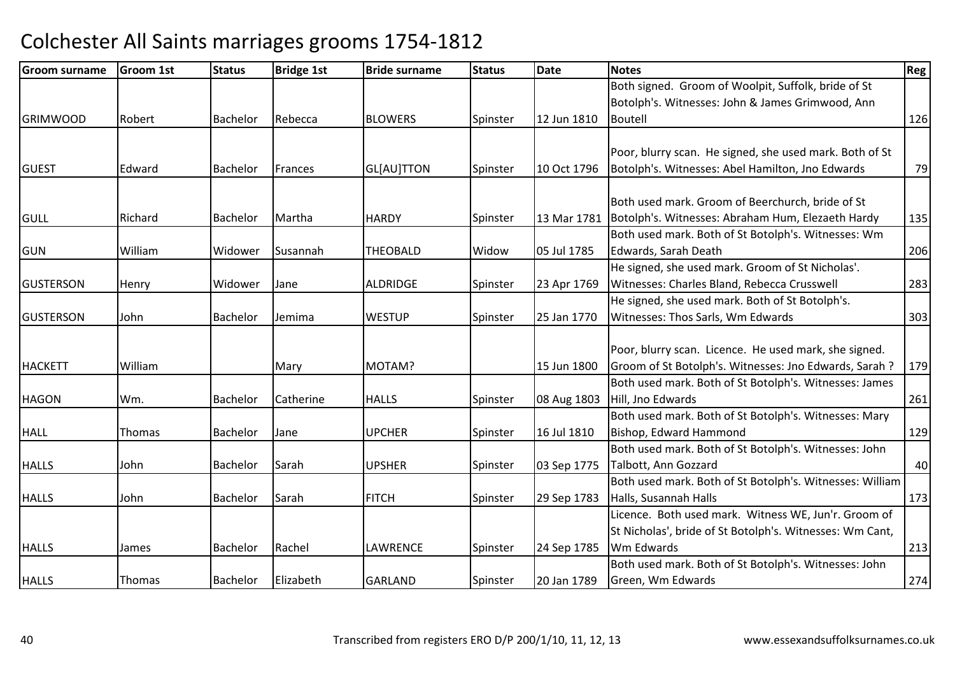| <b>Groom surname</b> | <b>Groom 1st</b> | <b>Status</b>   | <b>Bridge 1st</b> | <b>Bride surname</b> | <b>Status</b> | <b>Date</b> | <b>Notes</b>                                             | Reg |
|----------------------|------------------|-----------------|-------------------|----------------------|---------------|-------------|----------------------------------------------------------|-----|
|                      |                  |                 |                   |                      |               |             | Both signed. Groom of Woolpit, Suffolk, bride of St      |     |
|                      |                  |                 |                   |                      |               |             | Botolph's. Witnesses: John & James Grimwood, Ann         |     |
| <b>GRIMWOOD</b>      | Robert           | Bachelor        | Rebecca           | <b>BLOWERS</b>       | Spinster      | 12 Jun 1810 | <b>Boutell</b>                                           | 126 |
|                      |                  |                 |                   |                      |               |             |                                                          |     |
|                      |                  |                 |                   |                      |               |             | Poor, blurry scan. He signed, she used mark. Both of St  |     |
| <b>GUEST</b>         | Edward           | Bachelor        | Frances           | GL[AU]TTON           | Spinster      | 10 Oct 1796 | Botolph's. Witnesses: Abel Hamilton, Jno Edwards         | 79  |
|                      |                  |                 |                   |                      |               |             |                                                          |     |
|                      |                  |                 |                   |                      |               |             | Both used mark. Groom of Beerchurch, bride of St         |     |
| <b>GULL</b>          | Richard          | Bachelor        | Martha            | <b>HARDY</b>         | Spinster      | 13 Mar 1781 | Botolph's. Witnesses: Abraham Hum, Elezaeth Hardy        | 135 |
|                      |                  |                 |                   |                      |               |             | Both used mark. Both of St Botolph's. Witnesses: Wm      |     |
| <b>GUN</b>           | William          | Widower         | Susannah          | <b>THEOBALD</b>      | Widow         | 05 Jul 1785 | Edwards, Sarah Death                                     | 206 |
|                      |                  |                 |                   |                      |               |             | He signed, she used mark. Groom of St Nicholas'.         |     |
| <b>GUSTERSON</b>     | Henry            | Widower         | <b>Jane</b>       | <b>ALDRIDGE</b>      | Spinster      | 23 Apr 1769 | Witnesses: Charles Bland, Rebecca Crusswell              | 283 |
|                      |                  |                 |                   |                      |               |             | He signed, she used mark. Both of St Botolph's.          |     |
| <b>GUSTERSON</b>     | John             | <b>Bachelor</b> | Jemima            | <b>WESTUP</b>        | Spinster      | 25 Jan 1770 | Witnesses: Thos Sarls, Wm Edwards                        | 303 |
|                      |                  |                 |                   |                      |               |             |                                                          |     |
|                      |                  |                 |                   |                      |               |             | Poor, blurry scan. Licence. He used mark, she signed.    |     |
| <b>HACKETT</b>       | William          |                 | Mary              | MOTAM?               |               | 15 Jun 1800 | Groom of St Botolph's. Witnesses: Jno Edwards, Sarah ?   | 179 |
|                      |                  |                 |                   |                      |               |             | Both used mark. Both of St Botolph's. Witnesses: James   |     |
| <b>HAGON</b>         | Wm.              | <b>Bachelor</b> | Catherine         | <b>HALLS</b>         | Spinster      | 08 Aug 1803 | Hill, Jno Edwards                                        | 261 |
|                      |                  |                 |                   |                      |               |             | Both used mark. Both of St Botolph's. Witnesses: Mary    |     |
| <b>HALL</b>          | Thomas           | <b>Bachelor</b> | Jane              | <b>UPCHER</b>        | Spinster      | 16 Jul 1810 | Bishop, Edward Hammond                                   | 129 |
|                      |                  |                 |                   |                      |               |             | Both used mark. Both of St Botolph's. Witnesses: John    |     |
| <b>HALLS</b>         | John             | <b>Bachelor</b> | Sarah             | <b>UPSHER</b>        | Spinster      | 03 Sep 1775 | Talbott, Ann Gozzard                                     | 40  |
|                      |                  |                 |                   |                      |               |             | Both used mark. Both of St Botolph's. Witnesses: William |     |
| <b>HALLS</b>         | John             | <b>Bachelor</b> | Sarah             | <b>FITCH</b>         | Spinster      | 29 Sep 1783 | Halls, Susannah Halls                                    | 173 |
|                      |                  |                 |                   |                      |               |             | Licence. Both used mark. Witness WE, Jun'r. Groom of     |     |
|                      |                  |                 |                   |                      |               |             | St Nicholas', bride of St Botolph's. Witnesses: Wm Cant, |     |
| <b>HALLS</b>         | James            | Bachelor        | Rachel            | <b>LAWRENCE</b>      | Spinster      | 24 Sep 1785 | Wm Edwards                                               | 213 |
|                      |                  |                 |                   |                      |               |             | Both used mark. Both of St Botolph's. Witnesses: John    |     |
| <b>HALLS</b>         | Thomas           | <b>Bachelor</b> | Elizabeth         | <b>GARLAND</b>       | Spinster      | 20 Jan 1789 | Green, Wm Edwards                                        | 274 |
|                      |                  |                 |                   |                      |               |             |                                                          |     |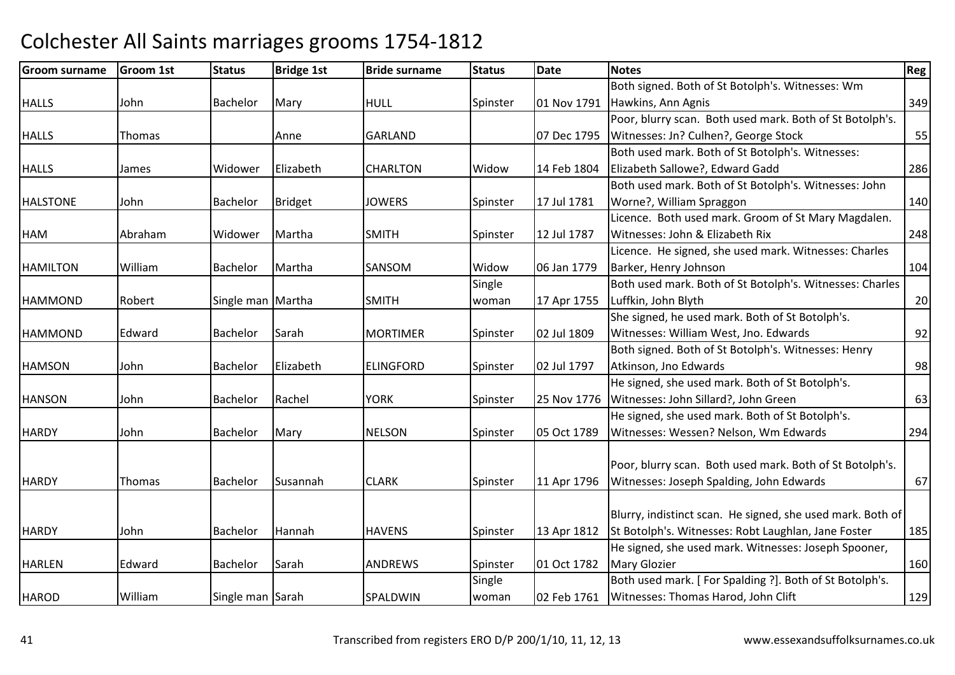| Groom surname   | Groom 1st | <b>Status</b>     | <b>Bridge 1st</b> | <b>Bride surname</b> | <b>Status</b> | Date        | <b>Notes</b>                                               | Reg |
|-----------------|-----------|-------------------|-------------------|----------------------|---------------|-------------|------------------------------------------------------------|-----|
|                 |           |                   |                   |                      |               |             | Both signed. Both of St Botolph's. Witnesses: Wm           |     |
| <b>HALLS</b>    | John      | <b>Bachelor</b>   | Mary              | <b>HULL</b>          | Spinster      |             | 01 Nov 1791 Hawkins, Ann Agnis                             | 349 |
|                 |           |                   |                   |                      |               |             | Poor, blurry scan. Both used mark. Both of St Botolph's.   |     |
| <b>HALLS</b>    | Thomas    |                   | Anne              | <b>GARLAND</b>       |               | 07 Dec 1795 | Witnesses: Jn? Culhen?, George Stock                       | 55  |
|                 |           |                   |                   |                      |               |             | Both used mark. Both of St Botolph's. Witnesses:           |     |
| <b>HALLS</b>    | James     | Widower           | Elizabeth         | <b>CHARLTON</b>      | Widow         | 14 Feb 1804 | Elizabeth Sallowe?, Edward Gadd                            | 286 |
|                 |           |                   |                   |                      |               |             | Both used mark. Both of St Botolph's. Witnesses: John      |     |
| <b>HALSTONE</b> | John      | Bachelor          | Bridget           | <b>JOWERS</b>        | Spinster      | 17 Jul 1781 | Worne?, William Spraggon                                   | 140 |
|                 |           |                   |                   |                      |               |             | Licence. Both used mark. Groom of St Mary Magdalen.        |     |
| <b>HAM</b>      | Abraham   | Widower           | Martha            | <b>SMITH</b>         | Spinster      | 12 Jul 1787 | Witnesses: John & Elizabeth Rix                            | 248 |
|                 |           |                   |                   |                      |               |             | Licence. He signed, she used mark. Witnesses: Charles      |     |
| <b>HAMILTON</b> | William   | Bachelor          | Martha            | SANSOM               | Widow         | 06 Jan 1779 | Barker, Henry Johnson                                      | 104 |
|                 |           |                   |                   |                      | Single        |             | Both used mark. Both of St Botolph's. Witnesses: Charles   |     |
| <b>HAMMOND</b>  | Robert    | Single man Martha |                   | <b>SMITH</b>         | woman         | 17 Apr 1755 | Luffkin, John Blyth                                        | 20  |
|                 |           |                   |                   |                      |               |             | She signed, he used mark. Both of St Botolph's.            |     |
| <b>HAMMOND</b>  | Edward    | Bachelor          | Sarah             | <b>MORTIMER</b>      | Spinster      | 02 Jul 1809 | Witnesses: William West, Jno. Edwards                      | 92  |
|                 |           |                   |                   |                      |               |             | Both signed. Both of St Botolph's. Witnesses: Henry        |     |
| <b>HAMSON</b>   | John      | <b>Bachelor</b>   | Elizabeth         | <b>ELINGFORD</b>     | Spinster      | 02 Jul 1797 | Atkinson, Jno Edwards                                      | 98  |
|                 |           |                   |                   |                      |               |             | He signed, she used mark. Both of St Botolph's.            |     |
| <b>HANSON</b>   | John      | Bachelor          | Rachel            | <b>YORK</b>          | Spinster      | 25 Nov 1776 | Witnesses: John Sillard?, John Green                       | 63  |
|                 |           |                   |                   |                      |               |             | He signed, she used mark. Both of St Botolph's.            |     |
| <b>HARDY</b>    | John      | <b>Bachelor</b>   | Mary              | <b>NELSON</b>        | Spinster      | 05 Oct 1789 | Witnesses: Wessen? Nelson, Wm Edwards                      | 294 |
|                 |           |                   |                   |                      |               |             |                                                            |     |
|                 |           |                   |                   |                      |               |             | Poor, blurry scan. Both used mark. Both of St Botolph's.   |     |
| <b>HARDY</b>    | Thomas    | <b>Bachelor</b>   | Susannah          | <b>CLARK</b>         | Spinster      | 11 Apr 1796 | Witnesses: Joseph Spalding, John Edwards                   | 67  |
|                 |           |                   |                   |                      |               |             |                                                            |     |
|                 |           |                   |                   |                      |               |             | Blurry, indistinct scan. He signed, she used mark. Both of |     |
| <b>HARDY</b>    | John      | Bachelor          | Hannah            | <b>HAVENS</b>        | Spinster      | 13 Apr 1812 | St Botolph's. Witnesses: Robt Laughlan, Jane Foster        | 185 |
|                 |           |                   |                   |                      |               |             | He signed, she used mark. Witnesses: Joseph Spooner,       |     |
| <b>HARLEN</b>   | Edward    | Bachelor          | Sarah             | ANDREWS              | Spinster      | 01 Oct 1782 | <b>Mary Glozier</b>                                        | 160 |
|                 |           |                   |                   |                      | Single        |             | Both used mark. [For Spalding ?]. Both of St Botolph's.    |     |
| <b>HAROD</b>    | William   | Single man Sarah  |                   | SPALDWIN             | woman         | 02 Feb 1761 | Witnesses: Thomas Harod, John Clift                        | 129 |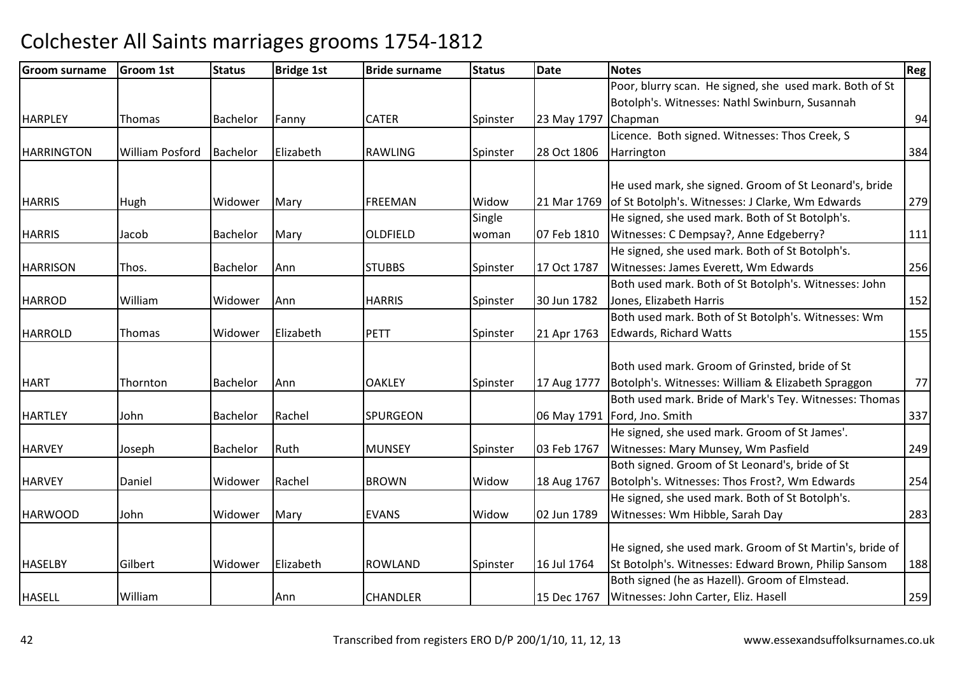| <b>Groom surname</b> | <b>Groom 1st</b>       | <b>Status</b>   | <b>Bridge 1st</b> | <b>Bride surname</b> | <b>Status</b> | Date        | <b>Notes</b>                                             | <b>Reg</b> |
|----------------------|------------------------|-----------------|-------------------|----------------------|---------------|-------------|----------------------------------------------------------|------------|
|                      |                        |                 |                   |                      |               |             | Poor, blurry scan. He signed, she used mark. Both of St  |            |
|                      |                        |                 |                   |                      |               |             | Botolph's. Witnesses: Nathl Swinburn, Susannah           |            |
| <b>HARPLEY</b>       | Thomas                 | Bachelor        | Fanny             | <b>CATER</b>         | Spinster      | 23 May 1797 | Chapman                                                  | 94         |
|                      |                        |                 |                   |                      |               |             | Licence. Both signed. Witnesses: Thos Creek, S           |            |
| <b>HARRINGTON</b>    | <b>William Posford</b> | <b>Bachelor</b> | Elizabeth         | <b>RAWLING</b>       | Spinster      | 28 Oct 1806 | Harrington                                               | 384        |
|                      |                        |                 |                   |                      |               |             |                                                          |            |
|                      |                        |                 |                   |                      |               |             | He used mark, she signed. Groom of St Leonard's, bride   |            |
| <b>HARRIS</b>        | Hugh                   | Widower         | Mary              | <b>FREEMAN</b>       | Widow         | 21 Mar 1769 | of St Botolph's. Witnesses: J Clarke, Wm Edwards         | 279        |
|                      |                        |                 |                   |                      | Single        |             | He signed, she used mark. Both of St Botolph's.          |            |
| <b>HARRIS</b>        | Jacob                  | <b>Bachelor</b> | Mary              | <b>OLDFIELD</b>      | woman         | 07 Feb 1810 | Witnesses: C Dempsay?, Anne Edgeberry?                   | 111        |
|                      |                        |                 |                   |                      |               |             | He signed, she used mark. Both of St Botolph's.          |            |
| <b>HARRISON</b>      | Thos.                  | Bachelor        | Ann               | <b>STUBBS</b>        | Spinster      | 17 Oct 1787 | Witnesses: James Everett, Wm Edwards                     | 256        |
|                      |                        |                 |                   |                      |               |             | Both used mark. Both of St Botolph's. Witnesses: John    |            |
| <b>HARROD</b>        | William                | Widower         | Ann               | <b>HARRIS</b>        | Spinster      | 30 Jun 1782 | Jones, Elizabeth Harris                                  | 152        |
|                      |                        |                 |                   |                      |               |             | Both used mark. Both of St Botolph's. Witnesses: Wm      |            |
| <b>HARROLD</b>       | Thomas                 | Widower         | Elizabeth         | <b>PETT</b>          | Spinster      | 21 Apr 1763 | <b>Edwards, Richard Watts</b>                            | 155        |
|                      |                        |                 |                   |                      |               |             |                                                          |            |
|                      |                        |                 |                   |                      |               |             | Both used mark. Groom of Grinsted, bride of St           |            |
| <b>HART</b>          | Thornton               | Bachelor        | Ann               | <b>OAKLEY</b>        | Spinster      | 17 Aug 1777 | Botolph's. Witnesses: William & Elizabeth Spraggon       | 77         |
|                      |                        |                 |                   |                      |               |             | Both used mark. Bride of Mark's Tey. Witnesses: Thomas   |            |
| <b>HARTLEY</b>       | John                   | <b>Bachelor</b> | Rachel            | <b>SPURGEON</b>      |               | 06 May 1791 | Ford, Jno. Smith                                         | 337        |
|                      |                        |                 |                   |                      |               |             | He signed, she used mark. Groom of St James'.            |            |
| <b>HARVEY</b>        | Joseph                 | Bachelor        | Ruth              | <b>MUNSEY</b>        | Spinster      | 03 Feb 1767 | Witnesses: Mary Munsey, Wm Pasfield                      | 249        |
|                      |                        |                 |                   |                      |               |             | Both signed. Groom of St Leonard's, bride of St          |            |
| <b>HARVEY</b>        | Daniel                 | Widower         | Rachel            | <b>BROWN</b>         | Widow         | 18 Aug 1767 | Botolph's. Witnesses: Thos Frost?, Wm Edwards            | 254        |
|                      |                        |                 |                   |                      |               |             | He signed, she used mark. Both of St Botolph's.          |            |
| <b>HARWOOD</b>       | John                   | Widower         | Mary              | <b>EVANS</b>         | Widow         | 02 Jun 1789 | Witnesses: Wm Hibble, Sarah Day                          | 283        |
|                      |                        |                 |                   |                      |               |             |                                                          |            |
|                      |                        |                 |                   |                      |               |             | He signed, she used mark. Groom of St Martin's, bride of |            |
| <b>HASELBY</b>       | Gilbert                | Widower         | Elizabeth         | <b>ROWLAND</b>       | Spinster      | 16 Jul 1764 | St Botolph's. Witnesses: Edward Brown, Philip Sansom     | 188        |
|                      |                        |                 |                   |                      |               |             | Both signed (he as Hazell). Groom of Elmstead.           |            |
| <b>HASELL</b>        | William                |                 | Ann               | <b>CHANDLER</b>      |               | 15 Dec 1767 | Witnesses: John Carter, Eliz. Hasell                     | 259        |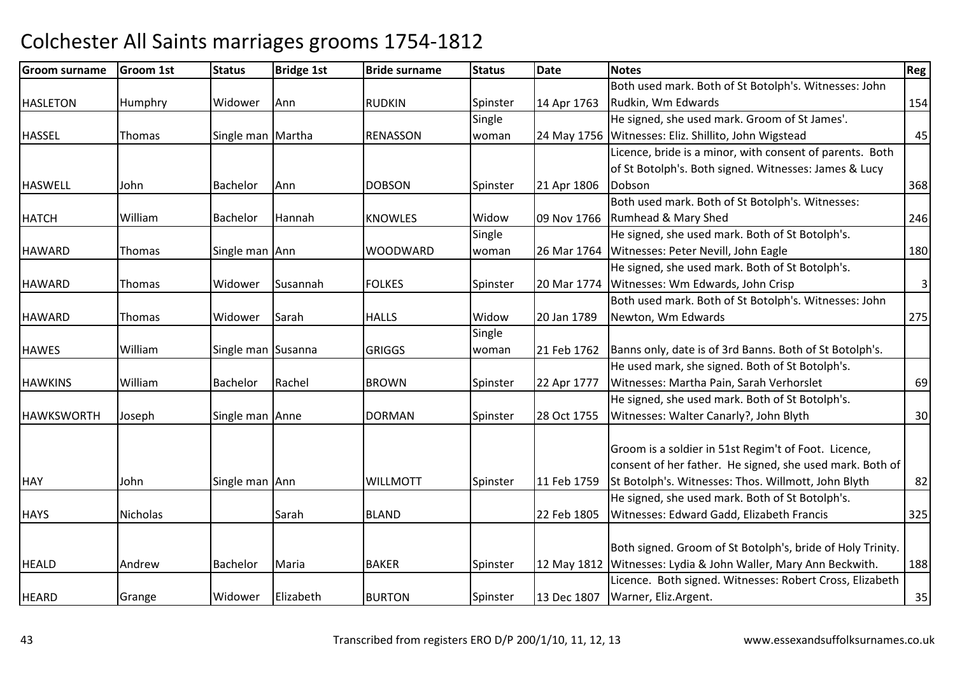| <b>Groom surname</b> | Groom 1st | <b>Status</b>      | <b>Bridge 1st</b> | <b>Bride surname</b> | <b>Status</b> | <b>Date</b> | <b>Notes</b>                                                   | <b>Reg</b>              |
|----------------------|-----------|--------------------|-------------------|----------------------|---------------|-------------|----------------------------------------------------------------|-------------------------|
|                      |           |                    |                   |                      |               |             | Both used mark. Both of St Botolph's. Witnesses: John          |                         |
| <b>HASLETON</b>      | Humphry   | Widower            | Ann               | <b>RUDKIN</b>        | Spinster      | 14 Apr 1763 | Rudkin, Wm Edwards                                             | 154                     |
|                      |           |                    |                   |                      | Single        |             | He signed, she used mark. Groom of St James'.                  |                         |
| <b>HASSEL</b>        | Thomas    | Single man Martha  |                   | <b>RENASSON</b>      | woman         | 24 May 1756 | Witnesses: Eliz. Shillito, John Wigstead                       | 45                      |
|                      |           |                    |                   |                      |               |             | Licence, bride is a minor, with consent of parents. Both       |                         |
|                      |           |                    |                   |                      |               |             | of St Botolph's. Both signed. Witnesses: James & Lucy          |                         |
| <b>HASWELL</b>       | John      | Bachelor           | Ann               | <b>DOBSON</b>        | Spinster      | 21 Apr 1806 | Dobson                                                         | 368                     |
|                      |           |                    |                   |                      |               |             | Both used mark. Both of St Botolph's. Witnesses:               |                         |
| <b>HATCH</b>         | William   | Bachelor           | Hannah            | <b>KNOWLES</b>       | Widow         | 09 Nov 1766 | Rumhead & Mary Shed                                            | 246                     |
|                      |           |                    |                   |                      | Single        |             | He signed, she used mark. Both of St Botolph's.                |                         |
| <b>HAWARD</b>        | Thomas    | Single man Ann     |                   | <b>WOODWARD</b>      | woman         |             | 26 Mar 1764 Witnesses: Peter Nevill, John Eagle                | 180                     |
|                      |           |                    |                   |                      |               |             | He signed, she used mark. Both of St Botolph's.                |                         |
| <b>HAWARD</b>        | Thomas    | Widower            | Susannah          | <b>FOLKES</b>        | Spinster      | 20 Mar 1774 | Witnesses: Wm Edwards, John Crisp                              | $\overline{\mathbf{3}}$ |
|                      |           |                    |                   |                      |               |             | Both used mark. Both of St Botolph's. Witnesses: John          |                         |
| <b>HAWARD</b>        | Thomas    | Widower            | Sarah             | <b>HALLS</b>         | Widow         | 20 Jan 1789 | Newton, Wm Edwards                                             | 275                     |
|                      |           |                    |                   |                      | Single        |             |                                                                |                         |
| <b>HAWES</b>         | William   | Single man Susanna |                   | <b>GRIGGS</b>        | woman         | 21 Feb 1762 | Banns only, date is of 3rd Banns. Both of St Botolph's.        |                         |
|                      |           |                    |                   |                      |               |             | He used mark, she signed. Both of St Botolph's.                |                         |
| <b>HAWKINS</b>       | William   | Bachelor           | Rachel            | <b>BROWN</b>         | Spinster      | 22 Apr 1777 | Witnesses: Martha Pain, Sarah Verhorslet                       | 69                      |
|                      |           |                    |                   |                      |               |             | He signed, she used mark. Both of St Botolph's.                |                         |
| <b>HAWKSWORTH</b>    | Joseph    | Single man Anne    |                   | <b>DORMAN</b>        | Spinster      | 28 Oct 1755 | Witnesses: Walter Canarly?, John Blyth                         | 30                      |
|                      |           |                    |                   |                      |               |             |                                                                |                         |
|                      |           |                    |                   |                      |               |             | Groom is a soldier in 51st Regim't of Foot. Licence,           |                         |
|                      |           |                    |                   |                      |               |             | consent of her father. He signed, she used mark. Both of       |                         |
| <b>HAY</b>           | John      | Single man Ann     |                   | <b>WILLMOTT</b>      | Spinster      | 11 Feb 1759 | St Botolph's. Witnesses: Thos. Willmott, John Blyth            | 82                      |
|                      |           |                    |                   |                      |               |             | He signed, she used mark. Both of St Botolph's.                |                         |
| <b>HAYS</b>          | Nicholas  |                    | Sarah             | <b>BLAND</b>         |               | 22 Feb 1805 | Witnesses: Edward Gadd, Elizabeth Francis                      | 325                     |
|                      |           |                    |                   |                      |               |             |                                                                |                         |
|                      |           |                    |                   |                      |               |             | Both signed. Groom of St Botolph's, bride of Holy Trinity.     |                         |
| <b>HEALD</b>         | Andrew    | Bachelor           | Maria             | <b>BAKER</b>         | Spinster      |             | 12 May 1812 Witnesses: Lydia & John Waller, Mary Ann Beckwith. | 188                     |
|                      |           |                    |                   |                      |               |             | Licence. Both signed. Witnesses: Robert Cross, Elizabeth       |                         |
| <b>HEARD</b>         | Grange    | Widower            | Elizabeth         | <b>BURTON</b>        | Spinster      | 13 Dec 1807 | Warner, Eliz.Argent.                                           | 35                      |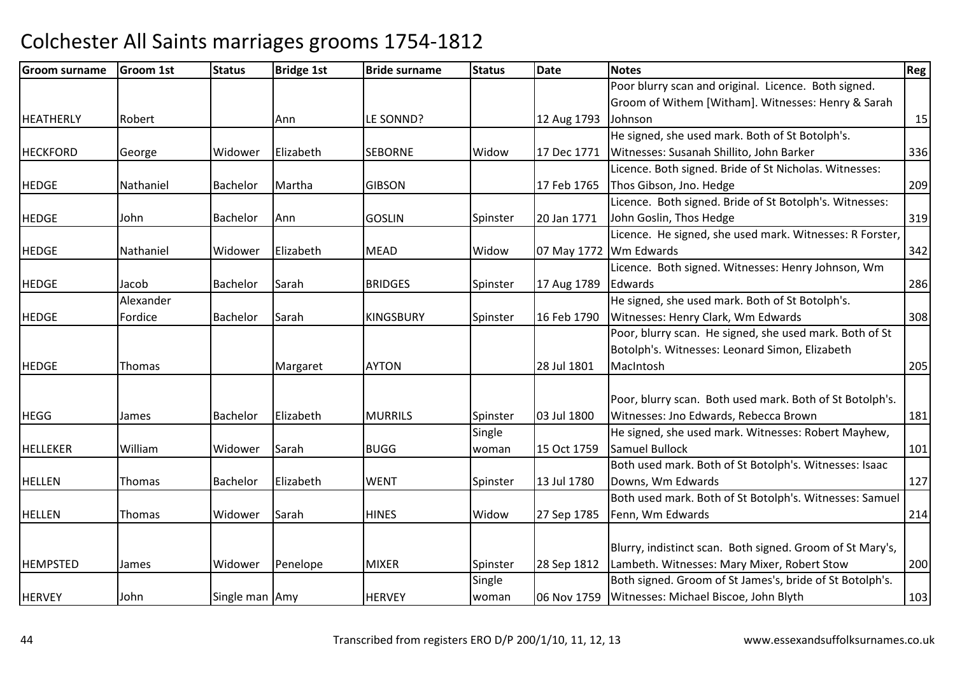| <b>Groom surname</b> | <b>Groom 1st</b> | <b>Status</b>  | <b>Bridge 1st</b> | <b>Bride surname</b> | <b>Status</b> | <b>Date</b> | Notes                                                     | Reg |
|----------------------|------------------|----------------|-------------------|----------------------|---------------|-------------|-----------------------------------------------------------|-----|
|                      |                  |                |                   |                      |               |             | Poor blurry scan and original. Licence. Both signed.      |     |
|                      |                  |                |                   |                      |               |             | Groom of Withem [Witham]. Witnesses: Henry & Sarah        |     |
| HEATHERLY            | Robert           |                | Ann               | LE SONND?            |               | 12 Aug 1793 | Johnson                                                   | 15  |
|                      |                  |                |                   |                      |               |             | He signed, she used mark. Both of St Botolph's.           |     |
| <b>HECKFORD</b>      | George           | Widower        | Elizabeth         | <b>SEBORNE</b>       | Widow         | 17 Dec 1771 | Witnesses: Susanah Shillito, John Barker                  | 336 |
|                      |                  |                |                   |                      |               |             | Licence. Both signed. Bride of St Nicholas. Witnesses:    |     |
| <b>HEDGE</b>         | Nathaniel        | Bachelor       | Martha            | <b>GIBSON</b>        |               | 17 Feb 1765 | Thos Gibson, Jno. Hedge                                   | 209 |
|                      |                  |                |                   |                      |               |             | Licence. Both signed. Bride of St Botolph's. Witnesses:   |     |
| <b>HEDGE</b>         | John             | Bachelor       | Ann               | <b>GOSLIN</b>        | Spinster      | 20 Jan 1771 | John Goslin, Thos Hedge                                   | 319 |
|                      |                  |                |                   |                      |               |             | Licence. He signed, she used mark. Witnesses: R Forster,  |     |
| <b>HEDGE</b>         | Nathaniel        | Widower        | Elizabeth         | <b>MEAD</b>          | Widow         | 07 May 1772 | Wm Edwards                                                | 342 |
|                      |                  |                |                   |                      |               |             | Licence. Both signed. Witnesses: Henry Johnson, Wm        |     |
| <b>HEDGE</b>         | Jacob            | Bachelor       | Sarah             | <b>BRIDGES</b>       | Spinster      | 17 Aug 1789 | Edwards                                                   | 286 |
|                      | Alexander        |                |                   |                      |               |             | He signed, she used mark. Both of St Botolph's.           |     |
| <b>HEDGE</b>         | Fordice          | Bachelor       | Sarah             | <b>KINGSBURY</b>     | Spinster      | 16 Feb 1790 | Witnesses: Henry Clark, Wm Edwards                        | 308 |
|                      |                  |                |                   |                      |               |             | Poor, blurry scan. He signed, she used mark. Both of St   |     |
|                      |                  |                |                   |                      |               |             | Botolph's. Witnesses: Leonard Simon, Elizabeth            |     |
| <b>HEDGE</b>         | Thomas           |                | Margaret          | <b>AYTON</b>         |               | 28 Jul 1801 | MacIntosh                                                 | 205 |
|                      |                  |                |                   |                      |               |             |                                                           |     |
|                      |                  |                |                   |                      |               |             | Poor, blurry scan. Both used mark. Both of St Botolph's.  |     |
| <b>HEGG</b>          | James            | Bachelor       | Elizabeth         | <b>MURRILS</b>       | Spinster      | 03 Jul 1800 | Witnesses: Jno Edwards, Rebecca Brown                     | 181 |
|                      |                  |                |                   |                      | Single        |             | He signed, she used mark. Witnesses: Robert Mayhew,       |     |
| <b>HELLEKER</b>      | William          | Widower        | Sarah             | <b>BUGG</b>          | woman         | 15 Oct 1759 | <b>Samuel Bullock</b>                                     | 101 |
|                      |                  |                |                   |                      |               |             | Both used mark. Both of St Botolph's. Witnesses: Isaac    |     |
| <b>HELLEN</b>        | <b>Thomas</b>    | Bachelor       | Elizabeth         | <b>WENT</b>          | Spinster      | 13 Jul 1780 | Downs, Wm Edwards                                         | 127 |
|                      |                  |                |                   |                      |               |             | Both used mark. Both of St Botolph's. Witnesses: Samuel   |     |
| <b>HELLEN</b>        | Thomas           | Widower        | Sarah             | <b>HINES</b>         | Widow         | 27 Sep 1785 | Fenn, Wm Edwards                                          | 214 |
|                      |                  |                |                   |                      |               |             |                                                           |     |
|                      |                  |                |                   |                      |               |             | Blurry, indistinct scan. Both signed. Groom of St Mary's, |     |
| <b>HEMPSTED</b>      | James            | Widower        | Penelope          | <b>MIXER</b>         | Spinster      | 28 Sep 1812 | Lambeth. Witnesses: Mary Mixer, Robert Stow               | 200 |
|                      |                  |                |                   |                      | Single        |             | Both signed. Groom of St James's, bride of St Botolph's.  |     |
| <b>HERVEY</b>        | John             | Single man Amy |                   | <b>HERVEY</b>        | woman         | 06 Nov 1759 | Witnesses: Michael Biscoe, John Blyth                     | 103 |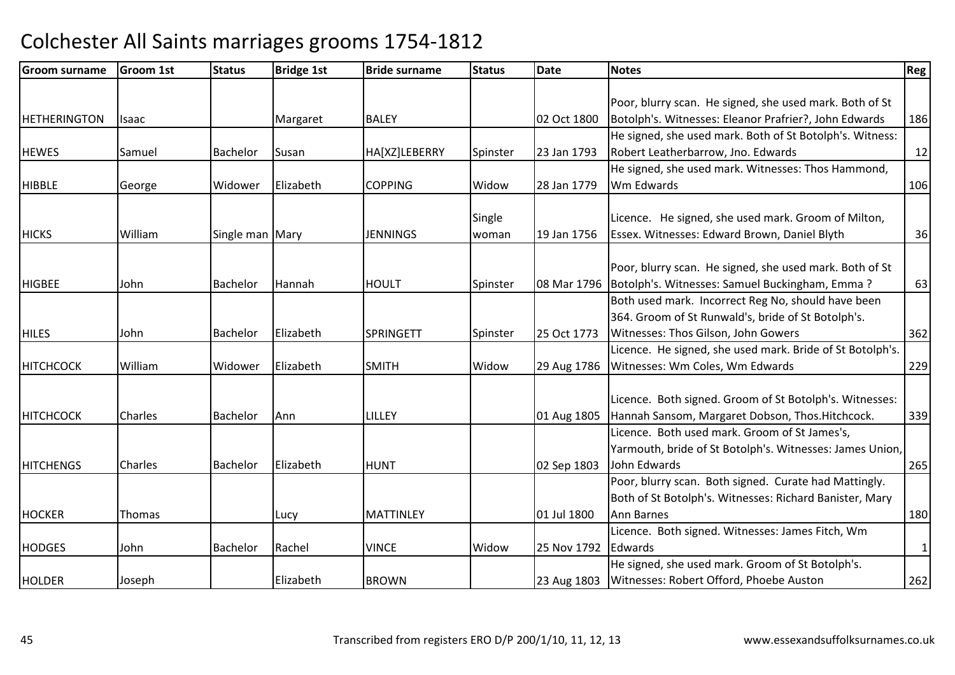| <b>Groom surname</b> | <b>Groom 1st</b> | <b>Status</b>     | <b>Bridge 1st</b> | <b>Bride surname</b> | <b>Status</b> | Date        | <b>Notes</b>                                              | Reg l        |
|----------------------|------------------|-------------------|-------------------|----------------------|---------------|-------------|-----------------------------------------------------------|--------------|
|                      |                  |                   |                   |                      |               |             |                                                           |              |
|                      |                  |                   |                   |                      |               |             | Poor, blurry scan. He signed, she used mark. Both of St   |              |
| <b>HETHERINGTON</b>  | Isaac            |                   | Margaret          | <b>BALEY</b>         |               | 02 Oct 1800 | Botolph's. Witnesses: Eleanor Prafrier?, John Edwards     | 186          |
|                      |                  |                   |                   |                      |               |             | He signed, she used mark. Both of St Botolph's. Witness:  |              |
| <b>HEWES</b>         | Samuel           | Bachelor          | Susan             | HA[XZ]LEBERRY        | Spinster      | 23 Jan 1793 | Robert Leatherbarrow, Jno. Edwards                        | 12           |
|                      |                  |                   |                   |                      |               |             | He signed, she used mark. Witnesses: Thos Hammond,        |              |
| <b>HIBBLE</b>        | George           | Widower           | Elizabeth         | <b>COPPING</b>       | Widow         | 28 Jan 1779 | Wm Edwards                                                | 106          |
|                      |                  |                   |                   |                      |               |             |                                                           |              |
|                      |                  |                   |                   |                      | Single        |             | Licence. He signed, she used mark. Groom of Milton,       |              |
| <b>HICKS</b>         | William          | Single man   Mary |                   | <b>JENNINGS</b>      | woman         | 19 Jan 1756 | Essex. Witnesses: Edward Brown, Daniel Blyth              | 36           |
|                      |                  |                   |                   |                      |               |             |                                                           |              |
|                      |                  |                   |                   |                      |               |             | Poor, blurry scan. He signed, she used mark. Both of St   |              |
| <b>HIGBEE</b>        | John             | <b>Bachelor</b>   | Hannah            | <b>HOULT</b>         | Spinster      | 08 Mar 1796 | Botolph's. Witnesses: Samuel Buckingham, Emma?            | 63           |
|                      |                  |                   |                   |                      |               |             | Both used mark. Incorrect Reg No, should have been        |              |
|                      |                  |                   |                   |                      |               |             | 364. Groom of St Runwald's, bride of St Botolph's.        |              |
| <b>HILES</b>         | John             | Bachelor          | Elizabeth         | <b>SPRINGETT</b>     | Spinster      | 25 Oct 1773 | Witnesses: Thos Gilson, John Gowers                       | 362          |
|                      |                  |                   |                   |                      |               |             | Licence. He signed, she used mark. Bride of St Botolph's. |              |
| HITCHCOCK            | William          | Widower           | Elizabeth         | <b>SMITH</b>         | Widow         | 29 Aug 1786 | Witnesses: Wm Coles, Wm Edwards                           | 229          |
|                      |                  |                   |                   |                      |               |             |                                                           |              |
|                      |                  |                   |                   |                      |               |             | Licence. Both signed. Groom of St Botolph's. Witnesses:   |              |
| <b>HITCHCOCK</b>     | Charles          | Bachelor          | Ann               | LILLEY               |               | 01 Aug 1805 | Hannah Sansom, Margaret Dobson, Thos. Hitchcock.          | 339          |
|                      |                  |                   |                   |                      |               |             | Licence. Both used mark. Groom of St James's,             |              |
|                      |                  |                   |                   |                      |               |             | Yarmouth, bride of St Botolph's. Witnesses: James Union,  |              |
| <b>HITCHENGS</b>     | Charles          | Bachelor          | Elizabeth         | <b>HUNT</b>          |               | 02 Sep 1803 | John Edwards                                              | 265          |
|                      |                  |                   |                   |                      |               |             | Poor, blurry scan. Both signed. Curate had Mattingly.     |              |
|                      |                  |                   |                   |                      |               |             | Both of St Botolph's. Witnesses: Richard Banister, Mary   |              |
| <b>HOCKER</b>        | Thomas           |                   | Lucy              | <b>MATTINLEY</b>     |               | 01 Jul 1800 | Ann Barnes                                                | 180          |
|                      |                  |                   |                   |                      |               |             | Licence. Both signed. Witnesses: James Fitch, Wm          |              |
| <b>HODGES</b>        | John             | Bachelor          | Rachel            | <b>VINCE</b>         | Widow         | 25 Nov 1792 | Edwards                                                   | $\mathbf{1}$ |
|                      |                  |                   |                   |                      |               |             | He signed, she used mark. Groom of St Botolph's.          |              |
| <b>HOLDER</b>        | Joseph           |                   | Elizabeth         | <b>BROWN</b>         |               | 23 Aug 1803 | Witnesses: Robert Offord, Phoebe Auston                   | 262          |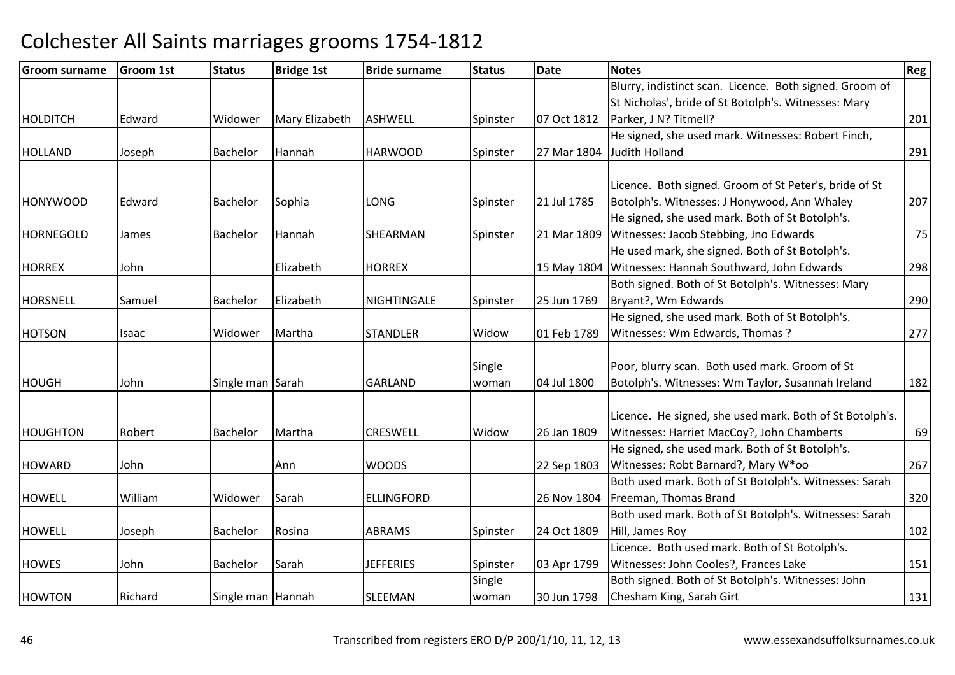| <b>Groom surname</b> | Groom 1st | <b>Status</b>     | <b>Bridge 1st</b> | <b>Bride surname</b> | <b>Status</b> | <b>Date</b> | <b>Notes</b>                                             | Reg! |
|----------------------|-----------|-------------------|-------------------|----------------------|---------------|-------------|----------------------------------------------------------|------|
|                      |           |                   |                   |                      |               |             | Blurry, indistinct scan. Licence. Both signed. Groom of  |      |
|                      |           |                   |                   |                      |               |             | St Nicholas', bride of St Botolph's. Witnesses: Mary     |      |
| HOLDITCH             | Edward    | Widower           | Mary Elizabeth    | <b>ASHWELL</b>       | Spinster      | 07 Oct 1812 | Parker, J N? Titmell?                                    | 201  |
|                      |           |                   |                   |                      |               |             | He signed, she used mark. Witnesses: Robert Finch,       |      |
| <b>HOLLAND</b>       | Joseph    | Bachelor          | Hannah            | <b>HARWOOD</b>       | Spinster      | 27 Mar 1804 | Judith Holland                                           | 291  |
|                      |           |                   |                   |                      |               |             |                                                          |      |
|                      |           |                   |                   |                      |               |             | Licence. Both signed. Groom of St Peter's, bride of St   |      |
| <b>HONYWOOD</b>      | Edward    | Bachelor          | Sophia            | <b>LONG</b>          | Spinster      | 21 Jul 1785 | Botolph's. Witnesses: J Honywood, Ann Whaley             | 207  |
|                      |           |                   |                   |                      |               |             | He signed, she used mark. Both of St Botolph's.          |      |
| HORNEGOLD            | James     | Bachelor          | Hannah            | SHEARMAN             | Spinster      | 21 Mar 1809 | Witnesses: Jacob Stebbing, Jno Edwards                   | 75   |
|                      |           |                   |                   |                      |               |             | He used mark, she signed. Both of St Botolph's.          |      |
| <b>HORREX</b>        | John      |                   | Elizabeth         | <b>HORREX</b>        |               | 15 May 1804 | Witnesses: Hannah Southward, John Edwards                | 298  |
|                      |           |                   |                   |                      |               |             | Both signed. Both of St Botolph's. Witnesses: Mary       |      |
| <b>HORSNELL</b>      | Samuel    | <b>Bachelor</b>   | Elizabeth         | <b>NIGHTINGALE</b>   | Spinster      | 25 Jun 1769 | Bryant?, Wm Edwards                                      | 290  |
|                      |           |                   |                   |                      |               |             | He signed, she used mark. Both of St Botolph's.          |      |
| <b>HOTSON</b>        | Isaac     | Widower           | Martha            | <b>STANDLER</b>      | Widow         | 01 Feb 1789 | Witnesses: Wm Edwards, Thomas ?                          | 277  |
|                      |           |                   |                   |                      |               |             |                                                          |      |
|                      |           |                   |                   |                      | Single        |             | Poor, blurry scan. Both used mark. Groom of St           |      |
| <b>HOUGH</b>         | John      | Single man Sarah  |                   | <b>GARLAND</b>       | woman         | 04 Jul 1800 | Botolph's. Witnesses: Wm Taylor, Susannah Ireland        | 182  |
|                      |           |                   |                   |                      |               |             |                                                          |      |
|                      |           |                   |                   |                      |               |             | Licence. He signed, she used mark. Both of St Botolph's. |      |
| <b>HOUGHTON</b>      | Robert    | <b>Bachelor</b>   | Martha            | <b>CRESWELL</b>      | Widow         | 26 Jan 1809 | Witnesses: Harriet MacCoy?, John Chamberts               | 69   |
|                      |           |                   |                   |                      |               |             | He signed, she used mark. Both of St Botolph's.          |      |
| <b>HOWARD</b>        | John      |                   | Ann               | <b>WOODS</b>         |               | 22 Sep 1803 | Witnesses: Robt Barnard?, Mary W*oo                      | 267  |
|                      |           |                   |                   |                      |               |             | Both used mark. Both of St Botolph's. Witnesses: Sarah   |      |
| <b>HOWELL</b>        | William   | Widower           | Sarah             | <b>ELLINGFORD</b>    |               | 26 Nov 1804 | Freeman, Thomas Brand                                    | 320  |
|                      |           |                   |                   |                      |               |             | Both used mark. Both of St Botolph's. Witnesses: Sarah   |      |
| <b>HOWELL</b>        | Joseph    | Bachelor          | Rosina            | <b>ABRAMS</b>        | Spinster      | 24 Oct 1809 | Hill, James Roy                                          | 102  |
|                      |           |                   |                   |                      |               |             | Licence. Both used mark. Both of St Botolph's.           |      |
| <b>HOWES</b>         | John      | Bachelor          | Sarah             | <b>JEFFERIES</b>     | Spinster      | 03 Apr 1799 | Witnesses: John Cooles?, Frances Lake                    | 151  |
|                      |           |                   |                   |                      | Single        |             | Both signed. Both of St Botolph's. Witnesses: John       |      |
| <b>HOWTON</b>        | Richard   | Single man Hannah |                   | <b>SLEEMAN</b>       | woman         | 30 Jun 1798 | Chesham King, Sarah Girt                                 | 131  |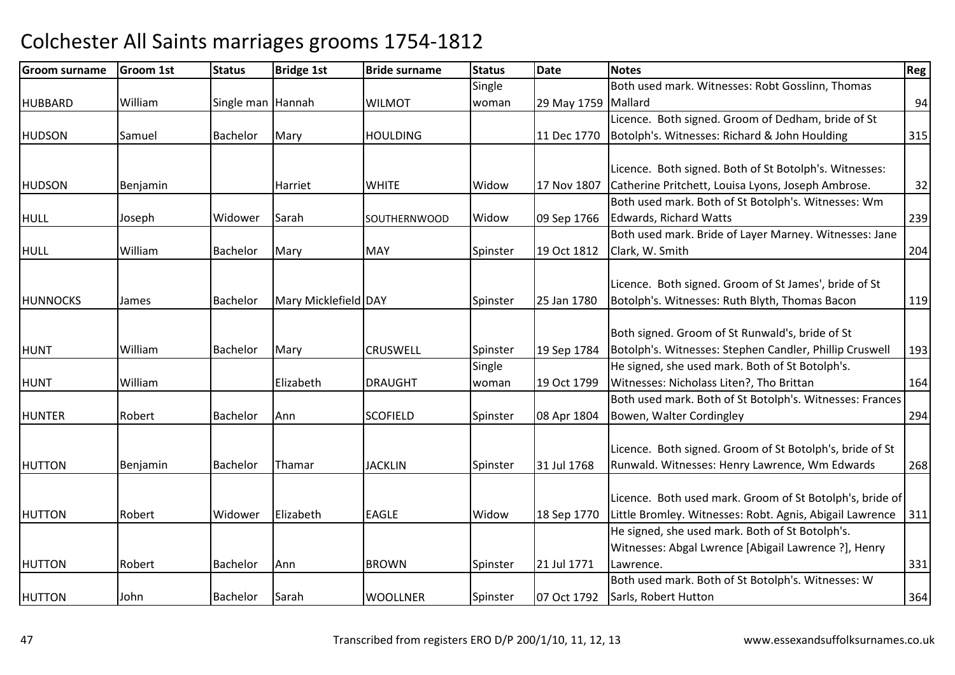| <b>Groom surname</b> | <b>Groom 1st</b> | <b>Status</b>     | <b>Bridge 1st</b>    | <b>Bride surname</b> | <b>Status</b> | Date                | <b>Notes</b>                                             | <b>Reg</b> |
|----------------------|------------------|-------------------|----------------------|----------------------|---------------|---------------------|----------------------------------------------------------|------------|
|                      |                  |                   |                      |                      | Single        |                     | Both used mark. Witnesses: Robt Gosslinn, Thomas         |            |
| <b>HUBBARD</b>       | William          | Single man Hannah |                      | <b>WILMOT</b>        | woman         | 29 May 1759 Mallard |                                                          | 94         |
|                      |                  |                   |                      |                      |               |                     | Licence. Both signed. Groom of Dedham, bride of St       |            |
| <b>HUDSON</b>        | Samuel           | <b>Bachelor</b>   | Mary                 | <b>HOULDING</b>      |               | 11 Dec 1770         | Botolph's. Witnesses: Richard & John Houlding            | 315        |
|                      |                  |                   |                      |                      |               |                     |                                                          |            |
|                      |                  |                   |                      |                      |               |                     | Licence. Both signed. Both of St Botolph's. Witnesses:   |            |
| <b>HUDSON</b>        | Benjamin         |                   | Harriet              | <b>WHITE</b>         | Widow         | 17 Nov 1807         | Catherine Pritchett, Louisa Lyons, Joseph Ambrose.       | 32         |
|                      |                  |                   |                      |                      |               |                     | Both used mark. Both of St Botolph's. Witnesses: Wm      |            |
| <b>HULL</b>          | Joseph           | Widower           | Sarah                | <b>SOUTHERNWOOD</b>  | Widow         | 09 Sep 1766         | Edwards, Richard Watts                                   | 239        |
|                      |                  |                   |                      |                      |               |                     | Both used mark. Bride of Layer Marney. Witnesses: Jane   |            |
| <b>HULL</b>          | William          | Bachelor          | Mary                 | <b>MAY</b>           | Spinster      | 19 Oct 1812         | Clark, W. Smith                                          | 204        |
|                      |                  |                   |                      |                      |               |                     |                                                          |            |
|                      |                  |                   |                      |                      |               |                     | Licence. Both signed. Groom of St James', bride of St    |            |
| <b>HUNNOCKS</b>      | James            | <b>Bachelor</b>   | Mary Micklefield DAY |                      | Spinster      | 25 Jan 1780         | Botolph's. Witnesses: Ruth Blyth, Thomas Bacon           | 119        |
|                      |                  |                   |                      |                      |               |                     |                                                          |            |
|                      |                  |                   |                      |                      |               |                     | Both signed. Groom of St Runwald's, bride of St          |            |
| <b>HUNT</b>          | William          | <b>Bachelor</b>   | Mary                 | <b>CRUSWELL</b>      | Spinster      | 19 Sep 1784         | Botolph's. Witnesses: Stephen Candler, Phillip Cruswell  | 193        |
|                      |                  |                   |                      |                      | Single        |                     | He signed, she used mark. Both of St Botolph's.          |            |
| <b>HUNT</b>          | William          |                   | Elizabeth            | <b>DRAUGHT</b>       | woman         | 19 Oct 1799         | Witnesses: Nicholass Liten?, Tho Brittan                 | 164        |
|                      |                  |                   |                      |                      |               |                     | Both used mark. Both of St Botolph's. Witnesses: Frances |            |
| <b>HUNTER</b>        | Robert           | Bachelor          | Ann                  | <b>SCOFIELD</b>      | Spinster      | 08 Apr 1804         | Bowen, Walter Cordingley                                 | 294        |
|                      |                  |                   |                      |                      |               |                     |                                                          |            |
|                      |                  |                   |                      |                      |               |                     | Licence. Both signed. Groom of St Botolph's, bride of St |            |
| <b>HUTTON</b>        | Benjamin         | Bachelor          | Thamar               | <b>JACKLIN</b>       | Spinster      | 31 Jul 1768         | Runwald. Witnesses: Henry Lawrence, Wm Edwards           | 268        |
|                      |                  |                   |                      |                      |               |                     |                                                          |            |
|                      |                  |                   |                      |                      |               |                     | Licence. Both used mark. Groom of St Botolph's, bride of |            |
| <b>HUTTON</b>        | Robert           | Widower           | Elizabeth            | <b>EAGLE</b>         | Widow         | 18 Sep 1770         | Little Bromley. Witnesses: Robt. Agnis, Abigail Lawrence | 311        |
|                      |                  |                   |                      |                      |               |                     | He signed, she used mark. Both of St Botolph's.          |            |
|                      |                  |                   |                      |                      |               |                     | Witnesses: Abgal Lwrence [Abigail Lawrence ?], Henry     |            |
| <b>HUTTON</b>        | Robert           | Bachelor          | Ann                  | <b>BROWN</b>         | Spinster      | 21 Jul 1771         | Lawrence.                                                | 331        |
|                      |                  |                   |                      |                      |               |                     | Both used mark. Both of St Botolph's. Witnesses: W       |            |
| <b>HUTTON</b>        | John             | Bachelor          | Sarah                | <b>WOOLLNER</b>      | Spinster      | 07 Oct 1792         | Sarls, Robert Hutton                                     | 364        |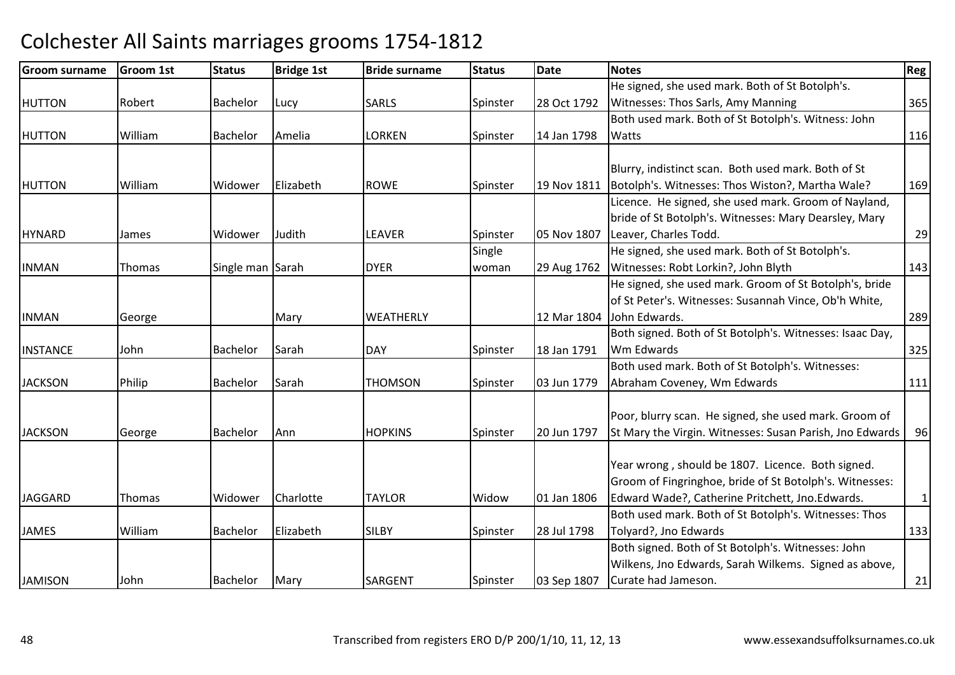| <b>Groom surname</b> | <b>Groom 1st</b> | <b>Status</b>    | <b>Bridge 1st</b> | <b>Bride surname</b> | <b>Status</b> | <b>Date</b> | <b>Notes</b>                                             | Reg          |
|----------------------|------------------|------------------|-------------------|----------------------|---------------|-------------|----------------------------------------------------------|--------------|
|                      |                  |                  |                   |                      |               |             | He signed, she used mark. Both of St Botolph's.          |              |
| <b>HUTTON</b>        | Robert           | <b>Bachelor</b>  | Lucy              | <b>SARLS</b>         | Spinster      | 28 Oct 1792 | Witnesses: Thos Sarls, Amy Manning                       | 365          |
|                      |                  |                  |                   |                      |               |             | Both used mark. Both of St Botolph's. Witness: John      |              |
| <b>HUTTON</b>        | William          | <b>Bachelor</b>  | Amelia            | <b>LORKEN</b>        | Spinster      | 14 Jan 1798 | <b>Watts</b>                                             | 116          |
|                      |                  |                  |                   |                      |               |             |                                                          |              |
|                      |                  |                  |                   |                      |               |             | Blurry, indistinct scan. Both used mark. Both of St      |              |
| <b>HUTTON</b>        | William          | Widower          | Elizabeth         | <b>ROWE</b>          | Spinster      | 19 Nov 1811 | Botolph's. Witnesses: Thos Wiston?, Martha Wale?         | 169          |
|                      |                  |                  |                   |                      |               |             | Licence. He signed, she used mark. Groom of Nayland,     |              |
|                      |                  |                  |                   |                      |               |             | bride of St Botolph's. Witnesses: Mary Dearsley, Mary    |              |
| <b>HYNARD</b>        | James            | Widower          | Judith            | <b>LEAVER</b>        | Spinster      | 05 Nov 1807 | Leaver, Charles Todd.                                    | 29           |
|                      |                  |                  |                   |                      | Single        |             | He signed, she used mark. Both of St Botolph's.          |              |
| <b>INMAN</b>         | Thomas           | Single man Sarah |                   | <b>DYER</b>          | woman         | 29 Aug 1762 | Witnesses: Robt Lorkin?, John Blyth                      | 143          |
|                      |                  |                  |                   |                      |               |             | He signed, she used mark. Groom of St Botolph's, bride   |              |
|                      |                  |                  |                   |                      |               |             | of St Peter's. Witnesses: Susannah Vince, Ob'h White,    |              |
| <b>INMAN</b>         | George           |                  | Mary              | <b>WEATHERLY</b>     |               | 12 Mar 1804 | John Edwards.                                            | 289          |
|                      |                  |                  |                   |                      |               |             | Both signed. Both of St Botolph's. Witnesses: Isaac Day, |              |
| <b>INSTANCE</b>      | John             | Bachelor         | Sarah             | <b>DAY</b>           | Spinster      | 18 Jan 1791 | Wm Edwards                                               | 325          |
|                      |                  |                  |                   |                      |               |             | Both used mark. Both of St Botolph's. Witnesses:         |              |
| <b>JACKSON</b>       | Philip           | <b>Bachelor</b>  | Sarah             | <b>THOMSON</b>       | Spinster      | 03 Jun 1779 | Abraham Coveney, Wm Edwards                              | 111          |
|                      |                  |                  |                   |                      |               |             |                                                          |              |
|                      |                  |                  |                   |                      |               |             | Poor, blurry scan. He signed, she used mark. Groom of    |              |
| <b>JACKSON</b>       | George           | Bachelor         | Ann               | <b>HOPKINS</b>       | Spinster      | 20 Jun 1797 | St Mary the Virgin. Witnesses: Susan Parish, Jno Edwards | 96           |
|                      |                  |                  |                   |                      |               |             |                                                          |              |
|                      |                  |                  |                   |                      |               |             | Year wrong, should be 1807. Licence. Both signed.        |              |
|                      |                  |                  |                   |                      |               |             | Groom of Fingringhoe, bride of St Botolph's. Witnesses:  |              |
| <b>JAGGARD</b>       | Thomas           | Widower          | Charlotte         | <b>TAYLOR</b>        | Widow         | 01 Jan 1806 | Edward Wade?, Catherine Pritchett, Jno.Edwards.          | $\mathbf{1}$ |
|                      |                  |                  |                   |                      |               |             | Both used mark. Both of St Botolph's. Witnesses: Thos    |              |
| <b>JAMES</b>         | William          | Bachelor         | Elizabeth         | <b>SILBY</b>         | Spinster      | 28 Jul 1798 | Tolyard?, Jno Edwards                                    | 133          |
|                      |                  |                  |                   |                      |               |             | Both signed. Both of St Botolph's. Witnesses: John       |              |
|                      |                  |                  |                   |                      |               |             | Wilkens, Jno Edwards, Sarah Wilkems. Signed as above,    |              |
| <b>JAMISON</b>       | John             | Bachelor         | Mary              | <b>SARGENT</b>       | Spinster      | 03 Sep 1807 | Curate had Jameson.                                      | 21           |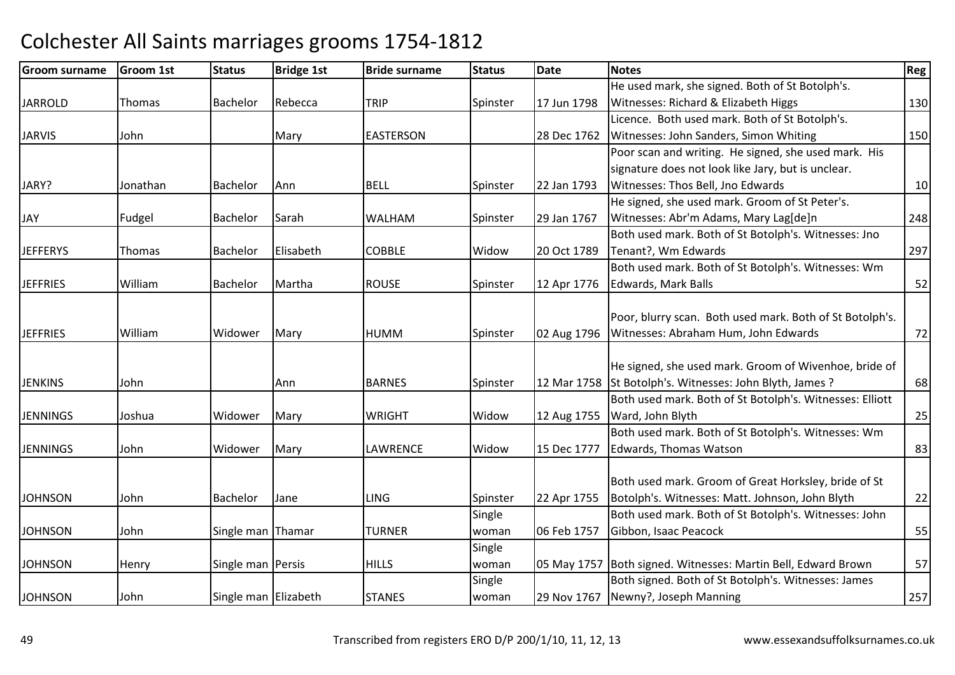| <b>Groom surname</b> | <b>Groom 1st</b> | <b>Status</b>        | <b>Bridge 1st</b> | <b>Bride surname</b> | <b>Status</b> | <b>Date</b> | <b>Notes</b>                                                  | Reg |
|----------------------|------------------|----------------------|-------------------|----------------------|---------------|-------------|---------------------------------------------------------------|-----|
|                      |                  |                      |                   |                      |               |             | He used mark, she signed. Both of St Botolph's.               |     |
| <b>JARROLD</b>       | Thomas           | <b>Bachelor</b>      | Rebecca           | <b>TRIP</b>          | Spinster      | 17 Jun 1798 | Witnesses: Richard & Elizabeth Higgs                          | 130 |
|                      |                  |                      |                   |                      |               |             | Licence. Both used mark. Both of St Botolph's.                |     |
| <b>JARVIS</b>        | John             |                      | Mary              | <b>EASTERSON</b>     |               | 28 Dec 1762 | Witnesses: John Sanders, Simon Whiting                        | 150 |
|                      |                  |                      |                   |                      |               |             | Poor scan and writing. He signed, she used mark. His          |     |
|                      |                  |                      |                   |                      |               |             | signature does not look like Jary, but is unclear.            |     |
| JARY?                | Jonathan         | Bachelor             | Ann               | <b>BELL</b>          | Spinster      | 22 Jan 1793 | Witnesses: Thos Bell, Jno Edwards                             | 10  |
|                      |                  |                      |                   |                      |               |             | He signed, she used mark. Groom of St Peter's.                |     |
| JAY                  | Fudgel           | <b>Bachelor</b>      | Sarah             | <b>WALHAM</b>        | Spinster      | 29 Jan 1767 | Witnesses: Abr'm Adams, Mary Lag[de]n                         | 248 |
|                      |                  |                      |                   |                      |               |             | Both used mark. Both of St Botolph's. Witnesses: Jno          |     |
| <b>JEFFERYS</b>      | Thomas           | Bachelor             | Elisabeth         | <b>COBBLE</b>        | Widow         | 20 Oct 1789 | Tenant?, Wm Edwards                                           | 297 |
|                      |                  |                      |                   |                      |               |             | Both used mark. Both of St Botolph's. Witnesses: Wm           |     |
| <b>JEFFRIES</b>      | William          | Bachelor             | Martha            | <b>ROUSE</b>         | Spinster      | 12 Apr 1776 | Edwards, Mark Balls                                           | 52  |
|                      |                  |                      |                   |                      |               |             |                                                               |     |
|                      |                  |                      |                   |                      |               |             | Poor, blurry scan. Both used mark. Both of St Botolph's.      |     |
| <b>JEFFRIES</b>      | William          | Widower              | Mary              | <b>HUMM</b>          | Spinster      | 02 Aug 1796 | Witnesses: Abraham Hum, John Edwards                          | 72  |
|                      |                  |                      |                   |                      |               |             |                                                               |     |
|                      |                  |                      |                   |                      |               |             | He signed, she used mark. Groom of Wivenhoe, bride of         |     |
| <b>JENKINS</b>       | John             |                      | Ann               | <b>BARNES</b>        | Spinster      | 12 Mar 1758 | St Botolph's. Witnesses: John Blyth, James?                   | 68  |
|                      |                  |                      |                   |                      |               |             | Both used mark. Both of St Botolph's. Witnesses: Elliott      |     |
| <b>JENNINGS</b>      | Joshua           | Widower              | Mary              | <b>WRIGHT</b>        | Widow         | 12 Aug 1755 | Ward, John Blyth                                              | 25  |
|                      |                  |                      |                   |                      |               |             | Both used mark. Both of St Botolph's. Witnesses: Wm           |     |
| <b>JENNINGS</b>      | John             | Widower              | Mary              | LAWRENCE             | Widow         | 15 Dec 1777 | Edwards, Thomas Watson                                        | 83  |
|                      |                  |                      |                   |                      |               |             |                                                               |     |
|                      |                  |                      |                   |                      |               |             | Both used mark. Groom of Great Horksley, bride of St          |     |
| <b>JOHNSON</b>       | John             | Bachelor             | Jane              | <b>LING</b>          | Spinster      | 22 Apr 1755 | Botolph's. Witnesses: Matt. Johnson, John Blyth               | 22  |
|                      |                  |                      |                   |                      | Single        |             | Both used mark. Both of St Botolph's. Witnesses: John         |     |
| <b>JOHNSON</b>       | John             | Single man Thamar    |                   | <b>TURNER</b>        | woman         | 06 Feb 1757 | Gibbon, Isaac Peacock                                         | 55  |
|                      |                  |                      |                   |                      | Single        |             |                                                               |     |
| <b>JOHNSON</b>       | Henry            | Single man Persis    |                   | <b>HILLS</b>         | woman         |             | 05 May 1757 Both signed. Witnesses: Martin Bell, Edward Brown | 57  |
|                      |                  |                      |                   |                      | Single        |             | Both signed. Both of St Botolph's. Witnesses: James           |     |
| <b>JOHNSON</b>       | John             | Single man Elizabeth |                   | <b>STANES</b>        | woman         | 29 Nov 1767 | Newny?, Joseph Manning                                        | 257 |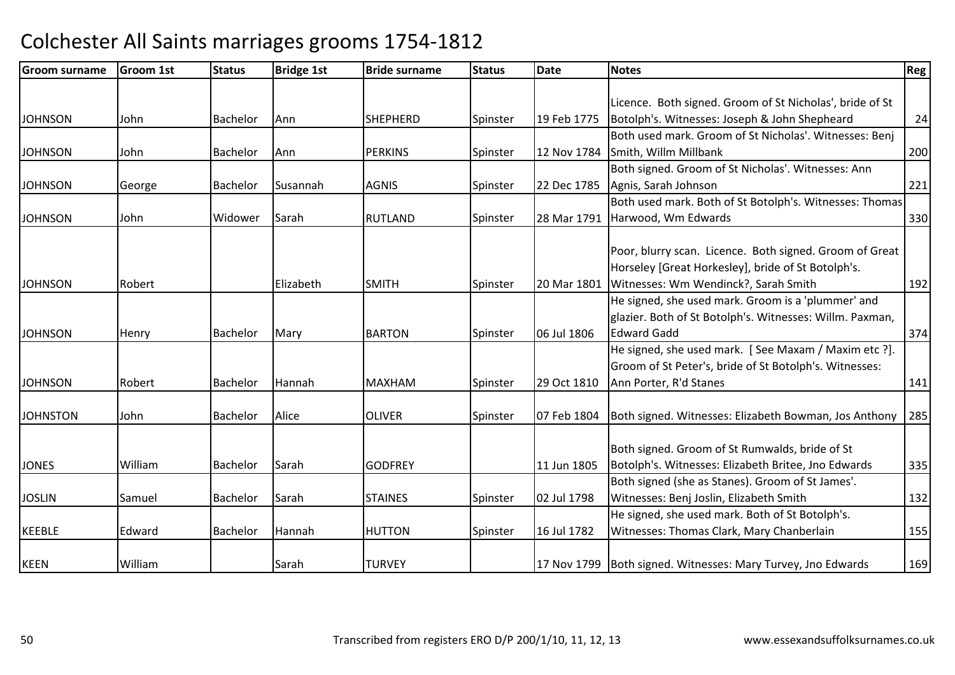| Reg | <b>Notes</b>                                                                                                                                                                                                                                                                                                                                                         | Date                                      | <b>Status</b>        | <b>Bride surname</b>                                               | <b>Bridge 1st</b>                 | <b>Status</b>                    | <b>Groom 1st</b>                       | <b>Groom surname</b>                                          |
|-----|----------------------------------------------------------------------------------------------------------------------------------------------------------------------------------------------------------------------------------------------------------------------------------------------------------------------------------------------------------------------|-------------------------------------------|----------------------|--------------------------------------------------------------------|-----------------------------------|----------------------------------|----------------------------------------|---------------------------------------------------------------|
|     |                                                                                                                                                                                                                                                                                                                                                                      |                                           |                      |                                                                    |                                   |                                  |                                        |                                                               |
|     | Licence. Both signed. Groom of St Nicholas', bride of St                                                                                                                                                                                                                                                                                                             |                                           |                      |                                                                    |                                   |                                  |                                        |                                                               |
| 24  | Botolph's. Witnesses: Joseph & John Shepheard                                                                                                                                                                                                                                                                                                                        | 19 Feb 1775                               | Spinster             | <b>SHEPHERD</b>                                                    | Ann                               | Bachelor                         | John                                   | <b>JOHNSON</b>                                                |
|     | Both used mark. Groom of St Nicholas'. Witnesses: Benj                                                                                                                                                                                                                                                                                                               |                                           |                      |                                                                    |                                   |                                  |                                        |                                                               |
| 200 | Smith, Willm Millbank                                                                                                                                                                                                                                                                                                                                                | 12 Nov 1784                               | Spinster             | <b>PERKINS</b>                                                     | Ann                               | Bachelor                         | John                                   | <b>JOHNSON</b>                                                |
|     | Both signed. Groom of St Nicholas'. Witnesses: Ann                                                                                                                                                                                                                                                                                                                   |                                           |                      |                                                                    |                                   |                                  |                                        |                                                               |
| 221 | Agnis, Sarah Johnson                                                                                                                                                                                                                                                                                                                                                 | 22 Dec 1785                               | Spinster             | <b>AGNIS</b>                                                       | Susannah                          | Bachelor                         | George                                 | <b>JOHNSON</b>                                                |
|     | Both used mark. Both of St Botolph's. Witnesses: Thomas                                                                                                                                                                                                                                                                                                              |                                           |                      |                                                                    |                                   |                                  |                                        |                                                               |
| 330 | Harwood, Wm Edwards                                                                                                                                                                                                                                                                                                                                                  | 28 Mar 1791                               | Spinster             | <b>RUTLAND</b>                                                     | Sarah                             | Widower                          | John                                   | <b>JOHNSON</b>                                                |
|     |                                                                                                                                                                                                                                                                                                                                                                      |                                           |                      |                                                                    |                                   |                                  |                                        |                                                               |
|     | Poor, blurry scan. Licence. Both signed. Groom of Great                                                                                                                                                                                                                                                                                                              |                                           |                      |                                                                    |                                   |                                  |                                        |                                                               |
|     | Horseley [Great Horkesley], bride of St Botolph's.                                                                                                                                                                                                                                                                                                                   |                                           |                      |                                                                    |                                   |                                  |                                        |                                                               |
| 192 | Witnesses: Wm Wendinck?, Sarah Smith                                                                                                                                                                                                                                                                                                                                 | 20 Mar 1801                               | Spinster             | <b>SMITH</b>                                                       | Elizabeth                         |                                  | Robert                                 | <b>JOHNSON</b>                                                |
|     | He signed, she used mark. Groom is a 'plummer' and                                                                                                                                                                                                                                                                                                                   |                                           |                      |                                                                    |                                   |                                  |                                        |                                                               |
|     | glazier. Both of St Botolph's. Witnesses: Willm. Paxman,                                                                                                                                                                                                                                                                                                             |                                           |                      |                                                                    |                                   |                                  |                                        |                                                               |
| 374 | <b>Edward Gadd</b>                                                                                                                                                                                                                                                                                                                                                   | 06 Jul 1806                               | Spinster             | <b>BARTON</b>                                                      | Mary                              | Bachelor                         | Henry                                  | <b>JOHNSON</b>                                                |
|     | He signed, she used mark. [See Maxam / Maxim etc ?].                                                                                                                                                                                                                                                                                                                 |                                           |                      |                                                                    |                                   |                                  |                                        |                                                               |
|     | Groom of St Peter's, bride of St Botolph's. Witnesses:                                                                                                                                                                                                                                                                                                               |                                           |                      |                                                                    |                                   |                                  |                                        |                                                               |
| 141 | Ann Porter, R'd Stanes                                                                                                                                                                                                                                                                                                                                               | 29 Oct 1810                               | Spinster             | <b>MAXHAM</b>                                                      | Hannah                            | Bachelor                         | Robert                                 | <b>JOHNSON</b>                                                |
|     |                                                                                                                                                                                                                                                                                                                                                                      |                                           |                      |                                                                    |                                   |                                  |                                        |                                                               |
| 285 | Both signed. Witnesses: Elizabeth Bowman, Jos Anthony                                                                                                                                                                                                                                                                                                                | 07 Feb 1804                               | Spinster             | <b>OLIVER</b>                                                      | Alice                             | <b>Bachelor</b>                  | John                                   | <b>JOHNSTON</b>                                               |
|     |                                                                                                                                                                                                                                                                                                                                                                      |                                           |                      |                                                                    |                                   |                                  |                                        |                                                               |
|     |                                                                                                                                                                                                                                                                                                                                                                      |                                           |                      |                                                                    |                                   |                                  |                                        |                                                               |
| 335 |                                                                                                                                                                                                                                                                                                                                                                      |                                           |                      |                                                                    |                                   |                                  |                                        |                                                               |
|     |                                                                                                                                                                                                                                                                                                                                                                      |                                           |                      |                                                                    |                                   |                                  |                                        |                                                               |
| 132 |                                                                                                                                                                                                                                                                                                                                                                      |                                           |                      |                                                                    |                                   |                                  |                                        |                                                               |
|     |                                                                                                                                                                                                                                                                                                                                                                      |                                           |                      |                                                                    |                                   |                                  |                                        |                                                               |
| 155 |                                                                                                                                                                                                                                                                                                                                                                      |                                           |                      |                                                                    |                                   |                                  |                                        |                                                               |
| 169 |                                                                                                                                                                                                                                                                                                                                                                      |                                           |                      |                                                                    |                                   |                                  |                                        |                                                               |
|     | Both signed. Groom of St Rumwalds, bride of St<br>Botolph's. Witnesses: Elizabeth Britee, Jno Edwards<br>Both signed (she as Stanes). Groom of St James'.<br>Witnesses: Benj Joslin, Elizabeth Smith<br>He signed, she used mark. Both of St Botolph's.<br>Witnesses: Thomas Clark, Mary Chanberlain<br>17 Nov 1799 Both signed. Witnesses: Mary Turvey, Jno Edwards | 11 Jun 1805<br>02 Jul 1798<br>16 Jul 1782 | Spinster<br>Spinster | <b>GODFREY</b><br><b>STAINES</b><br><b>HUTTON</b><br><b>TURVEY</b> | Sarah<br>Sarah<br>Hannah<br>Sarah | Bachelor<br>Bachelor<br>Bachelor | William<br>Samuel<br>Edward<br>William | <b>JONES</b><br><b>JOSLIN</b><br><b>KEEBLE</b><br><b>KEEN</b> |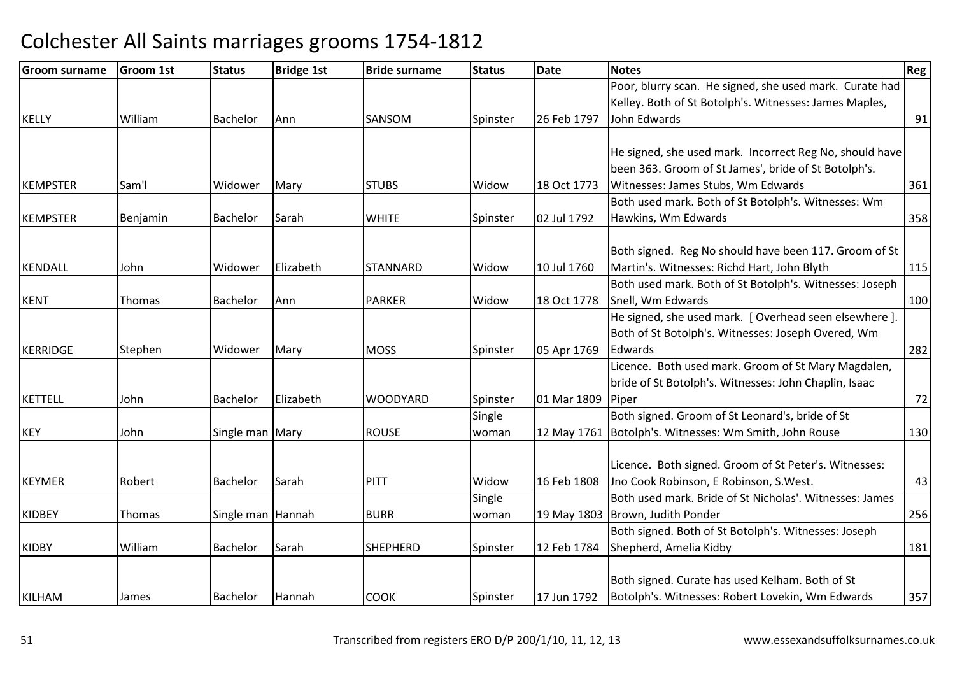| <b>Groom surname</b> | <b>Groom 1st</b> | <b>Status</b>     | <b>Bridge 1st</b> | <b>Bride surname</b> | <b>Status</b> | <b>Date</b> | <b>Notes</b>                                            | Reg |
|----------------------|------------------|-------------------|-------------------|----------------------|---------------|-------------|---------------------------------------------------------|-----|
|                      |                  |                   |                   |                      |               |             | Poor, blurry scan. He signed, she used mark. Curate had |     |
|                      |                  |                   |                   |                      |               |             | Kelley. Both of St Botolph's. Witnesses: James Maples,  |     |
| <b>KELLY</b>         | William          | Bachelor          | Ann               | SANSOM               | Spinster      | 26 Feb 1797 | John Edwards                                            | 91  |
|                      |                  |                   |                   |                      |               |             |                                                         |     |
|                      |                  |                   |                   |                      |               |             | He signed, she used mark. Incorrect Reg No, should have |     |
|                      |                  |                   |                   |                      |               |             | been 363. Groom of St James', bride of St Botolph's.    |     |
| <b>KEMPSTER</b>      | Sam'l            | Widower           | Mary              | <b>STUBS</b>         | Widow         | 18 Oct 1773 | Witnesses: James Stubs, Wm Edwards                      | 361 |
|                      |                  |                   |                   |                      |               |             | Both used mark. Both of St Botolph's. Witnesses: Wm     |     |
| <b>KEMPSTER</b>      | Benjamin         | Bachelor          | Sarah             | <b>WHITE</b>         | Spinster      | 02 Jul 1792 | Hawkins, Wm Edwards                                     | 358 |
|                      |                  |                   |                   |                      |               |             |                                                         |     |
|                      |                  |                   |                   |                      |               |             | Both signed. Reg No should have been 117. Groom of St   |     |
| <b>KENDALL</b>       | John             | Widower           | Elizabeth         | <b>STANNARD</b>      | Widow         | 10 Jul 1760 | Martin's. Witnesses: Richd Hart, John Blyth             | 115 |
|                      |                  |                   |                   |                      |               |             | Both used mark. Both of St Botolph's. Witnesses: Joseph |     |
| <b>KENT</b>          | Thomas           | Bachelor          | Ann               | <b>PARKER</b>        | Widow         | 18 Oct 1778 | Snell, Wm Edwards                                       | 100 |
|                      |                  |                   |                   |                      |               |             | He signed, she used mark. [ Overhead seen elsewhere ].  |     |
|                      |                  |                   |                   |                      |               |             | Both of St Botolph's. Witnesses: Joseph Overed, Wm      |     |
| <b>KERRIDGE</b>      | Stephen          | Widower           | Mary              | <b>MOSS</b>          | Spinster      | 05 Apr 1769 | Edwards                                                 | 282 |
|                      |                  |                   |                   |                      |               |             | Licence. Both used mark. Groom of St Mary Magdalen,     |     |
|                      |                  |                   |                   |                      |               |             | bride of St Botolph's. Witnesses: John Chaplin, Isaac   |     |
| <b>KETTELL</b>       | John             | Bachelor          | Elizabeth         | <b>WOODYARD</b>      | Spinster      | 01 Mar 1809 | Piper                                                   | 72  |
|                      |                  |                   |                   |                      | Single        |             | Both signed. Groom of St Leonard's, bride of St         |     |
| <b>KEY</b>           | John             | Single man Mary   |                   | <b>ROUSE</b>         | woman         |             | 12 May 1761 Botolph's. Witnesses: Wm Smith, John Rouse  | 130 |
|                      |                  |                   |                   |                      |               |             |                                                         |     |
|                      |                  |                   |                   |                      |               |             | Licence. Both signed. Groom of St Peter's. Witnesses:   |     |
| <b>KEYMER</b>        | Robert           | <b>Bachelor</b>   | Sarah             | PITT                 | Widow         | 16 Feb 1808 | Jno Cook Robinson, E Robinson, S.West.                  | 43  |
|                      |                  |                   |                   |                      | Single        |             | Both used mark. Bride of St Nicholas'. Witnesses: James |     |
| <b>KIDBEY</b>        | Thomas           | Single man Hannah |                   | <b>BURR</b>          | woman         |             | 19 May 1803   Brown, Judith Ponder                      | 256 |
|                      |                  |                   |                   |                      |               |             | Both signed. Both of St Botolph's. Witnesses: Joseph    |     |
| <b>KIDBY</b>         | William          | Bachelor          | Sarah             | <b>SHEPHERD</b>      | Spinster      | 12 Feb 1784 | Shepherd, Amelia Kidby                                  | 181 |
|                      |                  |                   |                   |                      |               |             |                                                         |     |
|                      |                  |                   |                   |                      |               |             | Both signed. Curate has used Kelham. Both of St         |     |
| <b>KILHAM</b>        | James            | Bachelor          | Hannah            | <b>COOK</b>          | Spinster      | 17 Jun 1792 | Botolph's. Witnesses: Robert Lovekin, Wm Edwards        | 357 |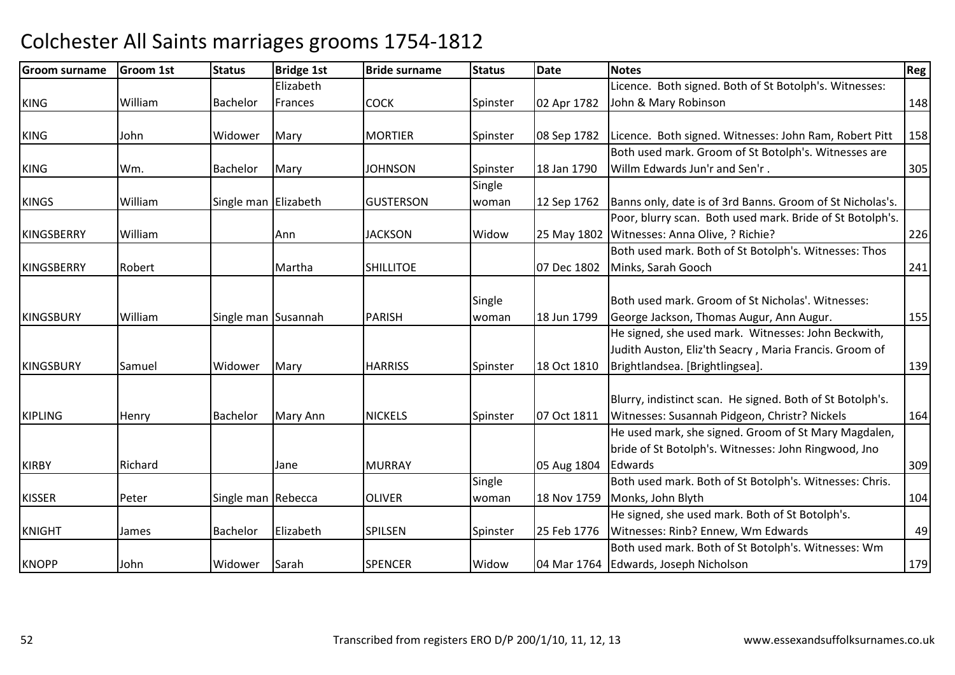| Groom surname     | <b>Groom 1st</b> | <b>Status</b>        | <b>Bridge 1st</b> | <b>Bride surname</b> | <b>Status</b> | <b>Date</b> | <b>Notes</b>                                              | Reg |
|-------------------|------------------|----------------------|-------------------|----------------------|---------------|-------------|-----------------------------------------------------------|-----|
|                   |                  |                      | Elizabeth         |                      |               |             | Licence. Both signed. Both of St Botolph's. Witnesses:    |     |
| <b>KING</b>       | William          | <b>Bachelor</b>      | Frances           | <b>COCK</b>          | Spinster      | 02 Apr 1782 | John & Mary Robinson                                      | 148 |
|                   |                  |                      |                   |                      |               |             |                                                           |     |
| <b>KING</b>       | John             | Widower              | Mary              | <b>MORTIER</b>       | Spinster      | 08 Sep 1782 | Licence. Both signed. Witnesses: John Ram, Robert Pitt    | 158 |
|                   |                  |                      |                   |                      |               |             | Both used mark. Groom of St Botolph's. Witnesses are      |     |
| <b>KING</b>       | Wm.              | <b>Bachelor</b>      | Mary              | <b>JOHNSON</b>       | Spinster      | 18 Jan 1790 | Willm Edwards Jun'r and Sen'r.                            | 305 |
|                   |                  |                      |                   |                      | Single        |             |                                                           |     |
| <b>KINGS</b>      | William          | Single man Elizabeth |                   | <b>GUSTERSON</b>     | woman         | 12 Sep 1762 | Banns only, date is of 3rd Banns. Groom of St Nicholas's. |     |
|                   |                  |                      |                   |                      |               |             | Poor, blurry scan. Both used mark. Bride of St Botolph's. |     |
| <b>KINGSBERRY</b> | William          |                      | Ann               | <b>JACKSON</b>       | Widow         | 25 May 1802 | Witnesses: Anna Olive, ? Richie?                          | 226 |
|                   |                  |                      |                   |                      |               |             | Both used mark. Both of St Botolph's. Witnesses: Thos     |     |
| <b>KINGSBERRY</b> | Robert           |                      | Martha            | <b>SHILLITOE</b>     |               | 07 Dec 1802 | Minks, Sarah Gooch                                        | 241 |
|                   |                  |                      |                   |                      |               |             |                                                           |     |
|                   |                  |                      |                   |                      | Single        |             | Both used mark. Groom of St Nicholas'. Witnesses:         |     |
| <b>KINGSBURY</b>  | William          | Single man Susannah  |                   | <b>PARISH</b>        | woman         | 18 Jun 1799 | George Jackson, Thomas Augur, Ann Augur.                  | 155 |
|                   |                  |                      |                   |                      |               |             | He signed, she used mark. Witnesses: John Beckwith,       |     |
|                   |                  |                      |                   |                      |               |             | Judith Auston, Eliz'th Seacry, Maria Francis. Groom of    |     |
| <b>KINGSBURY</b>  | Samuel           | Widower              | Mary              | <b>HARRISS</b>       | Spinster      | 18 Oct 1810 | Brightlandsea. [Brightlingsea].                           | 139 |
|                   |                  |                      |                   |                      |               |             |                                                           |     |
|                   |                  |                      |                   |                      |               |             | Blurry, indistinct scan. He signed. Both of St Botolph's. |     |
| <b>KIPLING</b>    | Henry            | <b>Bachelor</b>      | Mary Ann          | <b>NICKELS</b>       | Spinster      | 07 Oct 1811 | Witnesses: Susannah Pidgeon, Christr? Nickels             | 164 |
|                   |                  |                      |                   |                      |               |             | He used mark, she signed. Groom of St Mary Magdalen,      |     |
|                   |                  |                      |                   |                      |               |             | bride of St Botolph's. Witnesses: John Ringwood, Jno      |     |
| <b>KIRBY</b>      | Richard          |                      | Jane              | <b>MURRAY</b>        |               | 05 Aug 1804 | Edwards                                                   | 309 |
|                   |                  |                      |                   |                      | Single        |             | Both used mark. Both of St Botolph's. Witnesses: Chris.   |     |
| <b>KISSER</b>     | Peter            | Single man Rebecca   |                   | <b>OLIVER</b>        | woman         | 18 Nov 1759 | Monks, John Blyth                                         | 104 |
|                   |                  |                      |                   |                      |               |             | He signed, she used mark. Both of St Botolph's.           |     |
| <b>KNIGHT</b>     | James            | Bachelor             | Elizabeth         | <b>SPILSEN</b>       | Spinster      | 25 Feb 1776 | Witnesses: Rinb? Ennew, Wm Edwards                        | 49  |
|                   |                  |                      |                   |                      |               |             | Both used mark. Both of St Botolph's. Witnesses: Wm       |     |
| <b>KNOPP</b>      | John             | Widower              | Sarah             | <b>SPENCER</b>       | Widow         |             | 04 Mar 1764   Edwards, Joseph Nicholson                   | 179 |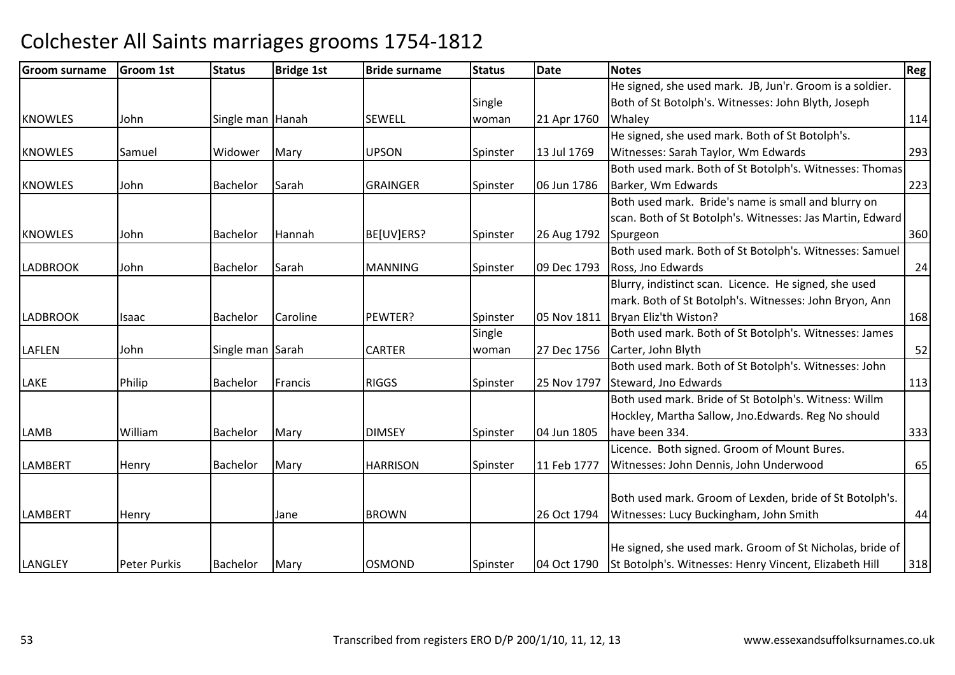| <b>Groom surname</b> | <b>Groom 1st</b>    | <b>Status</b>    | <b>Bridge 1st</b> | <b>Bride surname</b> | <b>Status</b> | Date        | Notes                                                     | Reg! |
|----------------------|---------------------|------------------|-------------------|----------------------|---------------|-------------|-----------------------------------------------------------|------|
|                      |                     |                  |                   |                      |               |             | He signed, she used mark. JB, Jun'r. Groom is a soldier.  |      |
|                      |                     |                  |                   |                      | Single        |             | Both of St Botolph's. Witnesses: John Blyth, Joseph       |      |
| <b>KNOWLES</b>       | John                | Single man Hanah |                   | <b>SEWELL</b>        | woman         | 21 Apr 1760 | Whaley                                                    | 114  |
|                      |                     |                  |                   |                      |               |             | He signed, she used mark. Both of St Botolph's.           |      |
| <b>KNOWLES</b>       | Samuel              | Widower          | Mary              | <b>UPSON</b>         | Spinster      | 13 Jul 1769 | Witnesses: Sarah Taylor, Wm Edwards                       | 293  |
|                      |                     |                  |                   |                      |               |             | Both used mark. Both of St Botolph's. Witnesses: Thomas   |      |
| <b>KNOWLES</b>       | John                | Bachelor         | Sarah             | <b>GRAINGER</b>      | Spinster      | 06 Jun 1786 | Barker, Wm Edwards                                        | 223  |
|                      |                     |                  |                   |                      |               |             | Both used mark. Bride's name is small and blurry on       |      |
|                      |                     |                  |                   |                      |               |             | scan. Both of St Botolph's. Witnesses: Jas Martin, Edward |      |
| <b>KNOWLES</b>       | John                | Bachelor         | Hannah            | BE[UV]ERS?           | Spinster      | 26 Aug 1792 | Spurgeon                                                  | 360  |
|                      |                     |                  |                   |                      |               |             | Both used mark. Both of St Botolph's. Witnesses: Samuel   |      |
| <b>LADBROOK</b>      | John                | <b>Bachelor</b>  | Sarah             | <b>MANNING</b>       | Spinster      | 09 Dec 1793 | Ross, Jno Edwards                                         | 24   |
|                      |                     |                  |                   |                      |               |             | Blurry, indistinct scan. Licence. He signed, she used     |      |
|                      |                     |                  |                   |                      |               |             | mark. Both of St Botolph's. Witnesses: John Bryon, Ann    |      |
| <b>LADBROOK</b>      | Isaac               | Bachelor         | Caroline          | PEWTER?              | Spinster      | 05 Nov 1811 | Bryan Eliz'th Wiston?                                     | 168  |
|                      |                     |                  |                   |                      | Single        |             | Both used mark. Both of St Botolph's. Witnesses: James    |      |
| <b>LAFLEN</b>        | John                | Single man Sarah |                   | <b>CARTER</b>        | woman         | 27 Dec 1756 | Carter, John Blyth                                        | 52   |
|                      |                     |                  |                   |                      |               |             | Both used mark. Both of St Botolph's. Witnesses: John     |      |
| LAKE                 | Philip              | Bachelor         | Francis           | <b>RIGGS</b>         | Spinster      | 25 Nov 1797 | Steward, Jno Edwards                                      | 113  |
|                      |                     |                  |                   |                      |               |             | Both used mark. Bride of St Botolph's. Witness: Willm     |      |
|                      |                     |                  |                   |                      |               |             | Hockley, Martha Sallow, Jno. Edwards. Reg No should       |      |
| LAMB                 | William             | Bachelor         | Mary              | <b>DIMSEY</b>        | Spinster      | 04 Jun 1805 | have been 334.                                            | 333  |
|                      |                     |                  |                   |                      |               |             | Licence. Both signed. Groom of Mount Bures.               |      |
| <b>LAMBERT</b>       | Henry               | <b>Bachelor</b>  | Mary              | <b>HARRISON</b>      | Spinster      | 11 Feb 1777 | Witnesses: John Dennis, John Underwood                    | 65   |
|                      |                     |                  |                   |                      |               |             |                                                           |      |
|                      |                     |                  |                   |                      |               |             | Both used mark. Groom of Lexden, bride of St Botolph's.   |      |
| <b>LAMBERT</b>       | Henry               |                  | Jane              | <b>BROWN</b>         |               | 26 Oct 1794 | Witnesses: Lucy Buckingham, John Smith                    | 44   |
|                      |                     |                  |                   |                      |               |             |                                                           |      |
|                      |                     |                  |                   |                      |               |             | He signed, she used mark. Groom of St Nicholas, bride of  |      |
| <b>LANGLEY</b>       | <b>Peter Purkis</b> | Bachelor         | Mary              | <b>OSMOND</b>        | Spinster      | 04 Oct 1790 | St Botolph's. Witnesses: Henry Vincent, Elizabeth Hill    | 318  |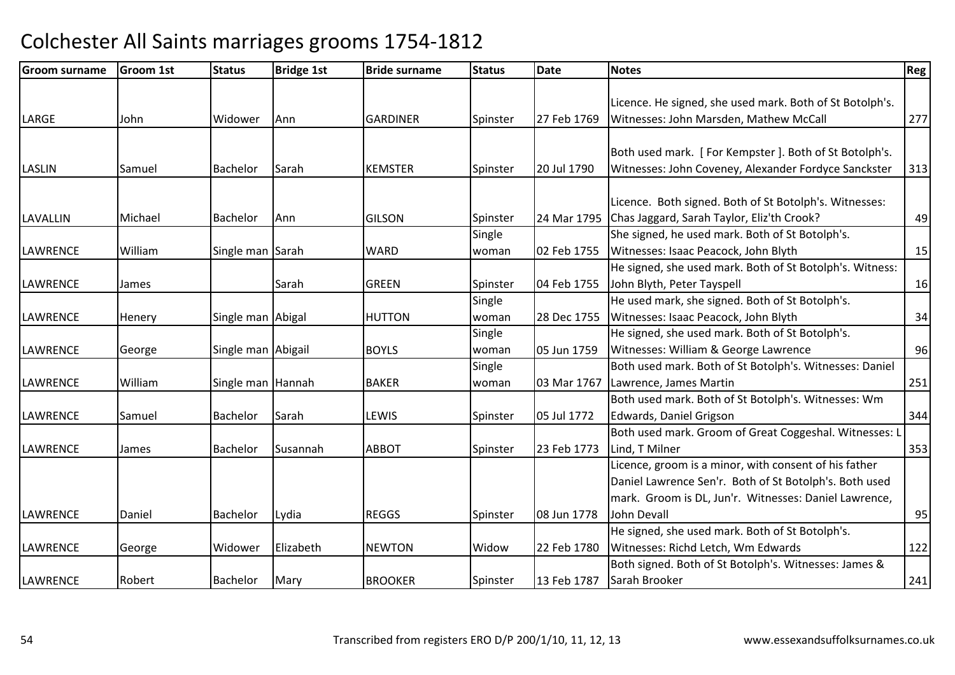| <b>Groom surname</b> | Groom 1st | <b>Status</b>      | <b>Bridge 1st</b> | <b>Bride surname</b> | <b>Status</b> | <b>Date</b> | <b>Notes</b>                                             | Reg l |
|----------------------|-----------|--------------------|-------------------|----------------------|---------------|-------------|----------------------------------------------------------|-------|
|                      |           |                    |                   |                      |               |             |                                                          |       |
|                      |           |                    |                   |                      |               |             | Licence. He signed, she used mark. Both of St Botolph's. |       |
| LARGE                | John      | Widower            | Ann               | <b>GARDINER</b>      | Spinster      | 27 Feb 1769 | Witnesses: John Marsden, Mathew McCall                   | 277   |
|                      |           |                    |                   |                      |               |             |                                                          |       |
|                      |           |                    |                   |                      |               |             | Both used mark. [For Kempster]. Both of St Botolph's.    |       |
| <b>LASLIN</b>        | Samuel    | Bachelor           | Sarah             | <b>KEMSTER</b>       | Spinster      | 20 Jul 1790 | Witnesses: John Coveney, Alexander Fordyce Sanckster     | 313   |
|                      |           |                    |                   |                      |               |             |                                                          |       |
|                      |           |                    |                   |                      |               |             | Licence. Both signed. Both of St Botolph's. Witnesses:   |       |
| <b>LAVALLIN</b>      | Michael   | Bachelor           | Ann               | <b>GILSON</b>        | Spinster      | 24 Mar 1795 | Chas Jaggard, Sarah Taylor, Eliz'th Crook?               | 49    |
|                      |           |                    |                   |                      | Single        |             | She signed, he used mark. Both of St Botolph's.          |       |
| <b>LAWRENCE</b>      | William   | Single man Sarah   |                   | <b>WARD</b>          | woman         | 02 Feb 1755 | Witnesses: Isaac Peacock, John Blyth                     | 15    |
|                      |           |                    |                   |                      |               |             | He signed, she used mark. Both of St Botolph's. Witness: |       |
| <b>LAWRENCE</b>      | James     |                    | Sarah             | <b>GREEN</b>         | Spinster      | 04 Feb 1755 | John Blyth, Peter Tayspell                               | 16    |
|                      |           |                    |                   |                      | Single        |             | He used mark, she signed. Both of St Botolph's.          |       |
| <b>LAWRENCE</b>      | Henery    | Single man Abigal  |                   | <b>HUTTON</b>        | woman         | 28 Dec 1755 | Witnesses: Isaac Peacock, John Blyth                     | 34    |
|                      |           |                    |                   |                      | Single        |             | He signed, she used mark. Both of St Botolph's.          |       |
| <b>LAWRENCE</b>      | George    | Single man Abigail |                   | <b>BOYLS</b>         | woman         | 05 Jun 1759 | Witnesses: William & George Lawrence                     | 96    |
|                      |           |                    |                   |                      | Single        |             | Both used mark. Both of St Botolph's. Witnesses: Daniel  |       |
| <b>LAWRENCE</b>      | William   | Single man Hannah  |                   | <b>BAKER</b>         | woman         | 03 Mar 1767 | Lawrence, James Martin                                   | 251   |
|                      |           |                    |                   |                      |               |             | Both used mark. Both of St Botolph's. Witnesses: Wm      |       |
| <b>LAWRENCE</b>      | Samuel    | Bachelor           | Sarah             | LEWIS                | Spinster      | 05 Jul 1772 | Edwards, Daniel Grigson                                  | 344   |
|                      |           |                    |                   |                      |               |             | Both used mark. Groom of Great Coggeshal. Witnesses: I   |       |
| <b>LAWRENCE</b>      | James     | Bachelor           | Susannah          | <b>ABBOT</b>         | Spinster      | 23 Feb 1773 | Lind, T Milner                                           | 353   |
|                      |           |                    |                   |                      |               |             | Licence, groom is a minor, with consent of his father    |       |
|                      |           |                    |                   |                      |               |             | Daniel Lawrence Sen'r. Both of St Botolph's. Both used   |       |
|                      |           |                    |                   |                      |               |             | mark. Groom is DL, Jun'r. Witnesses: Daniel Lawrence,    |       |
| <b>LAWRENCE</b>      | Daniel    | Bachelor           | Lydia             | <b>REGGS</b>         | Spinster      | 08 Jun 1778 | John Devall                                              | 95    |
|                      |           |                    |                   |                      |               |             | He signed, she used mark. Both of St Botolph's.          |       |
| <b>LAWRENCE</b>      | George    | Widower            | Elizabeth         | <b>NEWTON</b>        | Widow         | 22 Feb 1780 | Witnesses: Richd Letch, Wm Edwards                       | 122   |
|                      |           |                    |                   |                      |               |             | Both signed. Both of St Botolph's. Witnesses: James &    |       |
| <b>LAWRENCE</b>      | Robert    | Bachelor           | Mary              | <b>BROOKER</b>       | Spinster      | 13 Feb 1787 | Sarah Brooker                                            | 241   |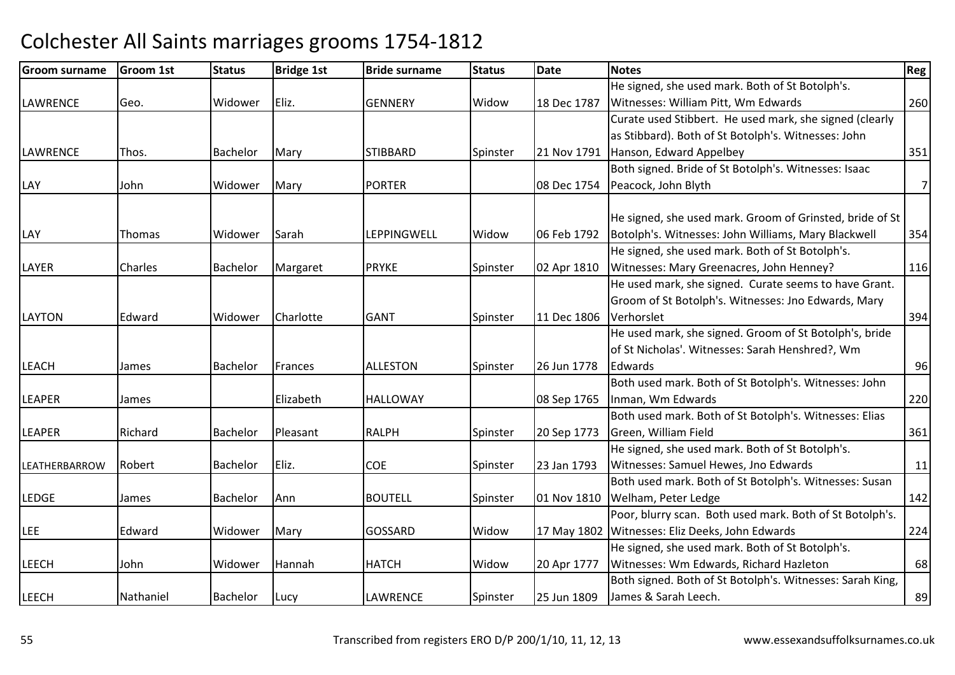| <b>Groom surname</b> | Groom 1st | <b>Status</b> | <b>Bridge 1st</b> | <b>Bride surname</b> | <b>Status</b> | <b>Date</b> | <b>Notes</b>                                              | Reg            |
|----------------------|-----------|---------------|-------------------|----------------------|---------------|-------------|-----------------------------------------------------------|----------------|
|                      |           |               |                   |                      |               |             | He signed, she used mark. Both of St Botolph's.           |                |
| <b>LAWRENCE</b>      | Geo.      | Widower       | Eliz.             | <b>GENNERY</b>       | Widow         | 18 Dec 1787 | Witnesses: William Pitt, Wm Edwards                       | 260            |
|                      |           |               |                   |                      |               |             | Curate used Stibbert. He used mark, she signed (clearly   |                |
|                      |           |               |                   |                      |               |             | as Stibbard). Both of St Botolph's. Witnesses: John       |                |
| <b>LAWRENCE</b>      | Thos.     | Bachelor      | Mary              | <b>STIBBARD</b>      | Spinster      | 21 Nov 1791 | Hanson, Edward Appelbey                                   | 351            |
|                      |           |               |                   |                      |               |             | Both signed. Bride of St Botolph's. Witnesses: Isaac      |                |
| LAY                  | John      | Widower       | Mary              | <b>PORTER</b>        |               | 08 Dec 1754 | Peacock, John Blyth                                       | $\overline{7}$ |
|                      |           |               |                   |                      |               |             |                                                           |                |
|                      |           |               |                   |                      |               |             | He signed, she used mark. Groom of Grinsted, bride of St  |                |
| LAY                  | Thomas    | Widower       | Sarah             | <b>LEPPINGWELL</b>   | Widow         | 06 Feb 1792 | Botolph's. Witnesses: John Williams, Mary Blackwell       | 354            |
|                      |           |               |                   |                      |               |             | He signed, she used mark. Both of St Botolph's.           |                |
| LAYER                | Charles   | Bachelor      | Margaret          | <b>PRYKE</b>         | Spinster      | 02 Apr 1810 | Witnesses: Mary Greenacres, John Henney?                  | 116            |
|                      |           |               |                   |                      |               |             | He used mark, she signed. Curate seems to have Grant.     |                |
|                      |           |               |                   |                      |               |             | Groom of St Botolph's. Witnesses: Jno Edwards, Mary       |                |
| <b>LAYTON</b>        | Edward    | Widower       | Charlotte         | <b>GANT</b>          | Spinster      | 11 Dec 1806 | Verhorslet                                                | 394            |
|                      |           |               |                   |                      |               |             | He used mark, she signed. Groom of St Botolph's, bride    |                |
|                      |           |               |                   |                      |               |             | of St Nicholas'. Witnesses: Sarah Henshred?, Wm           |                |
| <b>LEACH</b>         | James     | Bachelor      | Frances           | <b>ALLESTON</b>      | Spinster      | 26 Jun 1778 | Edwards                                                   | 96             |
|                      |           |               |                   |                      |               |             | Both used mark. Both of St Botolph's. Witnesses: John     |                |
| <b>LEAPER</b>        | James     |               | Elizabeth         | <b>HALLOWAY</b>      |               | 08 Sep 1765 | Inman, Wm Edwards                                         | 220            |
|                      |           |               |                   |                      |               |             | Both used mark. Both of St Botolph's. Witnesses: Elias    |                |
| <b>LEAPER</b>        | Richard   | Bachelor      | Pleasant          | <b>RALPH</b>         | Spinster      | 20 Sep 1773 | Green, William Field                                      | 361            |
|                      |           |               |                   |                      |               |             | He signed, she used mark. Both of St Botolph's.           |                |
| LEATHERBARROW        | Robert    | Bachelor      | Eliz.             | <b>COE</b>           | Spinster      | 23 Jan 1793 | Witnesses: Samuel Hewes, Jno Edwards                      | 11             |
|                      |           |               |                   |                      |               |             | Both used mark. Both of St Botolph's. Witnesses: Susan    |                |
| <b>LEDGE</b>         | James     | Bachelor      | Ann               | <b>BOUTELL</b>       | Spinster      | 01 Nov 1810 | Welham, Peter Ledge                                       | 142            |
|                      |           |               |                   |                      |               |             | Poor, blurry scan. Both used mark. Both of St Botolph's.  |                |
| <b>LEE</b>           | Edward    | Widower       | Mary              | <b>GOSSARD</b>       | Widow         | 17 May 1802 | Witnesses: Eliz Deeks, John Edwards                       | 224            |
|                      |           |               |                   |                      |               |             | He signed, she used mark. Both of St Botolph's.           |                |
| <b>LEECH</b>         | John      | Widower       | Hannah            | <b>HATCH</b>         | Widow         | 20 Apr 1777 | Witnesses: Wm Edwards, Richard Hazleton                   | 68             |
|                      |           |               |                   |                      |               |             | Both signed. Both of St Botolph's. Witnesses: Sarah King, |                |
| <b>LEECH</b>         | Nathaniel | Bachelor      | Lucy              | <b>LAWRENCE</b>      | Spinster      | 25 Jun 1809 | James & Sarah Leech.                                      | 89             |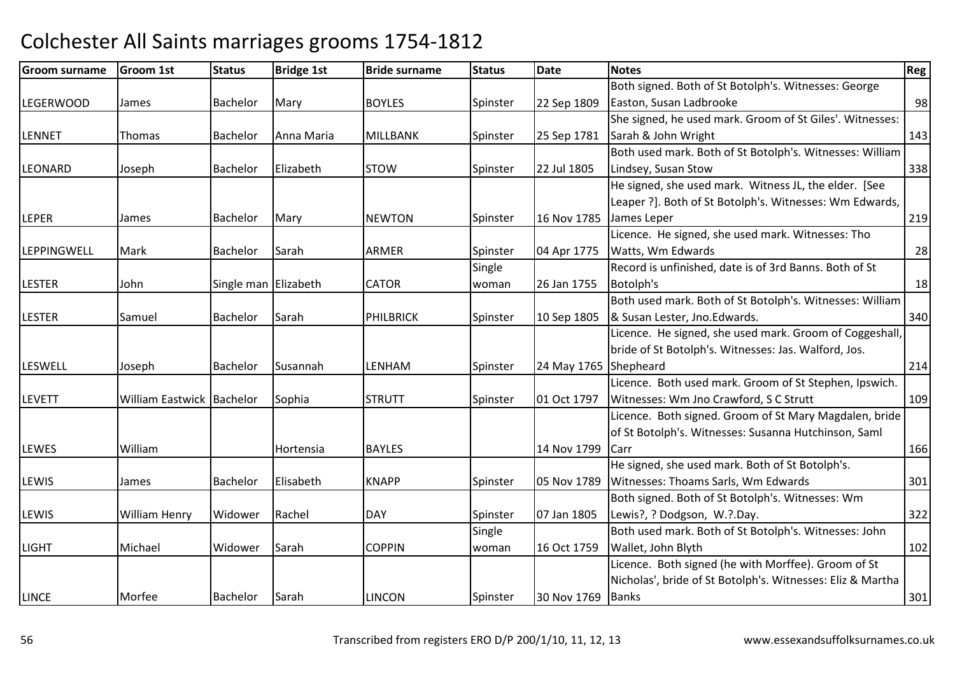| <b>Groom surname</b> | <b>Groom 1st</b>            | <b>Status</b>        | <b>Bridge 1st</b> | <b>Bride surname</b> | <b>Status</b> | <b>Date</b>           | <b>Notes</b>                                               | Reg |
|----------------------|-----------------------------|----------------------|-------------------|----------------------|---------------|-----------------------|------------------------------------------------------------|-----|
|                      |                             |                      |                   |                      |               |                       | Both signed. Both of St Botolph's. Witnesses: George       |     |
| <b>LEGERWOOD</b>     | James                       | <b>Bachelor</b>      | Mary              | <b>BOYLES</b>        | Spinster      | 22 Sep 1809           | Easton, Susan Ladbrooke                                    | 98  |
|                      |                             |                      |                   |                      |               |                       | She signed, he used mark. Groom of St Giles'. Witnesses:   |     |
| LENNET               | Thomas                      | Bachelor             | Anna Maria        | <b>MILLBANK</b>      | Spinster      | 25 Sep 1781           | Sarah & John Wright                                        | 143 |
|                      |                             |                      |                   |                      |               |                       | Both used mark. Both of St Botolph's. Witnesses: William   |     |
| <b>LEONARD</b>       | Joseph                      | <b>Bachelor</b>      | Elizabeth         | <b>STOW</b>          | Spinster      | 22 Jul 1805           | Lindsey, Susan Stow                                        | 338 |
|                      |                             |                      |                   |                      |               |                       | He signed, she used mark. Witness JL, the elder. [See      |     |
|                      |                             |                      |                   |                      |               |                       | Leaper ?]. Both of St Botolph's. Witnesses: Wm Edwards,    |     |
| <b>LEPER</b>         | James                       | Bachelor             | Mary              | <b>NEWTON</b>        | Spinster      | 16 Nov 1785           | James Leper                                                | 219 |
|                      |                             |                      |                   |                      |               |                       | Licence. He signed, she used mark. Witnesses: Tho          |     |
| <b>LEPPINGWELL</b>   | Mark                        | Bachelor             | Sarah             | <b>ARMER</b>         | Spinster      | 04 Apr 1775           | Watts, Wm Edwards                                          | 28  |
|                      |                             |                      |                   |                      | Single        |                       | Record is unfinished, date is of 3rd Banns. Both of St     |     |
| <b>LESTER</b>        | John                        | Single man Elizabeth |                   | <b>CATOR</b>         | woman         | 26 Jan 1755           | Botolph's                                                  | 18  |
|                      |                             |                      |                   |                      |               |                       | Both used mark. Both of St Botolph's. Witnesses: William   |     |
| <b>LESTER</b>        | Samuel                      | Bachelor             | Sarah             | PHILBRICK            | Spinster      | 10 Sep 1805           | & Susan Lester, Jno. Edwards.                              | 340 |
|                      |                             |                      |                   |                      |               |                       | Licence. He signed, she used mark. Groom of Coggeshall,    |     |
|                      |                             |                      |                   |                      |               |                       | bride of St Botolph's. Witnesses: Jas. Walford, Jos.       |     |
| <b>LESWELL</b>       | Joseph                      | <b>Bachelor</b>      | Susannah          | LENHAM               | Spinster      | 24 May 1765 Shepheard |                                                            | 214 |
|                      |                             |                      |                   |                      |               |                       | Licence. Both used mark. Groom of St Stephen, Ipswich.     |     |
| <b>LEVETT</b>        | William Eastwick   Bachelor |                      | Sophia            | <b>STRUTT</b>        | Spinster      | 01 Oct 1797           | Witnesses: Wm Jno Crawford, S C Strutt                     | 109 |
|                      |                             |                      |                   |                      |               |                       | Licence. Both signed. Groom of St Mary Magdalen, bride     |     |
|                      |                             |                      |                   |                      |               |                       | of St Botolph's. Witnesses: Susanna Hutchinson, Saml       |     |
| LEWES                | William                     |                      | Hortensia         | <b>BAYLES</b>        |               | 14 Nov 1799           | Carr                                                       | 166 |
|                      |                             |                      |                   |                      |               |                       | He signed, she used mark. Both of St Botolph's.            |     |
| <b>LEWIS</b>         | James                       | <b>Bachelor</b>      | Elisabeth         | <b>KNAPP</b>         | Spinster      | 05 Nov 1789           | Witnesses: Thoams Sarls, Wm Edwards                        | 301 |
|                      |                             |                      |                   |                      |               |                       | Both signed. Both of St Botolph's. Witnesses: Wm           |     |
| <b>LEWIS</b>         | William Henry               | Widower              | Rachel            | <b>DAY</b>           | Spinster      | 07 Jan 1805           | Lewis?, ? Dodgson, W.?.Day.                                | 322 |
|                      |                             |                      |                   |                      | Single        |                       | Both used mark. Both of St Botolph's. Witnesses: John      |     |
| <b>LIGHT</b>         | Michael                     | Widower              | Sarah             | <b>COPPIN</b>        | woman         | 16 Oct 1759           | Wallet, John Blyth                                         | 102 |
|                      |                             |                      |                   |                      |               |                       | Licence. Both signed (he with Morffee). Groom of St        |     |
|                      |                             |                      |                   |                      |               |                       | Nicholas', bride of St Botolph's. Witnesses: Eliz & Martha |     |
| <b>LINCE</b>         | Morfee                      | <b>Bachelor</b>      | Sarah             | <b>LINCON</b>        | Spinster      | 30 Nov 1769           | <b>Banks</b>                                               | 301 |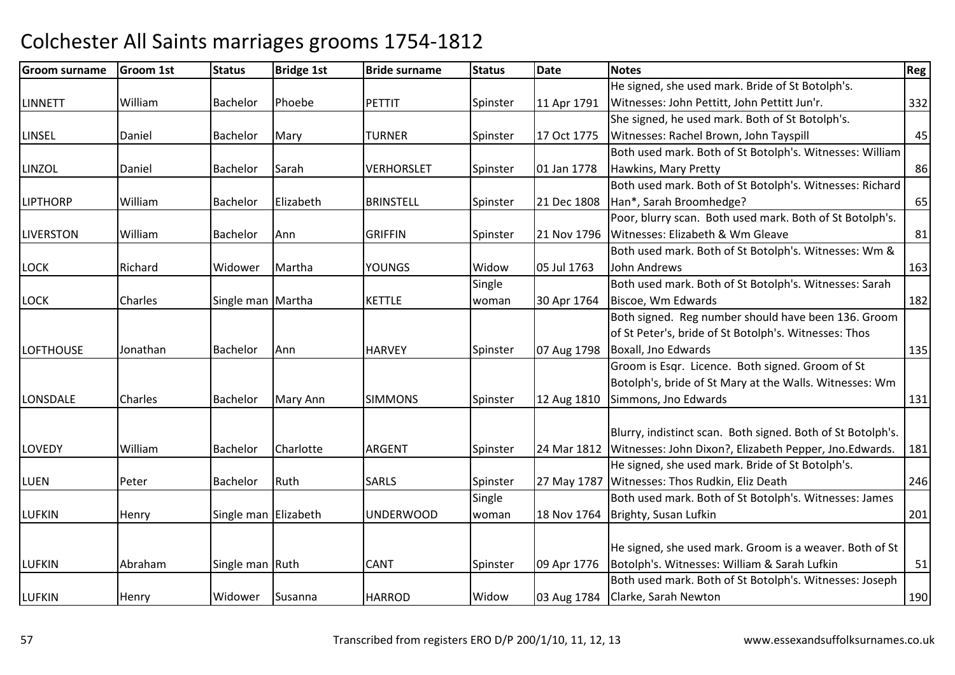| <b>Groom surname</b> | <b>Groom 1st</b> | <b>Status</b>        | <b>Bridge 1st</b> | <b>Bride surname</b> | <b>Status</b> | <b>Date</b> | <b>Notes</b>                                                | Reg |
|----------------------|------------------|----------------------|-------------------|----------------------|---------------|-------------|-------------------------------------------------------------|-----|
|                      |                  |                      |                   |                      |               |             | He signed, she used mark. Bride of St Botolph's.            |     |
| <b>LINNETT</b>       | William          | <b>Bachelor</b>      | Phoebe            | PETTIT               | Spinster      | 11 Apr 1791 | Witnesses: John Pettitt, John Pettitt Jun'r.                | 332 |
|                      |                  |                      |                   |                      |               |             | She signed, he used mark. Both of St Botolph's.             |     |
| <b>LINSEL</b>        | Daniel           | Bachelor             | Mary              | <b>TURNER</b>        | Spinster      | 17 Oct 1775 | Witnesses: Rachel Brown, John Tayspill                      | 45  |
|                      |                  |                      |                   |                      |               |             | Both used mark. Both of St Botolph's. Witnesses: William    |     |
| LINZOL               | Daniel           | <b>Bachelor</b>      | Sarah             | <b>VERHORSLET</b>    | Spinster      | 01 Jan 1778 | Hawkins, Mary Pretty                                        | 86  |
|                      |                  |                      |                   |                      |               |             | Both used mark. Both of St Botolph's. Witnesses: Richard    |     |
| <b>LIPTHORP</b>      | William          | Bachelor             | Elizabeth         | <b>BRINSTELL</b>     | Spinster      | 21 Dec 1808 | Han*, Sarah Broomhedge?                                     | 65  |
|                      |                  |                      |                   |                      |               |             | Poor, blurry scan. Both used mark. Both of St Botolph's.    |     |
| <b>LIVERSTON</b>     | William          | <b>Bachelor</b>      | Ann               | <b>GRIFFIN</b>       | Spinster      | 21 Nov 1796 | Witnesses: Elizabeth & Wm Gleave                            | 81  |
|                      |                  |                      |                   |                      |               |             | Both used mark. Both of St Botolph's. Witnesses: Wm &       |     |
| <b>LOCK</b>          | Richard          | Widower              | Martha            | <b>YOUNGS</b>        | Widow         | 05 Jul 1763 | John Andrews                                                | 163 |
|                      |                  |                      |                   |                      | Single        |             | Both used mark. Both of St Botolph's. Witnesses: Sarah      |     |
| <b>LOCK</b>          | Charles          | Single man Martha    |                   | <b>KETTLE</b>        | woman         | 30 Apr 1764 | Biscoe, Wm Edwards                                          | 182 |
|                      |                  |                      |                   |                      |               |             | Both signed. Reg number should have been 136. Groom         |     |
|                      |                  |                      |                   |                      |               |             | of St Peter's, bride of St Botolph's. Witnesses: Thos       |     |
| <b>LOFTHOUSE</b>     | Jonathan         | <b>Bachelor</b>      | Ann               | <b>HARVEY</b>        | Spinster      | 07 Aug 1798 | Boxall, Jno Edwards                                         | 135 |
|                      |                  |                      |                   |                      |               |             | Groom is Esqr. Licence. Both signed. Groom of St            |     |
|                      |                  |                      |                   |                      |               |             | Botolph's, bride of St Mary at the Walls. Witnesses: Wm     |     |
| LONSDALE             | Charles          | Bachelor             | Mary Ann          | <b>SIMMONS</b>       | Spinster      | 12 Aug 1810 | Simmons, Jno Edwards                                        | 131 |
|                      |                  |                      |                   |                      |               |             |                                                             |     |
|                      |                  |                      |                   |                      |               |             | Blurry, indistinct scan. Both signed. Both of St Botolph's. |     |
| <b>LOVEDY</b>        | William          | Bachelor             | Charlotte         | <b>ARGENT</b>        | Spinster      | 24 Mar 1812 | Witnesses: John Dixon?, Elizabeth Pepper, Jno. Edwards.     | 181 |
|                      |                  |                      |                   |                      |               |             | He signed, she used mark. Bride of St Botolph's.            |     |
| <b>LUEN</b>          | Peter            | <b>Bachelor</b>      | Ruth              | <b>SARLS</b>         | Spinster      | 27 May 1787 | Witnesses: Thos Rudkin, Eliz Death                          | 246 |
|                      |                  |                      |                   |                      | Single        |             | Both used mark. Both of St Botolph's. Witnesses: James      |     |
| <b>LUFKIN</b>        | Henry            | Single man Elizabeth |                   | <b>UNDERWOOD</b>     | woman         | 18 Nov 1764 | Brighty, Susan Lufkin                                       | 201 |
|                      |                  |                      |                   |                      |               |             |                                                             |     |
|                      |                  |                      |                   |                      |               |             | He signed, she used mark. Groom is a weaver. Both of St     |     |
| <b>LUFKIN</b>        | Abraham          | Single man Ruth      |                   | <b>CANT</b>          | Spinster      | 09 Apr 1776 | Botolph's. Witnesses: William & Sarah Lufkin                | 51  |
|                      |                  |                      |                   |                      |               |             | Both used mark. Both of St Botolph's. Witnesses: Joseph     |     |
| <b>LUFKIN</b>        | Henry            | Widower              | Susanna           | <b>HARROD</b>        | Widow         |             | 03 Aug 1784 Clarke, Sarah Newton                            | 190 |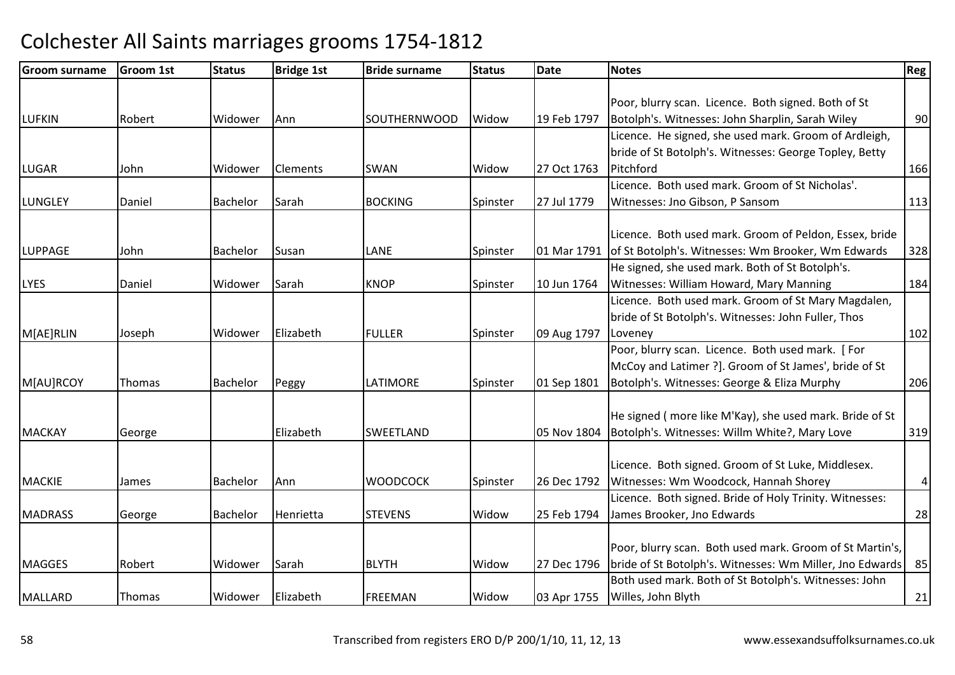| <b>Groom surname</b> | <b>Groom 1st</b> | <b>Status</b> | <b>Bridge 1st</b> | <b>Bride surname</b> | <b>Status</b> | Date        | <b>Notes</b>                                             | Reg |
|----------------------|------------------|---------------|-------------------|----------------------|---------------|-------------|----------------------------------------------------------|-----|
|                      |                  |               |                   |                      |               |             |                                                          |     |
|                      |                  |               |                   |                      |               |             | Poor, blurry scan. Licence. Both signed. Both of St      |     |
| <b>LUFKIN</b>        | Robert           | Widower       | Ann               | <b>SOUTHERNWOOD</b>  | Widow         | 19 Feb 1797 | Botolph's. Witnesses: John Sharplin, Sarah Wiley         | 90  |
|                      |                  |               |                   |                      |               |             | Licence. He signed, she used mark. Groom of Ardleigh,    |     |
|                      |                  |               |                   |                      |               |             | bride of St Botolph's. Witnesses: George Topley, Betty   |     |
| <b>LUGAR</b>         | John             | Widower       | <b>Clements</b>   | <b>SWAN</b>          | Widow         | 27 Oct 1763 | Pitchford                                                | 166 |
|                      |                  |               |                   |                      |               |             | Licence. Both used mark. Groom of St Nicholas'.          |     |
| LUNGLEY              | Daniel           | Bachelor      | Sarah             | <b>BOCKING</b>       | Spinster      | 27 Jul 1779 | Witnesses: Jno Gibson, P Sansom                          | 113 |
|                      |                  |               |                   |                      |               |             | Licence. Both used mark. Groom of Peldon, Essex, bride   |     |
| <b>LUPPAGE</b>       | John             | Bachelor      | Susan             | <b>LANE</b>          | Spinster      | 01 Mar 1791 | of St Botolph's. Witnesses: Wm Brooker, Wm Edwards       | 328 |
|                      |                  |               |                   |                      |               |             | He signed, she used mark. Both of St Botolph's.          |     |
| <b>LYES</b>          | Daniel           | Widower       | Sarah             | <b>KNOP</b>          | Spinster      | 10 Jun 1764 | Witnesses: William Howard, Mary Manning                  | 184 |
|                      |                  |               |                   |                      |               |             | Licence. Both used mark. Groom of St Mary Magdalen,      |     |
|                      |                  |               |                   |                      |               |             | bride of St Botolph's. Witnesses: John Fuller, Thos      |     |
| M[AE]RLIN            | Joseph           | Widower       | Elizabeth         | <b>FULLER</b>        | Spinster      | 09 Aug 1797 | Loveney                                                  | 102 |
|                      |                  |               |                   |                      |               |             | Poor, blurry scan. Licence. Both used mark. [For         |     |
|                      |                  |               |                   |                      |               |             | McCoy and Latimer ?]. Groom of St James', bride of St    |     |
| M[AU]RCOY            | Thomas           | Bachelor      | Peggy             | LATIMORE             | Spinster      | 01 Sep 1801 | Botolph's. Witnesses: George & Eliza Murphy              | 206 |
|                      |                  |               |                   |                      |               |             | He signed (more like M'Kay), she used mark. Bride of St  |     |
| <b>MACKAY</b>        | George           |               | Elizabeth         | <b>SWEETLAND</b>     |               | 05 Nov 1804 | Botolph's. Witnesses: Willm White?, Mary Love            | 319 |
|                      |                  |               |                   |                      |               |             |                                                          |     |
|                      |                  |               |                   |                      |               |             | Licence. Both signed. Groom of St Luke, Middlesex.       |     |
| <b>MACKIE</b>        | James            | Bachelor      | Ann               | <b>WOODCOCK</b>      | Spinster      | 26 Dec 1792 | Witnesses: Wm Woodcock, Hannah Shorey                    | 4   |
|                      |                  |               |                   |                      |               |             | Licence. Both signed. Bride of Holy Trinity. Witnesses:  |     |
| <b>MADRASS</b>       | George           | Bachelor      | Henrietta         | <b>STEVENS</b>       | Widow         | 25 Feb 1794 | James Brooker, Jno Edwards                               | 28  |
|                      |                  |               |                   |                      |               |             |                                                          |     |
|                      |                  |               |                   |                      |               |             | Poor, blurry scan. Both used mark. Groom of St Martin's, |     |
| <b>MAGGES</b>        | Robert           | Widower       | Sarah             | <b>BLYTH</b>         | Widow         | 27 Dec 1796 | bride of St Botolph's. Witnesses: Wm Miller, Jno Edwards | 85  |
|                      |                  |               |                   |                      |               |             | Both used mark. Both of St Botolph's. Witnesses: John    |     |
| <b>MALLARD</b>       | Thomas           | Widower       | Elizabeth         | <b>FREEMAN</b>       | Widow         | 03 Apr 1755 | Willes, John Blyth                                       | 21  |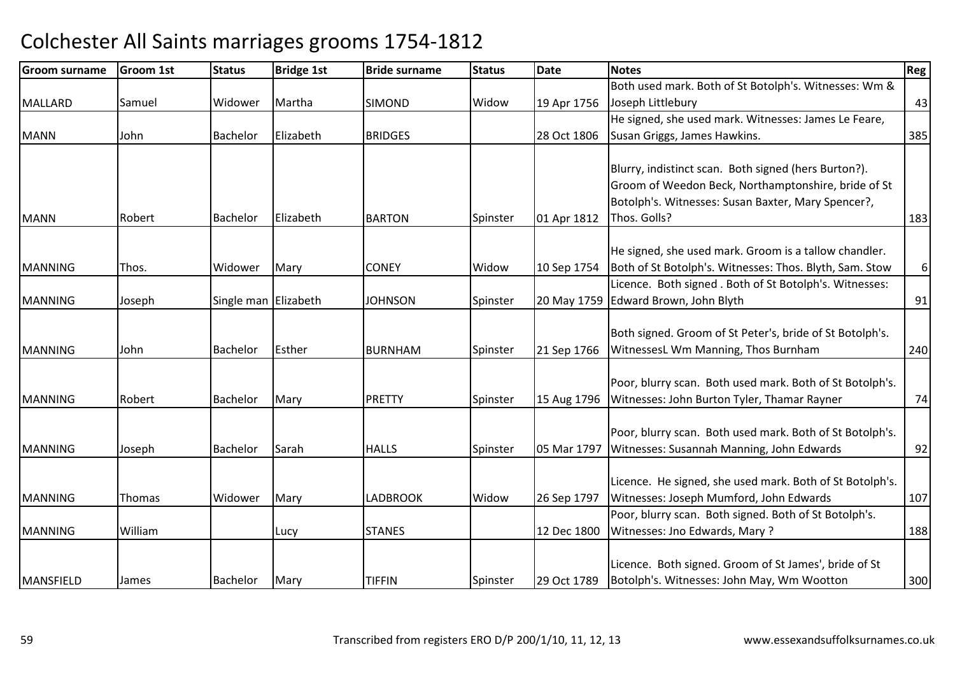| <b>Groom surname</b> | Groom 1st | <b>Status</b>        | <b>Bridge 1st</b> | <b>Bride surname</b> | <b>Status</b> | Date        | <b>Notes</b>                                             | Reg      |
|----------------------|-----------|----------------------|-------------------|----------------------|---------------|-------------|----------------------------------------------------------|----------|
|                      |           |                      |                   |                      |               |             | Both used mark. Both of St Botolph's. Witnesses: Wm &    |          |
| <b>MALLARD</b>       | Samuel    | Widower              | Martha            | <b>SIMOND</b>        | Widow         | 19 Apr 1756 | Joseph Littlebury                                        | 43       |
|                      |           |                      |                   |                      |               |             | He signed, she used mark. Witnesses: James Le Feare,     |          |
| <b>MANN</b>          | John      | <b>Bachelor</b>      | Elizabeth         | <b>BRIDGES</b>       |               | 28 Oct 1806 | Susan Griggs, James Hawkins.                             | 385      |
|                      |           |                      |                   |                      |               |             |                                                          |          |
|                      |           |                      |                   |                      |               |             | Blurry, indistinct scan. Both signed (hers Burton?).     |          |
|                      |           |                      |                   |                      |               |             | Groom of Weedon Beck, Northamptonshire, bride of St      |          |
|                      |           |                      |                   |                      |               |             | Botolph's. Witnesses: Susan Baxter, Mary Spencer?,       |          |
| <b>MANN</b>          | Robert    | <b>Bachelor</b>      | Elizabeth         | <b>BARTON</b>        | Spinster      | 01 Apr 1812 | Thos. Golls?                                             | 183      |
|                      |           |                      |                   |                      |               |             | He signed, she used mark. Groom is a tallow chandler.    |          |
| <b>MANNING</b>       | Thos.     | Widower              | Mary              | <b>CONEY</b>         | Widow         | 10 Sep 1754 | Both of St Botolph's. Witnesses: Thos. Blyth, Sam. Stow  | $6 \mid$ |
|                      |           |                      |                   |                      |               |             | Licence. Both signed. Both of St Botolph's. Witnesses:   |          |
| <b>MANNING</b>       | Joseph    | Single man Elizabeth |                   | <b>JOHNSON</b>       | Spinster      |             | 20 May 1759 Edward Brown, John Blyth                     | 91       |
|                      |           |                      |                   |                      |               |             |                                                          |          |
|                      |           |                      |                   |                      |               |             | Both signed. Groom of St Peter's, bride of St Botolph's. |          |
| <b>MANNING</b>       | John      | <b>Bachelor</b>      | Esther            | <b>BURNHAM</b>       | Spinster      | 21 Sep 1766 | WitnessesL Wm Manning, Thos Burnham                      | 240      |
|                      |           |                      |                   |                      |               |             |                                                          |          |
|                      |           |                      |                   |                      |               |             | Poor, blurry scan. Both used mark. Both of St Botolph's. |          |
| <b>MANNING</b>       | Robert    | <b>Bachelor</b>      | Mary              | <b>PRETTY</b>        | Spinster      | 15 Aug 1796 | Witnesses: John Burton Tyler, Thamar Rayner              | 74       |
|                      |           |                      |                   |                      |               |             | Poor, blurry scan. Both used mark. Both of St Botolph's. |          |
| <b>MANNING</b>       | Joseph    | <b>Bachelor</b>      | Sarah             | <b>HALLS</b>         | Spinster      | 05 Mar 1797 | Witnesses: Susannah Manning, John Edwards                | 92       |
|                      |           |                      |                   |                      |               |             |                                                          |          |
|                      |           |                      |                   |                      |               |             | Licence. He signed, she used mark. Both of St Botolph's. |          |
| <b>MANNING</b>       | Thomas    | Widower              | Mary              | <b>LADBROOK</b>      | Widow         | 26 Sep 1797 | Witnesses: Joseph Mumford, John Edwards                  | 107      |
|                      |           |                      |                   |                      |               |             | Poor, blurry scan. Both signed. Both of St Botolph's.    |          |
| <b>MANNING</b>       | William   |                      | Lucy              | <b>STANES</b>        |               | 12 Dec 1800 | Witnesses: Jno Edwards, Mary?                            | 188      |
|                      |           |                      |                   |                      |               |             |                                                          |          |
|                      |           |                      |                   |                      |               |             | Licence. Both signed. Groom of St James', bride of St    |          |
| MANSFIELD            | James     | <b>Bachelor</b>      | Mary              | <b>TIFFIN</b>        | Spinster      | 29 Oct 1789 | Botolph's. Witnesses: John May, Wm Wootton               | 300      |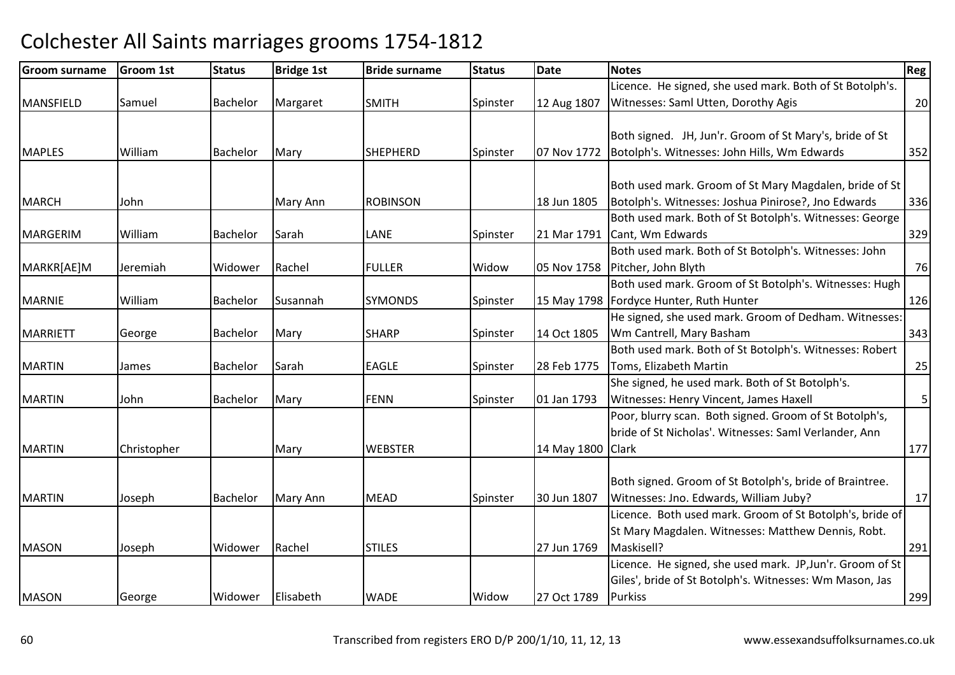| <b>Groom surname</b> | Groom 1st   | <b>Status</b>   | <b>Bridge 1st</b> | <b>Bride surname</b> | <b>Status</b> | <b>Date</b>       | <b>Notes</b>                                              | Reg            |
|----------------------|-------------|-----------------|-------------------|----------------------|---------------|-------------------|-----------------------------------------------------------|----------------|
|                      |             |                 |                   |                      |               |                   | Licence. He signed, she used mark. Both of St Botolph's.  |                |
| <b>MANSFIELD</b>     | Samuel      | Bachelor        | Margaret          | <b>SMITH</b>         | Spinster      | 12 Aug 1807       | Witnesses: Saml Utten, Dorothy Agis                       | 20             |
|                      |             |                 |                   |                      |               |                   |                                                           |                |
|                      |             |                 |                   |                      |               |                   | Both signed. JH, Jun'r. Groom of St Mary's, bride of St   |                |
| <b>MAPLES</b>        | William     | Bachelor        | Mary              | <b>SHEPHERD</b>      | Spinster      | 07 Nov 1772       | Botolph's. Witnesses: John Hills, Wm Edwards              | 352            |
|                      |             |                 |                   |                      |               |                   |                                                           |                |
|                      |             |                 |                   |                      |               |                   | Both used mark. Groom of St Mary Magdalen, bride of St    |                |
| <b>MARCH</b>         | John        |                 | Mary Ann          | <b>ROBINSON</b>      |               | 18 Jun 1805       | Botolph's. Witnesses: Joshua Pinirose?, Jno Edwards       | 336            |
|                      |             |                 |                   |                      |               |                   | Both used mark. Both of St Botolph's. Witnesses: George   |                |
| MARGERIM             | William     | Bachelor        | Sarah             | LANE                 | Spinster      | 21 Mar 1791       | Cant, Wm Edwards                                          | 329            |
|                      |             |                 |                   |                      |               |                   | Both used mark. Both of St Botolph's. Witnesses: John     |                |
| MARKR[AE]M           | Jeremiah    | Widower         | Rachel            | <b>FULLER</b>        | Widow         | 05 Nov 1758       | Pitcher, John Blyth                                       | 76             |
|                      |             |                 |                   |                      |               |                   | Both used mark. Groom of St Botolph's. Witnesses: Hugh    |                |
| <b>MARNIE</b>        | William     | <b>Bachelor</b> | Susannah          | <b>SYMONDS</b>       | Spinster      |                   | 15 May 1798   Fordyce Hunter, Ruth Hunter                 | 126            |
|                      |             |                 |                   |                      |               |                   | He signed, she used mark. Groom of Dedham. Witnesses:     |                |
| <b>MARRIETT</b>      | George      | Bachelor        | Mary              | <b>SHARP</b>         | Spinster      | 14 Oct 1805       | Wm Cantrell, Mary Basham                                  | 343            |
|                      |             |                 |                   |                      |               |                   | Both used mark. Both of St Botolph's. Witnesses: Robert   |                |
| <b>MARTIN</b>        | James       | Bachelor        | Sarah             | <b>EAGLE</b>         | Spinster      | 28 Feb 1775       | Toms, Elizabeth Martin                                    | 25             |
|                      |             |                 |                   |                      |               |                   | She signed, he used mark. Both of St Botolph's.           |                |
| <b>MARTIN</b>        | John        | Bachelor        | Mary              | <b>FENN</b>          | Spinster      | 01 Jan 1793       | Witnesses: Henry Vincent, James Haxell                    | 5 <sup>1</sup> |
|                      |             |                 |                   |                      |               |                   | Poor, blurry scan. Both signed. Groom of St Botolph's,    |                |
|                      |             |                 |                   |                      |               |                   | bride of St Nicholas'. Witnesses: Saml Verlander, Ann     |                |
| <b>MARTIN</b>        | Christopher |                 | Mary              | <b>WEBSTER</b>       |               | 14 May 1800 Clark |                                                           | 177            |
|                      |             |                 |                   |                      |               |                   |                                                           |                |
|                      |             |                 |                   |                      |               |                   | Both signed. Groom of St Botolph's, bride of Braintree.   |                |
| <b>MARTIN</b>        | Joseph      | <b>Bachelor</b> | <b>Mary Ann</b>   | <b>MEAD</b>          | Spinster      | 30 Jun 1807       | Witnesses: Jno. Edwards, William Juby?                    | 17             |
|                      |             |                 |                   |                      |               |                   | Licence. Both used mark. Groom of St Botolph's, bride of  |                |
|                      |             |                 |                   |                      |               |                   | St Mary Magdalen. Witnesses: Matthew Dennis, Robt.        |                |
| <b>MASON</b>         | Joseph      | Widower         | Rachel            | <b>STILES</b>        |               | 27 Jun 1769       | Maskisell?                                                | 291            |
|                      |             |                 |                   |                      |               |                   | Licence. He signed, she used mark. JP, Jun'r. Groom of St |                |
|                      |             |                 |                   |                      |               |                   | Giles', bride of St Botolph's. Witnesses: Wm Mason, Jas   |                |
| <b>MASON</b>         | George      | Widower         | Elisabeth         | <b>WADE</b>          | Widow         | 27 Oct 1789       | <b>Purkiss</b>                                            | 299            |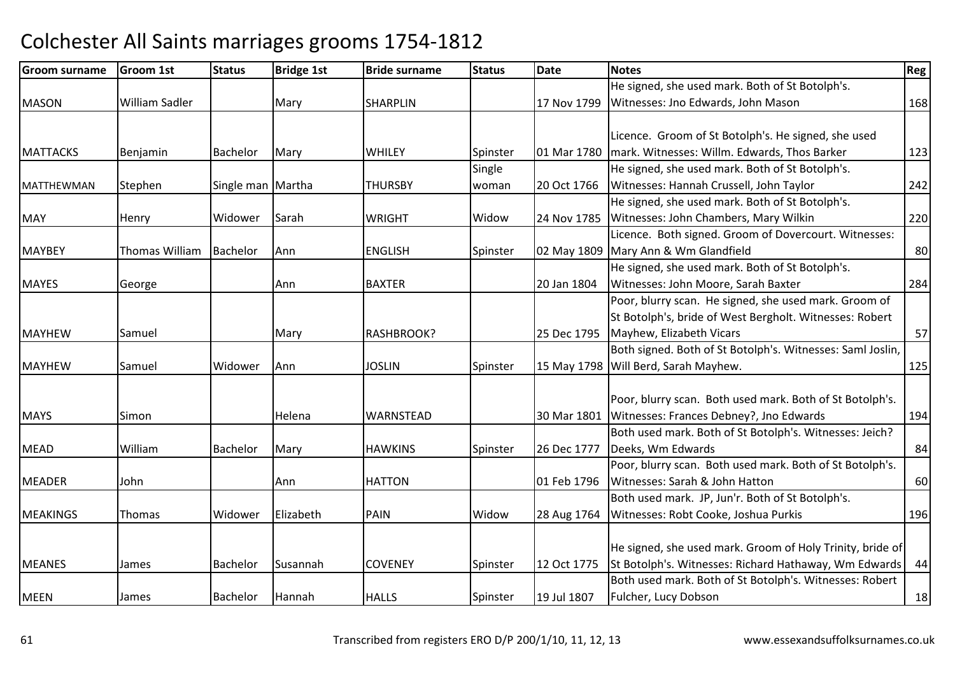| <b>Groom surname</b> | <b>Groom 1st</b> | <b>Status</b>     | <b>Bridge 1st</b> | <b>Bride surname</b> | <b>Status</b> | <b>Date</b> | <b>Notes</b>                                               | Reg |
|----------------------|------------------|-------------------|-------------------|----------------------|---------------|-------------|------------------------------------------------------------|-----|
|                      |                  |                   |                   |                      |               |             | He signed, she used mark. Both of St Botolph's.            |     |
| <b>MASON</b>         | William Sadler   |                   | Mary              | <b>SHARPLIN</b>      |               | 17 Nov 1799 | Witnesses: Jno Edwards, John Mason                         | 168 |
|                      |                  |                   |                   |                      |               |             |                                                            |     |
|                      |                  |                   |                   |                      |               |             | Licence. Groom of St Botolph's. He signed, she used        |     |
| <b>MATTACKS</b>      | Benjamin         | <b>Bachelor</b>   | Mary              | WHILEY               | Spinster      | 01 Mar 1780 | mark. Witnesses: Willm. Edwards, Thos Barker               | 123 |
|                      |                  |                   |                   |                      | Single        |             | He signed, she used mark. Both of St Botolph's.            |     |
| <b>MATTHEWMAN</b>    | Stephen          | Single man Martha |                   | <b>THURSBY</b>       | woman         | 20 Oct 1766 | Witnesses: Hannah Crussell, John Taylor                    | 242 |
|                      |                  |                   |                   |                      |               |             | He signed, she used mark. Both of St Botolph's.            |     |
| <b>MAY</b>           | Henry            | Widower           | Sarah             | <b>WRIGHT</b>        | Widow         |             | 24 Nov 1785 Witnesses: John Chambers, Mary Wilkin          | 220 |
|                      |                  |                   |                   |                      |               |             | Licence. Both signed. Groom of Dovercourt. Witnesses:      |     |
| <b>MAYBEY</b>        | Thomas William   | Bachelor          | Ann               | <b>ENGLISH</b>       | Spinster      |             | 02 May 1809 Mary Ann & Wm Glandfield                       | 80  |
|                      |                  |                   |                   |                      |               |             | He signed, she used mark. Both of St Botolph's.            |     |
| <b>MAYES</b>         | George           |                   | Ann               | <b>BAXTER</b>        |               | 20 Jan 1804 | Witnesses: John Moore, Sarah Baxter                        | 284 |
|                      |                  |                   |                   |                      |               |             | Poor, blurry scan. He signed, she used mark. Groom of      |     |
|                      |                  |                   |                   |                      |               |             | St Botolph's, bride of West Bergholt. Witnesses: Robert    |     |
| <b>MAYHEW</b>        | Samuel           |                   | Mary              | RASHBROOK?           |               | 25 Dec 1795 | Mayhew, Elizabeth Vicars                                   | 57  |
|                      |                  |                   |                   |                      |               |             | Both signed. Both of St Botolph's. Witnesses: Saml Joslin, |     |
| <b>MAYHEW</b>        | Samuel           | Widower           | Ann               | <b>JOSLIN</b>        | Spinster      |             | 15 May 1798 Will Berd, Sarah Mayhew.                       | 125 |
|                      |                  |                   |                   |                      |               |             |                                                            |     |
|                      |                  |                   |                   |                      |               |             | Poor, blurry scan. Both used mark. Both of St Botolph's.   |     |
| <b>MAYS</b>          | Simon            |                   | Helena            | WARNSTEAD            |               | 30 Mar 1801 | Witnesses: Frances Debney?, Jno Edwards                    | 194 |
|                      |                  |                   |                   |                      |               |             | Both used mark. Both of St Botolph's. Witnesses: Jeich?    |     |
| <b>MEAD</b>          | William          | Bachelor          | Mary              | <b>HAWKINS</b>       | Spinster      | 26 Dec 1777 | Deeks, Wm Edwards                                          | 84  |
|                      |                  |                   |                   |                      |               |             | Poor, blurry scan. Both used mark. Both of St Botolph's.   |     |
| <b>MEADER</b>        | John             |                   | Ann               | <b>HATTON</b>        |               | 01 Feb 1796 | Witnesses: Sarah & John Hatton                             | 60  |
|                      |                  |                   |                   |                      |               |             | Both used mark. JP, Jun'r. Both of St Botolph's.           |     |
| <b>MEAKINGS</b>      | Thomas           | Widower           | Elizabeth         | <b>PAIN</b>          | Widow         | 28 Aug 1764 | Witnesses: Robt Cooke, Joshua Purkis                       | 196 |
|                      |                  |                   |                   |                      |               |             |                                                            |     |
|                      |                  |                   |                   |                      |               |             | He signed, she used mark. Groom of Holy Trinity, bride of  |     |
| <b>MEANES</b>        | James            | Bachelor          | Susannah          | <b>COVENEY</b>       | Spinster      | 12 Oct 1775 | St Botolph's. Witnesses: Richard Hathaway, Wm Edwards      | 44  |
|                      |                  |                   |                   |                      |               |             | Both used mark. Both of St Botolph's. Witnesses: Robert    |     |
| <b>MEEN</b>          | James            | Bachelor          | Hannah            | <b>HALLS</b>         | Spinster      | 19 Jul 1807 | Fulcher, Lucy Dobson                                       | 18  |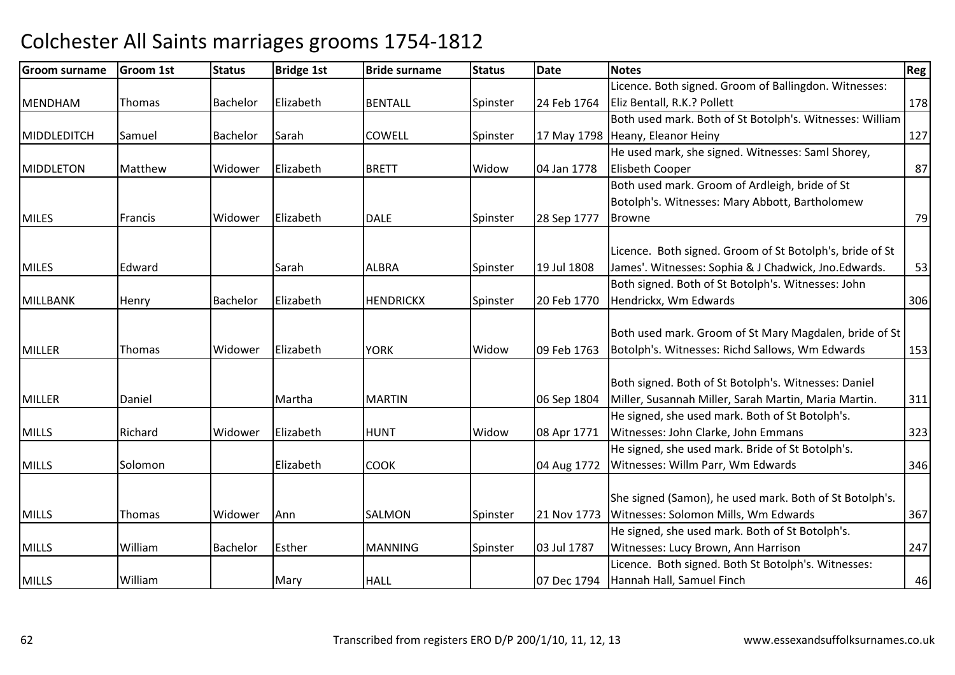| Licence. Both signed. Groom of Ballingdon. Witnesses:<br>Elizabeth<br>Eliz Bentall, R.K.? Pollett<br><b>Bachelor</b><br><b>BENTALL</b><br>Spinster<br><b>MENDHAM</b><br>Thomas<br>24 Feb 1764<br>Both used mark. Both of St Botolph's. Witnesses: William<br><b>COWELL</b><br>17 May 1798 Heany, Eleanor Heiny<br>MIDDLEDITCH<br>Bachelor<br>Sarah<br>Samuel<br>Spinster<br>He used mark, she signed. Witnesses: Saml Shorey,<br>Elizabeth<br><b>BRETT</b><br>Widow<br>04 Jan 1778<br>Elisbeth Cooper<br><b>MIDDLETON</b><br>Matthew<br>Widower<br>Both used mark. Groom of Ardleigh, bride of St<br>Botolph's. Witnesses: Mary Abbott, Bartholomew<br>Elizabeth<br>Francis<br>Widower<br>28 Sep 1777<br><b>MILES</b><br><b>DALE</b><br>Spinster<br><b>Browne</b><br>Licence. Both signed. Groom of St Botolph's, bride of St | 178<br>127<br>87 |
|-------------------------------------------------------------------------------------------------------------------------------------------------------------------------------------------------------------------------------------------------------------------------------------------------------------------------------------------------------------------------------------------------------------------------------------------------------------------------------------------------------------------------------------------------------------------------------------------------------------------------------------------------------------------------------------------------------------------------------------------------------------------------------------------------------------------------------|------------------|
|                                                                                                                                                                                                                                                                                                                                                                                                                                                                                                                                                                                                                                                                                                                                                                                                                               |                  |
|                                                                                                                                                                                                                                                                                                                                                                                                                                                                                                                                                                                                                                                                                                                                                                                                                               |                  |
|                                                                                                                                                                                                                                                                                                                                                                                                                                                                                                                                                                                                                                                                                                                                                                                                                               |                  |
|                                                                                                                                                                                                                                                                                                                                                                                                                                                                                                                                                                                                                                                                                                                                                                                                                               |                  |
|                                                                                                                                                                                                                                                                                                                                                                                                                                                                                                                                                                                                                                                                                                                                                                                                                               |                  |
|                                                                                                                                                                                                                                                                                                                                                                                                                                                                                                                                                                                                                                                                                                                                                                                                                               |                  |
|                                                                                                                                                                                                                                                                                                                                                                                                                                                                                                                                                                                                                                                                                                                                                                                                                               |                  |
|                                                                                                                                                                                                                                                                                                                                                                                                                                                                                                                                                                                                                                                                                                                                                                                                                               |                  |
|                                                                                                                                                                                                                                                                                                                                                                                                                                                                                                                                                                                                                                                                                                                                                                                                                               | 79               |
|                                                                                                                                                                                                                                                                                                                                                                                                                                                                                                                                                                                                                                                                                                                                                                                                                               |                  |
| James'. Witnesses: Sophia & J Chadwick, Jno.Edwards.<br><b>MILES</b><br>Edward<br><b>ALBRA</b><br>19 Jul 1808<br>Sarah<br>Spinster                                                                                                                                                                                                                                                                                                                                                                                                                                                                                                                                                                                                                                                                                            | 53               |
| Both signed. Both of St Botolph's. Witnesses: John                                                                                                                                                                                                                                                                                                                                                                                                                                                                                                                                                                                                                                                                                                                                                                            |                  |
| Elizabeth<br><b>HENDRICKX</b><br>20 Feb 1770<br>Hendrickx, Wm Edwards<br><b>MILLBANK</b><br>Bachelor<br>Spinster<br>Henry                                                                                                                                                                                                                                                                                                                                                                                                                                                                                                                                                                                                                                                                                                     | 306              |
|                                                                                                                                                                                                                                                                                                                                                                                                                                                                                                                                                                                                                                                                                                                                                                                                                               |                  |
| Both used mark. Groom of St Mary Magdalen, bride of St                                                                                                                                                                                                                                                                                                                                                                                                                                                                                                                                                                                                                                                                                                                                                                        |                  |
| Botolph's. Witnesses: Richd Sallows, Wm Edwards<br><b>MILLER</b><br>Elizabeth<br><b>YORK</b><br>Widow<br>09 Feb 1763<br><b>Thomas</b><br>Widower                                                                                                                                                                                                                                                                                                                                                                                                                                                                                                                                                                                                                                                                              | 153              |
|                                                                                                                                                                                                                                                                                                                                                                                                                                                                                                                                                                                                                                                                                                                                                                                                                               |                  |
| Both signed. Both of St Botolph's. Witnesses: Daniel                                                                                                                                                                                                                                                                                                                                                                                                                                                                                                                                                                                                                                                                                                                                                                          |                  |
| Miller, Susannah Miller, Sarah Martin, Maria Martin.<br>Daniel<br>Martha<br><b>MARTIN</b><br><b>MILLER</b><br>06 Sep 1804                                                                                                                                                                                                                                                                                                                                                                                                                                                                                                                                                                                                                                                                                                     | 311              |
| He signed, she used mark. Both of St Botolph's.                                                                                                                                                                                                                                                                                                                                                                                                                                                                                                                                                                                                                                                                                                                                                                               |                  |
| Elizabeth<br>Witnesses: John Clarke, John Emmans<br>Richard<br><b>HUNT</b><br>Widow<br>08 Apr 1771<br><b>MILLS</b><br>Widower                                                                                                                                                                                                                                                                                                                                                                                                                                                                                                                                                                                                                                                                                                 | 323              |
| He signed, she used mark. Bride of St Botolph's.                                                                                                                                                                                                                                                                                                                                                                                                                                                                                                                                                                                                                                                                                                                                                                              |                  |
| Elizabeth<br>Witnesses: Willm Parr, Wm Edwards<br><b>MILLS</b><br>Solomon<br><b>COOK</b><br>04 Aug 1772                                                                                                                                                                                                                                                                                                                                                                                                                                                                                                                                                                                                                                                                                                                       | 346              |
| She signed (Samon), he used mark. Both of St Botolph's.                                                                                                                                                                                                                                                                                                                                                                                                                                                                                                                                                                                                                                                                                                                                                                       |                  |
| Witnesses: Solomon Mills, Wm Edwards<br><b>SALMON</b><br><b>MILLS</b><br>Thomas<br>Widower<br>Ann<br>Spinster<br>21 Nov 1773                                                                                                                                                                                                                                                                                                                                                                                                                                                                                                                                                                                                                                                                                                  | 367              |
| He signed, she used mark. Both of St Botolph's.                                                                                                                                                                                                                                                                                                                                                                                                                                                                                                                                                                                                                                                                                                                                                                               |                  |
| Esther<br>Witnesses: Lucy Brown, Ann Harrison<br><b>MILLS</b><br>William<br>Bachelor<br><b>MANNING</b><br>Spinster<br>03 Jul 1787                                                                                                                                                                                                                                                                                                                                                                                                                                                                                                                                                                                                                                                                                             |                  |
| Licence. Both signed. Both St Botolph's. Witnesses:                                                                                                                                                                                                                                                                                                                                                                                                                                                                                                                                                                                                                                                                                                                                                                           | 247              |
| William<br>Hannah Hall, Samuel Finch<br><b>MILLS</b><br><b>HALL</b><br>07 Dec 1794<br>Mary                                                                                                                                                                                                                                                                                                                                                                                                                                                                                                                                                                                                                                                                                                                                    |                  |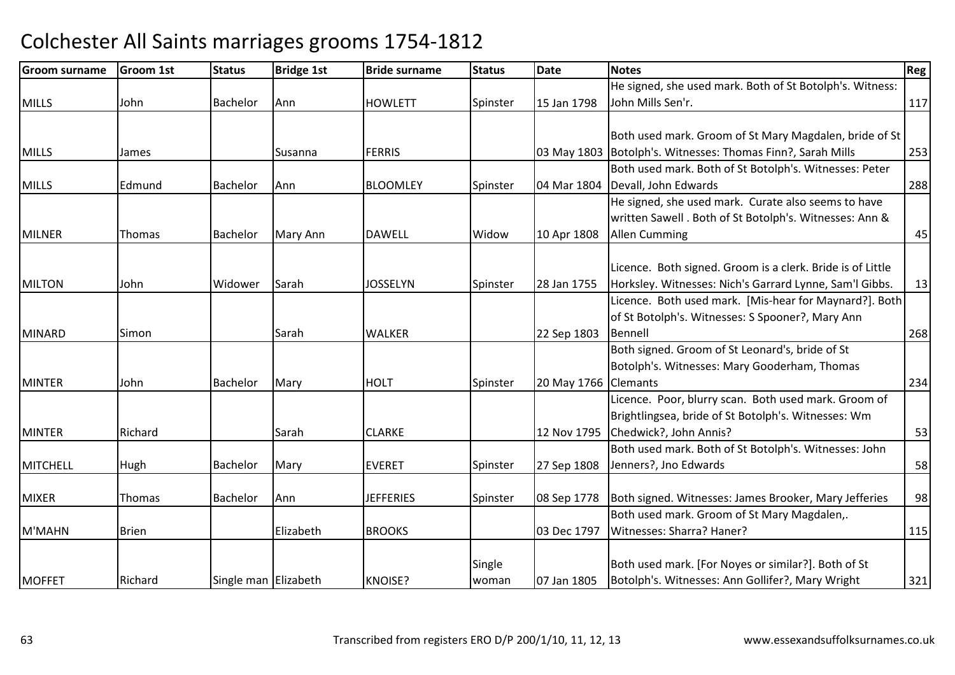| <b>Groom surname</b> | <b>Groom 1st</b> | <b>Status</b>        | <b>Bridge 1st</b> | <b>Bride surname</b> | <b>Status</b> | Date        | <b>Notes</b>                                                  | Reg |
|----------------------|------------------|----------------------|-------------------|----------------------|---------------|-------------|---------------------------------------------------------------|-----|
|                      |                  |                      |                   |                      |               |             | He signed, she used mark. Both of St Botolph's. Witness:      |     |
| <b>MILLS</b>         | John             | <b>Bachelor</b>      | Ann               | <b>HOWLETT</b>       | Spinster      | 15 Jan 1798 | John Mills Sen'r.                                             | 117 |
|                      |                  |                      |                   |                      |               |             |                                                               |     |
|                      |                  |                      |                   |                      |               |             | Both used mark. Groom of St Mary Magdalen, bride of St        |     |
| <b>MILLS</b>         | James            |                      | <b>Susanna</b>    | <b>FERRIS</b>        |               |             | 03 May 1803   Botolph's. Witnesses: Thomas Finn?, Sarah Mills | 253 |
|                      |                  |                      |                   |                      |               |             | Both used mark. Both of St Botolph's. Witnesses: Peter        |     |
| <b>MILLS</b>         | Edmund           | <b>Bachelor</b>      | Ann               | <b>BLOOMLEY</b>      | Spinster      |             | 04 Mar 1804 Devall, John Edwards                              | 288 |
|                      |                  |                      |                   |                      |               |             | He signed, she used mark. Curate also seems to have           |     |
|                      |                  |                      |                   |                      |               |             | written Sawell. Both of St Botolph's. Witnesses: Ann &        |     |
| <b>MILNER</b>        | Thomas           | <b>Bachelor</b>      | Mary Ann          | <b>DAWELL</b>        | Widow         | 10 Apr 1808 | <b>Allen Cumming</b>                                          | 45  |
|                      |                  |                      |                   |                      |               |             |                                                               |     |
|                      |                  |                      |                   |                      |               |             | Licence. Both signed. Groom is a clerk. Bride is of Little    |     |
| MILTON               | John             | Widower              | Sarah             | <b>JOSSELYN</b>      | Spinster      | 28 Jan 1755 | Horksley. Witnesses: Nich's Garrard Lynne, Sam'l Gibbs.       | 13  |
|                      |                  |                      |                   |                      |               |             | Licence. Both used mark. [Mis-hear for Maynard?]. Both        |     |
|                      |                  |                      |                   |                      |               |             | of St Botolph's. Witnesses: S Spooner?, Mary Ann              |     |
| <b>MINARD</b>        | Simon            |                      | Sarah             | <b>WALKER</b>        |               | 22 Sep 1803 | Bennell                                                       | 268 |
|                      |                  |                      |                   |                      |               |             | Both signed. Groom of St Leonard's, bride of St               |     |
|                      |                  |                      |                   |                      |               |             | Botolph's. Witnesses: Mary Gooderham, Thomas                  |     |
| <b>MINTER</b>        | John             | <b>Bachelor</b>      | Mary              | <b>HOLT</b>          | Spinster      | 20 May 1766 | <b>Clemants</b>                                               | 234 |
|                      |                  |                      |                   |                      |               |             | Licence. Poor, blurry scan. Both used mark. Groom of          |     |
|                      |                  |                      |                   |                      |               |             | Brightlingsea, bride of St Botolph's. Witnesses: Wm           |     |
| <b>MINTER</b>        | Richard          |                      | Sarah             | <b>CLARKE</b>        |               | 12 Nov 1795 | Chedwick?, John Annis?                                        | 53  |
|                      |                  |                      |                   |                      |               |             | Both used mark. Both of St Botolph's. Witnesses: John         |     |
| MITCHELL             | Hugh             | Bachelor             | Mary              | <b>EVERET</b>        | Spinster      | 27 Sep 1808 | Jenners?, Jno Edwards                                         | 58  |
|                      |                  |                      |                   |                      |               |             |                                                               |     |
| <b>MIXER</b>         | Thomas           | Bachelor             | Ann               | <b>JEFFERIES</b>     | Spinster      | 08 Sep 1778 | Both signed. Witnesses: James Brooker, Mary Jefferies         | 98  |
|                      |                  |                      |                   |                      |               |             | Both used mark. Groom of St Mary Magdalen,.                   |     |
| M'MAHN               | <b>Brien</b>     |                      | Elizabeth         | <b>BROOKS</b>        |               | 03 Dec 1797 | Witnesses: Sharra? Haner?                                     | 115 |
|                      |                  |                      |                   |                      | Single        |             | Both used mark. [For Noyes or similar?]. Both of St           |     |
| <b>MOFFET</b>        | Richard          | Single man Elizabeth |                   | <b>KNOISE?</b>       | woman         | 07 Jan 1805 | Botolph's. Witnesses: Ann Gollifer?, Mary Wright              | 321 |
|                      |                  |                      |                   |                      |               |             |                                                               |     |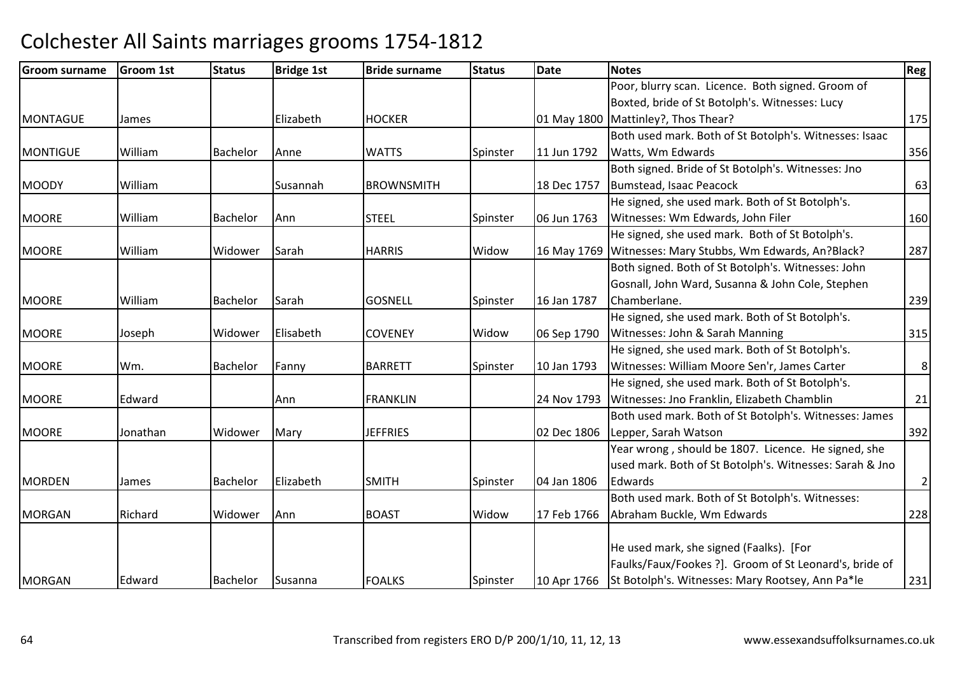| <b>Groom surname</b> | <b>Groom 1st</b> | <b>Status</b>   | <b>Bridge 1st</b> | <b>Bride surname</b> | <b>Status</b> | <b>Date</b> | <b>Notes</b>                                              | Reg            |
|----------------------|------------------|-----------------|-------------------|----------------------|---------------|-------------|-----------------------------------------------------------|----------------|
|                      |                  |                 |                   |                      |               |             | Poor, blurry scan. Licence. Both signed. Groom of         |                |
|                      |                  |                 |                   |                      |               |             | Boxted, bride of St Botolph's. Witnesses: Lucy            |                |
| <b>MONTAGUE</b>      | James            |                 | Elizabeth         | <b>HOCKER</b>        |               | 01 May 1800 | Mattinley?, Thos Thear?                                   | 175            |
|                      |                  |                 |                   |                      |               |             | Both used mark. Both of St Botolph's. Witnesses: Isaac    |                |
| <b>MONTIGUE</b>      | William          | <b>Bachelor</b> | Anne              | <b>WATTS</b>         | Spinster      | 11 Jun 1792 | Watts, Wm Edwards                                         | 356            |
|                      |                  |                 |                   |                      |               |             | Both signed. Bride of St Botolph's. Witnesses: Jno        |                |
| <b>MOODY</b>         | William          |                 | Susannah          | <b>BROWNSMITH</b>    |               | 18 Dec 1757 | Bumstead, Isaac Peacock                                   | 63             |
|                      |                  |                 |                   |                      |               |             | He signed, she used mark. Both of St Botolph's.           |                |
| <b>MOORE</b>         | William          | Bachelor        | <b>Ann</b>        | <b>STEEL</b>         | Spinster      | 06 Jun 1763 | Witnesses: Wm Edwards, John Filer                         | 160            |
|                      |                  |                 |                   |                      |               |             | He signed, she used mark. Both of St Botolph's.           |                |
| MOORE                | William          | Widower         | Sarah             | <b>HARRIS</b>        | Widow         |             | 16 May 1769 Witnesses: Mary Stubbs, Wm Edwards, An?Black? | 287            |
|                      |                  |                 |                   |                      |               |             | Both signed. Both of St Botolph's. Witnesses: John        |                |
|                      |                  |                 |                   |                      |               |             | Gosnall, John Ward, Susanna & John Cole, Stephen          |                |
| <b>MOORE</b>         | William          | <b>Bachelor</b> | Sarah             | <b>GOSNELL</b>       | Spinster      | 16 Jan 1787 | Chamberlane.                                              | 239            |
|                      |                  |                 |                   |                      |               |             | He signed, she used mark. Both of St Botolph's.           |                |
| <b>MOORE</b>         | Joseph           | Widower         | Elisabeth         | <b>COVENEY</b>       | Widow         | 06 Sep 1790 | Witnesses: John & Sarah Manning                           | 315            |
|                      |                  |                 |                   |                      |               |             | He signed, she used mark. Both of St Botolph's.           |                |
| <b>MOORE</b>         | Wm.              | Bachelor        | Fanny             | <b>BARRETT</b>       | Spinster      | 10 Jan 1793 | Witnesses: William Moore Sen'r, James Carter              | $8\phantom{1}$ |
|                      |                  |                 |                   |                      |               |             | He signed, she used mark. Both of St Botolph's.           |                |
| <b>MOORE</b>         | Edward           |                 | Ann               | <b>FRANKLIN</b>      |               | 24 Nov 1793 | Witnesses: Jno Franklin, Elizabeth Chamblin               | 21             |
|                      |                  |                 |                   |                      |               |             | Both used mark. Both of St Botolph's. Witnesses: James    |                |
| <b>MOORE</b>         | Jonathan         | Widower         | Mary              | <b>JEFFRIES</b>      |               | 02 Dec 1806 | Lepper, Sarah Watson                                      | 392            |
|                      |                  |                 |                   |                      |               |             | Year wrong, should be 1807. Licence. He signed, she       |                |
|                      |                  |                 |                   |                      |               |             | used mark. Both of St Botolph's. Witnesses: Sarah & Jno   |                |
| <b>MORDEN</b>        | James            | <b>Bachelor</b> | Elizabeth         | <b>SMITH</b>         | Spinster      | 04 Jan 1806 | Edwards                                                   | $\overline{2}$ |
|                      |                  |                 |                   |                      |               |             | Both used mark. Both of St Botolph's. Witnesses:          |                |
| <b>MORGAN</b>        | Richard          | Widower         | Ann               | <b>BOAST</b>         | Widow         | 17 Feb 1766 | Abraham Buckle, Wm Edwards                                | 228            |
|                      |                  |                 |                   |                      |               |             |                                                           |                |
|                      |                  |                 |                   |                      |               |             | He used mark, she signed (Faalks). [For                   |                |
|                      |                  |                 |                   |                      |               |             | Faulks/Faux/Fookes ?]. Groom of St Leonard's, bride of    |                |
| <b>MORGAN</b>        | Edward           | Bachelor        | Susanna           | <b>FOALKS</b>        | Spinster      | 10 Apr 1766 | St Botolph's. Witnesses: Mary Rootsey, Ann Pa*le          | 231            |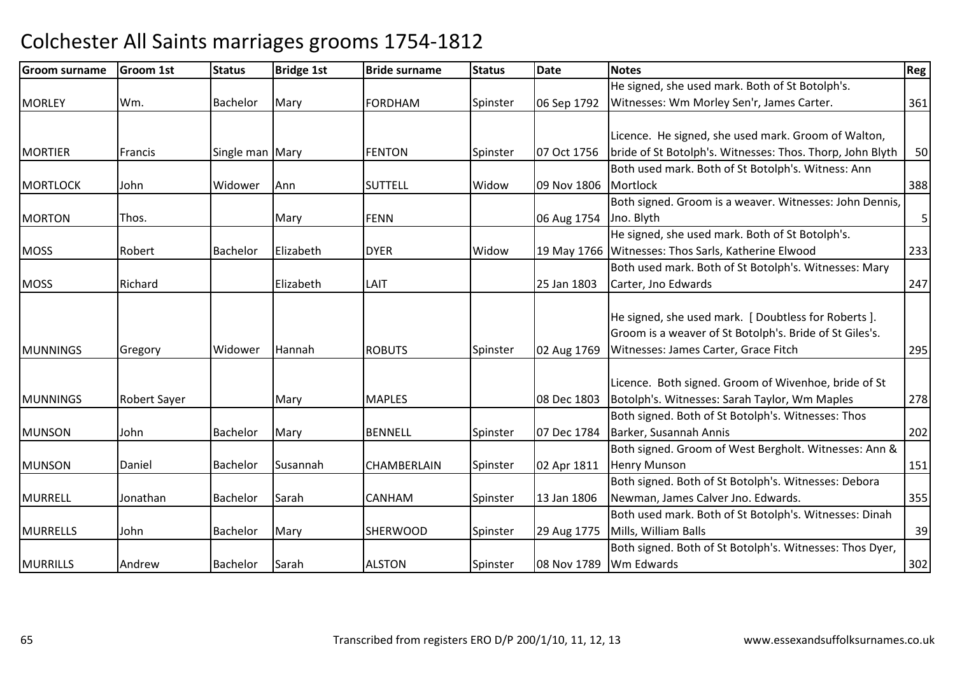#### Groom surnamee Groom 1st Status Bridge 1st Bride surname Status Date Notes Regge Regge Regge Regge Regge Regge Regge Regge R MORI FY Y Wm. Bachelor Mary FORDHAM FORDHAM Spinster 06 Sep 1792 He signed, she used mark. Both of St Botolph's. Witnesses: Wm Morley Sen'r, James Carter. 1361 **MORTIFR** |Francis | Single man Mary | FENTON Spinster | 07 Oct 1756 Licence. He signed, she used mark. Groom of Walton, bride of St Botolph's. Witnesses: Thos. Thorp, John Blyth <sup>50</sup> **MORTLOCK** K John - Widower Ann - SUTTELL - Widow Widow 109 Nov 1806 Both used mark. Both of St Botolph's. Witness: Ann **Mortlock** k 388 MORTONN Thos. Nary FENN 06 Aug 1754 Both signed. Groom is a weaver. Witnesses: John Dennis, Jno. Blyth<u>h 5</u> **MOSS**  Robert Bachelor Elizabeth DYER Widow 19 May 1766 Witnesses: Thos Sarls, Katherine ElwoodHe signed, she used mark. Both of St Botolph's. d 233 **MOSS**  Richard Elizabeth LAIT 25 Jan 1803 Both used mark. Both of St Botolph's. Witnesses: Mary Carter, Jno Edwards $\sim$  247 **MUNNINGS**  Gregory Widower HannahROBUTS Spinster 02 Aug 1769 He signed, she used mark. [ Doubtless for Roberts ]. Groom is a weaver of St Botolph's. Bride of St Giles's.Witnesses: James Carter, Grace Fitch <sup>295</sup> **MUNNINGS** S Robert Sayer Mary Mary MAPLES 1803 Licence. Both signed. Groom of Wivenhoe, bride of St Botolph's. Witnesses: Sarah Taylor, Wm Maples <sup>278</sup>MUNSONN John Bachelor Mary BENNELL Spinster 07 Dec 1784 Both signed. Both of St Botolph's. Witnesses: Thos Barker, Susannah Anniss 202 MUNSONN Daniel Bachelor Susannah CHAMBERLAIN Spinster 02 Apr 1811 Both signed. Groom of West Bergholt. Witnesses: Ann & Henry Munsonn 151 MURRELLJonathan Bachelor Sarah CANHAMSpinster | 13 Jan 1806 Both signed. Both of St Botolph's. Witnesses: Debora Newman, James Calver Jno. Edwards. 355MURRELLSJohn | Bachelor | Mary | SHERWOOD Spinster | 29 Aug 1775 Both used mark. Both of St Botolph's. Witnesses: Dinah Mills, William Balls $\sim$  39 **MURRILLS**  Andrew Bachelor Sarah ALSTONSpinster | 08 Nov 1789 Both signed. Both of St Botolph's. Witnesses: Thos Dyer, Wm Edwards $\sim$  302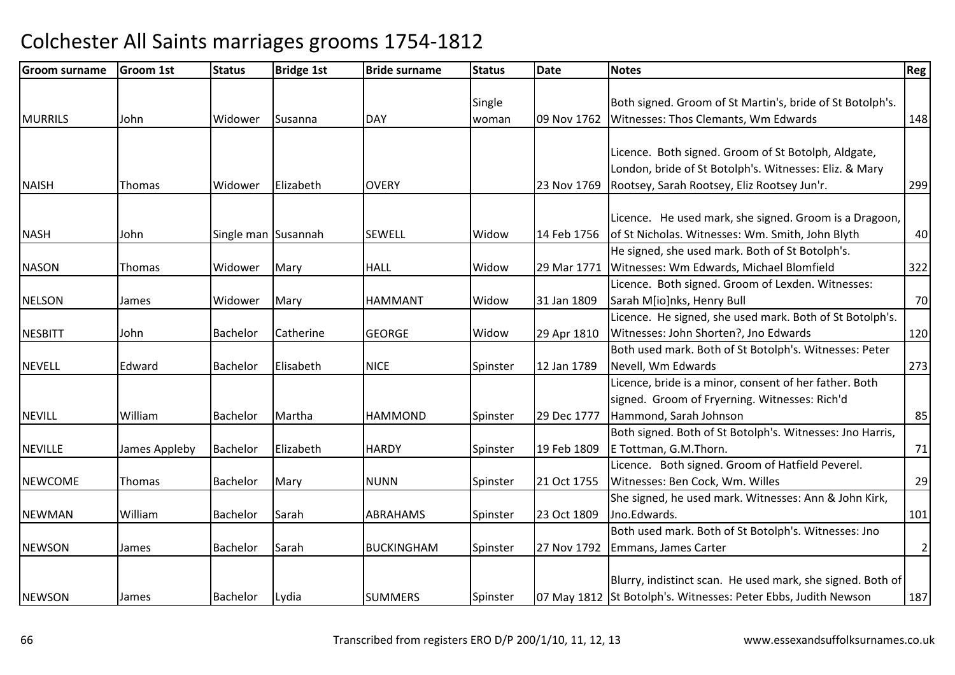| <b>Groom surname</b> | <b>Groom 1st</b> | <b>Status</b>       | <b>Bridge 1st</b> | <b>Bride surname</b> | <b>Status</b> | Date        | <b>Notes</b>                                                                                                                                                 | Reg            |
|----------------------|------------------|---------------------|-------------------|----------------------|---------------|-------------|--------------------------------------------------------------------------------------------------------------------------------------------------------------|----------------|
|                      |                  |                     |                   |                      | Single        |             | Both signed. Groom of St Martin's, bride of St Botolph's.                                                                                                    |                |
| <b>MURRILS</b>       | John             | Widower             | Susanna           | <b>DAY</b>           | woman         | 09 Nov 1762 | Witnesses: Thos Clemants, Wm Edwards                                                                                                                         | 148            |
| <b>NAISH</b>         | Thomas           | Widower             | Elizabeth         | <b>OVERY</b>         |               | 23 Nov 1769 | Licence. Both signed. Groom of St Botolph, Aldgate,<br>London, bride of St Botolph's. Witnesses: Eliz. & Mary<br>Rootsey, Sarah Rootsey, Eliz Rootsey Jun'r. | 299            |
| <b>NASH</b>          | John             | Single man Susannah |                   | <b>SEWELL</b>        | Widow         | 14 Feb 1756 | Licence. He used mark, she signed. Groom is a Dragoon,<br>of St Nicholas. Witnesses: Wm. Smith, John Blyth                                                   | 40             |
| <b>NASON</b>         | Thomas           | Widower             | Mary              | <b>HALL</b>          | Widow         | 29 Mar 1771 | He signed, she used mark. Both of St Botolph's.<br>Witnesses: Wm Edwards, Michael Blomfield                                                                  | 322            |
| <b>NELSON</b>        | James            | Widower             | Mary              | <b>HAMMANT</b>       | Widow         | 31 Jan 1809 | Licence. Both signed. Groom of Lexden. Witnesses:<br>Sarah M[io]nks, Henry Bull                                                                              | 70             |
| <b>NESBITT</b>       | John             | Bachelor            | Catherine         | <b>GEORGE</b>        | Widow         | 29 Apr 1810 | Licence. He signed, she used mark. Both of St Botolph's.<br>Witnesses: John Shorten?, Jno Edwards                                                            | 120            |
| <b>NEVELL</b>        | Edward           | <b>Bachelor</b>     | Elisabeth         | <b>NICE</b>          | Spinster      | 12 Jan 1789 | Both used mark. Both of St Botolph's. Witnesses: Peter<br>Nevell, Wm Edwards                                                                                 | 273            |
| <b>NEVILL</b>        | William          | Bachelor            | Martha            | <b>HAMMOND</b>       | Spinster      | 29 Dec 1777 | Licence, bride is a minor, consent of her father. Both<br>signed. Groom of Fryerning. Witnesses: Rich'd<br>Hammond, Sarah Johnson                            | 85             |
| <b>NEVILLE</b>       | James Appleby    | Bachelor            | Elizabeth         | <b>HARDY</b>         | Spinster      | 19 Feb 1809 | Both signed. Both of St Botolph's. Witnesses: Jno Harris,<br>E Tottman, G.M.Thorn.                                                                           | 71             |
| <b>NEWCOME</b>       | Thomas           | <b>Bachelor</b>     | Mary              | <b>NUNN</b>          | Spinster      | 21 Oct 1755 | Licence. Both signed. Groom of Hatfield Peverel.<br>Witnesses: Ben Cock, Wm. Willes                                                                          | 29             |
| <b>NEWMAN</b>        | William          | Bachelor            | Sarah             | <b>ABRAHAMS</b>      | Spinster      | 23 Oct 1809 | She signed, he used mark. Witnesses: Ann & John Kirk,<br>Jno.Edwards.                                                                                        | 101            |
| <b>NEWSON</b>        | James            | Bachelor            | Sarah             | <b>BUCKINGHAM</b>    | Spinster      | 27 Nov 1792 | Both used mark. Both of St Botolph's. Witnesses: Jno<br>Emmans, James Carter                                                                                 | $\overline{2}$ |
| <b>NEWSON</b>        | James            | Bachelor            | Lydia             | <b>SUMMERS</b>       | Spinster      |             | Blurry, indistinct scan. He used mark, she signed. Both of<br>07 May 1812 St Botolph's. Witnesses: Peter Ebbs, Judith Newson                                 | 187            |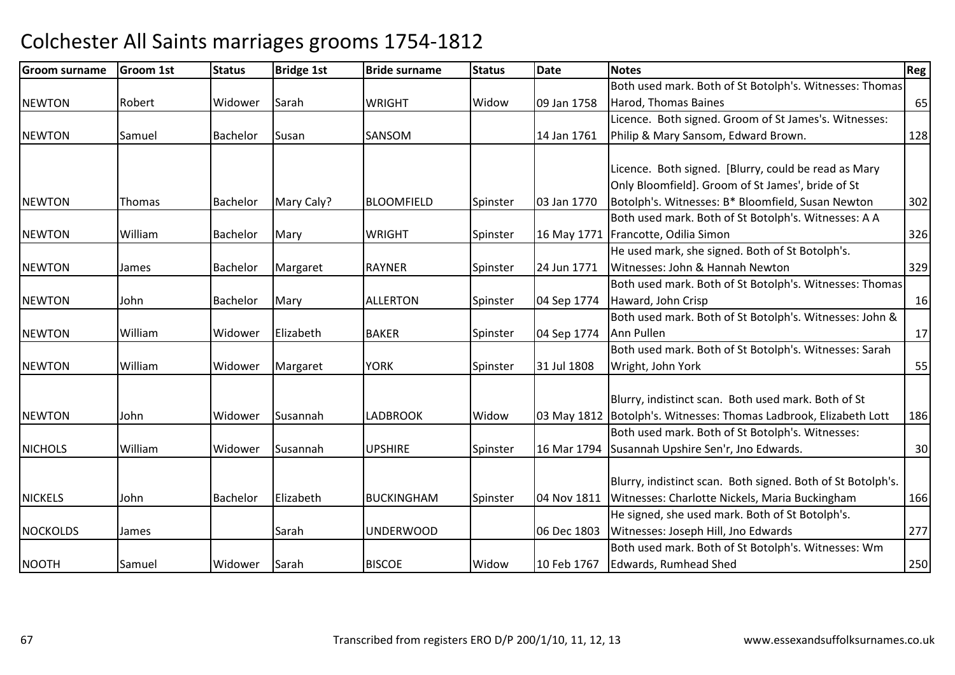| <b>Groom surname</b> | Groom 1st | <b>Status</b>   | <b>Bridge 1st</b> | <b>Bride surname</b> | <b>Status</b> | <b>Date</b> | <b>Notes</b>                                                        | <b>Reg</b> |
|----------------------|-----------|-----------------|-------------------|----------------------|---------------|-------------|---------------------------------------------------------------------|------------|
|                      |           |                 |                   |                      |               |             | Both used mark. Both of St Botolph's. Witnesses: Thomas             |            |
| <b>NEWTON</b>        | Robert    | Widower         | Sarah             | <b>WRIGHT</b>        | Widow         | 09 Jan 1758 | Harod, Thomas Baines                                                | 65         |
|                      |           |                 |                   |                      |               |             | Licence. Both signed. Groom of St James's. Witnesses:               |            |
| <b>NEWTON</b>        | Samuel    | Bachelor        | Susan             | SANSOM               |               | 14 Jan 1761 | Philip & Mary Sansom, Edward Brown.                                 | 128        |
|                      |           |                 |                   |                      |               |             |                                                                     |            |
|                      |           |                 |                   |                      |               |             | Licence. Both signed. [Blurry, could be read as Mary                |            |
|                      |           |                 |                   |                      |               |             | Only Bloomfield]. Groom of St James', bride of St                   |            |
| <b>NEWTON</b>        | Thomas    | <b>Bachelor</b> | Mary Caly?        | <b>BLOOMFIELD</b>    | Spinster      | 03 Jan 1770 | Botolph's. Witnesses: B* Bloomfield, Susan Newton                   | 302        |
|                      |           |                 |                   |                      |               |             | Both used mark. Both of St Botolph's. Witnesses: A A                |            |
| <b>NEWTON</b>        | William   | Bachelor        | Mary              | <b>WRIGHT</b>        | Spinster      |             | 16 May 1771   Francotte, Odilia Simon                               | 326        |
|                      |           |                 |                   |                      |               |             | He used mark, she signed. Both of St Botolph's.                     |            |
| <b>NEWTON</b>        | James     | Bachelor        | Margaret          | <b>RAYNER</b>        | Spinster      | 24 Jun 1771 | Witnesses: John & Hannah Newton                                     | 329        |
|                      |           |                 |                   |                      |               |             | Both used mark. Both of St Botolph's. Witnesses: Thomas             |            |
| <b>NEWTON</b>        | John      | <b>Bachelor</b> | Mary              | <b>ALLERTON</b>      | Spinster      | 04 Sep 1774 | Haward, John Crisp                                                  | 16         |
|                      |           |                 |                   |                      |               |             | Both used mark. Both of St Botolph's. Witnesses: John &             |            |
| <b>NEWTON</b>        | William   | Widower         | Elizabeth         | <b>BAKER</b>         | Spinster      | 04 Sep 1774 | Ann Pullen                                                          | 17         |
|                      |           |                 |                   |                      |               |             | Both used mark. Both of St Botolph's. Witnesses: Sarah              |            |
| <b>NEWTON</b>        | William   | Widower         | Margaret          | <b>YORK</b>          | Spinster      | 31 Jul 1808 | Wright, John York                                                   | 55         |
|                      |           |                 |                   |                      |               |             |                                                                     |            |
|                      |           |                 |                   |                      |               |             | Blurry, indistinct scan. Both used mark. Both of St                 |            |
| <b>NEWTON</b>        | John      | Widower         | Susannah          | <b>LADBROOK</b>      | Widow         |             | 03 May 1812   Botolph's. Witnesses: Thomas Ladbrook, Elizabeth Lott | 186        |
|                      |           |                 |                   |                      |               |             | Both used mark. Both of St Botolph's. Witnesses:                    |            |
| <b>NICHOLS</b>       | William   | Widower         | Susannah          | <b>UPSHIRE</b>       | Spinster      | 16 Mar 1794 | Susannah Upshire Sen'r, Jno Edwards.                                | 30         |
|                      |           |                 |                   |                      |               |             |                                                                     |            |
|                      |           |                 |                   |                      |               |             | Blurry, indistinct scan. Both signed. Both of St Botolph's.         |            |
| <b>NICKELS</b>       | John      | <b>Bachelor</b> | Elizabeth         | <b>BUCKINGHAM</b>    | Spinster      | 04 Nov 1811 | Witnesses: Charlotte Nickels, Maria Buckingham                      | 166        |
|                      |           |                 |                   |                      |               |             | He signed, she used mark. Both of St Botolph's.                     |            |
| <b>NOCKOLDS</b>      | James     |                 | Sarah             | <b>UNDERWOOD</b>     |               | 06 Dec 1803 | Witnesses: Joseph Hill, Jno Edwards                                 | 277        |
|                      |           |                 |                   |                      |               |             | Both used mark. Both of St Botolph's. Witnesses: Wm                 |            |
| <b>NOOTH</b>         | Samuel    | Widower         | Sarah             | <b>BISCOE</b>        | Widow         | 10 Feb 1767 | Edwards, Rumhead Shed                                               | 250        |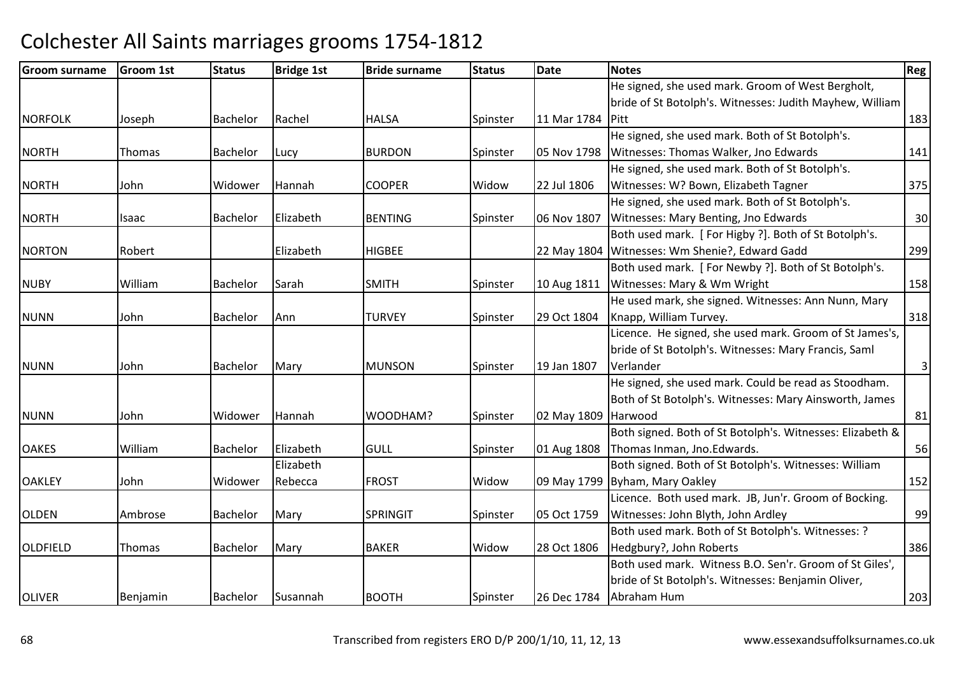| <b>Groom surname</b> | Groom 1st | <b>Status</b>   | <b>Bridge 1st</b> | <b>Bride surname</b> | <b>Status</b> | <b>Date</b>      | <b>Notes</b>                                              | Reg            |
|----------------------|-----------|-----------------|-------------------|----------------------|---------------|------------------|-----------------------------------------------------------|----------------|
|                      |           |                 |                   |                      |               |                  | He signed, she used mark. Groom of West Bergholt,         |                |
|                      |           |                 |                   |                      |               |                  | bride of St Botolph's. Witnesses: Judith Mayhew, William  |                |
| <b>NORFOLK</b>       | Joseph    | Bachelor        | Rachel            | <b>HALSA</b>         | Spinster      | 11 Mar 1784 Pitt |                                                           | 183            |
|                      |           |                 |                   |                      |               |                  | He signed, she used mark. Both of St Botolph's.           |                |
| <b>NORTH</b>         | Thomas    | <b>Bachelor</b> | Lucy              | <b>BURDON</b>        | Spinster      | 05 Nov 1798      | Witnesses: Thomas Walker, Jno Edwards                     | 141            |
|                      |           |                 |                   |                      |               |                  | He signed, she used mark. Both of St Botolph's.           |                |
| <b>NORTH</b>         | John      | Widower         | Hannah            | <b>COOPER</b>        | Widow         | 22 Jul 1806      | Witnesses: W? Bown, Elizabeth Tagner                      | 375            |
|                      |           |                 |                   |                      |               |                  | He signed, she used mark. Both of St Botolph's.           |                |
| <b>NORTH</b>         | Isaac     | Bachelor        | Elizabeth         | <b>BENTING</b>       | Spinster      | 06 Nov 1807      | Witnesses: Mary Benting, Jno Edwards                      | 30             |
|                      |           |                 |                   |                      |               |                  | Both used mark. [For Higby ?]. Both of St Botolph's.      |                |
| <b>NORTON</b>        | Robert    |                 | Elizabeth         | <b>HIGBEE</b>        |               |                  | 22 May 1804 Witnesses: Wm Shenie?, Edward Gadd            | 299            |
|                      |           |                 |                   |                      |               |                  | Both used mark. [For Newby ?]. Both of St Botolph's.      |                |
| <b>NUBY</b>          | William   | Bachelor        | Sarah             | <b>SMITH</b>         | Spinster      | 10 Aug 1811      | Witnesses: Mary & Wm Wright                               | 158            |
|                      |           |                 |                   |                      |               |                  | He used mark, she signed. Witnesses: Ann Nunn, Mary       |                |
| <b>NUNN</b>          | John      | Bachelor        | Ann               | <b>TURVEY</b>        | Spinster      | 29 Oct 1804      | Knapp, William Turvey.                                    | 318            |
|                      |           |                 |                   |                      |               |                  | Licence. He signed, she used mark. Groom of St James's,   |                |
|                      |           |                 |                   |                      |               |                  | bride of St Botolph's. Witnesses: Mary Francis, Saml      |                |
| <b>NUNN</b>          | John      | Bachelor        | Mary              | <b>MUNSON</b>        | Spinster      | 19 Jan 1807      | Verlander                                                 | $\overline{3}$ |
|                      |           |                 |                   |                      |               |                  | He signed, she used mark. Could be read as Stoodham.      |                |
|                      |           |                 |                   |                      |               |                  | Both of St Botolph's. Witnesses: Mary Ainsworth, James    |                |
| <b>NUNN</b>          | John      | Widower         | Hannah            | WOODHAM?             | Spinster      | 02 May 1809      | Harwood                                                   | 81             |
|                      |           |                 |                   |                      |               |                  | Both signed. Both of St Botolph's. Witnesses: Elizabeth & |                |
| <b>OAKES</b>         | William   | Bachelor        | Elizabeth         | <b>GULL</b>          | Spinster      | 01 Aug 1808      | Thomas Inman, Jno. Edwards.                               | 56             |
|                      |           |                 | Elizabeth         |                      |               |                  | Both signed. Both of St Botolph's. Witnesses: William     |                |
| <b>OAKLEY</b>        | John      | Widower         | Rebecca           | <b>FROST</b>         | Widow         |                  | 09 May 1799 Byham, Mary Oakley                            | 152            |
|                      |           |                 |                   |                      |               |                  | Licence. Both used mark. JB, Jun'r. Groom of Bocking.     |                |
| <b>OLDEN</b>         | Ambrose   | Bachelor        | Mary              | <b>SPRINGIT</b>      | Spinster      | 05 Oct 1759      | Witnesses: John Blyth, John Ardley                        | 99             |
|                      |           |                 |                   |                      |               |                  | Both used mark. Both of St Botolph's. Witnesses: ?        |                |
| <b>OLDFIELD</b>      | Thomas    | Bachelor        | Mary              | <b>BAKER</b>         | Widow         | 28 Oct 1806      | Hedgbury?, John Roberts                                   | 386            |
|                      |           |                 |                   |                      |               |                  | Both used mark. Witness B.O. Sen'r. Groom of St Giles',   |                |
|                      |           |                 |                   |                      |               |                  | bride of St Botolph's. Witnesses: Benjamin Oliver,        |                |
| <b>OLIVER</b>        | Benjamin  | Bachelor        | Susannah          | <b>BOOTH</b>         | Spinster      | 26 Dec 1784      | Abraham Hum                                               | 203            |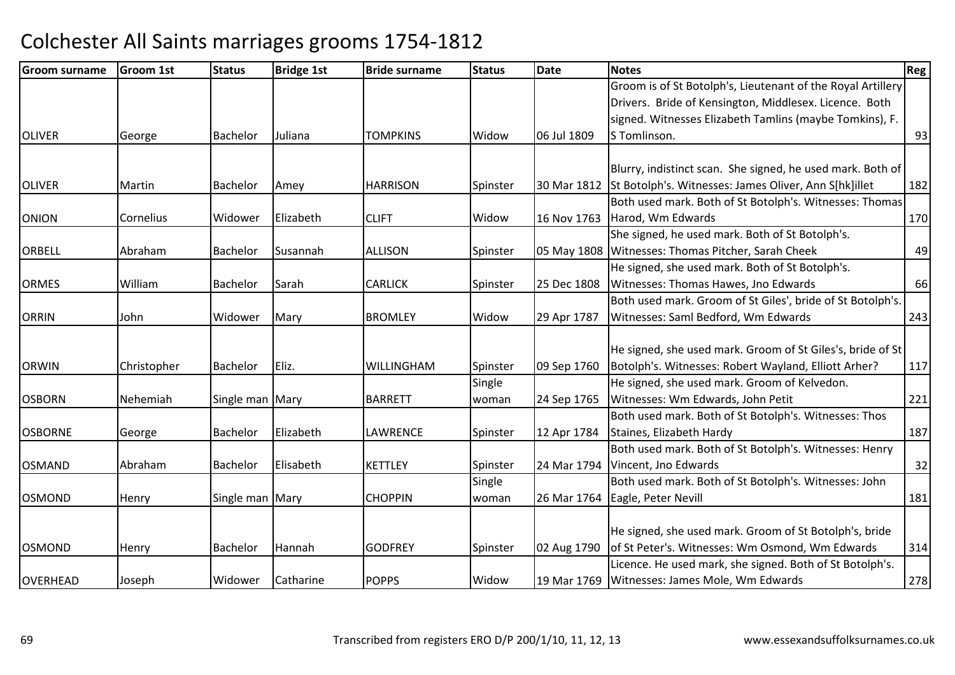| <b>Groom surname</b> | <b>Groom 1st</b> | <b>Status</b>   | <b>Bridge 1st</b> | <b>Bride surname</b> | <b>Status</b> | Date        | <b>Notes</b>                                                                                                        | Reg |
|----------------------|------------------|-----------------|-------------------|----------------------|---------------|-------------|---------------------------------------------------------------------------------------------------------------------|-----|
|                      |                  |                 |                   |                      |               |             | Groom is of St Botolph's, Lieutenant of the Royal Artillery                                                         |     |
|                      |                  |                 |                   |                      |               |             | Drivers. Bride of Kensington, Middlesex. Licence. Both                                                              |     |
|                      |                  |                 |                   |                      |               |             | signed. Witnesses Elizabeth Tamlins (maybe Tomkins), F.                                                             |     |
| <b>OLIVER</b>        | George           | Bachelor        | Juliana           | <b>TOMPKINS</b>      | Widow         | 06 Jul 1809 | S Tomlinson.                                                                                                        | 93  |
|                      |                  |                 |                   |                      |               |             |                                                                                                                     |     |
| <b>OLIVER</b>        | Martin           |                 |                   | <b>HARRISON</b>      |               | 30 Mar 1812 | Blurry, indistinct scan. She signed, he used mark. Both of<br>St Botolph's. Witnesses: James Oliver, Ann S[hk]illet | 182 |
|                      |                  | Bachelor        | Amey              |                      | Spinster      |             | Both used mark. Both of St Botolph's. Witnesses: Thomas                                                             |     |
|                      |                  |                 |                   |                      | Widow         |             |                                                                                                                     |     |
| <b>ONION</b>         | Cornelius        | Widower         | Elizabeth         | <b>CLIFT</b>         |               | 16 Nov 1763 | Harod, Wm Edwards                                                                                                   | 170 |
|                      |                  |                 |                   |                      |               |             | She signed, he used mark. Both of St Botolph's.                                                                     |     |
| <b>ORBELL</b>        | Abraham          | Bachelor        | Susannah          | <b>ALLISON</b>       | Spinster      |             | 05 May 1808 Witnesses: Thomas Pitcher, Sarah Cheek                                                                  | 49  |
|                      |                  |                 |                   |                      |               |             | He signed, she used mark. Both of St Botolph's.                                                                     |     |
| <b>ORMES</b>         | William          | Bachelor        | Sarah             | <b>CARLICK</b>       | Spinster      | 25 Dec 1808 | Witnesses: Thomas Hawes, Jno Edwards                                                                                | 66  |
|                      |                  |                 |                   |                      |               |             | Both used mark. Groom of St Giles', bride of St Botolph's.                                                          |     |
| <b>ORRIN</b>         | John             | Widower         | Mary              | <b>BROMLEY</b>       | Widow         | 29 Apr 1787 | Witnesses: Saml Bedford, Wm Edwards                                                                                 | 243 |
|                      |                  |                 |                   |                      |               |             | He signed, she used mark. Groom of St Giles's, bride of St                                                          |     |
| <b>ORWIN</b>         | Christopher      | Bachelor        | Eliz.             | WILLINGHAM           | Spinster      | 09 Sep 1760 | Botolph's. Witnesses: Robert Wayland, Elliott Arher?                                                                | 117 |
|                      |                  |                 |                   |                      | Single        |             | He signed, she used mark. Groom of Kelvedon.                                                                        |     |
| <b>OSBORN</b>        | Nehemiah         |                 |                   | <b>BARRETT</b>       |               |             | Witnesses: Wm Edwards, John Petit                                                                                   |     |
|                      |                  | Single man Mary |                   |                      | woman         | 24 Sep 1765 | Both used mark. Both of St Botolph's. Witnesses: Thos                                                               | 221 |
| <b>OSBORNE</b>       |                  |                 | Elizabeth         | LAWRENCE             |               |             |                                                                                                                     | 187 |
|                      | George           | Bachelor        |                   |                      | Spinster      | 12 Apr 1784 | Staines, Elizabeth Hardy                                                                                            |     |
|                      | Abraham          | Bachelor        | Elisabeth         |                      |               |             | Both used mark. Both of St Botolph's. Witnesses: Henry                                                              |     |
| <b>OSMAND</b>        |                  |                 |                   | <b>KETTLEY</b>       | Spinster      | 24 Mar 1794 | Vincent, Jno Edwards<br>Both used mark. Both of St Botolph's. Witnesses: John                                       | 32  |
| <b>OSMOND</b>        |                  |                 |                   | <b>CHOPPIN</b>       | Single        |             |                                                                                                                     |     |
|                      | Henry            | Single man Mary |                   |                      | woman         |             | 26 Mar 1764 Eagle, Peter Nevill                                                                                     | 181 |
|                      |                  |                 |                   |                      |               |             |                                                                                                                     |     |
|                      |                  |                 |                   |                      |               |             | He signed, she used mark. Groom of St Botolph's, bride                                                              |     |
| <b>OSMOND</b>        | Henry            | Bachelor        | Hannah            | <b>GODFREY</b>       | Spinster      | 02 Aug 1790 | of St Peter's. Witnesses: Wm Osmond, Wm Edwards                                                                     | 314 |
|                      |                  |                 |                   |                      |               |             | Licence. He used mark, she signed. Both of St Botolph's.                                                            |     |
| <b>OVERHEAD</b>      | Joseph           | Widower         | Catharine         | <b>POPPS</b>         | Widow         |             | 19 Mar 1769   Witnesses: James Mole, Wm Edwards                                                                     | 278 |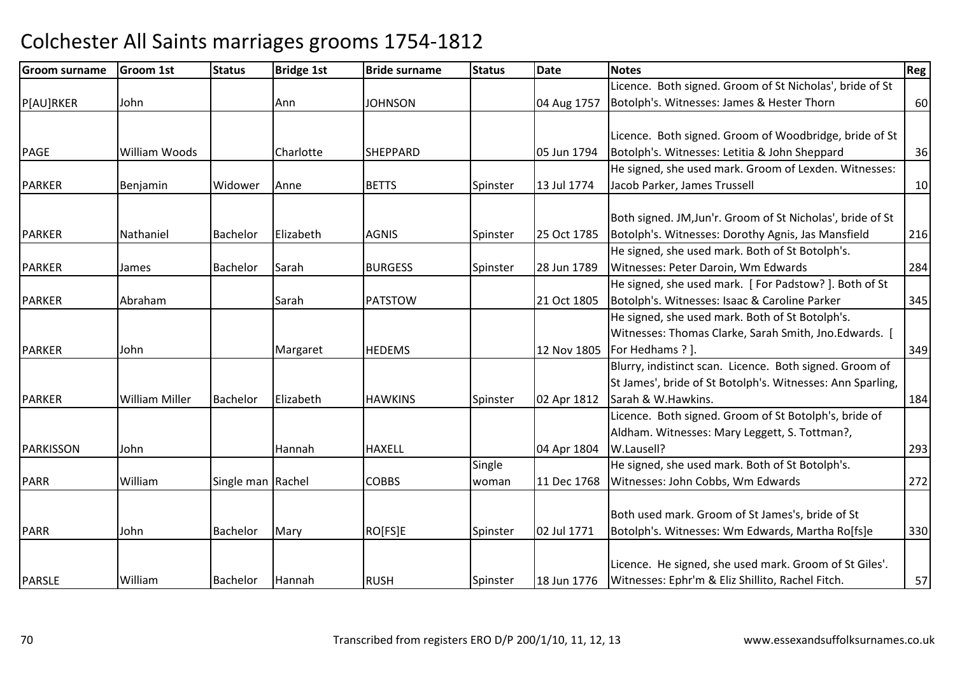| <b>Groom surname</b> | Groom 1st             | <b>Status</b>     | <b>Bridge 1st</b> | <b>Bride surname</b> | <b>Status</b> | <b>Date</b> | <b>Notes</b>                                               | Reg |
|----------------------|-----------------------|-------------------|-------------------|----------------------|---------------|-------------|------------------------------------------------------------|-----|
|                      |                       |                   |                   |                      |               |             | Licence. Both signed. Groom of St Nicholas', bride of St   |     |
| P[AU]RKER            | John                  |                   | Ann               | <b>JOHNSON</b>       |               | 04 Aug 1757 | Botolph's. Witnesses: James & Hester Thorn                 | 60  |
|                      |                       |                   |                   |                      |               |             |                                                            |     |
|                      |                       |                   |                   |                      |               |             | Licence. Both signed. Groom of Woodbridge, bride of St     |     |
| PAGE                 | <b>William Woods</b>  |                   | Charlotte         | <b>SHEPPARD</b>      |               | 05 Jun 1794 | Botolph's. Witnesses: Letitia & John Sheppard              | 36  |
|                      |                       |                   |                   |                      |               |             | He signed, she used mark. Groom of Lexden. Witnesses:      |     |
| <b>PARKER</b>        | <b>Benjamin</b>       | Widower           | Anne              | <b>BETTS</b>         | Spinster      | 13 Jul 1774 | Jacob Parker, James Trussell                               | 10  |
|                      |                       |                   |                   |                      |               |             |                                                            |     |
|                      |                       |                   |                   |                      |               |             | Both signed. JM, Jun'r. Groom of St Nicholas', bride of St |     |
| <b>PARKER</b>        | Nathaniel             | <b>Bachelor</b>   | Elizabeth         | <b>AGNIS</b>         | Spinster      | 25 Oct 1785 | Botolph's. Witnesses: Dorothy Agnis, Jas Mansfield         | 216 |
|                      |                       |                   |                   |                      |               |             | He signed, she used mark. Both of St Botolph's.            |     |
| <b>PARKER</b>        | James                 | Bachelor          | Sarah             | <b>BURGESS</b>       | Spinster      | 28 Jun 1789 | Witnesses: Peter Daroin, Wm Edwards                        | 284 |
|                      |                       |                   |                   |                      |               |             | He signed, she used mark. [For Padstow?]. Both of St       |     |
| <b>PARKER</b>        | Abraham               |                   | Sarah             | <b>PATSTOW</b>       |               | 21 Oct 1805 | Botolph's. Witnesses: Isaac & Caroline Parker              | 345 |
|                      |                       |                   |                   |                      |               |             | He signed, she used mark. Both of St Botolph's.            |     |
|                      |                       |                   |                   |                      |               |             | Witnesses: Thomas Clarke, Sarah Smith, Jno.Edwards.        |     |
| <b>PARKER</b>        | John                  |                   | Margaret          | <b>HEDEMS</b>        |               | 12 Nov 1805 | For Hedhams ? ].                                           | 349 |
|                      |                       |                   |                   |                      |               |             | Blurry, indistinct scan. Licence. Both signed. Groom of    |     |
|                      |                       |                   |                   |                      |               |             | St James', bride of St Botolph's. Witnesses: Ann Sparling, |     |
| <b>PARKER</b>        | <b>William Miller</b> | <b>Bachelor</b>   | Elizabeth         | <b>HAWKINS</b>       | Spinster      | 02 Apr 1812 | Sarah & W.Hawkins.                                         | 184 |
|                      |                       |                   |                   |                      |               |             | Licence. Both signed. Groom of St Botolph's, bride of      |     |
|                      |                       |                   |                   |                      |               |             | Aldham. Witnesses: Mary Leggett, S. Tottman?,              |     |
| PARKISSON            | John                  |                   | Hannah            | <b>HAXELL</b>        |               | 04 Apr 1804 | W.Lausell?                                                 | 293 |
|                      |                       |                   |                   |                      | Single        |             | He signed, she used mark. Both of St Botolph's.            |     |
| <b>PARR</b>          | William               | Single man Rachel |                   | <b>COBBS</b>         | woman         | 11 Dec 1768 | Witnesses: John Cobbs, Wm Edwards                          | 272 |
|                      |                       |                   |                   |                      |               |             |                                                            |     |
|                      |                       |                   |                   |                      |               |             | Both used mark. Groom of St James's, bride of St           |     |
| <b>PARR</b>          | John                  | Bachelor          | Mary              | RO[FS]E              | Spinster      | 02 Jul 1771 | Botolph's. Witnesses: Wm Edwards, Martha Ro[fs]e           | 330 |
|                      |                       |                   |                   |                      |               |             |                                                            |     |
|                      |                       |                   |                   |                      |               |             | Licence. He signed, she used mark. Groom of St Giles'.     |     |
| <b>PARSLE</b>        | William               | <b>Bachelor</b>   | Hannah            | <b>RUSH</b>          | Spinster      | 18 Jun 1776 | Witnesses: Ephr'm & Eliz Shillito, Rachel Fitch.           | 57  |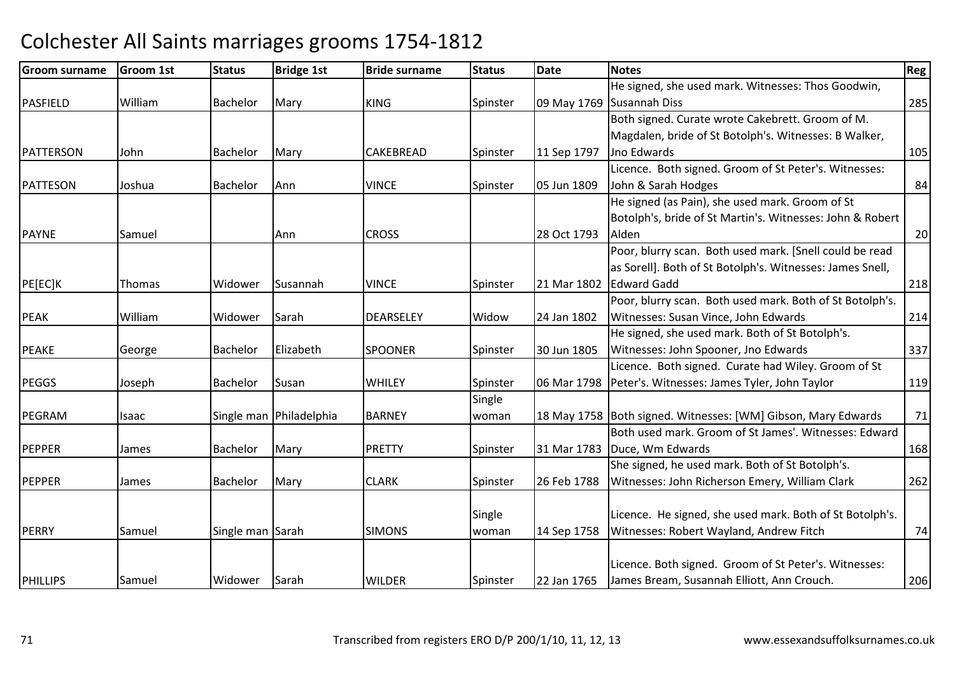| <b>Groom surname</b> | <b>Groom 1st</b> | <b>Status</b>    | <b>Bridge 1st</b>       | <b>Bride surname</b> | <b>Status</b> | Date        | <b>Notes</b>                                                    | <b>Reg</b> |
|----------------------|------------------|------------------|-------------------------|----------------------|---------------|-------------|-----------------------------------------------------------------|------------|
|                      |                  |                  |                         |                      |               |             | He signed, she used mark. Witnesses: Thos Goodwin,              |            |
| <b>PASFIELD</b>      | William          | <b>Bachelor</b>  | Mary                    | <b>KING</b>          | Spinster      |             | 09 May 1769 Susannah Diss                                       | 285        |
|                      |                  |                  |                         |                      |               |             | Both signed. Curate wrote Cakebrett. Groom of M.                |            |
|                      |                  |                  |                         |                      |               |             | Magdalen, bride of St Botolph's. Witnesses: B Walker,           |            |
| PATTERSON            | John             | Bachelor         | Mary                    | CAKEBREAD            | Spinster      | 11 Sep 1797 | Jno Edwards                                                     | 105        |
|                      |                  |                  |                         |                      |               |             | Licence. Both signed. Groom of St Peter's. Witnesses:           |            |
| PATTESON             | Joshua           | Bachelor         | Ann                     | <b>VINCE</b>         | Spinster      | 05 Jun 1809 | John & Sarah Hodges                                             | 84         |
|                      |                  |                  |                         |                      |               |             | He signed (as Pain), she used mark. Groom of St                 |            |
|                      |                  |                  |                         |                      |               |             | Botolph's, bride of St Martin's. Witnesses: John & Robert       |            |
| <b>PAYNE</b>         | Samuel           |                  | Ann                     | <b>CROSS</b>         |               | 28 Oct 1793 | Alden                                                           | 20         |
|                      |                  |                  |                         |                      |               |             | Poor, blurry scan. Both used mark. [Snell could be read         |            |
|                      |                  |                  |                         |                      |               |             | as Sorell]. Both of St Botolph's. Witnesses: James Snell,       |            |
| PE[EC]K              | Thomas           | Widower          | Susannah                | <b>VINCE</b>         | Spinster      | 21 Mar 1802 | <b>Edward Gadd</b>                                              | 218        |
|                      |                  |                  |                         |                      |               |             | Poor, blurry scan. Both used mark. Both of St Botolph's.        |            |
| <b>PEAK</b>          | William          | Widower          | Sarah                   | <b>DEARSELEY</b>     | Widow         | 24 Jan 1802 | Witnesses: Susan Vince, John Edwards                            | 214        |
|                      |                  |                  |                         |                      |               |             | He signed, she used mark. Both of St Botolph's.                 |            |
| <b>PEAKE</b>         | George           | Bachelor         | Elizabeth               | <b>SPOONER</b>       | Spinster      | 30 Jun 1805 | Witnesses: John Spooner, Jno Edwards                            | 337        |
|                      |                  |                  |                         |                      |               |             | Licence. Both signed. Curate had Wiley. Groom of St             |            |
| <b>PEGGS</b>         | Joseph           | <b>Bachelor</b>  | Susan                   | WHILEY               | Spinster      |             | 06 Mar 1798   Peter's. Witnesses: James Tyler, John Taylor      | 119        |
|                      |                  |                  |                         |                      | Single        |             |                                                                 |            |
| PEGRAM               | Isaac            |                  | Single man Philadelphia | <b>BARNEY</b>        | woman         |             | 18 May 1758   Both signed. Witnesses: [WM] Gibson, Mary Edwards | 71         |
|                      |                  |                  |                         |                      |               |             | Both used mark. Groom of St James'. Witnesses: Edward           |            |
| <b>PEPPER</b>        | James            | Bachelor         | Mary                    | <b>PRETTY</b>        | Spinster      | 31 Mar 1783 | Duce, Wm Edwards                                                | 168        |
|                      |                  |                  |                         |                      |               |             | She signed, he used mark. Both of St Botolph's.                 |            |
| <b>PEPPER</b>        | James            | <b>Bachelor</b>  | Mary                    | <b>CLARK</b>         | Spinster      | 26 Feb 1788 | Witnesses: John Richerson Emery, William Clark                  | 262        |
|                      |                  |                  |                         |                      |               |             |                                                                 |            |
|                      |                  |                  |                         |                      | Single        |             | Licence. He signed, she used mark. Both of St Botolph's.        |            |
| <b>PERRY</b>         | Samuel           | Single man Sarah |                         | <b>SIMONS</b>        | woman         | 14 Sep 1758 | Witnesses: Robert Wayland, Andrew Fitch                         | 74         |
|                      |                  |                  |                         |                      |               |             |                                                                 |            |
|                      |                  |                  |                         |                      |               |             | Licence. Both signed. Groom of St Peter's. Witnesses:           |            |
| <b>PHILLIPS</b>      | Samuel           | Widower          | Sarah                   | <b>WILDER</b>        | Spinster      | 22 Jan 1765 | James Bream, Susannah Elliott, Ann Crouch.                      | 206        |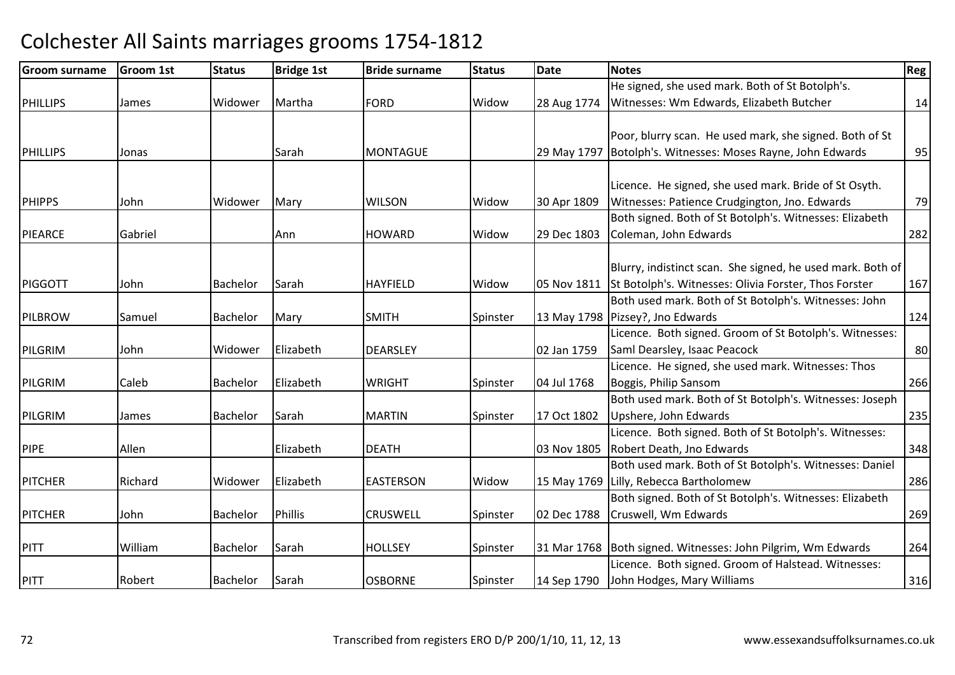| <b>Groom surname</b> | <b>Groom 1st</b> | <b>Status</b>   | <b>Bridge 1st</b> | <b>Bride surname</b> | <b>Status</b> | <b>Date</b> | <b>Notes</b>                                                   | Reg |
|----------------------|------------------|-----------------|-------------------|----------------------|---------------|-------------|----------------------------------------------------------------|-----|
|                      |                  |                 |                   |                      |               |             | He signed, she used mark. Both of St Botolph's.                |     |
| <b>PHILLIPS</b>      | James            | Widower         | Martha            | <b>FORD</b>          | Widow         | 28 Aug 1774 | Witnesses: Wm Edwards, Elizabeth Butcher                       | 14  |
|                      |                  |                 |                   |                      |               |             |                                                                |     |
|                      |                  |                 |                   |                      |               |             | Poor, blurry scan. He used mark, she signed. Both of St        |     |
| <b>PHILLIPS</b>      | Jonas            |                 | Sarah             | <b>MONTAGUE</b>      |               | 29 May 1797 | Botolph's. Witnesses: Moses Rayne, John Edwards                | 95  |
|                      |                  |                 |                   |                      |               |             |                                                                |     |
|                      |                  |                 |                   |                      |               |             | Licence. He signed, she used mark. Bride of St Osyth.          |     |
| <b>PHIPPS</b>        | John             | Widower         | Mary              | <b>WILSON</b>        | Widow         | 30 Apr 1809 | Witnesses: Patience Crudgington, Jno. Edwards                  | 79  |
|                      |                  |                 |                   |                      |               |             | Both signed. Both of St Botolph's. Witnesses: Elizabeth        |     |
| <b>PIEARCE</b>       | Gabriel          |                 | Ann               | <b>HOWARD</b>        | Widow         | 29 Dec 1803 | Coleman, John Edwards                                          | 282 |
|                      |                  |                 |                   |                      |               |             |                                                                |     |
|                      |                  |                 |                   |                      |               |             | Blurry, indistinct scan. She signed, he used mark. Both of     |     |
| PIGGOTT              | John             | <b>Bachelor</b> | Sarah             | <b>HAYFIELD</b>      | Widow         | 05 Nov 1811 | St Botolph's. Witnesses: Olivia Forster, Thos Forster          | 167 |
|                      |                  |                 |                   |                      |               |             | Both used mark. Both of St Botolph's. Witnesses: John          |     |
| PILBROW              | Samuel           | Bachelor        | Mary              | <b>SMITH</b>         | Spinster      |             | 13 May 1798   Pizsey?, Jno Edwards                             | 124 |
|                      |                  |                 |                   |                      |               |             | Licence. Both signed. Groom of St Botolph's. Witnesses:        |     |
| PILGRIM              | John             | Widower         | Elizabeth         | <b>DEARSLEY</b>      |               | 02 Jan 1759 | Saml Dearsley, Isaac Peacock                                   | 80  |
|                      |                  |                 |                   |                      |               |             | Licence. He signed, she used mark. Witnesses: Thos             |     |
| PILGRIM              | Caleb            | Bachelor        | Elizabeth         | <b>WRIGHT</b>        | Spinster      | 04 Jul 1768 | Boggis, Philip Sansom                                          | 266 |
|                      |                  |                 |                   |                      |               |             | Both used mark. Both of St Botolph's. Witnesses: Joseph        |     |
| PILGRIM              | James            | Bachelor        | Sarah             | <b>MARTIN</b>        | Spinster      | 17 Oct 1802 | Upshere, John Edwards                                          | 235 |
|                      |                  |                 |                   |                      |               |             | Licence. Both signed. Both of St Botolph's. Witnesses:         |     |
| <b>PIPE</b>          | Allen            |                 | Elizabeth         | <b>DEATH</b>         |               | 03 Nov 1805 | Robert Death, Jno Edwards                                      | 348 |
|                      |                  |                 |                   |                      |               |             | Both used mark. Both of St Botolph's. Witnesses: Daniel        |     |
| <b>PITCHER</b>       | Richard          | Widower         | Elizabeth         | <b>EASTERSON</b>     | Widow         |             | 15 May 1769 Lilly, Rebecca Bartholomew                         | 286 |
|                      |                  |                 |                   |                      |               |             | Both signed. Both of St Botolph's. Witnesses: Elizabeth        |     |
| <b>PITCHER</b>       | John             | Bachelor        | <b>Phillis</b>    | <b>CRUSWELL</b>      | Spinster      | 02 Dec 1788 | Cruswell, Wm Edwards                                           | 269 |
|                      |                  |                 |                   |                      |               |             |                                                                |     |
| PITT                 | William          | Bachelor        | Sarah             | <b>HOLLSEY</b>       | Spinster      |             | 31 Mar 1768   Both signed. Witnesses: John Pilgrim, Wm Edwards | 264 |
|                      |                  |                 |                   |                      |               |             | Licence. Both signed. Groom of Halstead. Witnesses:            |     |
| PITT                 | Robert           | <b>Bachelor</b> | Sarah             | <b>OSBORNE</b>       | Spinster      | 14 Sep 1790 | John Hodges, Mary Williams                                     | 316 |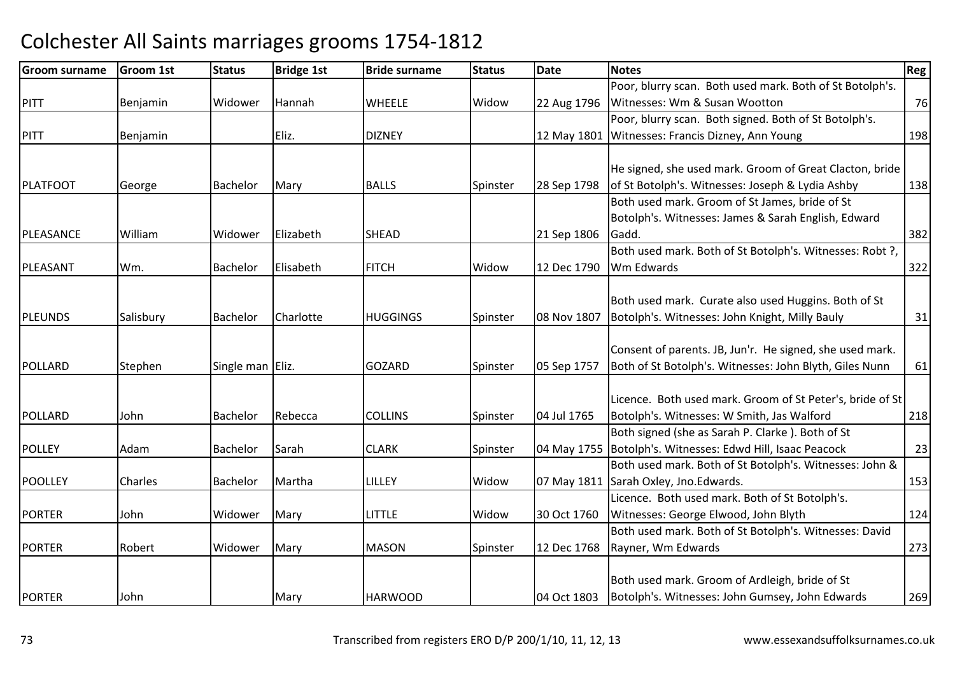| <b>Groom surname</b> | <b>Groom 1st</b> | <b>Status</b>    | <b>Bridge 1st</b> | <b>Bride surname</b> | <b>Status</b> | Date        | <b>Notes</b>                                               | Reg |
|----------------------|------------------|------------------|-------------------|----------------------|---------------|-------------|------------------------------------------------------------|-----|
|                      |                  |                  |                   |                      |               |             | Poor, blurry scan. Both used mark. Both of St Botolph's.   |     |
| <b>PITT</b>          | Benjamin         | Widower          | Hannah            | <b>WHEELE</b>        | Widow         | 22 Aug 1796 | Witnesses: Wm & Susan Wootton                              | 76  |
|                      |                  |                  |                   |                      |               |             | Poor, blurry scan. Both signed. Both of St Botolph's.      |     |
| PITT                 | Benjamin         |                  | Eliz.             | <b>DIZNEY</b>        |               | 12 May 1801 | Witnesses: Francis Dizney, Ann Young                       | 198 |
|                      |                  |                  |                   |                      |               |             |                                                            |     |
|                      |                  |                  |                   |                      |               |             | He signed, she used mark. Groom of Great Clacton, bride    |     |
| PLATFOOT             | George           | Bachelor         | Mary              | <b>BALLS</b>         | Spinster      | 28 Sep 1798 | of St Botolph's. Witnesses: Joseph & Lydia Ashby           | 138 |
|                      |                  |                  |                   |                      |               |             | Both used mark. Groom of St James, bride of St             |     |
|                      |                  |                  |                   |                      |               |             | Botolph's. Witnesses: James & Sarah English, Edward        |     |
| PLEASANCE            | William          | Widower          | Elizabeth         | <b>SHEAD</b>         |               | 21 Sep 1806 | Gadd.                                                      | 382 |
|                      |                  |                  |                   |                      |               |             | Both used mark. Both of St Botolph's. Witnesses: Robt ?,   |     |
| PLEASANT             | Wm.              | Bachelor         | Elisabeth         | <b>FITCH</b>         | Widow         | 12 Dec 1790 | Wm Edwards                                                 | 322 |
|                      |                  |                  |                   |                      |               |             |                                                            |     |
|                      |                  |                  |                   |                      |               |             | Both used mark. Curate also used Huggins. Both of St       |     |
| <b>PLEUNDS</b>       | Salisbury        | <b>Bachelor</b>  | Charlotte         | <b>HUGGINGS</b>      | Spinster      | 08 Nov 1807 | Botolph's. Witnesses: John Knight, Milly Bauly             | 31  |
|                      |                  |                  |                   |                      |               |             |                                                            |     |
|                      |                  |                  |                   |                      |               |             | Consent of parents. JB, Jun'r. He signed, she used mark.   |     |
| POLLARD              | Stephen          | Single man Eliz. |                   | <b>GOZARD</b>        | Spinster      | 05 Sep 1757 | Both of St Botolph's. Witnesses: John Blyth, Giles Nunn    | 61  |
|                      |                  |                  |                   |                      |               |             |                                                            |     |
|                      |                  |                  |                   |                      |               |             | Licence. Both used mark. Groom of St Peter's, bride of St  |     |
| POLLARD              | John             | <b>Bachelor</b>  | Rebecca           | <b>COLLINS</b>       | Spinster      | 04 Jul 1765 | Botolph's. Witnesses: W Smith, Jas Walford                 | 218 |
|                      |                  |                  |                   |                      |               |             | Both signed (she as Sarah P. Clarke). Both of St           |     |
| <b>POLLEY</b>        | Adam             | Bachelor         | Sarah             | <b>CLARK</b>         | Spinster      |             | 04 May 1755 Botolph's. Witnesses: Edwd Hill, Isaac Peacock | 23  |
|                      |                  |                  |                   |                      |               |             | Both used mark. Both of St Botolph's. Witnesses: John &    |     |
| <b>POOLLEY</b>       | Charles          | <b>Bachelor</b>  | Martha            | LILLEY               | Widow         |             | 07 May 1811 Sarah Oxley, Jno. Edwards.                     | 153 |
|                      |                  |                  |                   |                      |               |             | Licence. Both used mark. Both of St Botolph's.             |     |
| <b>PORTER</b>        | John             | Widower          | Mary              | <b>LITTLE</b>        | Widow         | 30 Oct 1760 | Witnesses: George Elwood, John Blyth                       | 124 |
|                      |                  |                  |                   |                      |               |             | Both used mark. Both of St Botolph's. Witnesses: David     |     |
| <b>PORTER</b>        | Robert           | Widower          | Mary              | <b>MASON</b>         | Spinster      | 12 Dec 1768 | Rayner, Wm Edwards                                         | 273 |
|                      |                  |                  |                   |                      |               |             |                                                            |     |
|                      |                  |                  |                   |                      |               |             | Both used mark. Groom of Ardleigh, bride of St             |     |
| <b>PORTER</b>        | John             |                  | Mary              | <b>HARWOOD</b>       |               | 04 Oct 1803 | Botolph's. Witnesses: John Gumsey, John Edwards            | 269 |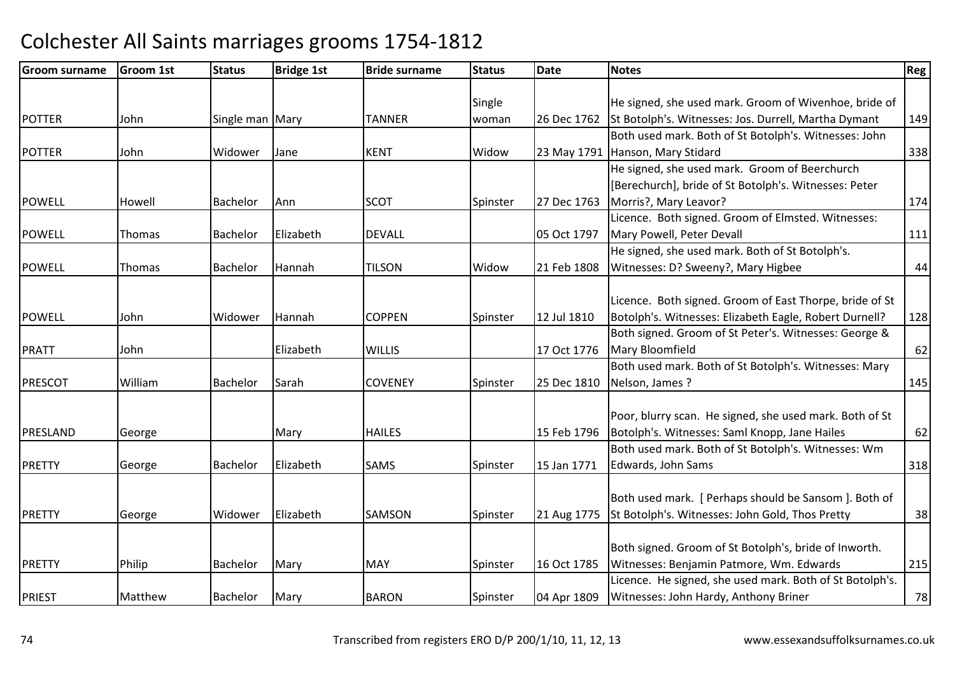| <b>Groom surname</b> | <b>Groom 1st</b> | <b>Status</b>   | <b>Bridge 1st</b> | <b>Bride surname</b> | <b>Status</b> | Date        | <b>Notes</b>                                             | Reg        |
|----------------------|------------------|-----------------|-------------------|----------------------|---------------|-------------|----------------------------------------------------------|------------|
|                      |                  |                 |                   |                      |               |             |                                                          |            |
|                      |                  |                 |                   |                      | Single        |             | He signed, she used mark. Groom of Wivenhoe, bride of    |            |
| <b>POTTER</b>        | John             | Single man Mary |                   | <b>TANNER</b>        | woman         | 26 Dec 1762 | St Botolph's. Witnesses: Jos. Durrell, Martha Dymant     | 149        |
|                      |                  |                 |                   |                      |               |             | Both used mark. Both of St Botolph's. Witnesses: John    |            |
| <b>POTTER</b>        | John             | Widower         | Jane              | <b>KENT</b>          | Widow         | 23 May 1791 | Hanson, Mary Stidard                                     | 338        |
|                      |                  |                 |                   |                      |               |             | He signed, she used mark. Groom of Beerchurch            |            |
|                      |                  |                 |                   |                      |               |             | [Berechurch], bride of St Botolph's. Witnesses: Peter    |            |
| <b>POWELL</b>        | Howell           | Bachelor        | Ann               | <b>SCOT</b>          | Spinster      | 27 Dec 1763 | Morris?, Mary Leavor?                                    | 174        |
|                      |                  |                 |                   |                      |               |             | Licence. Both signed. Groom of Elmsted. Witnesses:       |            |
| <b>POWELL</b>        | Thomas           | Bachelor        | Elizabeth         | <b>DEVALL</b>        |               | 05 Oct 1797 | Mary Powell, Peter Devall                                | 111        |
|                      |                  |                 |                   |                      |               |             | He signed, she used mark. Both of St Botolph's.          |            |
| <b>POWELL</b>        | Thomas           | <b>Bachelor</b> | Hannah            | <b>TILSON</b>        | Widow         | 21 Feb 1808 | Witnesses: D? Sweeny?, Mary Higbee                       | 44         |
|                      |                  |                 |                   |                      |               |             |                                                          |            |
|                      |                  |                 |                   |                      |               |             | Licence. Both signed. Groom of East Thorpe, bride of St  |            |
| <b>POWELL</b>        | John             | Widower         | Hannah            | <b>COPPEN</b>        | Spinster      | 12 Jul 1810 | Botolph's. Witnesses: Elizabeth Eagle, Robert Durnell?   | 128        |
|                      |                  |                 |                   |                      |               |             | Both signed. Groom of St Peter's. Witnesses: George &    |            |
| <b>PRATT</b>         | John             |                 | Elizabeth         | <b>WILLIS</b>        |               | 17 Oct 1776 | Mary Bloomfield                                          | 62         |
|                      |                  |                 |                   |                      |               |             | Both used mark. Both of St Botolph's. Witnesses: Mary    |            |
| <b>PRESCOT</b>       | William          | <b>Bachelor</b> | Sarah             | <b>COVENEY</b>       | Spinster      | 25 Dec 1810 | Nelson, James?                                           | 145        |
|                      |                  |                 |                   |                      |               |             |                                                          |            |
|                      |                  |                 |                   |                      |               |             | Poor, blurry scan. He signed, she used mark. Both of St  |            |
| PRESLAND             | George           |                 | Mary              | <b>HAILES</b>        |               | 15 Feb 1796 | Botolph's. Witnesses: Saml Knopp, Jane Hailes            | 62         |
|                      |                  |                 |                   |                      |               |             | Both used mark. Both of St Botolph's. Witnesses: Wm      |            |
| PRETTY               | George           | Bachelor        | Elizabeth         | <b>SAMS</b>          | Spinster      | 15 Jan 1771 | Edwards, John Sams                                       | 318        |
|                      |                  |                 |                   |                      |               |             |                                                          |            |
|                      |                  |                 |                   |                      |               |             | Both used mark. [ Perhaps should be Sansom ]. Both of    |            |
| PRETTY               | George           | Widower         | Elizabeth         | <b>SAMSON</b>        | Spinster      | 21 Aug 1775 | St Botolph's. Witnesses: John Gold, Thos Pretty          | 38         |
|                      |                  |                 |                   |                      |               |             |                                                          |            |
|                      |                  |                 |                   |                      |               |             | Both signed. Groom of St Botolph's, bride of Inworth.    |            |
| PRETTY               | Philip           | Bachelor        | Mary              | <b>MAY</b>           | Spinster      | 16 Oct 1785 | Witnesses: Benjamin Patmore, Wm. Edwards                 | 215        |
|                      |                  |                 |                   |                      |               |             | Licence. He signed, she used mark. Both of St Botolph's. |            |
| PRIEST               | Matthew          | Bachelor        | Mary              | <b>BARON</b>         | Spinster      | 04 Apr 1809 | Witnesses: John Hardy, Anthony Briner                    | ${\bf 78}$ |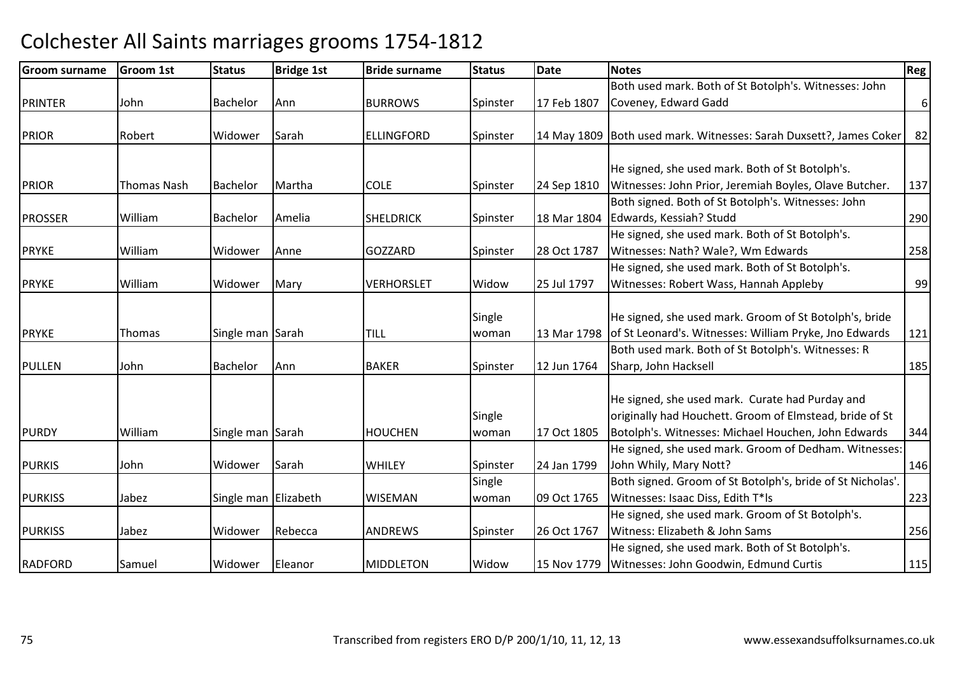| <b>Groom surname</b> | <b>Groom 1st</b> | <b>Status</b>        | <b>Bridge 1st</b> | <b>Bride surname</b> | <b>Status</b>   | <b>Date</b> | <b>Notes</b>                                                                                                     | <b>Reg</b>     |
|----------------------|------------------|----------------------|-------------------|----------------------|-----------------|-------------|------------------------------------------------------------------------------------------------------------------|----------------|
|                      |                  |                      |                   |                      |                 |             | Both used mark. Both of St Botolph's. Witnesses: John                                                            |                |
| PRINTER              | John             | Bachelor             | Ann               | <b>BURROWS</b>       | Spinster        | 17 Feb 1807 | Coveney, Edward Gadd                                                                                             | 6 <sup>1</sup> |
| <b>PRIOR</b>         | Robert           | Widower              | Sarah             | <b>ELLINGFORD</b>    | Spinster        |             | 14 May 1809 Both used mark. Witnesses: Sarah Duxsett?, James Coker                                               | 82             |
|                      |                  |                      |                   |                      |                 |             | He signed, she used mark. Both of St Botolph's.                                                                  |                |
| <b>PRIOR</b>         | Thomas Nash      | <b>Bachelor</b>      | Martha            | <b>COLE</b>          | Spinster        | 24 Sep 1810 | Witnesses: John Prior, Jeremiah Boyles, Olave Butcher.                                                           | 137            |
| <b>PROSSER</b>       | William          | Bachelor             | Amelia            | <b>SHELDRICK</b>     | Spinster        | 18 Mar 1804 | Both signed. Both of St Botolph's. Witnesses: John<br>Edwards, Kessiah? Studd                                    | 290            |
| <b>PRYKE</b>         | William          | Widower              | Anne              | <b>GOZZARD</b>       | Spinster        | 28 Oct 1787 | He signed, she used mark. Both of St Botolph's.<br>Witnesses: Nath? Wale?, Wm Edwards                            | 258            |
| <b>PRYKE</b>         | William          | Widower              | Mary              | <b>VERHORSLET</b>    | Widow           | 25 Jul 1797 | He signed, she used mark. Both of St Botolph's.<br>Witnesses: Robert Wass, Hannah Appleby                        | 99             |
|                      |                  |                      |                   |                      |                 |             |                                                                                                                  |                |
| <b>PRYKE</b>         | Thomas           | Single man Sarah     |                   | <b>TILL</b>          | Single<br>woman | 13 Mar 1798 | He signed, she used mark. Groom of St Botolph's, bride<br>of St Leonard's. Witnesses: William Pryke, Jno Edwards | 121            |
|                      |                  |                      |                   |                      |                 |             | Both used mark. Both of St Botolph's. Witnesses: R                                                               |                |
| PULLEN               | John             | Bachelor             | Ann               | <b>BAKER</b>         | Spinster        | 12 Jun 1764 | Sharp, John Hacksell                                                                                             | 185            |
|                      |                  |                      |                   |                      | Single          |             | He signed, she used mark. Curate had Purday and<br>originally had Houchett. Groom of Elmstead, bride of St       |                |
| <b>PURDY</b>         | William          | Single man Sarah     |                   | <b>HOUCHEN</b>       | woman           | 17 Oct 1805 | Botolph's. Witnesses: Michael Houchen, John Edwards                                                              | 344            |
| <b>PURKIS</b>        | John             | Widower              | Sarah             | <b>WHILEY</b>        | Spinster        | 24 Jan 1799 | He signed, she used mark. Groom of Dedham. Witnesses:<br>John Whily, Mary Nott?                                  | 146            |
|                      |                  |                      |                   |                      | Single          |             | Both signed. Groom of St Botolph's, bride of St Nicholas'.                                                       |                |
| <b>PURKISS</b>       | Jabez            | Single man Elizabeth |                   | <b>WISEMAN</b>       | woman           | 09 Oct 1765 | Witnesses: Isaac Diss, Edith T*Is                                                                                | 223            |
|                      | Jabez            |                      | Rebecca           |                      |                 |             | He signed, she used mark. Groom of St Botolph's.<br>Witness: Elizabeth & John Sams                               |                |
| <b>PURKISS</b>       |                  | Widower              |                   | <b>ANDREWS</b>       | Spinster        | 26 Oct 1767 | He signed, she used mark. Both of St Botolph's.                                                                  | 256            |
| <b>RADFORD</b>       | Samuel           | Widower              | Eleanor           | <b>MIDDLETON</b>     | Widow           | 15 Nov 1779 | Witnesses: John Goodwin, Edmund Curtis                                                                           | 115            |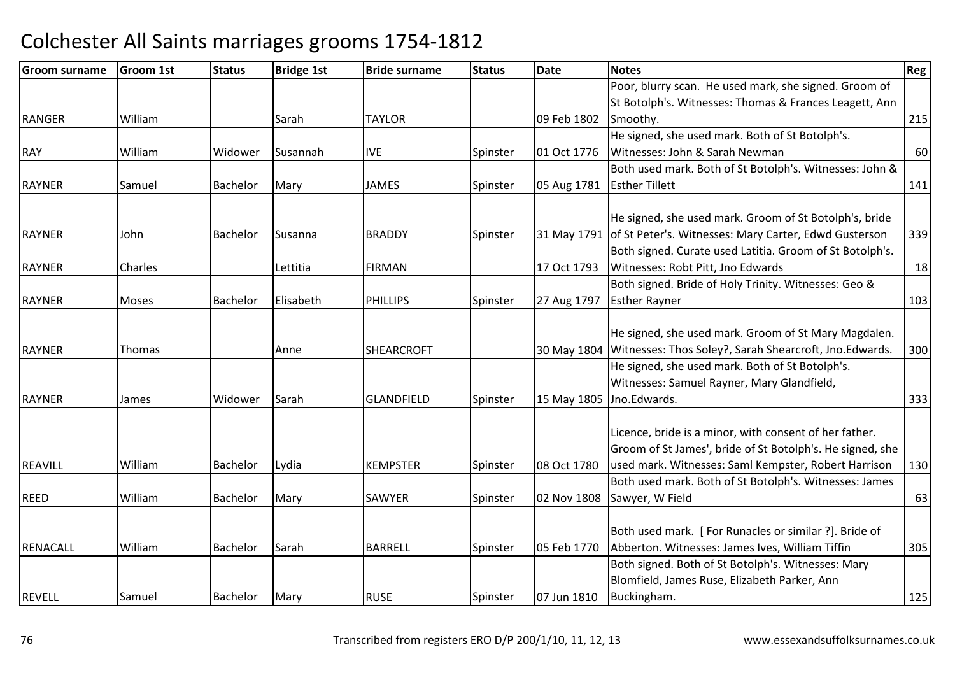| <b>Groom surname</b> | Groom 1st    | <b>Status</b>   | <b>Bridge 1st</b> | <b>Bride surname</b> | <b>Status</b> | <b>Date</b> | <b>Notes</b>                                                          | <b>Reg</b> |
|----------------------|--------------|-----------------|-------------------|----------------------|---------------|-------------|-----------------------------------------------------------------------|------------|
|                      |              |                 |                   |                      |               |             | Poor, blurry scan. He used mark, she signed. Groom of                 |            |
|                      |              |                 |                   |                      |               |             | St Botolph's. Witnesses: Thomas & Frances Leagett, Ann                |            |
| RANGER               | William      |                 | Sarah             | <b>TAYLOR</b>        |               | 09 Feb 1802 | Smoothy.                                                              | 215        |
|                      |              |                 |                   |                      |               |             | He signed, she used mark. Both of St Botolph's.                       |            |
| <b>RAY</b>           | William      | Widower         | Susannah          | <b>IVE</b>           | Spinster      | 01 Oct 1776 | Witnesses: John & Sarah Newman                                        | 60         |
|                      |              |                 |                   |                      |               |             | Both used mark. Both of St Botolph's. Witnesses: John &               |            |
| <b>RAYNER</b>        | Samuel       | Bachelor        | Mary              | <b>JAMES</b>         | Spinster      | 05 Aug 1781 | <b>Esther Tillett</b>                                                 | 141        |
|                      |              |                 |                   |                      |               |             |                                                                       |            |
|                      |              |                 |                   |                      |               |             | He signed, she used mark. Groom of St Botolph's, bride                |            |
| <b>RAYNER</b>        | John         | <b>Bachelor</b> | Susanna           | <b>BRADDY</b>        | Spinster      |             | 31 May 1791 of St Peter's. Witnesses: Mary Carter, Edwd Gusterson     | 339        |
|                      |              |                 |                   |                      |               |             | Both signed. Curate used Latitia. Groom of St Botolph's.              |            |
| <b>RAYNER</b>        | Charles      |                 | Lettitia          | <b>FIRMAN</b>        |               | 17 Oct 1793 | Witnesses: Robt Pitt, Jno Edwards                                     | 18         |
|                      |              |                 |                   |                      |               |             | Both signed. Bride of Holy Trinity. Witnesses: Geo &                  |            |
| <b>RAYNER</b>        | <b>Moses</b> | <b>Bachelor</b> | Elisabeth         | <b>PHILLIPS</b>      | Spinster      | 27 Aug 1797 | <b>Esther Rayner</b>                                                  | 103        |
|                      |              |                 |                   |                      |               |             |                                                                       |            |
|                      |              |                 |                   |                      |               |             | He signed, she used mark. Groom of St Mary Magdalen.                  |            |
| <b>RAYNER</b>        | Thomas       |                 | Anne              | <b>SHEARCROFT</b>    |               |             | 30 May 1804   Witnesses: Thos Soley?, Sarah Shearcroft, Jno. Edwards. | 300        |
|                      |              |                 |                   |                      |               |             | He signed, she used mark. Both of St Botolph's.                       |            |
|                      |              |                 |                   |                      |               |             | Witnesses: Samuel Rayner, Mary Glandfield,                            |            |
| <b>RAYNER</b>        | James        | Widower         | Sarah             | <b>GLANDFIELD</b>    | Spinster      | 15 May 1805 | Jno.Edwards.                                                          | 333        |
|                      |              |                 |                   |                      |               |             |                                                                       |            |
|                      |              |                 |                   |                      |               |             | Licence, bride is a minor, with consent of her father.                |            |
|                      |              |                 |                   |                      |               |             | Groom of St James', bride of St Botolph's. He signed, she             |            |
| <b>REAVILL</b>       | William      | <b>Bachelor</b> | Lydia             | <b>KEMPSTER</b>      | Spinster      | 08 Oct 1780 | used mark. Witnesses: Saml Kempster, Robert Harrison                  | 130        |
|                      |              |                 |                   |                      |               |             | Both used mark. Both of St Botolph's. Witnesses: James                |            |
| <b>REED</b>          | William      | Bachelor        | Mary              | SAWYER               | Spinster      | 02 Nov 1808 | Sawyer, W Field                                                       | 63         |
|                      |              |                 |                   |                      |               |             |                                                                       |            |
|                      |              |                 |                   |                      |               |             | Both used mark. [For Runacles or similar ?]. Bride of                 |            |
| RENACALL             | William      | Bachelor        | Sarah             | <b>BARRELL</b>       | Spinster      | 05 Feb 1770 | Abberton. Witnesses: James Ives, William Tiffin                       | 305        |
|                      |              |                 |                   |                      |               |             | Both signed. Both of St Botolph's. Witnesses: Mary                    |            |
|                      |              |                 |                   |                      |               |             | Blomfield, James Ruse, Elizabeth Parker, Ann                          |            |
| <b>REVELL</b>        | Samuel       | Bachelor        | Mary              | <b>RUSE</b>          | Spinster      | 07 Jun 1810 | Buckingham.                                                           | 125        |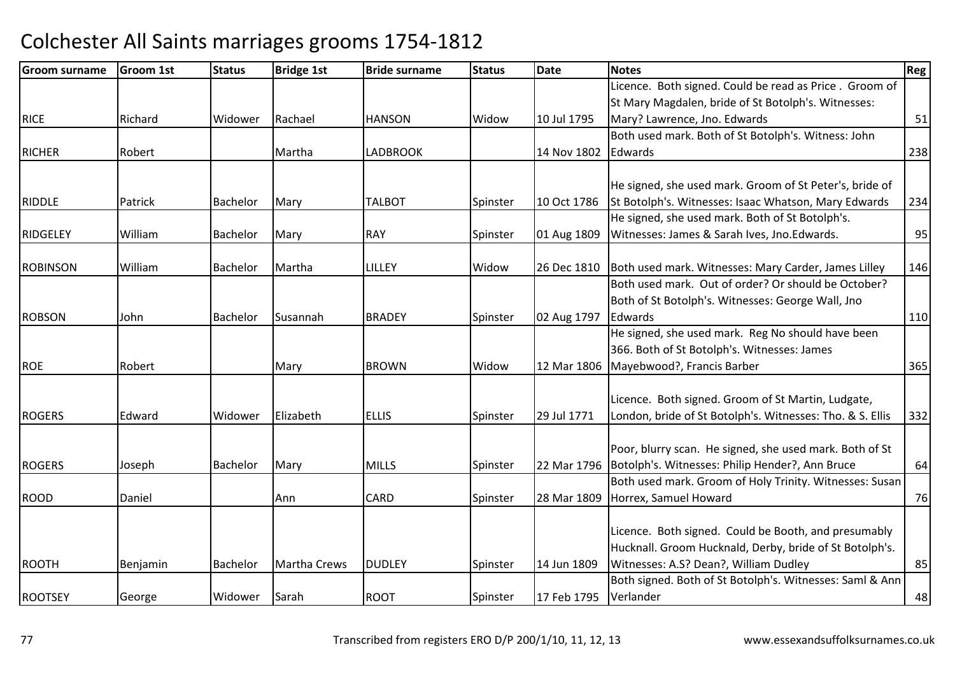| <b>Groom surname</b> | <b>Groom 1st</b> | <b>Status</b> | <b>Bridge 1st</b>   | <b>Bride surname</b> | <b>Status</b> | Date        | <b>Notes</b>                                              | Reg |
|----------------------|------------------|---------------|---------------------|----------------------|---------------|-------------|-----------------------------------------------------------|-----|
|                      |                  |               |                     |                      |               |             | Licence. Both signed. Could be read as Price. Groom of    |     |
|                      |                  |               |                     |                      |               |             | St Mary Magdalen, bride of St Botolph's. Witnesses:       |     |
| <b>RICE</b>          | Richard          | Widower       | Rachael             | <b>HANSON</b>        | Widow         | 10 Jul 1795 | Mary? Lawrence, Jno. Edwards                              | 51  |
|                      |                  |               |                     |                      |               |             | Both used mark. Both of St Botolph's. Witness: John       |     |
| <b>RICHER</b>        | Robert           |               | Martha              | <b>LADBROOK</b>      |               | 14 Nov 1802 | Edwards                                                   | 238 |
|                      |                  |               |                     |                      |               |             |                                                           |     |
|                      |                  |               |                     |                      |               |             | He signed, she used mark. Groom of St Peter's, bride of   |     |
| <b>RIDDLE</b>        | Patrick          | Bachelor      | Mary                | <b>TALBOT</b>        | Spinster      | 10 Oct 1786 | St Botolph's. Witnesses: Isaac Whatson, Mary Edwards      | 234 |
|                      |                  |               |                     |                      |               |             | He signed, she used mark. Both of St Botolph's.           |     |
| <b>RIDGELEY</b>      | William          | Bachelor      | Mary                | <b>RAY</b>           | Spinster      | 01 Aug 1809 | Witnesses: James & Sarah Ives, Jno.Edwards.               | 95  |
| <b>ROBINSON</b>      | William          | Bachelor      | Martha              | LILLEY               | Widow         | 26 Dec 1810 | Both used mark. Witnesses: Mary Carder, James Lilley      | 146 |
|                      |                  |               |                     |                      |               |             | Both used mark. Out of order? Or should be October?       |     |
|                      |                  |               |                     |                      |               |             | Both of St Botolph's. Witnesses: George Wall, Jno         |     |
| <b>ROBSON</b>        | John             | Bachelor      | Susannah            | <b>BRADEY</b>        | Spinster      | 02 Aug 1797 | Edwards                                                   | 110 |
|                      |                  |               |                     |                      |               |             | He signed, she used mark. Reg No should have been         |     |
|                      |                  |               |                     |                      |               |             | 366. Both of St Botolph's. Witnesses: James               |     |
| <b>ROE</b>           | Robert           |               | Mary                | <b>BROWN</b>         | Widow         | 12 Mar 1806 | Mayebwood?, Francis Barber                                | 365 |
|                      |                  |               |                     |                      |               |             |                                                           |     |
|                      |                  |               |                     |                      |               |             | Licence. Both signed. Groom of St Martin, Ludgate,        |     |
| <b>ROGERS</b>        | Edward           | Widower       | Elizabeth           | <b>ELLIS</b>         | Spinster      | 29 Jul 1771 | London, bride of St Botolph's. Witnesses: Tho. & S. Ellis | 332 |
|                      |                  |               |                     |                      |               |             |                                                           |     |
|                      |                  |               |                     |                      |               |             | Poor, blurry scan. He signed, she used mark. Both of St   |     |
| <b>ROGERS</b>        | Joseph           | Bachelor      | Mary                | <b>MILLS</b>         | Spinster      | 22 Mar 1796 | Botolph's. Witnesses: Philip Hender?, Ann Bruce           | 64  |
|                      |                  |               |                     |                      |               |             | Both used mark. Groom of Holy Trinity. Witnesses: Susan   |     |
| <b>ROOD</b>          | Daniel           |               | Ann                 | <b>CARD</b>          | Spinster      | 28 Mar 1809 | Horrex, Samuel Howard                                     | 76  |
|                      |                  |               |                     |                      |               |             |                                                           |     |
|                      |                  |               |                     |                      |               |             | Licence. Both signed. Could be Booth, and presumably      |     |
|                      |                  |               |                     |                      |               |             | Hucknall. Groom Hucknald, Derby, bride of St Botolph's.   |     |
| <b>ROOTH</b>         | Benjamin         | Bachelor      | <b>Martha Crews</b> | <b>DUDLEY</b>        | Spinster      | 14 Jun 1809 | Witnesses: A.S? Dean?, William Dudley                     | 85  |
|                      |                  |               |                     |                      |               |             | Both signed. Both of St Botolph's. Witnesses: Saml & Ann  |     |
| <b>ROOTSEY</b>       | George           | Widower       | Sarah               | <b>ROOT</b>          | Spinster      | 17 Feb 1795 | Verlander                                                 | 48  |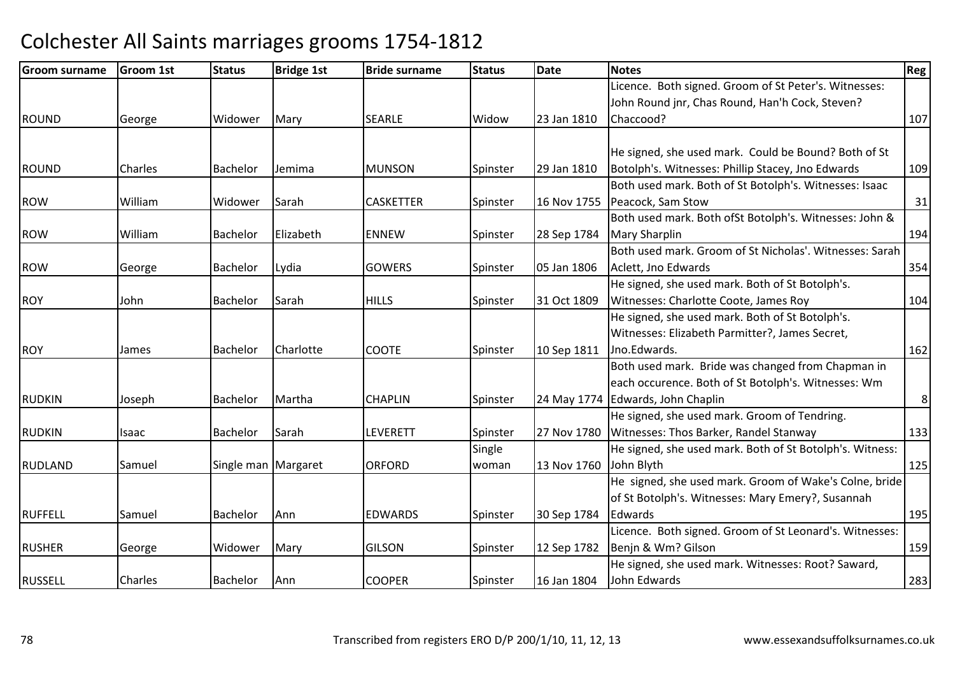| Groom surname  | <b>Groom 1st</b> | <b>Status</b>         | <b>Bridge 1st</b> | <b>Bride surname</b> | <b>Status</b> | Date        | <b>Notes</b>                                             | <b>Reg</b>     |
|----------------|------------------|-----------------------|-------------------|----------------------|---------------|-------------|----------------------------------------------------------|----------------|
|                |                  |                       |                   |                      |               |             | Licence. Both signed. Groom of St Peter's. Witnesses:    |                |
|                |                  |                       |                   |                      |               |             | John Round jnr, Chas Round, Han'h Cock, Steven?          |                |
| <b>ROUND</b>   | George           | Widower               | Mary              | <b>SEARLE</b>        | Widow         | 23 Jan 1810 | Chaccood?                                                | 107            |
|                |                  |                       |                   |                      |               |             |                                                          |                |
|                |                  |                       |                   |                      |               |             | He signed, she used mark. Could be Bound? Both of St     |                |
| <b>ROUND</b>   | Charles          | Bachelor              | Jemima            | <b>MUNSON</b>        | Spinster      | 29 Jan 1810 | Botolph's. Witnesses: Phillip Stacey, Jno Edwards        | 109            |
|                |                  |                       |                   |                      |               |             | Both used mark. Both of St Botolph's. Witnesses: Isaac   |                |
| <b>ROW</b>     | William          | Widower               | Sarah             | <b>CASKETTER</b>     | Spinster      | 16 Nov 1755 | Peacock, Sam Stow                                        | 31             |
|                |                  |                       |                   |                      |               |             | Both used mark. Both ofSt Botolph's. Witnesses: John &   |                |
| <b>ROW</b>     | William          | Bachelor              | Elizabeth         | <b>ENNEW</b>         | Spinster      | 28 Sep 1784 | <b>Mary Sharplin</b>                                     | 194            |
|                |                  |                       |                   |                      |               |             | Both used mark. Groom of St Nicholas'. Witnesses: Sarah  |                |
| <b>ROW</b>     | George           | Bachelor              | Lydia             | <b>GOWERS</b>        | Spinster      | 05 Jan 1806 | Aclett, Jno Edwards                                      | 354            |
|                |                  |                       |                   |                      |               |             | He signed, she used mark. Both of St Botolph's.          |                |
| <b>ROY</b>     | John             | Bachelor              | Sarah             | <b>HILLS</b>         | Spinster      | 31 Oct 1809 | Witnesses: Charlotte Coote, James Roy                    | 104            |
|                |                  |                       |                   |                      |               |             | He signed, she used mark. Both of St Botolph's.          |                |
|                |                  |                       |                   |                      |               |             | Witnesses: Elizabeth Parmitter?, James Secret,           |                |
| <b>ROY</b>     | James            | <b>Bachelor</b>       | Charlotte         | <b>COOTE</b>         | Spinster      | 10 Sep 1811 | Jno.Edwards.                                             | 162            |
|                |                  |                       |                   |                      |               |             | Both used mark. Bride was changed from Chapman in        |                |
|                |                  |                       |                   |                      |               |             | each occurence. Both of St Botolph's. Witnesses: Wm      |                |
| <b>RUDKIN</b>  | Joseph           | Bachelor              | Martha            | <b>CHAPLIN</b>       | Spinster      |             | 24 May 1774 Edwards, John Chaplin                        | 8 <sup>1</sup> |
|                |                  |                       |                   |                      |               |             | He signed, she used mark. Groom of Tendring.             |                |
| <b>RUDKIN</b>  | Isaac            | Bachelor              | Sarah             | LEVERETT             | Spinster      | 27 Nov 1780 | Witnesses: Thos Barker, Randel Stanway                   | 133            |
|                |                  |                       |                   |                      | Single        |             | He signed, she used mark. Both of St Botolph's. Witness: |                |
| <b>RUDLAND</b> | Samuel           | Single man   Margaret |                   | <b>ORFORD</b>        | woman         | 13 Nov 1760 | John Blyth                                               | 125            |
|                |                  |                       |                   |                      |               |             | He signed, she used mark. Groom of Wake's Colne, bride   |                |
|                |                  |                       |                   |                      |               |             | of St Botolph's. Witnesses: Mary Emery?, Susannah        |                |
| <b>RUFFELL</b> | Samuel           | Bachelor              | Ann               | <b>EDWARDS</b>       | Spinster      | 30 Sep 1784 | Edwards                                                  | 195            |
|                |                  |                       |                   |                      |               |             | Licence. Both signed. Groom of St Leonard's. Witnesses:  |                |
| <b>RUSHER</b>  | George           | Widower               | Mary              | <b>GILSON</b>        | Spinster      | 12 Sep 1782 | Benjn & Wm? Gilson                                       | 159            |
|                |                  |                       |                   |                      |               |             | He signed, she used mark. Witnesses: Root? Saward,       |                |
| <b>RUSSELL</b> | Charles          | Bachelor              | Ann               | <b>COOPER</b>        | Spinster      | 16 Jan 1804 | John Edwards                                             | 283            |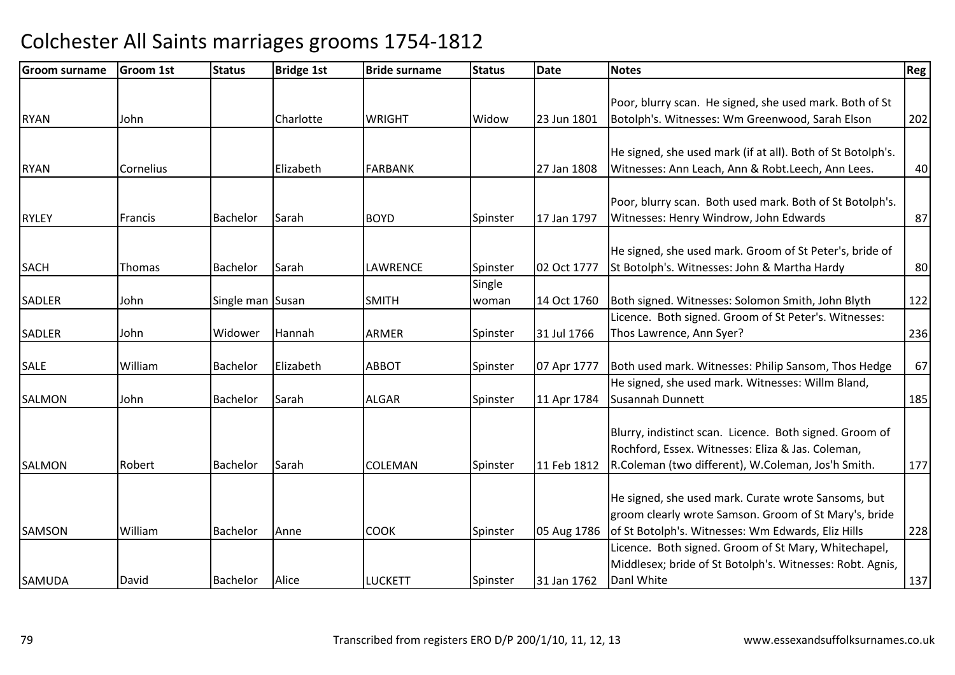| <b>Groom surname</b> | Groom 1st | <b>Status</b>    | <b>Bridge 1st</b> | <b>Bride surname</b> | <b>Status</b> | Date        | <b>Notes</b>                                                | Reg |
|----------------------|-----------|------------------|-------------------|----------------------|---------------|-------------|-------------------------------------------------------------|-----|
|                      |           |                  |                   |                      |               |             |                                                             |     |
|                      |           |                  |                   |                      |               |             | Poor, blurry scan. He signed, she used mark. Both of St     |     |
| <b>RYAN</b>          | John      |                  | Charlotte         | <b>WRIGHT</b>        | Widow         | 23 Jun 1801 | Botolph's. Witnesses: Wm Greenwood, Sarah Elson             | 202 |
|                      |           |                  |                   |                      |               |             |                                                             |     |
|                      |           |                  |                   |                      |               |             | He signed, she used mark (if at all). Both of St Botolph's. |     |
| <b>RYAN</b>          | Cornelius |                  | Elizabeth         | <b>FARBANK</b>       |               | 27 Jan 1808 | Witnesses: Ann Leach, Ann & Robt.Leech, Ann Lees.           | 40  |
|                      |           |                  |                   |                      |               |             |                                                             |     |
|                      |           |                  |                   |                      |               |             | Poor, blurry scan. Both used mark. Both of St Botolph's.    |     |
| <b>RYLEY</b>         | Francis   | Bachelor         | Sarah             | <b>BOYD</b>          | Spinster      | 17 Jan 1797 | Witnesses: Henry Windrow, John Edwards                      | 87  |
|                      |           |                  |                   |                      |               |             |                                                             |     |
|                      |           |                  |                   |                      |               |             | He signed, she used mark. Groom of St Peter's, bride of     |     |
| <b>SACH</b>          | Thomas    | Bachelor         | Sarah             | LAWRENCE             | Spinster      | 02 Oct 1777 | St Botolph's. Witnesses: John & Martha Hardy                | 80  |
|                      |           |                  |                   |                      | Single        |             |                                                             |     |
| <b>SADLER</b>        | John      | Single man Susan |                   | <b>SMITH</b>         | woman         | 14 Oct 1760 | Both signed. Witnesses: Solomon Smith, John Blyth           | 122 |
|                      |           |                  |                   |                      |               |             | Licence. Both signed. Groom of St Peter's. Witnesses:       |     |
| <b>SADLER</b>        | John      | Widower          | Hannah            | ARMER                | Spinster      | 31 Jul 1766 | Thos Lawrence, Ann Syer?                                    | 236 |
| <b>SALE</b>          | William   | Bachelor         | Elizabeth         | <b>ABBOT</b>         | Spinster      | 07 Apr 1777 | Both used mark. Witnesses: Philip Sansom, Thos Hedge        | 67  |
|                      |           |                  |                   |                      |               |             | He signed, she used mark. Witnesses: Willm Bland,           |     |
| <b>SALMON</b>        | John      | Bachelor         | Sarah             | <b>ALGAR</b>         | Spinster      | 11 Apr 1784 | Susannah Dunnett                                            | 185 |
|                      |           |                  |                   |                      |               |             |                                                             |     |
|                      |           |                  |                   |                      |               |             | Blurry, indistinct scan. Licence. Both signed. Groom of     |     |
|                      |           |                  |                   |                      |               |             | Rochford, Essex. Witnesses: Eliza & Jas. Coleman,           |     |
| <b>SALMON</b>        | Robert    | <b>Bachelor</b>  | Sarah             | <b>COLEMAN</b>       | Spinster      | 11 Feb 1812 | R.Coleman (two different), W.Coleman, Jos'h Smith.          | 177 |
|                      |           |                  |                   |                      |               |             |                                                             |     |
|                      |           |                  |                   |                      |               |             | He signed, she used mark. Curate wrote Sansoms, but         |     |
|                      |           |                  |                   |                      |               |             | groom clearly wrote Samson. Groom of St Mary's, bride       |     |
| <b>SAMSON</b>        | William   | Bachelor         | Anne              | <b>COOK</b>          | Spinster      | 05 Aug 1786 | of St Botolph's. Witnesses: Wm Edwards, Eliz Hills          | 228 |
|                      |           |                  |                   |                      |               |             | Licence. Both signed. Groom of St Mary, Whitechapel,        |     |
|                      |           |                  |                   |                      |               |             | Middlesex; bride of St Botolph's. Witnesses: Robt. Agnis,   |     |
| <b>SAMUDA</b>        | David     | Bachelor         | Alice             | <b>LUCKETT</b>       | Spinster      | 31 Jan 1762 | Danl White                                                  | 137 |
|                      |           |                  |                   |                      |               |             |                                                             |     |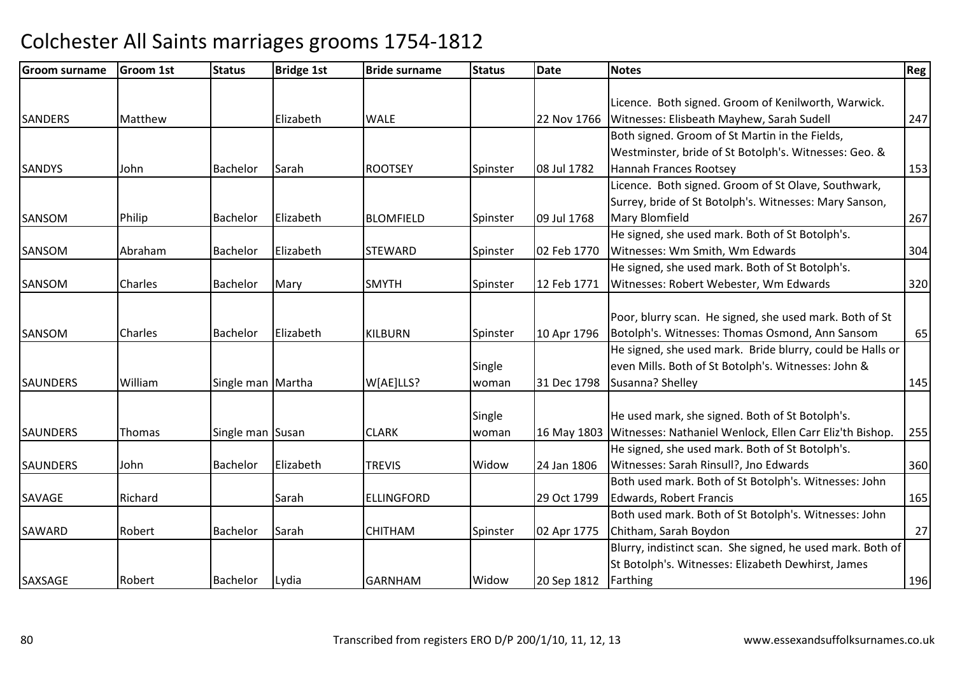| <b>Groom surname</b> | <b>Groom 1st</b> | <b>Status</b>     | <b>Bridge 1st</b> | <b>Bride surname</b> | <b>Status</b> | <b>Date</b> | <b>Notes</b>                                               | <b>Reg</b> |
|----------------------|------------------|-------------------|-------------------|----------------------|---------------|-------------|------------------------------------------------------------|------------|
|                      |                  |                   |                   |                      |               |             |                                                            |            |
|                      |                  |                   | Elizabeth         | <b>WALE</b>          |               |             | Licence. Both signed. Groom of Kenilworth, Warwick.        |            |
| <b>SANDERS</b>       | Matthew          |                   |                   |                      |               | 22 Nov 1766 | Witnesses: Elisbeath Mayhew, Sarah Sudell                  | 247        |
|                      |                  |                   |                   |                      |               |             | Both signed. Groom of St Martin in the Fields,             |            |
|                      |                  |                   |                   |                      |               |             | Westminster, bride of St Botolph's. Witnesses: Geo. &      |            |
| <b>SANDYS</b>        | John             | Bachelor          | Sarah             | <b>ROOTSEY</b>       | Spinster      | 08 Jul 1782 | Hannah Frances Rootsey                                     | 153        |
|                      |                  |                   |                   |                      |               |             | Licence. Both signed. Groom of St Olave, Southwark,        |            |
|                      |                  |                   |                   |                      |               |             | Surrey, bride of St Botolph's. Witnesses: Mary Sanson,     |            |
| SANSOM               | Philip           | Bachelor          | Elizabeth         | <b>BLOMFIELD</b>     | Spinster      | 09 Jul 1768 | <b>Mary Blomfield</b>                                      | 267        |
|                      |                  |                   |                   |                      |               |             | He signed, she used mark. Both of St Botolph's.            |            |
| SANSOM               | Abraham          | Bachelor          | Elizabeth         | <b>STEWARD</b>       | Spinster      | 02 Feb 1770 | Witnesses: Wm Smith, Wm Edwards                            | 304        |
|                      |                  |                   |                   |                      |               |             | He signed, she used mark. Both of St Botolph's.            |            |
| SANSOM               | <b>Charles</b>   | Bachelor          | Mary              | <b>SMYTH</b>         | Spinster      | 12 Feb 1771 | Witnesses: Robert Webester, Wm Edwards                     | 320        |
|                      |                  |                   |                   |                      |               |             |                                                            |            |
|                      |                  |                   |                   |                      |               |             | Poor, blurry scan. He signed, she used mark. Both of St    |            |
| <b>SANSOM</b>        | Charles          | Bachelor          | Elizabeth         | <b>KILBURN</b>       | Spinster      | 10 Apr 1796 | Botolph's. Witnesses: Thomas Osmond, Ann Sansom            | 65         |
|                      |                  |                   |                   |                      |               |             | He signed, she used mark. Bride blurry, could be Halls or  |            |
|                      |                  |                   |                   |                      | Single        |             | even Mills. Both of St Botolph's. Witnesses: John &        |            |
| <b>SAUNDERS</b>      | William          | Single man Martha |                   | W[AE]LLS?            | woman         | 31 Dec 1798 | Susanna? Shelley                                           | 145        |
|                      |                  |                   |                   |                      |               |             |                                                            |            |
|                      |                  |                   |                   |                      | Single        |             | He used mark, she signed. Both of St Botolph's.            |            |
| <b>SAUNDERS</b>      | <b>Thomas</b>    | Single man Susan  |                   | <b>CLARK</b>         | woman         | 16 May 1803 | Witnesses: Nathaniel Wenlock, Ellen Carr Eliz'th Bishop.   | 255        |
|                      |                  |                   |                   |                      |               |             | He signed, she used mark. Both of St Botolph's.            |            |
| <b>SAUNDERS</b>      | John             | <b>Bachelor</b>   | Elizabeth         | <b>TREVIS</b>        | Widow         | 24 Jan 1806 | Witnesses: Sarah Rinsull?, Jno Edwards                     | 360        |
|                      |                  |                   |                   |                      |               |             | Both used mark. Both of St Botolph's. Witnesses: John      |            |
| <b>SAVAGE</b>        | Richard          |                   | Sarah             | ELLINGFORD           |               | 29 Oct 1799 | <b>Edwards, Robert Francis</b>                             | 165        |
|                      |                  |                   |                   |                      |               |             | Both used mark. Both of St Botolph's. Witnesses: John      |            |
| SAWARD               | Robert           | Bachelor          | Sarah             | <b>CHITHAM</b>       | Spinster      | 02 Apr 1775 | Chitham, Sarah Boydon                                      | 27         |
|                      |                  |                   |                   |                      |               |             | Blurry, indistinct scan. She signed, he used mark. Both of |            |
|                      |                  |                   |                   |                      |               |             | St Botolph's. Witnesses: Elizabeth Dewhirst, James         |            |
| SAXSAGE              | Robert           | Bachelor          | Lydia             | <b>GARNHAM</b>       | Widow         | 20 Sep 1812 | Farthing                                                   | 196        |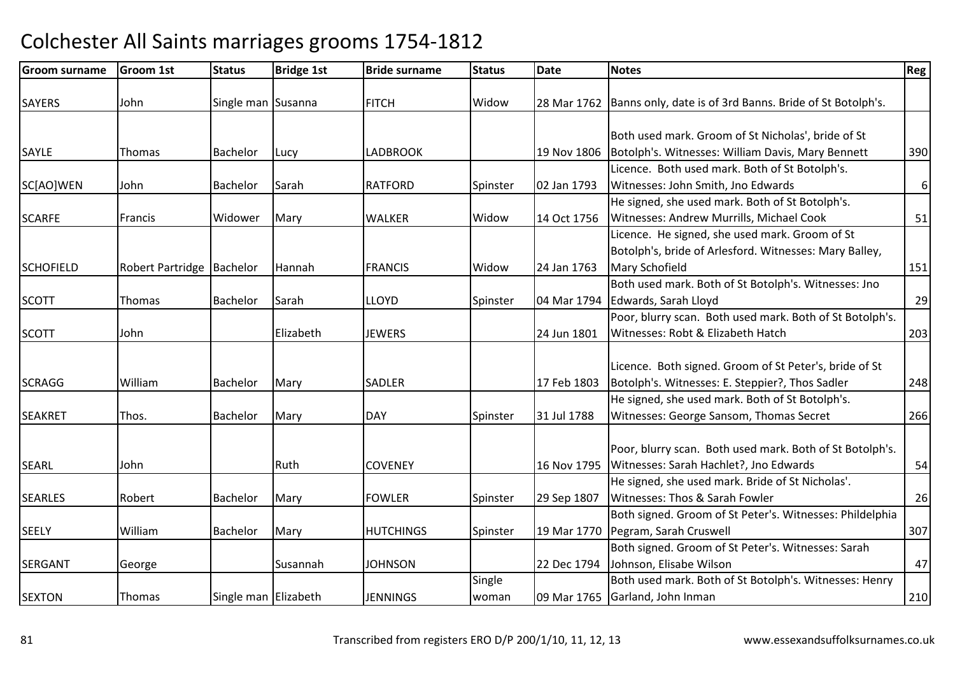| <b>Groom surname</b> | <b>Groom 1st</b>            | <b>Status</b>        | <b>Bridge 1st</b> | <b>Bride surname</b> | <b>Status</b> | Date        | <b>Notes</b>                                                           | Reg              |
|----------------------|-----------------------------|----------------------|-------------------|----------------------|---------------|-------------|------------------------------------------------------------------------|------------------|
| <b>SAYERS</b>        | John                        | Single man Susanna   |                   | <b>FITCH</b>         | Widow         |             | 28 Mar 1762   Banns only, date is of 3rd Banns. Bride of St Botolph's. |                  |
|                      |                             |                      |                   |                      |               |             |                                                                        |                  |
|                      |                             |                      |                   |                      |               |             | Both used mark. Groom of St Nicholas', bride of St                     |                  |
| SAYLE                | Thomas                      | Bachelor             | Lucy              | <b>LADBROOK</b>      |               | 19 Nov 1806 | Botolph's. Witnesses: William Davis, Mary Bennett                      | 390              |
|                      |                             |                      |                   |                      |               |             | Licence. Both used mark. Both of St Botolph's.                         |                  |
| SC[AO]WEN            | John                        | <b>Bachelor</b>      | Sarah             | <b>RATFORD</b>       | Spinster      | 02 Jan 1793 | Witnesses: John Smith, Jno Edwards                                     | $\boldsymbol{6}$ |
|                      |                             |                      |                   |                      |               |             | He signed, she used mark. Both of St Botolph's.                        |                  |
| <b>SCARFE</b>        | Francis                     | Widower              | Mary              | <b>WALKER</b>        | Widow         | 14 Oct 1756 | Witnesses: Andrew Murrills, Michael Cook                               | 51               |
|                      |                             |                      |                   |                      |               |             | Licence. He signed, she used mark. Groom of St                         |                  |
|                      |                             |                      |                   |                      |               |             | Botolph's, bride of Arlesford. Witnesses: Mary Balley,                 |                  |
| <b>SCHOFIELD</b>     | Robert Partridge   Bachelor |                      | Hannah            | <b>FRANCIS</b>       | Widow         | 24 Jan 1763 | Mary Schofield                                                         | 151              |
|                      |                             |                      |                   |                      |               |             | Both used mark. Both of St Botolph's. Witnesses: Jno                   |                  |
| <b>SCOTT</b>         | Thomas                      | Bachelor             | Sarah             | <b>LLOYD</b>         | Spinster      | 04 Mar 1794 | Edwards, Sarah Lloyd                                                   | 29               |
|                      |                             |                      |                   |                      |               |             | Poor, blurry scan. Both used mark. Both of St Botolph's.               |                  |
| <b>SCOTT</b>         | John                        |                      | Elizabeth         | <b>JEWERS</b>        |               | 24 Jun 1801 | Witnesses: Robt & Elizabeth Hatch                                      | 203              |
|                      |                             |                      |                   |                      |               |             |                                                                        |                  |
|                      |                             |                      |                   |                      |               |             | Licence. Both signed. Groom of St Peter's, bride of St                 |                  |
| <b>SCRAGG</b>        | William                     | Bachelor             | Mary              | <b>SADLER</b>        |               | 17 Feb 1803 | Botolph's. Witnesses: E. Steppier?, Thos Sadler                        | 248              |
|                      |                             |                      |                   |                      |               |             | He signed, she used mark. Both of St Botolph's.                        |                  |
| <b>SEAKRET</b>       | Thos.                       | <b>Bachelor</b>      | Mary              | <b>DAY</b>           | Spinster      | 31 Jul 1788 | Witnesses: George Sansom, Thomas Secret                                | 266              |
|                      |                             |                      |                   |                      |               |             |                                                                        |                  |
|                      |                             |                      |                   |                      |               |             | Poor, blurry scan. Both used mark. Both of St Botolph's.               |                  |
| <b>SEARL</b>         | John                        |                      | Ruth              | <b>COVENEY</b>       |               | 16 Nov 1795 | Witnesses: Sarah Hachlet?, Jno Edwards                                 | 54               |
|                      |                             |                      |                   |                      |               |             | He signed, she used mark. Bride of St Nicholas'.                       |                  |
| <b>SEARLES</b>       | Robert                      | Bachelor             | Mary              | <b>FOWLER</b>        | Spinster      | 29 Sep 1807 | Witnesses: Thos & Sarah Fowler                                         | 26               |
|                      |                             |                      |                   |                      |               |             | Both signed. Groom of St Peter's. Witnesses: Phildelphia               |                  |
| <b>SEELY</b>         | William                     | Bachelor             | Mary              | <b>HUTCHINGS</b>     | Spinster      | 19 Mar 1770 | Pegram, Sarah Cruswell                                                 | 307              |
|                      |                             |                      |                   |                      |               |             | Both signed. Groom of St Peter's. Witnesses: Sarah                     |                  |
| <b>SERGANT</b>       | George                      |                      | Susannah          | <b>JOHNSON</b>       |               | 22 Dec 1794 | Johnson, Elisabe Wilson                                                | 47               |
|                      |                             |                      |                   |                      | Single        |             | Both used mark. Both of St Botolph's. Witnesses: Henry                 |                  |
| <b>SEXTON</b>        | Thomas                      | Single man Elizabeth |                   | <b>JENNINGS</b>      | woman         |             | 09 Mar 1765 Garland, John Inman                                        | 210              |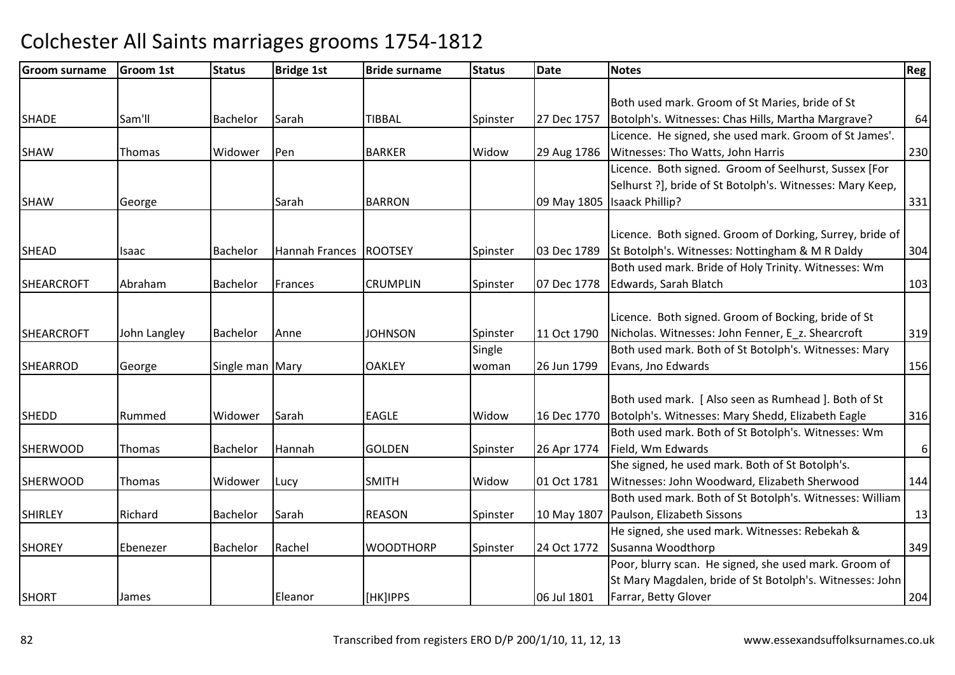| <b>Groom surname</b> | <b>Groom 1st</b> | <b>Status</b>   | <b>Bridge 1st</b> | <b>Bride surname</b> | <b>Status</b> | <b>Date</b> | <b>Notes</b>                                              | Reg <sup>1</sup> |
|----------------------|------------------|-----------------|-------------------|----------------------|---------------|-------------|-----------------------------------------------------------|------------------|
|                      |                  |                 |                   |                      |               |             |                                                           |                  |
|                      |                  |                 |                   |                      |               |             | Both used mark. Groom of St Maries, bride of St           |                  |
| <b>SHADE</b>         | Sam'll           | <b>Bachelor</b> | Sarah             | <b>TIBBAL</b>        | Spinster      | 27 Dec 1757 | Botolph's. Witnesses: Chas Hills, Martha Margrave?        | 64               |
|                      |                  |                 |                   |                      |               |             | Licence. He signed, she used mark. Groom of St James'.    |                  |
| <b>SHAW</b>          | Thomas           | Widower         | Pen               | <b>BARKER</b>        | Widow         | 29 Aug 1786 | Witnesses: Tho Watts, John Harris                         | 230              |
|                      |                  |                 |                   |                      |               |             | Licence. Both signed. Groom of Seelhurst, Sussex [For     |                  |
|                      |                  |                 |                   |                      |               |             | Selhurst ?], bride of St Botolph's. Witnesses: Mary Keep, |                  |
| <b>SHAW</b>          | George           |                 | Sarah             | <b>BARRON</b>        |               | 09 May 1805 | Isaack Phillip?                                           | 331              |
|                      |                  |                 |                   |                      |               |             | Licence. Both signed. Groom of Dorking, Surrey, bride of  |                  |
| <b>SHEAD</b>         | Isaac            | Bachelor        | Hannah Frances    | ROOTSEY              | Spinster      | 03 Dec 1789 | St Botolph's. Witnesses: Nottingham & M R Daldy           | 304              |
|                      |                  |                 |                   |                      |               |             | Both used mark. Bride of Holy Trinity. Witnesses: Wm      |                  |
| <b>SHEARCROFT</b>    | Abraham          | Bachelor        | Frances           | <b>CRUMPLIN</b>      | Spinster      | 07 Dec 1778 | Edwards, Sarah Blatch                                     | 103              |
|                      |                  |                 |                   |                      |               |             |                                                           |                  |
|                      |                  |                 |                   |                      |               |             | Licence. Both signed. Groom of Bocking, bride of St       |                  |
| <b>SHEARCROFT</b>    | John Langley     | <b>Bachelor</b> | Anne              | <b>JOHNSON</b>       | Spinster      | 11 Oct 1790 | Nicholas. Witnesses: John Fenner, E z. Shearcroft         | 319              |
|                      |                  |                 |                   |                      | Single        |             | Both used mark. Both of St Botolph's. Witnesses: Mary     |                  |
| <b>SHEARROD</b>      | George           | Single man Mary |                   | <b>OAKLEY</b>        | woman         | 26 Jun 1799 | Evans, Jno Edwards                                        | 156              |
|                      |                  |                 |                   |                      |               |             |                                                           |                  |
|                      |                  |                 |                   |                      |               |             | Both used mark. [Also seen as Rumhead]. Both of St        |                  |
| <b>SHEDD</b>         | Rummed           | Widower         | Sarah             | <b>EAGLE</b>         | Widow         | 16 Dec 1770 | Botolph's. Witnesses: Mary Shedd, Elizabeth Eagle         | 316              |
|                      |                  |                 |                   |                      |               |             | Both used mark. Both of St Botolph's. Witnesses: Wm       |                  |
| <b>SHERWOOD</b>      | Thomas           | Bachelor        | Hannah            | <b>GOLDEN</b>        | Spinster      | 26 Apr 1774 | Field, Wm Edwards                                         | $6 \mid$         |
|                      |                  |                 |                   |                      |               |             | She signed, he used mark. Both of St Botolph's.           |                  |
| <b>SHERWOOD</b>      | Thomas           | Widower         | Lucy              | <b>SMITH</b>         | Widow         | 01 Oct 1781 | Witnesses: John Woodward, Elizabeth Sherwood              | 144              |
|                      |                  |                 |                   |                      |               |             | Both used mark. Both of St Botolph's. Witnesses: William  |                  |
| <b>SHIRLEY</b>       | Richard          | Bachelor        | Sarah             | <b>REASON</b>        | Spinster      | 10 May 1807 | Paulson, Elizabeth Sissons                                | 13               |
|                      |                  |                 |                   |                      |               |             | He signed, she used mark. Witnesses: Rebekah &            |                  |
| <b>SHOREY</b>        | Ebenezer         | <b>Bachelor</b> | Rachel            | <b>WOODTHORP</b>     | Spinster      | 24 Oct 1772 | Susanna Woodthorp                                         | 349              |
|                      |                  |                 |                   |                      |               |             | Poor, blurry scan. He signed, she used mark. Groom of     |                  |
|                      |                  |                 |                   |                      |               |             | St Mary Magdalen, bride of St Botolph's. Witnesses: John  |                  |
| <b>SHORT</b>         | James            |                 | Eleanor           | [HK]IPPS             |               | 06 Jul 1801 | Farrar, Betty Glover                                      | 204              |
|                      |                  |                 |                   |                      |               |             |                                                           |                  |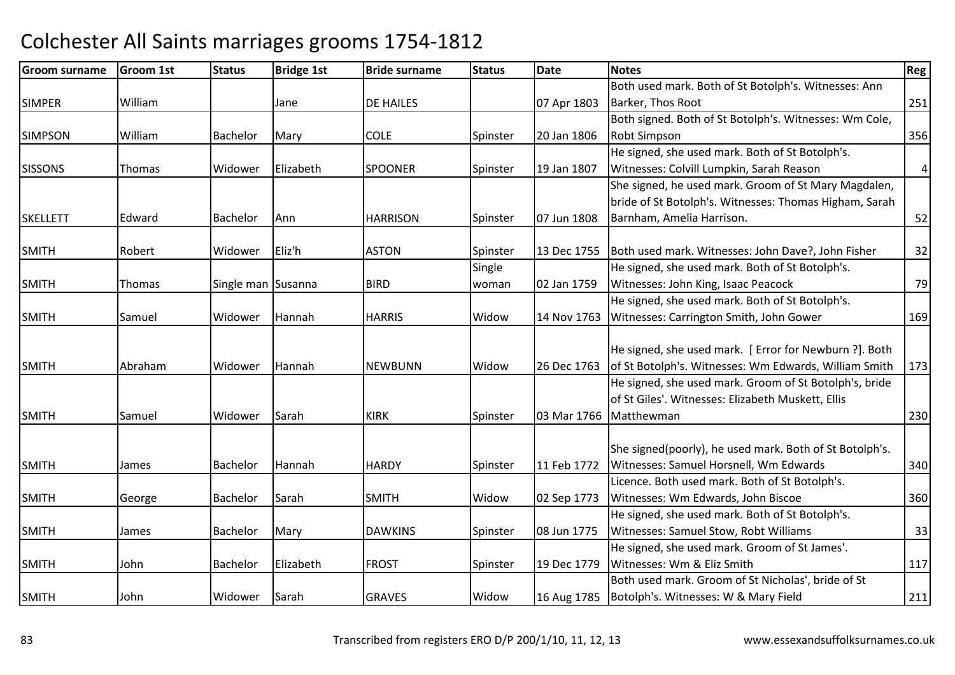| <b>Groom surname</b> | Groom 1st | <b>Status</b>      | <b>Bridge 1st</b> | <b>Bride surname</b> | <b>Status</b> | <b>Date</b> | Notes                                                   | Reg            |
|----------------------|-----------|--------------------|-------------------|----------------------|---------------|-------------|---------------------------------------------------------|----------------|
|                      |           |                    |                   |                      |               |             | Both used mark. Both of St Botolph's. Witnesses: Ann    |                |
| <b>SIMPER</b>        | William   |                    | Jane              | <b>DE HAILES</b>     |               | 07 Apr 1803 | Barker, Thos Root                                       | 251            |
|                      |           |                    |                   |                      |               |             | Both signed. Both of St Botolph's. Witnesses: Wm Cole,  |                |
| <b>SIMPSON</b>       | William   | <b>Bachelor</b>    | Mary              | <b>COLE</b>          | Spinster      | 20 Jan 1806 | <b>Robt Simpson</b>                                     | 356            |
|                      |           |                    |                   |                      |               |             | He signed, she used mark. Both of St Botolph's.         |                |
| <b>SISSONS</b>       | Thomas    | Widower            | Elizabeth         | <b>SPOONER</b>       | Spinster      | 19 Jan 1807 | Witnesses: Colvill Lumpkin, Sarah Reason                | $\overline{4}$ |
|                      |           |                    |                   |                      |               |             | She signed, he used mark. Groom of St Mary Magdalen,    |                |
|                      |           |                    |                   |                      |               |             | bride of St Botolph's. Witnesses: Thomas Higham, Sarah  |                |
| <b>SKELLETT</b>      | Edward    | Bachelor           | Ann               | <b>HARRISON</b>      | Spinster      | 07 Jun 1808 | Barnham, Amelia Harrison.                               | 52             |
|                      |           |                    |                   |                      |               |             |                                                         |                |
| <b>SMITH</b>         | Robert    | Widower            | Eliz'h            | <b>ASTON</b>         | Spinster      | 13 Dec 1755 | Both used mark. Witnesses: John Dave?, John Fisher      | 32             |
|                      |           |                    |                   |                      | Single        |             | He signed, she used mark. Both of St Botolph's.         |                |
| <b>SMITH</b>         | Thomas    | Single man Susanna |                   | <b>BIRD</b>          | woman         | 02 Jan 1759 | Witnesses: John King, Isaac Peacock                     | 79             |
|                      |           |                    |                   |                      |               |             | He signed, she used mark. Both of St Botolph's.         |                |
| <b>SMITH</b>         | Samuel    | Widower            | Hannah            | <b>HARRIS</b>        | Widow         | 14 Nov 1763 | Witnesses: Carrington Smith, John Gower                 | 169            |
|                      |           |                    |                   |                      |               |             |                                                         |                |
|                      |           |                    |                   |                      |               |             | He signed, she used mark. [ Error for Newburn ?]. Both  |                |
| <b>SMITH</b>         | Abraham   | Widower            | Hannah            | <b>NEWBUNN</b>       | Widow         | 26 Dec 1763 | of St Botolph's. Witnesses: Wm Edwards, William Smith   | 173            |
|                      |           |                    |                   |                      |               |             | He signed, she used mark. Groom of St Botolph's, bride  |                |
|                      |           |                    |                   |                      |               |             | of St Giles'. Witnesses: Elizabeth Muskett, Ellis       |                |
| <b>SMITH</b>         | Samuel    | Widower            | Sarah             | <b>KIRK</b>          | Spinster      | 03 Mar 1766 | Matthewman                                              | 230            |
|                      |           |                    |                   |                      |               |             | She signed(poorly), he used mark. Both of St Botolph's. |                |
| <b>SMITH</b>         | James     | Bachelor           | Hannah            | <b>HARDY</b>         | Spinster      | 11 Feb 1772 | Witnesses: Samuel Horsnell, Wm Edwards                  | 340            |
|                      |           |                    |                   |                      |               |             | Licence. Both used mark. Both of St Botolph's.          |                |
| <b>SMITH</b>         | George    | <b>Bachelor</b>    | Sarah             | <b>SMITH</b>         | Widow         | 02 Sep 1773 | Witnesses: Wm Edwards, John Biscoe                      | 360            |
|                      |           |                    |                   |                      |               |             | He signed, she used mark. Both of St Botolph's.         |                |
| <b>SMITH</b>         | James     | Bachelor           | Mary              | <b>DAWKINS</b>       | Spinster      | 08 Jun 1775 | Witnesses: Samuel Stow, Robt Williams                   | 33             |
|                      |           |                    |                   |                      |               |             | He signed, she used mark. Groom of St James'.           |                |
| <b>SMITH</b>         | John      | <b>Bachelor</b>    | Elizabeth         | <b>FROST</b>         | Spinster      | 19 Dec 1779 | Witnesses: Wm & Eliz Smith                              | 117            |
|                      |           |                    |                   |                      |               |             | Both used mark. Groom of St Nicholas', bride of St      |                |
| <b>SMITH</b>         | John      | Widower            | Sarah             | <b>GRAVES</b>        | Widow         | 16 Aug 1785 | Botolph's. Witnesses: W & Mary Field                    | 211            |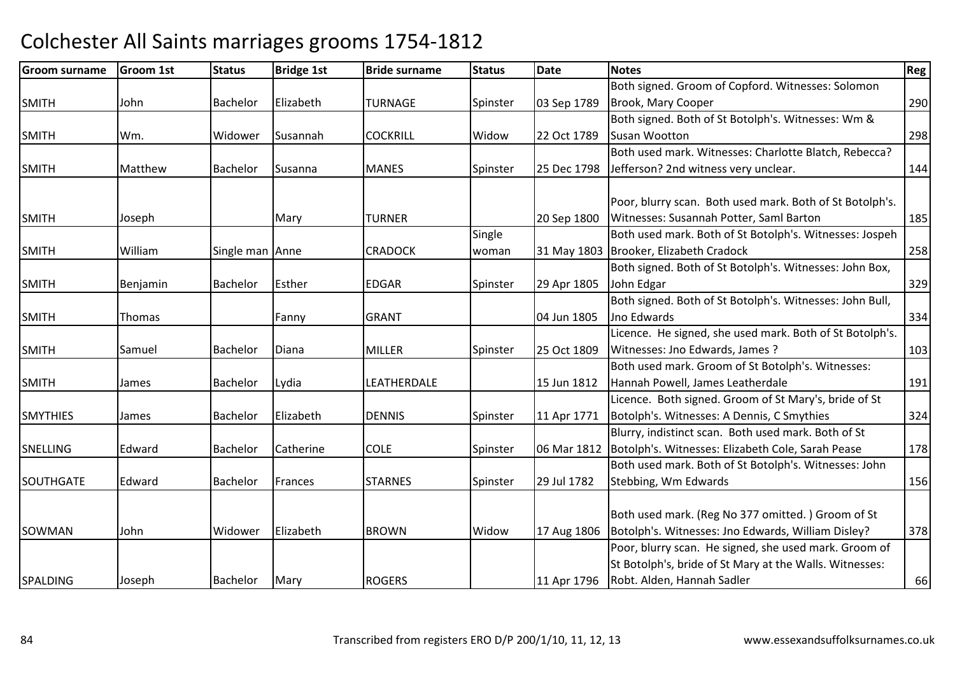| <b>Groom surname</b> | <b>Groom 1st</b> | <b>Status</b>   | <b>Bridge 1st</b> | <b>Bride surname</b> | <b>Status</b> | <b>Date</b> | <b>Notes</b>                                             | <b>Reg</b> |
|----------------------|------------------|-----------------|-------------------|----------------------|---------------|-------------|----------------------------------------------------------|------------|
|                      |                  |                 |                   |                      |               |             | Both signed. Groom of Copford. Witnesses: Solomon        |            |
| <b>SMITH</b>         | John             | Bachelor        | Elizabeth         | TURNAGE              | Spinster      | 03 Sep 1789 | Brook, Mary Cooper                                       | 290        |
|                      |                  |                 |                   |                      |               |             | Both signed. Both of St Botolph's. Witnesses: Wm &       |            |
| <b>SMITH</b>         | Wm.              | Widower         | Susannah          | <b>COCKRILL</b>      | Widow         | 22 Oct 1789 | Susan Wootton                                            | 298        |
|                      |                  |                 |                   |                      |               |             | Both used mark. Witnesses: Charlotte Blatch, Rebecca?    |            |
| <b>SMITH</b>         | Matthew          | Bachelor        | Susanna           | <b>MANES</b>         | Spinster      | 25 Dec 1798 | Jefferson? 2nd witness very unclear.                     | 144        |
|                      |                  |                 |                   |                      |               |             |                                                          |            |
|                      |                  |                 |                   |                      |               |             | Poor, blurry scan. Both used mark. Both of St Botolph's. |            |
| <b>SMITH</b>         | Joseph           |                 | Mary              | <b>TURNER</b>        |               | 20 Sep 1800 | Witnesses: Susannah Potter, Saml Barton                  | 185        |
|                      |                  |                 |                   |                      | Single        |             | Both used mark. Both of St Botolph's. Witnesses: Jospeh  |            |
| <b>SMITH</b>         | William          | Single man Anne |                   | <b>CRADOCK</b>       | woman         |             | 31 May 1803 Brooker, Elizabeth Cradock                   | 258        |
|                      |                  |                 |                   |                      |               |             | Both signed. Both of St Botolph's. Witnesses: John Box,  |            |
| <b>SMITH</b>         | Benjamin         | Bachelor        | Esther            | <b>EDGAR</b>         | Spinster      | 29 Apr 1805 | John Edgar                                               | 329        |
|                      |                  |                 |                   |                      |               |             | Both signed. Both of St Botolph's. Witnesses: John Bull, |            |
| <b>SMITH</b>         | Thomas           |                 | Fanny             | <b>GRANT</b>         |               | 04 Jun 1805 | Jno Edwards                                              | 334        |
|                      |                  |                 |                   |                      |               |             | Licence. He signed, she used mark. Both of St Botolph's. |            |
| <b>SMITH</b>         | Samuel           | Bachelor        | Diana             | <b>MILLER</b>        | Spinster      | 25 Oct 1809 | Witnesses: Jno Edwards, James ?                          | 103        |
|                      |                  |                 |                   |                      |               |             | Both used mark. Groom of St Botolph's. Witnesses:        |            |
| <b>SMITH</b>         | James            | Bachelor        | Lydia             | LEATHERDALE          |               | 15 Jun 1812 | Hannah Powell, James Leatherdale                         | 191        |
|                      |                  |                 |                   |                      |               |             | Licence. Both signed. Groom of St Mary's, bride of St    |            |
| <b>SMYTHIES</b>      | James            | <b>Bachelor</b> | Elizabeth         | <b>DENNIS</b>        | Spinster      | 11 Apr 1771 | Botolph's. Witnesses: A Dennis, C Smythies               | 324        |
|                      |                  |                 |                   |                      |               |             | Blurry, indistinct scan. Both used mark. Both of St      |            |
| <b>SNELLING</b>      | Edward           | Bachelor        | Catherine         | <b>COLE</b>          | Spinster      | 06 Mar 1812 | Botolph's. Witnesses: Elizabeth Cole, Sarah Pease        | 178        |
|                      |                  |                 |                   |                      |               |             | Both used mark. Both of St Botolph's. Witnesses: John    |            |
| SOUTHGATE            | Edward           | Bachelor        | Frances           | <b>STARNES</b>       | Spinster      | 29 Jul 1782 | Stebbing, Wm Edwards                                     | 156        |
|                      |                  |                 |                   |                      |               |             |                                                          |            |
|                      |                  |                 |                   |                      |               |             | Both used mark. (Reg No 377 omitted.) Groom of St        |            |
| <b>SOWMAN</b>        | John             | Widower         | Elizabeth         | <b>BROWN</b>         | Widow         | 17 Aug 1806 | Botolph's. Witnesses: Jno Edwards, William Disley?       | 378        |
|                      |                  |                 |                   |                      |               |             | Poor, blurry scan. He signed, she used mark. Groom of    |            |
|                      |                  |                 |                   |                      |               |             | St Botolph's, bride of St Mary at the Walls. Witnesses:  |            |
| <b>SPALDING</b>      | Joseph           | Bachelor        | Mary              | <b>ROGERS</b>        |               | 11 Apr 1796 | Robt. Alden, Hannah Sadler                               | 66         |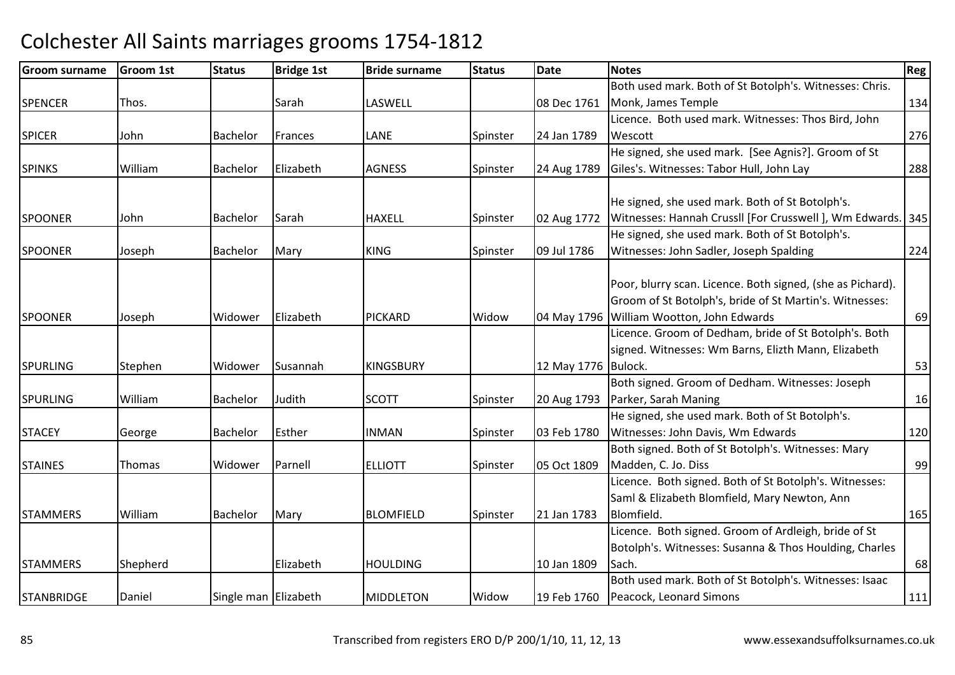| <b>Groom surname</b> | <b>Groom 1st</b> | <b>Status</b>        | <b>Bridge 1st</b> | <b>Bride surname</b> | <b>Status</b> | <b>Date</b> | <b>Notes</b>                                               | <b>Reg</b> |
|----------------------|------------------|----------------------|-------------------|----------------------|---------------|-------------|------------------------------------------------------------|------------|
|                      |                  |                      |                   |                      |               |             | Both used mark. Both of St Botolph's. Witnesses: Chris.    |            |
| <b>SPENCER</b>       | Thos.            |                      | Sarah             | LASWELL              |               | 08 Dec 1761 | Monk, James Temple                                         | 134        |
|                      |                  |                      |                   |                      |               |             | Licence. Both used mark. Witnesses: Thos Bird, John        |            |
| <b>SPICER</b>        | John             | <b>Bachelor</b>      | Frances           | LANE                 | Spinster      | 24 Jan 1789 | Wescott                                                    | 276        |
|                      |                  |                      |                   |                      |               |             | He signed, she used mark. [See Agnis?]. Groom of St        |            |
| <b>SPINKS</b>        | William          | <b>Bachelor</b>      | Elizabeth         | <b>AGNESS</b>        | Spinster      | 24 Aug 1789 | Giles's. Witnesses: Tabor Hull, John Lay                   | 288        |
|                      |                  |                      |                   |                      |               |             |                                                            |            |
|                      |                  |                      |                   |                      |               |             | He signed, she used mark. Both of St Botolph's.            |            |
| <b>SPOONER</b>       | John             | Bachelor             | Sarah             | <b>HAXELL</b>        | Spinster      | 02 Aug 1772 | Witnesses: Hannah Crussll [For Crusswell], Wm Edwards. 345 |            |
|                      |                  |                      |                   |                      |               |             | He signed, she used mark. Both of St Botolph's.            |            |
| <b>SPOONER</b>       | Joseph           | <b>Bachelor</b>      | Mary              | <b>KING</b>          | Spinster      | 09 Jul 1786 | Witnesses: John Sadler, Joseph Spalding                    | 224        |
|                      |                  |                      |                   |                      |               |             |                                                            |            |
|                      |                  |                      |                   |                      |               |             | Poor, blurry scan. Licence. Both signed, (she as Pichard). |            |
|                      |                  |                      |                   |                      |               |             | Groom of St Botolph's, bride of St Martin's. Witnesses:    |            |
| <b>SPOONER</b>       | Joseph           | Widower              | Elizabeth         | <b>PICKARD</b>       | Widow         |             | 04 May 1796 William Wootton, John Edwards                  | 69         |
|                      |                  |                      |                   |                      |               |             | Licence. Groom of Dedham, bride of St Botolph's. Both      |            |
|                      |                  |                      |                   |                      |               |             | signed. Witnesses: Wm Barns, Elizth Mann, Elizabeth        |            |
| <b>SPURLING</b>      | Stephen          | Widower              | Susannah          | <b>KINGSBURY</b>     |               | 12 May 1776 | Bulock.                                                    | 53         |
|                      |                  |                      |                   |                      |               |             | Both signed. Groom of Dedham. Witnesses: Joseph            |            |
| <b>SPURLING</b>      | William          | Bachelor             | Judith            | <b>SCOTT</b>         | Spinster      | 20 Aug 1793 | Parker, Sarah Maning                                       | 16         |
|                      |                  |                      |                   |                      |               |             | He signed, she used mark. Both of St Botolph's.            |            |
| <b>STACEY</b>        | George           | Bachelor             | Esther            | <b>INMAN</b>         | Spinster      | 03 Feb 1780 | Witnesses: John Davis, Wm Edwards                          | 120        |
|                      |                  |                      |                   |                      |               |             | Both signed. Both of St Botolph's. Witnesses: Mary         |            |
| <b>STAINES</b>       | Thomas           | Widower              | Parnell           | <b>ELLIOTT</b>       | Spinster      | 05 Oct 1809 | Madden, C. Jo. Diss                                        | 99         |
|                      |                  |                      |                   |                      |               |             | Licence. Both signed. Both of St Botolph's. Witnesses:     |            |
|                      |                  |                      |                   |                      |               |             | Saml & Elizabeth Blomfield, Mary Newton, Ann               |            |
| <b>STAMMERS</b>      | William          | Bachelor             | Mary              | <b>BLOMFIELD</b>     | Spinster      | 21 Jan 1783 | Blomfield.                                                 | 165        |
|                      |                  |                      |                   |                      |               |             | Licence. Both signed. Groom of Ardleigh, bride of St       |            |
|                      |                  |                      |                   |                      |               |             | Botolph's. Witnesses: Susanna & Thos Houlding, Charles     |            |
| <b>STAMMERS</b>      | Shepherd         |                      | Elizabeth         | <b>HOULDING</b>      |               | 10 Jan 1809 | Sach.                                                      | 68         |
|                      |                  |                      |                   |                      |               |             | Both used mark. Both of St Botolph's. Witnesses: Isaac     |            |
| <b>STANBRIDGE</b>    | Daniel           | Single man Elizabeth |                   | <b>MIDDLETON</b>     | Widow         | 19 Feb 1760 | Peacock, Leonard Simons                                    | 111        |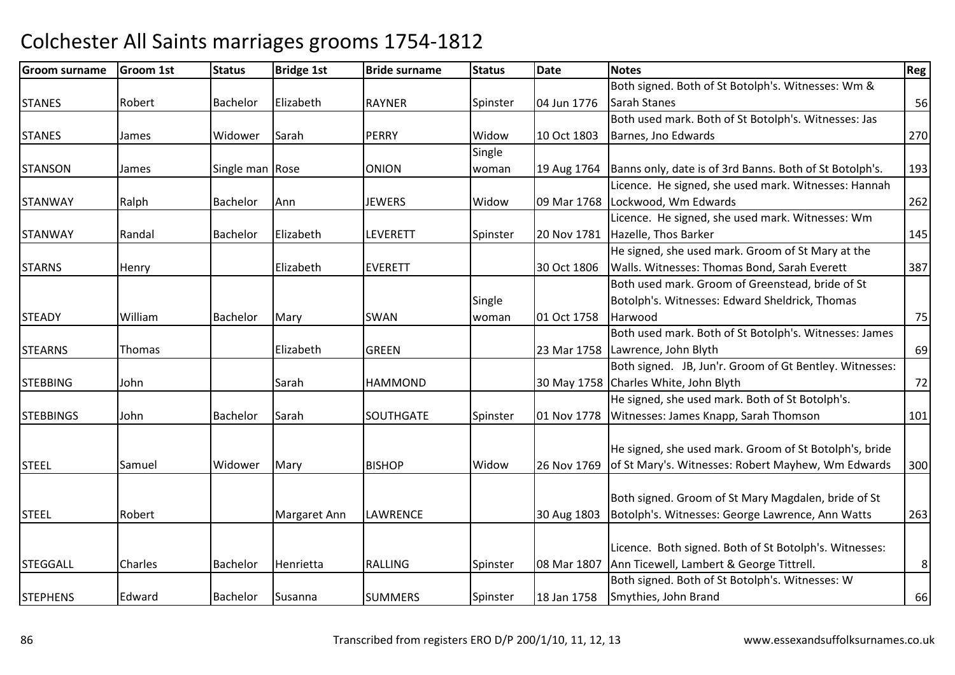#### Groom surnamee Groom 1st Status Bridge 1st Bride surname Status Date Notes Regge Regge Regge Regge Regge Regge Regge Regge R STANESS Robert Bachelor Elizabeth Flizabeth RAYNER Spinster | 04 Jun 1776 Both signed. Both of St Botolph's. Witnesses: Wm & Sarah Stanes $\sim$  56 **STANES**  James Widower Sarahh PERRY Widow Widow | 10 Oct 1803 Both used mark. Both of St Botolph's. Witnesses: Jas Barnes, Jno Edwardss 270 **STANSON** James Single man Rose Solonion Single woman 19 Aug 1764 Banns only, date is of 3rd Banns. Both of St Botolph's. <sup>193</sup> STANWAY Ralph Bachelor Ann JEWERS Widow 09 Mar 1768 Licence. He signed, she used mark. Witnesses: Hannah Lockwood, Wm Edwardss and  $\sim$  262 STANWAYRandal **Bachelor** Elizabeth LEVERETT Spinster 20 Nov 1781 Licence. He signed, she used mark. Witnesses: Wm **Hazelle, Thos Barker 145 STARNS** S Henry Elizabeth Elizabeth EVERETT | 30 Oct 1806 He signed, she used mark. Groom of St Mary at the Walls. Witnesses: Thomas Bond, Sarah Everett <sup>387</sup>**STEADY** Y Milliam Bachelor Mary SWAN Single woman 01 Oct 1758 Both used mark. Groom of Greenstead, bride of St Botolph's. Witnesses: Edward Sheldrick, Thomas Harwoodd 75 **STEARNS**  Thomas Elizabethh GREEN 23 Mar 1758 Lawrence, John Blyth Both used mark. Both of St Botolph's. Witnesses: James h 69 **STEBBING** G John Sarah HAMMOND 30 May 1758 Both signed. JB, Jun'r. Groom of Gt Bentley. Witnesses: 30 May 1758 Charles White, John Blyth h 72 **STEBBINGS**  John Bachelor SarahSOUTHGATE Spinster 01 Nov 1778 He signed, she used mark. Both of St Botolph's. Witnesses: James Knapp, Sarah Thomson <sup>101</sup> STEELL Samuel Widower Mary BISHOP **BISHOP** Widow 26 Nov 1769 He signed, she used mark. Groom of St Botolph's, bride of St Mary's. Witnesses: Robert Mayhew, Wm Edwards <sup>300</sup>**STEEL** Robert | Margaret Ann LAWRENCE 30 Aug 1803 Both signed. Groom of St Mary Magdalen, bride of St Botolph's. Witnesses: George Lawrence, Ann Watts <sup>263</sup>**STEGGALL** L Charles Bachelor Henrietta RALLING RALLING Spinster 08 Mar 1807 Licence. Both signed. Both of St Botolph's. Witnesses: Ann Ticewell, Lambert & George Tittrell. 8**STEPHENS** S Fedward Bachelor Susanna SUMMERS Spinster 18 Jan 1758 Both signed. Both of St Botolph's. Witnesses: W Smythies, John Brandd 66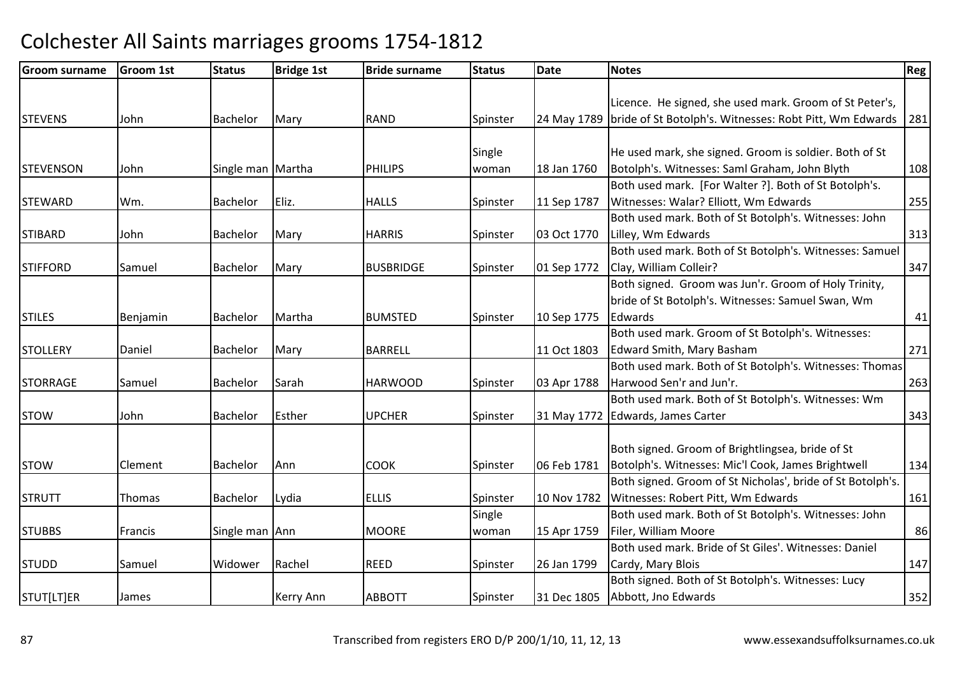| <b>Groom surname</b> | <b>Groom 1st</b> | <b>Status</b>     | <b>Bridge 1st</b> | <b>Bride surname</b> | <b>Status</b> | <b>Date</b> | <b>Notes</b>                                                          | Reg <sup>1</sup> |
|----------------------|------------------|-------------------|-------------------|----------------------|---------------|-------------|-----------------------------------------------------------------------|------------------|
|                      |                  |                   |                   |                      |               |             |                                                                       |                  |
|                      |                  |                   |                   |                      |               |             | Licence. He signed, she used mark. Groom of St Peter's,               |                  |
| <b>STEVENS</b>       | John             | Bachelor          | Mary              | <b>RAND</b>          | Spinster      |             | 24 May 1789   bride of St Botolph's. Witnesses: Robt Pitt, Wm Edwards | 281              |
|                      |                  |                   |                   |                      |               |             |                                                                       |                  |
|                      |                  |                   |                   |                      | Single        |             | He used mark, she signed. Groom is soldier. Both of St                |                  |
| <b>STEVENSON</b>     | John             | Single man Martha |                   | <b>PHILIPS</b>       | woman         | 18 Jan 1760 | Botolph's. Witnesses: Saml Graham, John Blyth                         | 108              |
|                      |                  |                   |                   |                      |               |             | Both used mark. [For Walter ?]. Both of St Botolph's.                 |                  |
| <b>STEWARD</b>       | Wm.              | <b>Bachelor</b>   | Eliz.             | <b>HALLS</b>         | Spinster      | 11 Sep 1787 | Witnesses: Walar? Elliott, Wm Edwards                                 | 255              |
|                      |                  |                   |                   |                      |               |             | Both used mark. Both of St Botolph's. Witnesses: John                 |                  |
| <b>STIBARD</b>       | John             | Bachelor          | Mary              | <b>HARRIS</b>        | Spinster      | 03 Oct 1770 | Lilley, Wm Edwards                                                    | 313              |
|                      |                  |                   |                   |                      |               |             | Both used mark. Both of St Botolph's. Witnesses: Samuel               |                  |
| <b>STIFFORD</b>      | Samuel           | Bachelor          | Mary              | <b>BUSBRIDGE</b>     | Spinster      | 01 Sep 1772 | Clay, William Colleir?                                                | 347              |
|                      |                  |                   |                   |                      |               |             | Both signed. Groom was Jun'r. Groom of Holy Trinity,                  |                  |
|                      |                  |                   |                   |                      |               |             | bride of St Botolph's. Witnesses: Samuel Swan, Wm                     |                  |
| <b>STILES</b>        | Benjamin         | Bachelor          | Martha            | <b>BUMSTED</b>       | Spinster      | 10 Sep 1775 | Edwards                                                               | 41               |
|                      |                  |                   |                   |                      |               |             | Both used mark. Groom of St Botolph's. Witnesses:                     |                  |
| <b>STOLLERY</b>      | Daniel           | Bachelor          | Mary              | <b>BARRELL</b>       |               | 11 Oct 1803 | <b>Edward Smith, Mary Basham</b>                                      | 271              |
|                      |                  |                   |                   |                      |               |             | Both used mark. Both of St Botolph's. Witnesses: Thomas               |                  |
| <b>STORRAGE</b>      | Samuel           | Bachelor          | Sarah             | <b>HARWOOD</b>       | Spinster      | 03 Apr 1788 | Harwood Sen'r and Jun'r.                                              | 263              |
|                      |                  |                   |                   |                      |               |             | Both used mark. Both of St Botolph's. Witnesses: Wm                   |                  |
| <b>STOW</b>          | John             | Bachelor          | Esther            | <b>UPCHER</b>        | Spinster      | 31 May 1772 | Edwards, James Carter                                                 | 343              |
|                      |                  |                   |                   |                      |               |             |                                                                       |                  |
|                      |                  |                   |                   |                      |               |             | Both signed. Groom of Brightlingsea, bride of St                      |                  |
| <b>STOW</b>          | Clement          | Bachelor          | Ann               | <b>COOK</b>          | Spinster      | 06 Feb 1781 | Botolph's. Witnesses: Mic'l Cook, James Brightwell                    | 134              |
|                      |                  |                   |                   |                      |               |             | Both signed. Groom of St Nicholas', bride of St Botolph's.            |                  |
| <b>STRUTT</b>        | Thomas           | Bachelor          | Lydia             | <b>ELLIS</b>         | Spinster      | 10 Nov 1782 | Witnesses: Robert Pitt, Wm Edwards                                    | 161              |
|                      |                  |                   |                   |                      | Single        |             | Both used mark. Both of St Botolph's. Witnesses: John                 |                  |
| <b>STUBBS</b>        | Francis          | Single man Ann    |                   | <b>MOORE</b>         | woman         | 15 Apr 1759 | Filer, William Moore                                                  | 86               |
|                      |                  |                   |                   |                      |               |             | Both used mark. Bride of St Giles'. Witnesses: Daniel                 |                  |
| <b>STUDD</b>         | Samuel           | Widower           | Rachel            | <b>REED</b>          | Spinster      | 26 Jan 1799 | Cardy, Mary Blois                                                     | 147              |
|                      |                  |                   |                   |                      |               |             | Both signed. Both of St Botolph's. Witnesses: Lucy                    |                  |
| STUT[LT]ER           | James            |                   | Kerry Ann         | <b>ABBOTT</b>        | Spinster      | 31 Dec 1805 | Abbott, Jno Edwards                                                   | 352              |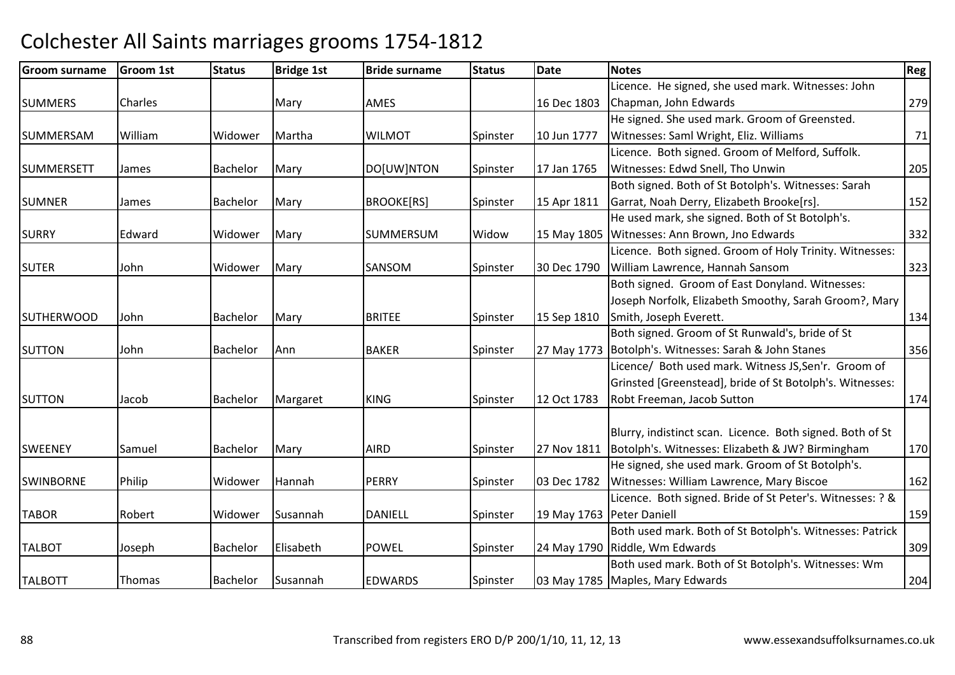| <b>Groom surname</b> | <b>Groom 1st</b> | <b>Status</b>   | <b>Bridge 1st</b> | <b>Bride surname</b> | <b>Status</b> | <b>Date</b>               | <b>Notes</b>                                                   | <b>Reg</b> |
|----------------------|------------------|-----------------|-------------------|----------------------|---------------|---------------------------|----------------------------------------------------------------|------------|
|                      |                  |                 |                   |                      |               |                           | Licence. He signed, she used mark. Witnesses: John             |            |
| <b>SUMMERS</b>       | Charles          |                 | Mary              | AMES                 |               | 16 Dec 1803               | Chapman, John Edwards                                          | 279        |
|                      |                  |                 |                   |                      |               |                           | He signed. She used mark. Groom of Greensted.                  |            |
| SUMMERSAM            | William          | Widower         | Martha            | <b>WILMOT</b>        | Spinster      | 10 Jun 1777               | Witnesses: Saml Wright, Eliz. Williams                         | 71         |
|                      |                  |                 |                   |                      |               |                           | Licence. Both signed. Groom of Melford, Suffolk.               |            |
| <b>SUMMERSETT</b>    | James            | Bachelor        | Mary              | DO[UW]NTON           | Spinster      | 17 Jan 1765               | Witnesses: Edwd Snell, Tho Unwin                               | 205        |
|                      |                  |                 |                   |                      |               |                           | Both signed. Both of St Botolph's. Witnesses: Sarah            |            |
| <b>SUMNER</b>        | James            | Bachelor        | Mary              | <b>BROOKE[RS]</b>    | Spinster      | 15 Apr 1811               | Garrat, Noah Derry, Elizabeth Brooke[rs].                      | 152        |
|                      |                  |                 |                   |                      |               |                           | He used mark, she signed. Both of St Botolph's.                |            |
| <b>SURRY</b>         | Edward           | Widower         | Mary              | <b>SUMMERSUM</b>     | Widow         | 15 May 1805               | Witnesses: Ann Brown, Jno Edwards                              | 332        |
|                      |                  |                 |                   |                      |               |                           | Licence. Both signed. Groom of Holy Trinity. Witnesses:        |            |
| <b>SUTER</b>         | John             | Widower         | Mary              | <b>SANSOM</b>        | Spinster      | 30 Dec 1790               | William Lawrence, Hannah Sansom                                | 323        |
|                      |                  |                 |                   |                      |               |                           | Both signed. Groom of East Donyland. Witnesses:                |            |
|                      |                  |                 |                   |                      |               |                           | Joseph Norfolk, Elizabeth Smoothy, Sarah Groom?, Mary          |            |
| <b>SUTHERWOOD</b>    | John             | Bachelor        | Mary              | <b>BRITEE</b>        | Spinster      | 15 Sep 1810               | Smith, Joseph Everett.                                         | 134        |
|                      |                  |                 |                   |                      |               |                           | Both signed. Groom of St Runwald's, bride of St                |            |
| <b>SUTTON</b>        | John             | <b>Bachelor</b> | Ann               | <b>BAKER</b>         | Spinster      |                           | 27 May 1773 Botolph's. Witnesses: Sarah & John Stanes          | 356        |
|                      |                  |                 |                   |                      |               |                           | Licence/ Both used mark. Witness JS, Sen'r. Groom of           |            |
|                      |                  |                 |                   |                      |               |                           | Grinsted [Greenstead], bride of St Botolph's. Witnesses:       |            |
| <b>SUTTON</b>        | Jacob            | Bachelor        | Margaret          | <b>KING</b>          | Spinster      | 12 Oct 1783               | Robt Freeman, Jacob Sutton                                     | 174        |
|                      |                  |                 |                   |                      |               |                           |                                                                |            |
|                      |                  |                 |                   |                      |               |                           | Blurry, indistinct scan. Licence. Both signed. Both of St      |            |
| <b>SWEENEY</b>       | Samuel           | Bachelor        | Mary              | <b>AIRD</b>          | Spinster      |                           | 27 Nov 1811   Botolph's. Witnesses: Elizabeth & JW? Birmingham | 170        |
|                      |                  |                 |                   |                      |               |                           | He signed, she used mark. Groom of St Botolph's.               |            |
| <b>SWINBORNE</b>     | Philip           | Widower         | Hannah            | <b>PERRY</b>         | Spinster      | 03 Dec 1782               | Witnesses: William Lawrence, Mary Biscoe                       | 162        |
|                      |                  |                 |                   |                      |               |                           | Licence. Both signed. Bride of St Peter's. Witnesses: ? &      |            |
| <b>TABOR</b>         | Robert           | Widower         | Susannah          | <b>DANIELL</b>       | Spinster      | 19 May 1763 Peter Daniell |                                                                | 159        |
|                      |                  |                 |                   |                      |               |                           | Both used mark. Both of St Botolph's. Witnesses: Patrick       |            |
| <b>TALBOT</b>        | Joseph           | Bachelor        | Elisabeth         | <b>POWEL</b>         | Spinster      |                           | 24 May 1790 Riddle, Wm Edwards                                 | 309        |
|                      |                  |                 |                   |                      |               |                           | Both used mark. Both of St Botolph's. Witnesses: Wm            |            |
| <b>TALBOTT</b>       | Thomas           | <b>Bachelor</b> | Susannah          | <b>EDWARDS</b>       | Spinster      |                           | 03 May 1785 Maples, Mary Edwards                               | 204        |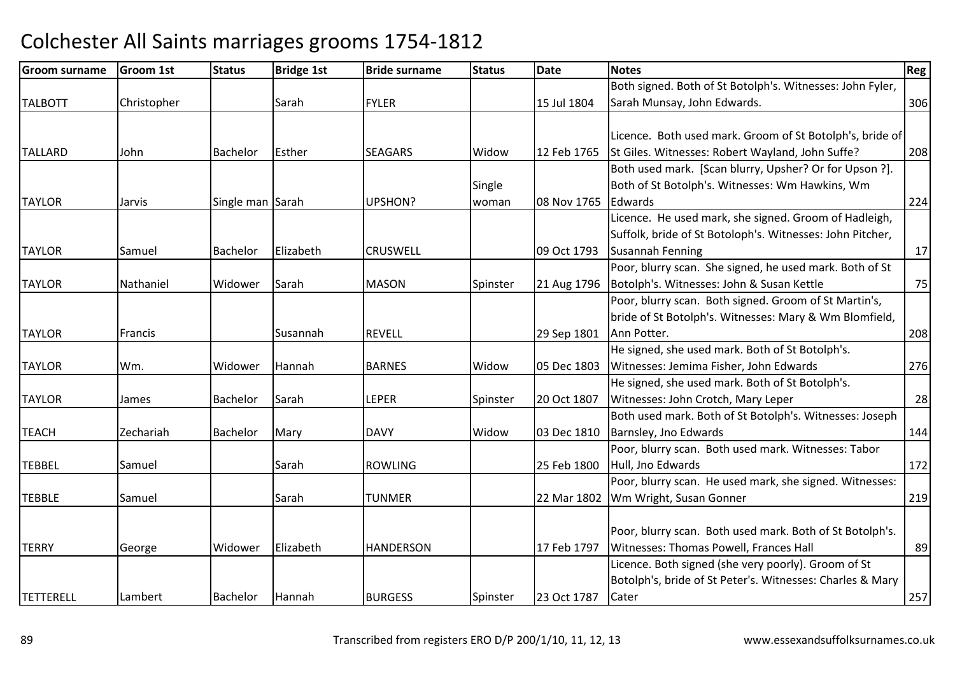| <b>Groom surname</b> | <b>Groom 1st</b> | <b>Status</b>    | <b>Bridge 1st</b> | <b>Bride surname</b> | <b>Status</b> | <b>Date</b> | <b>Notes</b>                                              | <b>Reg</b> |
|----------------------|------------------|------------------|-------------------|----------------------|---------------|-------------|-----------------------------------------------------------|------------|
|                      |                  |                  |                   |                      |               |             | Both signed. Both of St Botolph's. Witnesses: John Fyler, |            |
| <b>TALBOTT</b>       | Christopher      |                  | Sarah             | <b>FYLER</b>         |               | 15 Jul 1804 | Sarah Munsay, John Edwards.                               | 306        |
|                      |                  |                  |                   |                      |               |             |                                                           |            |
|                      |                  |                  |                   |                      |               |             | Licence. Both used mark. Groom of St Botolph's, bride of  |            |
| <b>TALLARD</b>       | John             | <b>Bachelor</b>  | Esther            | <b>SEAGARS</b>       | Widow         | 12 Feb 1765 | St Giles. Witnesses: Robert Wayland, John Suffe?          | 208        |
|                      |                  |                  |                   |                      |               |             | Both used mark. [Scan blurry, Upsher? Or for Upson ?].    |            |
|                      |                  |                  |                   |                      | Single        |             | Both of St Botolph's. Witnesses: Wm Hawkins, Wm           |            |
| <b>TAYLOR</b>        | Jarvis           | Single man Sarah |                   | UPSHON?              | woman         | 08 Nov 1765 | Edwards                                                   | 224        |
|                      |                  |                  |                   |                      |               |             | Licence. He used mark, she signed. Groom of Hadleigh,     |            |
|                      |                  |                  |                   |                      |               |             | Suffolk, bride of St Botoloph's. Witnesses: John Pitcher, |            |
| <b>TAYLOR</b>        | Samuel           | <b>Bachelor</b>  | Elizabeth         | <b>CRUSWELL</b>      |               | 09 Oct 1793 | <b>Susannah Fenning</b>                                   | 17         |
|                      |                  |                  |                   |                      |               |             | Poor, blurry scan. She signed, he used mark. Both of St   |            |
| <b>TAYLOR</b>        | Nathaniel        | Widower          | Sarah             | <b>MASON</b>         | Spinster      | 21 Aug 1796 | Botolph's. Witnesses: John & Susan Kettle                 | 75         |
|                      |                  |                  |                   |                      |               |             | Poor, blurry scan. Both signed. Groom of St Martin's,     |            |
|                      |                  |                  |                   |                      |               |             | bride of St Botolph's. Witnesses: Mary & Wm Blomfield,    |            |
| <b>TAYLOR</b>        | Francis          |                  | Susannah          | <b>REVELL</b>        |               | 29 Sep 1801 | Ann Potter.                                               | 208        |
|                      |                  |                  |                   |                      |               |             | He signed, she used mark. Both of St Botolph's.           |            |
| <b>TAYLOR</b>        | Wm.              | Widower          | Hannah            | <b>BARNES</b>        | Widow         | 05 Dec 1803 | Witnesses: Jemima Fisher, John Edwards                    | 276        |
|                      |                  |                  |                   |                      |               |             | He signed, she used mark. Both of St Botolph's.           |            |
| <b>TAYLOR</b>        | James            | <b>Bachelor</b>  | Sarah             | <b>LEPER</b>         | Spinster      | 20 Oct 1807 | Witnesses: John Crotch, Mary Leper                        | 28         |
|                      |                  |                  |                   |                      |               |             | Both used mark. Both of St Botolph's. Witnesses: Joseph   |            |
| <b>TEACH</b>         | Zechariah        | <b>Bachelor</b>  | Mary              | <b>DAVY</b>          | Widow         | 03 Dec 1810 | Barnsley, Jno Edwards                                     | 144        |
|                      |                  |                  |                   |                      |               |             | Poor, blurry scan. Both used mark. Witnesses: Tabor       |            |
| <b>TEBBEL</b>        | Samuel           |                  | Sarah             | <b>ROWLING</b>       |               | 25 Feb 1800 | Hull, Jno Edwards                                         | 172        |
|                      |                  |                  |                   |                      |               |             | Poor, blurry scan. He used mark, she signed. Witnesses:   |            |
| <b>TEBBLE</b>        | Samuel           |                  | Sarah             | <b>TUNMER</b>        |               | 22 Mar 1802 | Wm Wright, Susan Gonner                                   | 219        |
|                      |                  |                  |                   |                      |               |             |                                                           |            |
|                      |                  |                  |                   |                      |               |             | Poor, blurry scan. Both used mark. Both of St Botolph's.  |            |
| <b>TERRY</b>         | George           | Widower          | Elizabeth         | <b>HANDERSON</b>     |               | 17 Feb 1797 | Witnesses: Thomas Powell, Frances Hall                    | 89         |
|                      |                  |                  |                   |                      |               |             | Licence. Both signed (she very poorly). Groom of St       |            |
|                      |                  |                  |                   |                      |               |             | Botolph's, bride of St Peter's. Witnesses: Charles & Mary |            |
| <b>TETTERELL</b>     | Lambert          | <b>Bachelor</b>  | Hannah            | <b>BURGESS</b>       | Spinster      | 23 Oct 1787 | Cater                                                     | 257        |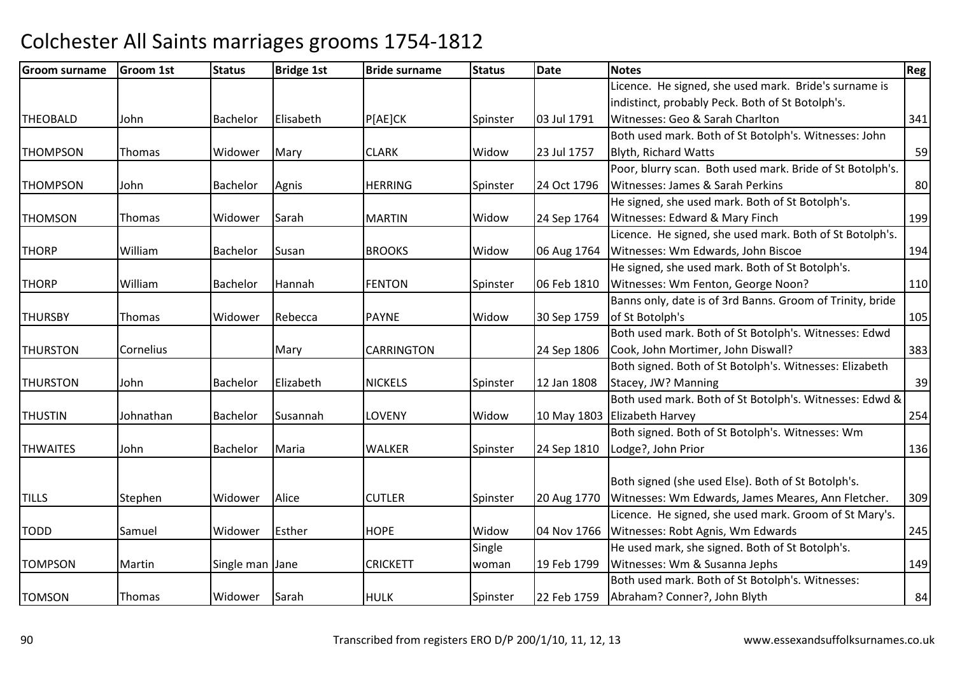| <b>Groom surname</b> | <b>Groom 1st</b> | <b>Status</b>   | <b>Bridge 1st</b> | <b>Bride surname</b> | <b>Status</b> | Date        | <b>Notes</b>                                              | Reg |
|----------------------|------------------|-----------------|-------------------|----------------------|---------------|-------------|-----------------------------------------------------------|-----|
|                      |                  |                 |                   |                      |               |             | Licence. He signed, she used mark. Bride's surname is     |     |
|                      |                  |                 |                   |                      |               |             | indistinct, probably Peck. Both of St Botolph's.          |     |
| <b>THEOBALD</b>      | John             | Bachelor        | Elisabeth         | P[AE]CK              | Spinster      | 03 Jul 1791 | Witnesses: Geo & Sarah Charlton                           | 341 |
|                      |                  |                 |                   |                      |               |             | Both used mark. Both of St Botolph's. Witnesses: John     |     |
| <b>THOMPSON</b>      | Thomas           | Widower         | Mary              | <b>CLARK</b>         | Widow         | 23 Jul 1757 | <b>Blyth, Richard Watts</b>                               | 59  |
|                      |                  |                 |                   |                      |               |             | Poor, blurry scan. Both used mark. Bride of St Botolph's. |     |
| <b>THOMPSON</b>      | John             | Bachelor        | Agnis             | <b>HERRING</b>       | Spinster      | 24 Oct 1796 | Witnesses: James & Sarah Perkins                          | 80  |
|                      |                  |                 |                   |                      |               |             | He signed, she used mark. Both of St Botolph's.           |     |
| <b>THOMSON</b>       | <b>Thomas</b>    | Widower         | Sarah             | <b>MARTIN</b>        | Widow         | 24 Sep 1764 | Witnesses: Edward & Mary Finch                            | 199 |
|                      |                  |                 |                   |                      |               |             | Licence. He signed, she used mark. Both of St Botolph's.  |     |
| <b>THORP</b>         | William          | Bachelor        | Susan             | <b>BROOKS</b>        | Widow         | 06 Aug 1764 | Witnesses: Wm Edwards, John Biscoe                        | 194 |
|                      |                  |                 |                   |                      |               |             | He signed, she used mark. Both of St Botolph's.           |     |
| <b>THORP</b>         | William          | Bachelor        | Hannah            | <b>FENTON</b>        | Spinster      | 06 Feb 1810 | Witnesses: Wm Fenton, George Noon?                        | 110 |
|                      |                  |                 |                   |                      |               |             | Banns only, date is of 3rd Banns. Groom of Trinity, bride |     |
| <b>THURSBY</b>       | <b>Thomas</b>    | Widower         | Rebecca           | <b>PAYNE</b>         | Widow         | 30 Sep 1759 | of St Botolph's                                           | 105 |
|                      |                  |                 |                   |                      |               |             | Both used mark. Both of St Botolph's. Witnesses: Edwd     |     |
| <b>THURSTON</b>      | Cornelius        |                 | Mary              | <b>CARRINGTON</b>    |               | 24 Sep 1806 | Cook, John Mortimer, John Diswall?                        | 383 |
|                      |                  |                 |                   |                      |               |             | Both signed. Both of St Botolph's. Witnesses: Elizabeth   |     |
| <b>THURSTON</b>      | John             | Bachelor        | Elizabeth         | <b>NICKELS</b>       | Spinster      | 12 Jan 1808 | Stacey, JW? Manning                                       | 39  |
|                      |                  |                 |                   |                      |               |             | Both used mark. Both of St Botolph's. Witnesses: Edwd &   |     |
| <b>THUSTIN</b>       | Johnathan        | <b>Bachelor</b> | Susannah          | <b>LOVENY</b>        | Widow         | 10 May 1803 | Elizabeth Harvey                                          | 254 |
|                      |                  |                 |                   |                      |               |             | Both signed. Both of St Botolph's. Witnesses: Wm          |     |
| <b>THWAITES</b>      | John             | <b>Bachelor</b> | Maria             | <b>WALKER</b>        | Spinster      | 24 Sep 1810 | Lodge?, John Prior                                        | 136 |
|                      |                  |                 |                   |                      |               |             |                                                           |     |
|                      |                  |                 |                   |                      |               |             | Both signed (she used Else). Both of St Botolph's.        |     |
| <b>TILLS</b>         | Stephen          | Widower         | Alice             | <b>CUTLER</b>        | Spinster      | 20 Aug 1770 | Witnesses: Wm Edwards, James Meares, Ann Fletcher.        | 309 |
|                      |                  |                 |                   |                      |               |             | Licence. He signed, she used mark. Groom of St Mary's.    |     |
| <b>TODD</b>          | Samuel           | Widower         | Esther            | <b>HOPE</b>          | Widow         | 04 Nov 1766 | Witnesses: Robt Agnis, Wm Edwards                         | 245 |
|                      |                  |                 |                   |                      | Single        |             | He used mark, she signed. Both of St Botolph's.           |     |
| <b>TOMPSON</b>       | Martin           | Single man Jane |                   | <b>CRICKETT</b>      | woman         | 19 Feb 1799 | Witnesses: Wm & Susanna Jephs                             | 149 |
|                      |                  |                 |                   |                      |               |             | Both used mark. Both of St Botolph's. Witnesses:          |     |
| <b>TOMSON</b>        | <b>Thomas</b>    | Widower         | Sarah             | <b>HULK</b>          | Spinster      | 22 Feb 1759 | Abraham? Conner?, John Blyth                              | 84  |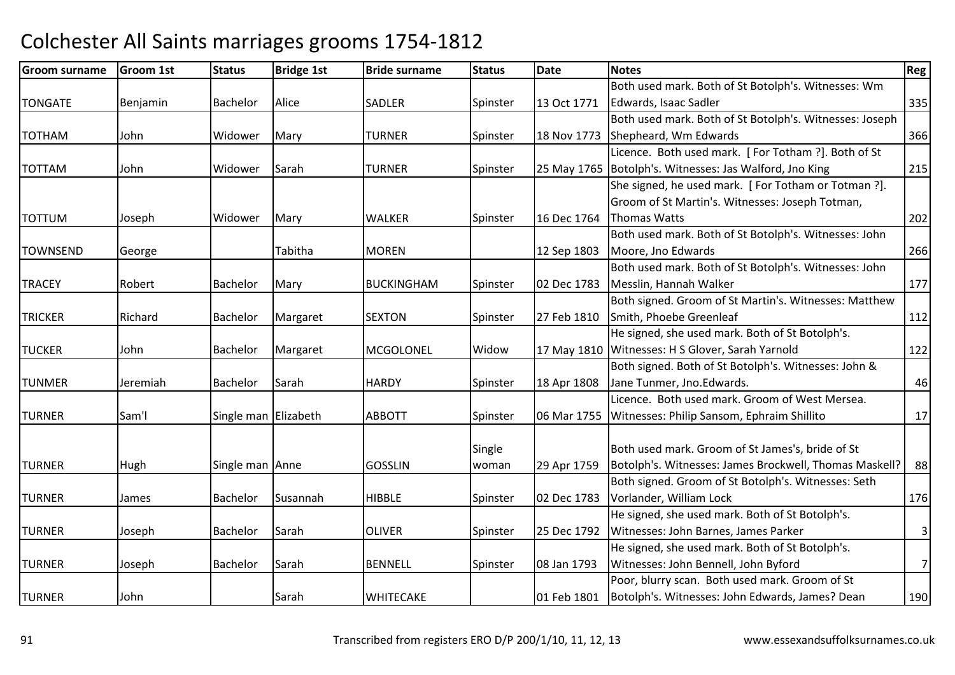| <b>Groom surname</b> | <b>Groom 1st</b> | <b>Status</b>        | <b>Bridge 1st</b> | <b>Bride surname</b> | <b>Status</b> | <b>Date</b> | <b>Notes</b>                                              | <b>Reg</b> |
|----------------------|------------------|----------------------|-------------------|----------------------|---------------|-------------|-----------------------------------------------------------|------------|
|                      |                  |                      |                   |                      |               |             | Both used mark. Both of St Botolph's. Witnesses: Wm       |            |
| <b>TONGATE</b>       | Benjamin         | Bachelor             | Alice             | SADLER               | Spinster      | 13 Oct 1771 | Edwards, Isaac Sadler                                     | 335        |
|                      |                  |                      |                   |                      |               |             | Both used mark. Both of St Botolph's. Witnesses: Joseph   |            |
| <b>TOTHAM</b>        | John             | Widower              | Mary              | <b>TURNER</b>        | Spinster      | 18 Nov 1773 | Shepheard, Wm Edwards                                     | 366        |
|                      |                  |                      |                   |                      |               |             | Licence. Both used mark. [For Totham ?]. Both of St       |            |
| <b>TOTTAM</b>        | John             | Widower              | Sarah             | <b>TURNER</b>        | Spinster      |             | 25 May 1765   Botolph's. Witnesses: Jas Walford, Jno King | 215        |
|                      |                  |                      |                   |                      |               |             | She signed, he used mark. [For Totham or Totman ?].       |            |
|                      |                  |                      |                   |                      |               |             | Groom of St Martin's. Witnesses: Joseph Totman,           |            |
| <b>TOTTUM</b>        | Joseph           | Widower              | Mary              | <b>WALKER</b>        | Spinster      | 16 Dec 1764 | <b>Thomas Watts</b>                                       | 202        |
|                      |                  |                      |                   |                      |               |             | Both used mark. Both of St Botolph's. Witnesses: John     |            |
| <b>TOWNSEND</b>      | George           |                      | Tabitha           | <b>MOREN</b>         |               | 12 Sep 1803 | Moore, Jno Edwards                                        | 266        |
|                      |                  |                      |                   |                      |               |             | Both used mark. Both of St Botolph's. Witnesses: John     |            |
| <b>TRACEY</b>        | Robert           | <b>Bachelor</b>      | Mary              | <b>BUCKINGHAM</b>    | Spinster      | 02 Dec 1783 | Messlin, Hannah Walker                                    | 177        |
|                      |                  |                      |                   |                      |               |             | Both signed. Groom of St Martin's. Witnesses: Matthew     |            |
| <b>TRICKER</b>       | Richard          | Bachelor             | Margaret          | <b>SEXTON</b>        | Spinster      | 27 Feb 1810 | Smith, Phoebe Greenleaf                                   | 112        |
|                      |                  |                      |                   |                      |               |             | He signed, she used mark. Both of St Botolph's.           |            |
| <b>TUCKER</b>        | John             | Bachelor             | Margaret          | MCGOLONEL            | Widow         |             | 17 May 1810 Witnesses: H S Glover, Sarah Yarnold          | 122        |
|                      |                  |                      |                   |                      |               |             | Both signed. Both of St Botolph's. Witnesses: John &      |            |
| <b>TUNMER</b>        | Jeremiah         | Bachelor             | Sarah             | <b>HARDY</b>         | Spinster      | 18 Apr 1808 | Jane Tunmer, Jno.Edwards.                                 | 46         |
|                      |                  |                      |                   |                      |               |             | Licence. Both used mark. Groom of West Mersea.            |            |
| <b>TURNER</b>        | Sam'l            | Single man Elizabeth |                   | <b>ABBOTT</b>        | Spinster      |             | 06 Mar 1755   Witnesses: Philip Sansom, Ephraim Shillito  | 17         |
|                      |                  |                      |                   |                      |               |             |                                                           |            |
|                      |                  |                      |                   |                      | Single        |             | Both used mark. Groom of St James's, bride of St          |            |
| <b>TURNER</b>        | Hugh             | Single man Anne      |                   | <b>GOSSLIN</b>       | woman         | 29 Apr 1759 | Botolph's. Witnesses: James Brockwell, Thomas Maskell?    | 88         |
|                      |                  |                      |                   |                      |               |             | Both signed. Groom of St Botolph's. Witnesses: Seth       |            |
| <b>TURNER</b>        | James            | <b>Bachelor</b>      | Susannah          | <b>HIBBLE</b>        | Spinster      | 02 Dec 1783 | Vorlander, William Lock                                   | 176        |
|                      |                  |                      |                   |                      |               |             | He signed, she used mark. Both of St Botolph's.           |            |
| <b>TURNER</b>        | Joseph           | <b>Bachelor</b>      | Sarah             | <b>OLIVER</b>        | Spinster      | 25 Dec 1792 | Witnesses: John Barnes, James Parker                      | $\vert$    |
|                      |                  |                      |                   |                      |               |             | He signed, she used mark. Both of St Botolph's.           |            |
| <b>TURNER</b>        | Joseph           | Bachelor             | Sarah             | <b>BENNELL</b>       | Spinster      | 08 Jan 1793 | Witnesses: John Bennell, John Byford                      | 7          |
|                      |                  |                      |                   |                      |               |             | Poor, blurry scan. Both used mark. Groom of St            |            |
| <b>TURNER</b>        | John             |                      | Sarah             | <b>WHITECAKE</b>     |               | 01 Feb 1801 | Botolph's. Witnesses: John Edwards, James? Dean           | 190        |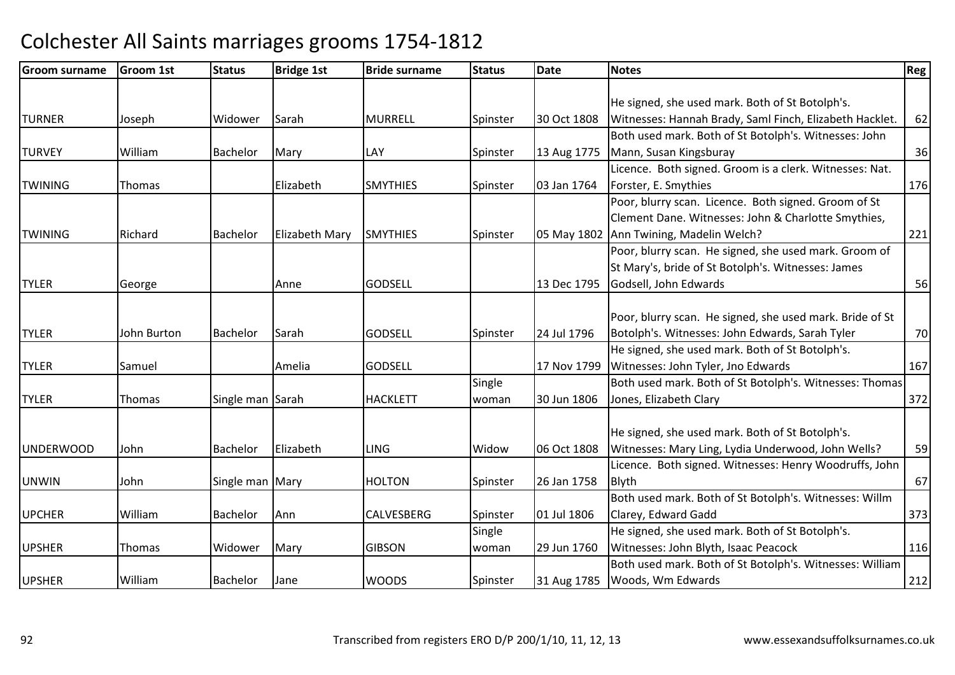| <b>Groom surname</b> | <b>Groom 1st</b> | <b>Status</b>    | <b>Bridge 1st</b>     | <b>Bride surname</b> | <b>Status</b> | Date        | <b>Notes</b>                                             | <b>Reg</b> |
|----------------------|------------------|------------------|-----------------------|----------------------|---------------|-------------|----------------------------------------------------------|------------|
|                      |                  |                  |                       |                      |               |             |                                                          |            |
|                      |                  |                  |                       |                      |               |             | He signed, she used mark. Both of St Botolph's.          |            |
| <b>TURNER</b>        | Joseph           | Widower          | Sarah                 | <b>MURRELL</b>       | Spinster      | 30 Oct 1808 | Witnesses: Hannah Brady, Saml Finch, Elizabeth Hacklet.  | 62         |
|                      |                  |                  |                       |                      |               |             | Both used mark. Both of St Botolph's. Witnesses: John    |            |
| <b>TURVEY</b>        | William          | Bachelor         | Mary                  | LAY                  | Spinster      | 13 Aug 1775 | Mann, Susan Kingsburay                                   | 36         |
|                      |                  |                  |                       |                      |               |             | Licence. Both signed. Groom is a clerk. Witnesses: Nat.  |            |
| <b>TWINING</b>       | Thomas           |                  | Elizabeth             | <b>SMYTHIES</b>      | Spinster      | 03 Jan 1764 | Forster, E. Smythies                                     | 176        |
|                      |                  |                  |                       |                      |               |             | Poor, blurry scan. Licence. Both signed. Groom of St     |            |
|                      |                  |                  |                       |                      |               |             | Clement Dane. Witnesses: John & Charlotte Smythies,      |            |
| <b>TWINING</b>       | Richard          | <b>Bachelor</b>  | <b>Elizabeth Mary</b> | <b>SMYTHIES</b>      | Spinster      | 05 May 1802 | Ann Twining, Madelin Welch?                              | 221        |
|                      |                  |                  |                       |                      |               |             | Poor, blurry scan. He signed, she used mark. Groom of    |            |
|                      |                  |                  |                       |                      |               |             | St Mary's, bride of St Botolph's. Witnesses: James       |            |
| <b>TYLER</b>         | George           |                  | Anne                  | <b>GODSELL</b>       |               | 13 Dec 1795 | Godsell, John Edwards                                    | 56         |
|                      |                  |                  |                       |                      |               |             |                                                          |            |
|                      |                  |                  |                       |                      |               |             | Poor, blurry scan. He signed, she used mark. Bride of St |            |
| <b>TYLER</b>         | John Burton      | <b>Bachelor</b>  | Sarah                 | <b>GODSELL</b>       | Spinster      | 24 Jul 1796 | Botolph's. Witnesses: John Edwards, Sarah Tyler          | 70         |
|                      |                  |                  |                       |                      |               |             | He signed, she used mark. Both of St Botolph's.          |            |
| <b>TYLER</b>         | Samuel           |                  | <b>Amelia</b>         | <b>GODSELL</b>       |               | 17 Nov 1799 | Witnesses: John Tyler, Jno Edwards                       | 167        |
|                      |                  |                  |                       |                      | Single        |             | Both used mark. Both of St Botolph's. Witnesses: Thomas  |            |
| <b>TYLER</b>         | Thomas           | Single man Sarah |                       | <b>HACKLETT</b>      | woman         | 30 Jun 1806 | Jones, Elizabeth Clary                                   | 372        |
|                      |                  |                  |                       |                      |               |             |                                                          |            |
|                      |                  |                  |                       |                      |               |             | He signed, she used mark. Both of St Botolph's.          |            |
| <b>UNDERWOOD</b>     | John             | <b>Bachelor</b>  | Elizabeth             | <b>LING</b>          | Widow         | 06 Oct 1808 | Witnesses: Mary Ling, Lydia Underwood, John Wells?       | 59         |
|                      |                  |                  |                       |                      |               |             | Licence. Both signed. Witnesses: Henry Woodruffs, John   |            |
| <b>UNWIN</b>         | John             | Single man Mary  |                       | <b>HOLTON</b>        | Spinster      | 26 Jan 1758 | <b>Blyth</b>                                             | 67         |
|                      |                  |                  |                       |                      |               |             | Both used mark. Both of St Botolph's. Witnesses: Willm   |            |
| <b>UPCHER</b>        | William          | Bachelor         | Ann                   | <b>CALVESBERG</b>    | Spinster      | 01 Jul 1806 | Clarey, Edward Gadd                                      | 373        |
|                      |                  |                  |                       |                      | Single        |             | He signed, she used mark. Both of St Botolph's.          |            |
| <b>UPSHER</b>        | Thomas           | Widower          | Mary                  | <b>GIBSON</b>        | woman         | 29 Jun 1760 | Witnesses: John Blyth, Isaac Peacock                     | 116        |
|                      |                  |                  |                       |                      |               |             | Both used mark. Both of St Botolph's. Witnesses: William |            |
| <b>UPSHER</b>        | William          | <b>Bachelor</b>  | Jane                  | <b>WOODS</b>         | Spinster      | 31 Aug 1785 | Woods, Wm Edwards                                        | 212        |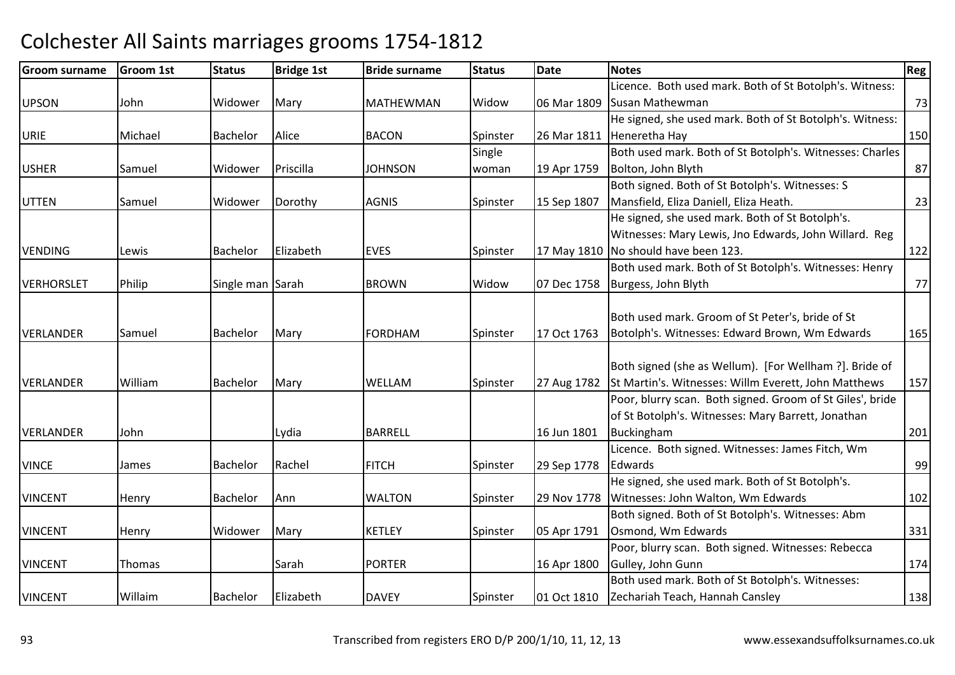| <b>Groom surname</b> | Groom 1st | <b>Status</b>    | <b>Bridge 1st</b> | <b>Bride surname</b> | <b>Status</b> | <b>Date</b> | <b>Notes</b>                                              | Reg |
|----------------------|-----------|------------------|-------------------|----------------------|---------------|-------------|-----------------------------------------------------------|-----|
|                      |           |                  |                   |                      |               |             | Licence. Both used mark. Both of St Botolph's. Witness:   |     |
| <b>UPSON</b>         | John      | Widower          | Mary              | <b>MATHEWMAN</b>     | Widow         | 06 Mar 1809 | Susan Mathewman                                           | 73  |
|                      |           |                  |                   |                      |               |             | He signed, she used mark. Both of St Botolph's. Witness:  |     |
| <b>URIE</b>          | Michael   | Bachelor         | Alice             | <b>BACON</b>         | Spinster      | 26 Mar 1811 | Heneretha Hay                                             | 150 |
|                      |           |                  |                   |                      | Single        |             | Both used mark. Both of St Botolph's. Witnesses: Charles  |     |
| <b>USHER</b>         | Samuel    | Widower          | Priscilla         | <b>JOHNSON</b>       | woman         | 19 Apr 1759 | Bolton, John Blyth                                        | 87  |
|                      |           |                  |                   |                      |               |             | Both signed. Both of St Botolph's. Witnesses: S           |     |
| <b>UTTEN</b>         | Samuel    | Widower          | Dorothy           | <b>AGNIS</b>         | Spinster      | 15 Sep 1807 | Mansfield, Eliza Daniell, Eliza Heath.                    | 23  |
|                      |           |                  |                   |                      |               |             | He signed, she used mark. Both of St Botolph's.           |     |
|                      |           |                  |                   |                      |               |             | Witnesses: Mary Lewis, Jno Edwards, John Willard. Reg     |     |
| <b>VENDING</b>       | Lewis     | Bachelor         | Elizabeth         | <b>EVES</b>          | Spinster      |             | 17 May 1810 No should have been 123.                      | 122 |
|                      |           |                  |                   |                      |               |             | Both used mark. Both of St Botolph's. Witnesses: Henry    |     |
| <b>VERHORSLET</b>    | Philip    | Single man Sarah |                   | <b>BROWN</b>         | Widow         | 07 Dec 1758 | Burgess, John Blyth                                       | 77  |
|                      |           |                  |                   |                      |               |             |                                                           |     |
|                      |           |                  |                   |                      |               |             | Both used mark. Groom of St Peter's, bride of St          |     |
| <b>VERLANDER</b>     | Samuel    | Bachelor         | Mary              | <b>FORDHAM</b>       | Spinster      | 17 Oct 1763 | Botolph's. Witnesses: Edward Brown, Wm Edwards            | 165 |
|                      |           |                  |                   |                      |               |             |                                                           |     |
|                      |           |                  |                   |                      |               |             | Both signed (she as Wellum). [For Wellham ?]. Bride of    |     |
| <b>VERLANDER</b>     | William   | Bachelor         | Mary              | WELLAM               | Spinster      | 27 Aug 1782 | St Martin's. Witnesses: Willm Everett, John Matthews      | 157 |
|                      |           |                  |                   |                      |               |             | Poor, blurry scan. Both signed. Groom of St Giles', bride |     |
|                      |           |                  |                   |                      |               |             | of St Botolph's. Witnesses: Mary Barrett, Jonathan        |     |
| <b>VERLANDER</b>     | John      |                  | Lydia             | <b>BARRELL</b>       |               | 16 Jun 1801 | Buckingham                                                | 201 |
|                      |           |                  |                   |                      |               |             | Licence. Both signed. Witnesses: James Fitch, Wm          |     |
| <b>VINCE</b>         | James     | Bachelor         | Rachel            | <b>FITCH</b>         | Spinster      | 29 Sep 1778 | Edwards                                                   | 99  |
|                      |           |                  |                   |                      |               |             | He signed, she used mark. Both of St Botolph's.           |     |
| <b>VINCENT</b>       | Henry     | Bachelor         | Ann               | <b>WALTON</b>        | Spinster      | 29 Nov 1778 | Witnesses: John Walton, Wm Edwards                        | 102 |
|                      |           |                  |                   |                      |               |             | Both signed. Both of St Botolph's. Witnesses: Abm         |     |
| <b>VINCENT</b>       | Henry     | Widower          | Mary              | <b>KETLEY</b>        | Spinster      | 05 Apr 1791 | Osmond, Wm Edwards                                        | 331 |
|                      |           |                  |                   |                      |               |             | Poor, blurry scan. Both signed. Witnesses: Rebecca        |     |
| <b>VINCENT</b>       | Thomas    |                  | Sarah             | <b>PORTER</b>        |               | 16 Apr 1800 | Gulley, John Gunn                                         | 174 |
|                      |           |                  |                   |                      |               |             | Both used mark. Both of St Botolph's. Witnesses:          |     |
| <b>VINCENT</b>       | Willaim   | Bachelor         | Elizabeth         | <b>DAVEY</b>         | Spinster      | 01 Oct 1810 | Zechariah Teach, Hannah Cansley                           | 138 |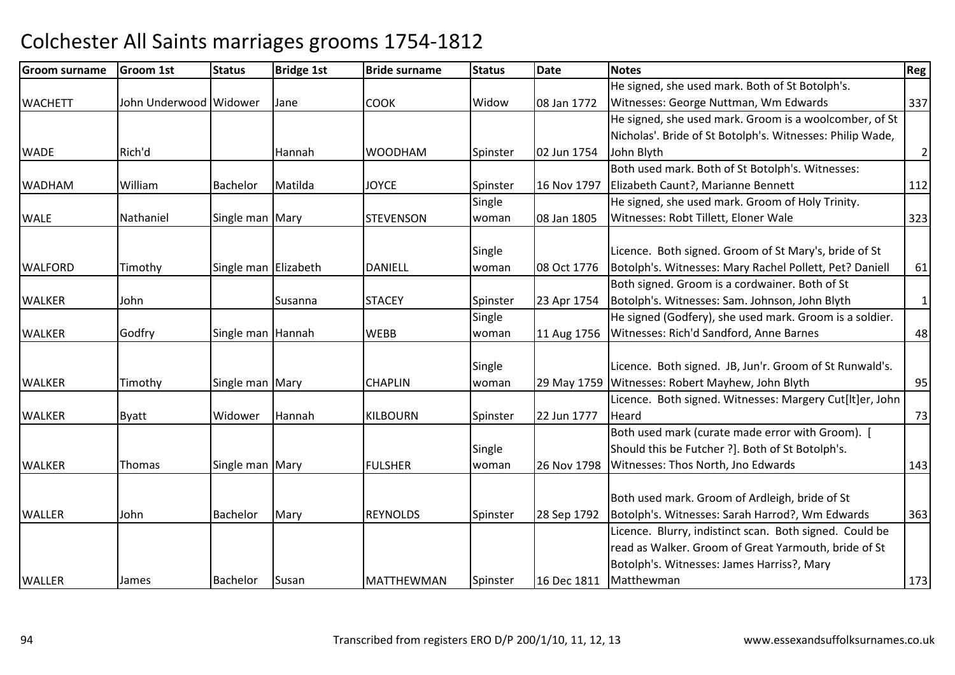| <b>Groom surname</b> | <b>Groom 1st</b>       | <b>Status</b>        | <b>Bridge 1st</b> | <b>Bride surname</b> | <b>Status</b> | <b>Date</b> | <b>Notes</b>                                                                                     | Reg            |
|----------------------|------------------------|----------------------|-------------------|----------------------|---------------|-------------|--------------------------------------------------------------------------------------------------|----------------|
|                      |                        |                      |                   |                      |               |             | He signed, she used mark. Both of St Botolph's.                                                  |                |
| <b>WACHETT</b>       | John Underwood Widower |                      | Jane              | <b>COOK</b>          | Widow         | 08 Jan 1772 | Witnesses: George Nuttman, Wm Edwards                                                            | 337            |
|                      |                        |                      |                   |                      |               |             | He signed, she used mark. Groom is a woolcomber, of St                                           |                |
|                      |                        |                      |                   |                      |               |             | Nicholas'. Bride of St Botolph's. Witnesses: Philip Wade,                                        |                |
| <b>WADE</b>          | Rich'd                 |                      | Hannah            | <b>WOODHAM</b>       | Spinster      | 02 Jun 1754 | John Blyth                                                                                       | $\overline{2}$ |
|                      |                        |                      |                   |                      |               |             | Both used mark. Both of St Botolph's. Witnesses:                                                 |                |
| <b>WADHAM</b>        | William                | <b>Bachelor</b>      | Matilda           | <b>JOYCE</b>         | Spinster      | 16 Nov 1797 | Elizabeth Caunt?, Marianne Bennett                                                               | 112            |
|                      |                        |                      |                   |                      | Single        |             | He signed, she used mark. Groom of Holy Trinity.                                                 |                |
| <b>WALE</b>          | Nathaniel              | Single man Mary      |                   | <b>STEVENSON</b>     | woman         | 08 Jan 1805 | Witnesses: Robt Tillett, Eloner Wale                                                             | 323            |
|                      |                        |                      |                   |                      |               |             |                                                                                                  |                |
|                      |                        |                      |                   |                      | Single        |             | Licence. Both signed. Groom of St Mary's, bride of St                                            |                |
| <b>WALFORD</b>       | Timothy                | Single man Elizabeth |                   | <b>DANIELL</b>       | woman         | 08 Oct 1776 | Botolph's. Witnesses: Mary Rachel Pollett, Pet? Daniell                                          | 61             |
|                      |                        |                      |                   |                      |               |             | Both signed. Groom is a cordwainer. Both of St                                                   |                |
| <b>WALKER</b>        | John                   |                      | Susanna           | <b>STACEY</b>        | Spinster      | 23 Apr 1754 | Botolph's. Witnesses: Sam. Johnson, John Blyth                                                   | $1\vert$       |
|                      |                        |                      |                   |                      | Single        |             | He signed (Godfery), she used mark. Groom is a soldier.                                          |                |
| <b>WALKER</b>        | Godfry                 | Single man Hannah    |                   | <b>WEBB</b>          | woman         | 11 Aug 1756 | Witnesses: Rich'd Sandford, Anne Barnes                                                          | 48             |
|                      |                        |                      |                   |                      |               |             |                                                                                                  |                |
|                      |                        |                      |                   |                      | Single        |             | Licence. Both signed. JB, Jun'r. Groom of St Runwald's.                                          |                |
| <b>WALKER</b>        | Timothy                | Single man Mary      |                   | <b>CHAPLIN</b>       | woman         | 29 May 1759 | Witnesses: Robert Mayhew, John Blyth<br>Licence. Both signed. Witnesses: Margery Cut[It]er, John | 95             |
| <b>WALKER</b>        |                        | Widower              | Hannah            | <b>KILBOURN</b>      |               | 22 Jun 1777 | Heard                                                                                            | 73             |
|                      | <b>Byatt</b>           |                      |                   |                      | Spinster      |             | Both used mark (curate made error with Groom). [                                                 |                |
|                      |                        |                      |                   |                      |               |             | Should this be Futcher ?]. Both of St Botolph's.                                                 |                |
|                      |                        |                      |                   |                      | Single        |             |                                                                                                  |                |
| <b>WALKER</b>        | Thomas                 | Single man Mary      |                   | <b>FULSHER</b>       | woman         | 26 Nov 1798 | Witnesses: Thos North, Jno Edwards                                                               | 143            |
|                      |                        |                      |                   |                      |               |             | Both used mark. Groom of Ardleigh, bride of St                                                   |                |
| <b>WALLER</b>        | John                   | <b>Bachelor</b>      | Mary              | <b>REYNOLDS</b>      | Spinster      | 28 Sep 1792 | Botolph's. Witnesses: Sarah Harrod?, Wm Edwards                                                  | 363            |
|                      |                        |                      |                   |                      |               |             | Licence. Blurry, indistinct scan. Both signed. Could be                                          |                |
|                      |                        |                      |                   |                      |               |             | read as Walker. Groom of Great Yarmouth, bride of St                                             |                |
|                      |                        |                      |                   |                      |               |             | Botolph's. Witnesses: James Harriss?, Mary                                                       |                |
| <b>WALLER</b>        | James                  | Bachelor             | Susan             | <b>MATTHEWMAN</b>    | Spinster      | 16 Dec 1811 | Matthewman                                                                                       | 173            |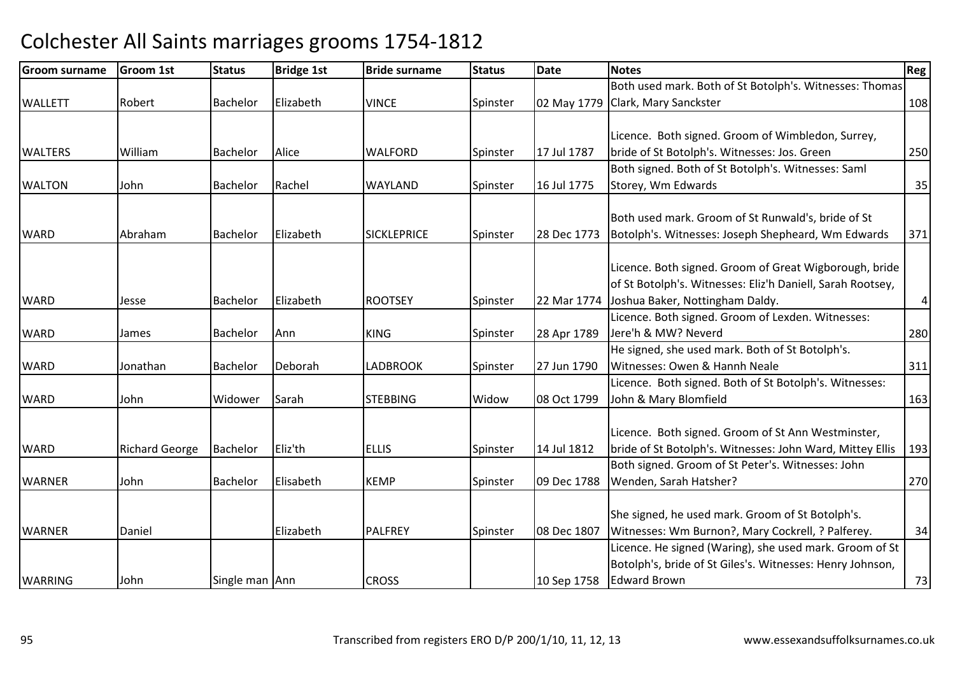| <b>Groom surname</b> | <b>Groom 1st</b>      | <b>Status</b>   | <b>Bridge 1st</b> | <b>Bride surname</b> | <b>Status</b> | Date        | <b>Notes</b>                                               | Reg     |
|----------------------|-----------------------|-----------------|-------------------|----------------------|---------------|-------------|------------------------------------------------------------|---------|
|                      |                       |                 |                   |                      |               |             | Both used mark. Both of St Botolph's. Witnesses: Thomas    |         |
| <b>WALLETT</b>       | Robert                | Bachelor        | Elizabeth         | <b>VINCE</b>         | Spinster      |             | 02 May 1779 Clark, Mary Sanckster                          | 108     |
|                      |                       |                 |                   |                      |               |             |                                                            |         |
|                      |                       |                 |                   |                      |               |             | Licence. Both signed. Groom of Wimbledon, Surrey,          |         |
| <b>WALTERS</b>       | William               | Bachelor        | Alice             | <b>WALFORD</b>       | Spinster      | 17 Jul 1787 | bride of St Botolph's. Witnesses: Jos. Green               | 250     |
|                      |                       |                 |                   |                      |               |             | Both signed. Both of St Botolph's. Witnesses: Saml         |         |
| <b>WALTON</b>        | John                  | <b>Bachelor</b> | Rachel            | WAYLAND              | Spinster      | 16 Jul 1775 | Storey, Wm Edwards                                         | 35      |
|                      |                       |                 |                   |                      |               |             |                                                            |         |
|                      |                       |                 |                   |                      |               |             | Both used mark. Groom of St Runwald's, bride of St         |         |
| <b>WARD</b>          | Abraham               | <b>Bachelor</b> | Elizabeth         | <b>SICKLEPRICE</b>   | Spinster      | 28 Dec 1773 | Botolph's. Witnesses: Joseph Shepheard, Wm Edwards         | 371     |
|                      |                       |                 |                   |                      |               |             |                                                            |         |
|                      |                       |                 |                   |                      |               |             | Licence. Both signed. Groom of Great Wigborough, bride     |         |
|                      |                       |                 |                   |                      |               |             | of St Botolph's. Witnesses: Eliz'h Daniell, Sarah Rootsey, |         |
| <b>WARD</b>          | Jesse                 | Bachelor        | Elizabeth         | <b>ROOTSEY</b>       | Spinster      | 22 Mar 1774 | Joshua Baker, Nottingham Daldy.                            | $\vert$ |
|                      |                       |                 |                   |                      |               |             | Licence. Both signed. Groom of Lexden. Witnesses:          |         |
| <b>WARD</b>          | James                 | Bachelor        | Ann               | <b>KING</b>          | Spinster      | 28 Apr 1789 | Jere'h & MW? Neverd                                        | 280     |
|                      |                       |                 |                   |                      |               |             | He signed, she used mark. Both of St Botolph's.            |         |
| <b>WARD</b>          | Jonathan              | <b>Bachelor</b> | Deborah           | <b>LADBROOK</b>      | Spinster      | 27 Jun 1790 | Witnesses: Owen & Hannh Neale                              | 311     |
|                      |                       |                 |                   |                      |               |             | Licence. Both signed. Both of St Botolph's. Witnesses:     |         |
| <b>WARD</b>          | John                  | Widower         | Sarah             | <b>STEBBING</b>      | Widow         | 08 Oct 1799 | John & Mary Blomfield                                      | 163     |
|                      |                       |                 |                   |                      |               |             |                                                            |         |
|                      |                       |                 |                   |                      |               |             | Licence. Both signed. Groom of St Ann Westminster,         |         |
| <b>WARD</b>          | <b>Richard George</b> | <b>Bachelor</b> | Eliz'th           | <b>ELLIS</b>         | Spinster      | 14 Jul 1812 | bride of St Botolph's. Witnesses: John Ward, Mittey Ellis  | 193     |
|                      |                       |                 |                   |                      |               |             | Both signed. Groom of St Peter's. Witnesses: John          |         |
| <b>WARNER</b>        | John                  | Bachelor        | Elisabeth         | <b>KEMP</b>          | Spinster      | 09 Dec 1788 | Wenden, Sarah Hatsher?                                     | 270     |
|                      |                       |                 |                   |                      |               |             |                                                            |         |
|                      |                       |                 |                   |                      |               |             | She signed, he used mark. Groom of St Botolph's.           |         |
| <b>WARNER</b>        | Daniel                |                 | Elizabeth         | <b>PALFREY</b>       | Spinster      | 08 Dec 1807 | Witnesses: Wm Burnon?, Mary Cockrell, ? Palferey.          | 34      |
|                      |                       |                 |                   |                      |               |             | Licence. He signed (Waring), she used mark. Groom of St    |         |
|                      |                       |                 |                   |                      |               |             | Botolph's, bride of St Giles's. Witnesses: Henry Johnson,  |         |
| <b>WARRING</b>       | John                  | Single man Ann  |                   | <b>CROSS</b>         |               | 10 Sep 1758 | <b>Edward Brown</b>                                        | 73      |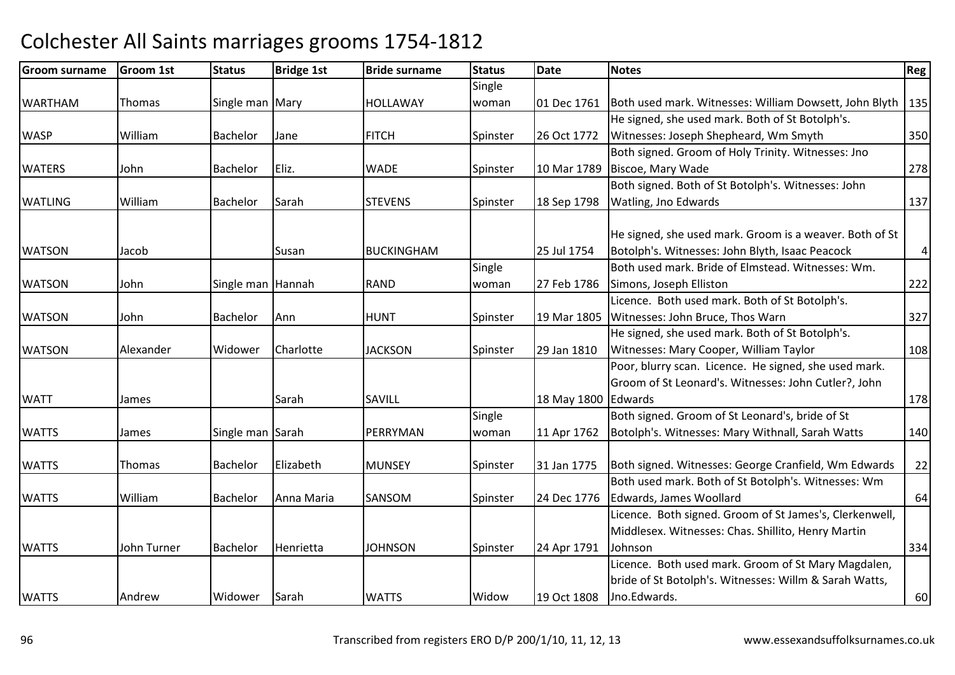| <b>Groom surname</b> | Groom 1st   | <b>Status</b>     | <b>Bridge 1st</b> | <b>Bride surname</b> | <b>Status</b> | <b>Date</b>         | <b>Notes</b>                                                                                                  | Reg            |
|----------------------|-------------|-------------------|-------------------|----------------------|---------------|---------------------|---------------------------------------------------------------------------------------------------------------|----------------|
|                      |             |                   |                   |                      | Single        |                     |                                                                                                               |                |
| <b>WARTHAM</b>       | Thomas      | Single man Mary   |                   | <b>HOLLAWAY</b>      | woman         | 01 Dec 1761         | Both used mark. Witnesses: William Dowsett, John Blyth                                                        | 135            |
|                      |             |                   |                   |                      |               |                     | He signed, she used mark. Both of St Botolph's.                                                               |                |
| <b>WASP</b>          | William     | Bachelor          | Jane              | <b>FITCH</b>         | Spinster      | 26 Oct 1772         | Witnesses: Joseph Shepheard, Wm Smyth                                                                         | 350            |
|                      |             |                   |                   |                      |               |                     | Both signed. Groom of Holy Trinity. Witnesses: Jno                                                            |                |
| <b>WATERS</b>        | John        | Bachelor          | Eliz.             | <b>WADE</b>          | Spinster      | 10 Mar 1789         | Biscoe, Mary Wade                                                                                             | 278            |
|                      |             |                   |                   |                      |               |                     | Both signed. Both of St Botolph's. Witnesses: John                                                            |                |
| <b>WATLING</b>       | William     | Bachelor          | Sarah             | <b>STEVENS</b>       | Spinster      | 18 Sep 1798         | Watling, Jno Edwards                                                                                          | 137            |
|                      |             |                   |                   |                      |               |                     |                                                                                                               |                |
|                      |             |                   |                   |                      |               |                     | He signed, she used mark. Groom is a weaver. Both of St                                                       |                |
| <b>WATSON</b>        | Jacob       |                   | Susan             | <b>BUCKINGHAM</b>    |               | 25 Jul 1754         | Botolph's. Witnesses: John Blyth, Isaac Peacock                                                               | $\overline{4}$ |
|                      |             |                   |                   |                      | Single        |                     | Both used mark. Bride of Elmstead. Witnesses: Wm.                                                             |                |
| <b>WATSON</b>        | John        | Single man Hannah |                   | <b>RAND</b>          | woman         | 27 Feb 1786         | Simons, Joseph Elliston                                                                                       | 222            |
|                      |             |                   |                   |                      |               |                     | Licence. Both used mark. Both of St Botolph's.                                                                |                |
| <b>WATSON</b>        | John        | Bachelor          | Ann               | <b>HUNT</b>          | Spinster      | 19 Mar 1805         | Witnesses: John Bruce, Thos Warn                                                                              | 327            |
|                      |             |                   |                   |                      |               |                     | He signed, she used mark. Both of St Botolph's.                                                               |                |
| <b>WATSON</b>        | Alexander   | Widower           | Charlotte         | <b>JACKSON</b>       | Spinster      | 29 Jan 1810         | Witnesses: Mary Cooper, William Taylor                                                                        | 108            |
|                      |             |                   |                   |                      |               |                     | Poor, blurry scan. Licence. He signed, she used mark.                                                         |                |
|                      |             |                   |                   |                      |               |                     | Groom of St Leonard's. Witnesses: John Cutler?, John                                                          |                |
| <b>WATT</b>          | James       |                   | Sarah             | SAVILL               |               | 18 May 1800 Edwards |                                                                                                               | 178            |
|                      |             |                   |                   |                      | Single        |                     | Both signed. Groom of St Leonard's, bride of St                                                               |                |
| <b>WATTS</b>         | James       | Single man Sarah  |                   | PERRYMAN             | woman         | 11 Apr 1762         | Botolph's. Witnesses: Mary Withnall, Sarah Watts                                                              | 140            |
| <b>WATTS</b>         | Thomas      | Bachelor          | Elizabeth         | <b>MUNSEY</b>        | Spinster      | 31 Jan 1775         | Both signed. Witnesses: George Cranfield, Wm Edwards                                                          | 22             |
|                      |             |                   |                   |                      |               |                     | Both used mark. Both of St Botolph's. Witnesses: Wm                                                           |                |
| <b>WATTS</b>         | William     | <b>Bachelor</b>   | Anna Maria        | SANSOM               | Spinster      | 24 Dec 1776         | Edwards, James Woollard                                                                                       | 64             |
|                      |             |                   |                   |                      |               |                     | Licence. Both signed. Groom of St James's, Clerkenwell,                                                       |                |
|                      |             |                   |                   |                      |               |                     | Middlesex. Witnesses: Chas. Shillito, Henry Martin                                                            |                |
| <b>WATTS</b>         | John Turner |                   | Henrietta         | <b>JOHNSON</b>       |               |                     | Johnson                                                                                                       | 334            |
|                      |             | Bachelor          |                   |                      | Spinster      | 24 Apr 1791         |                                                                                                               |                |
|                      |             |                   |                   |                      |               |                     | Licence. Both used mark. Groom of St Mary Magdalen,<br>bride of St Botolph's. Witnesses: Willm & Sarah Watts, |                |
|                      |             |                   |                   |                      |               |                     |                                                                                                               |                |
| <b>WATTS</b>         | Andrew      | Widower           | Sarah             | <b>WATTS</b>         | Widow         | 19 Oct 1808         | Jno.Edwards.                                                                                                  | 60             |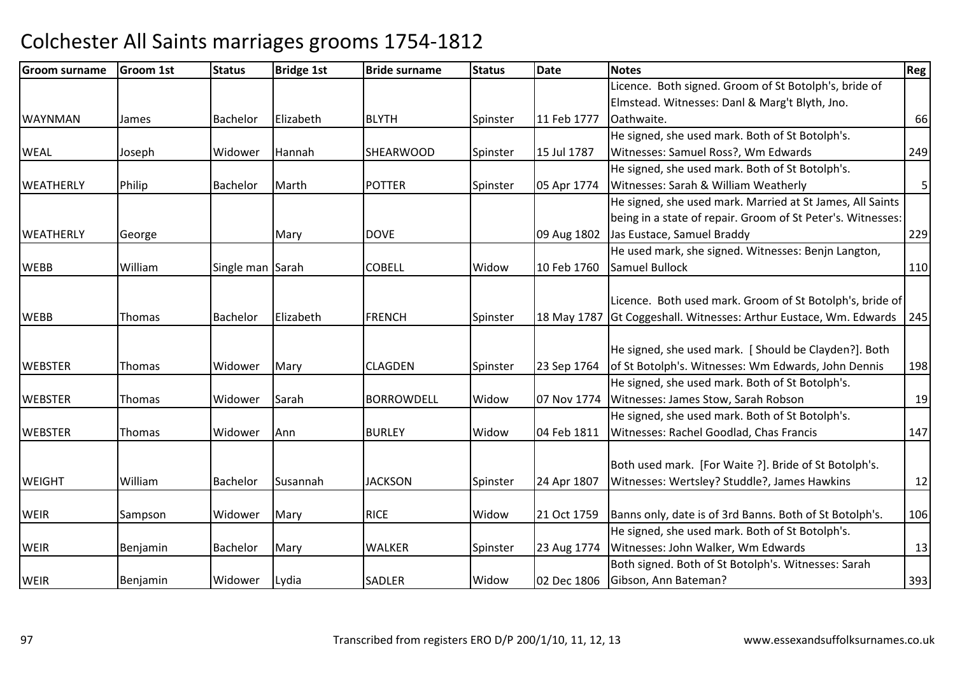| Groom surname    | <b>Groom 1st</b> | <b>Status</b>    | <b>Bridge 1st</b> | <b>Bride surname</b> | <b>Status</b> | <b>Date</b> | <b>Notes</b>                                                | <b>Reg</b>     |
|------------------|------------------|------------------|-------------------|----------------------|---------------|-------------|-------------------------------------------------------------|----------------|
|                  |                  |                  |                   |                      |               |             | Licence. Both signed. Groom of St Botolph's, bride of       |                |
|                  |                  |                  |                   |                      |               |             | Elmstead. Witnesses: Danl & Marg't Blyth, Jno.              |                |
| <b>WAYNMAN</b>   | James            | Bachelor         | Elizabeth         | <b>BLYTH</b>         | Spinster      | 11 Feb 1777 | Oathwaite.                                                  | 66             |
|                  |                  |                  |                   |                      |               |             | He signed, she used mark. Both of St Botolph's.             |                |
| <b>WEAL</b>      | Joseph           | Widower          | Hannah            | <b>SHEARWOOD</b>     | Spinster      | 15 Jul 1787 | Witnesses: Samuel Ross?, Wm Edwards                         | 249            |
|                  |                  |                  |                   |                      |               |             | He signed, she used mark. Both of St Botolph's.             |                |
| <b>WEATHERLY</b> | Philip           | Bachelor         | Marth             | <b>POTTER</b>        | Spinster      | 05 Apr 1774 | Witnesses: Sarah & William Weatherly                        | 5 <sup>1</sup> |
|                  |                  |                  |                   |                      |               |             | He signed, she used mark. Married at St James, All Saints   |                |
|                  |                  |                  |                   |                      |               |             | being in a state of repair. Groom of St Peter's. Witnesses: |                |
| <b>WEATHERLY</b> | George           |                  | Mary              | <b>DOVE</b>          |               | 09 Aug 1802 | Jas Eustace, Samuel Braddy                                  | 229            |
|                  |                  |                  |                   |                      |               |             | He used mark, she signed. Witnesses: Benjn Langton,         |                |
| <b>WEBB</b>      | William          | Single man Sarah |                   | <b>COBELL</b>        | Widow         | 10 Feb 1760 | Samuel Bullock                                              | 110            |
|                  |                  |                  |                   |                      |               |             |                                                             |                |
|                  |                  |                  |                   |                      |               |             | Licence. Both used mark. Groom of St Botolph's, bride of    |                |
| <b>WEBB</b>      | Thomas           | Bachelor         | Elizabeth         | <b>FRENCH</b>        | Spinster      | 18 May 1787 | Gt Coggeshall. Witnesses: Arthur Eustace, Wm. Edwards       | 245            |
|                  |                  |                  |                   |                      |               |             |                                                             |                |
|                  |                  |                  |                   |                      |               |             | He signed, she used mark. [Should be Clayden?]. Both        |                |
| <b>WEBSTER</b>   | Thomas           | Widower          | Mary              | <b>CLAGDEN</b>       | Spinster      | 23 Sep 1764 | of St Botolph's. Witnesses: Wm Edwards, John Dennis         | 198            |
|                  |                  |                  |                   |                      |               |             | He signed, she used mark. Both of St Botolph's.             |                |
| <b>WEBSTER</b>   | Thomas           | Widower          | Sarah             | <b>BORROWDELL</b>    | Widow         | 07 Nov 1774 | Witnesses: James Stow, Sarah Robson                         | 19             |
|                  |                  |                  |                   |                      |               |             | He signed, she used mark. Both of St Botolph's.             |                |
| <b>WEBSTER</b>   | <b>Thomas</b>    | Widower          | Ann               | <b>BURLEY</b>        | Widow         | 04 Feb 1811 | Witnesses: Rachel Goodlad, Chas Francis                     | 147            |
|                  |                  |                  |                   |                      |               |             |                                                             |                |
|                  |                  |                  |                   |                      |               |             | Both used mark. [For Waite ?]. Bride of St Botolph's.       |                |
| <b>WEIGHT</b>    | William          | Bachelor         | Susannah          | <b>JACKSON</b>       | Spinster      | 24 Apr 1807 | Witnesses: Wertsley? Studdle?, James Hawkins                | 12             |
|                  |                  |                  |                   |                      |               |             |                                                             |                |
| <b>WEIR</b>      | Sampson          | Widower          | Mary              | <b>RICE</b>          | Widow         | 21 Oct 1759 | Banns only, date is of 3rd Banns. Both of St Botolph's.     | 106            |
|                  |                  |                  |                   |                      |               |             | He signed, she used mark. Both of St Botolph's.             |                |
| <b>WEIR</b>      | Benjamin         | Bachelor         | Mary              | <b>WALKER</b>        | Spinster      | 23 Aug 1774 | Witnesses: John Walker, Wm Edwards                          | 13             |
|                  |                  |                  |                   |                      |               |             | Both signed. Both of St Botolph's. Witnesses: Sarah         |                |
| <b>WEIR</b>      | Benjamin         | Widower          | Lydia             | <b>SADLER</b>        | Widow         | 02 Dec 1806 | Gibson, Ann Bateman?                                        | 393            |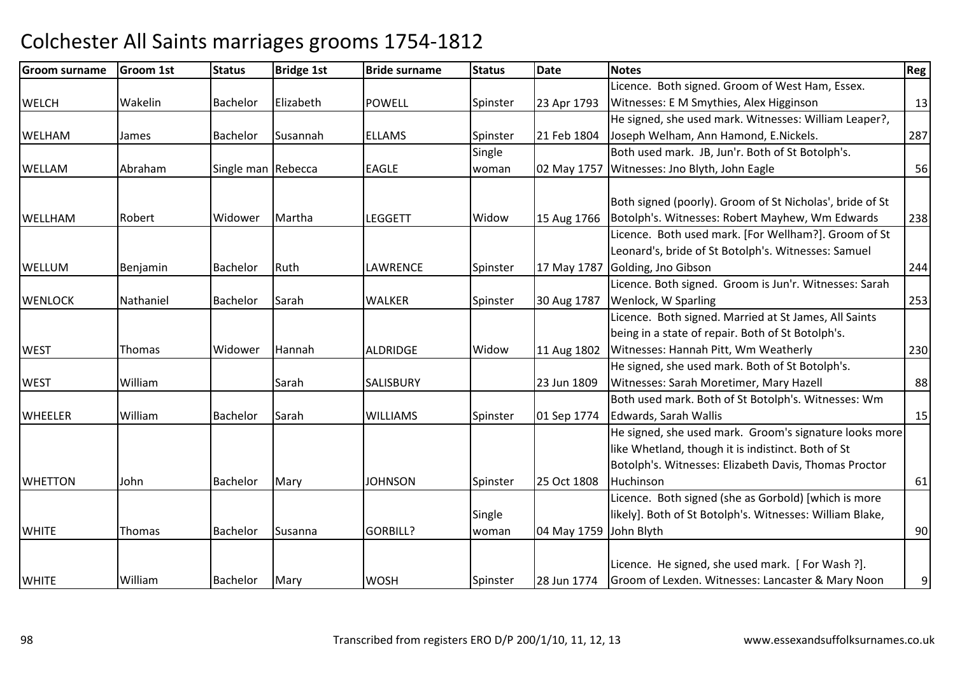#### Groom surnamee Groom 1st Status Bridge 1st Bride surname Status Date Notes Regge Regge Regge Regge Regge Regge Regge Regge R **WELCH** H Wakelin Bachelor Elizabeth POWELL Spinster 23 Apr 1793 Licence. Both signed. Groom of West Ham, Essex. Witnesses: E M Smythies, Alex Higginsonn 13 WELHAMM James Bachelor Susannah ELLAMS Spinster 21 Feb 1804 He signed, she used mark. Witnesses: William Leaper?, Joseph Welham, Ann Hamond, E.Nickels. 287WELLAMAbraham Single man Rebecca Reagle Single woman 02 May 1757 Both used mark. JB, Jun'r. Both of St Botolph's. Witnesses: Jno Blyth, John Eagle <sup>56</sup>**WELLHAM** M Robert Widower Martha LEGGETT Widow 15 Aug 1766 Both signed (poorly). Groom of St Nicholas', bride of St Botolph's. Witnesses: Robert Mayhew, Wm Edwards <sup>238</sup>WELLUMM Benjamin Bachelor Ruth LAWRENCE Spinster 17 May 1787 Licence. Both used mark. [For Wellham?]. Groom of St Leonard's, bride of St Botolph's. Witnesses: Samuel Golding, Jno Gibsonn 244 **WENLOCK** K Nathaniel Bachelor Sarah WALKER WALKER Spinster 30 Aug 1787 Licence. Both signed. Groom is Jun'r. Witnesses: Sarah Wenlock, W Sparlingg 253 **WEST** T Thomas Widower Hannah Hannah | ALDRIDGE | Widow 11 Aug 1802 Licence. Both signed. Married at St James, All Saints being in a state of repair. Both of St Botolph's. Witnesses: Hannah Pitt, Wm Weatherly <sup>230</sup>**WEST** T William Nietz Sarah Sarah SALISBURY | 23 Jun 1809 He signed, she used mark. Both of St Botolph's. Witnesses: Sarah Moretimer, Mary Hazell 88**WHFFLFR** R William Bachelor Sarah WILLIAMS Spinster 01 Sep 1774 Both used mark. Both of St Botolph's. Witnesses: Wm Edwards, Sarah Walliss and  $\vert$  15 WHETTONN John Bachelor Mary JOHNSON Spinster 25 Oct 1808 He signed, she used mark. Groom's signature looks more like Whetland, though it is indistinct. Both of St Botolph's. Witnesses: Elizabeth Davis, Thomas Proctor Huchinson 61**WHITE**  Thomas Bachelor Susanna GORBILL? **Single** woman 04 May 1759 John BlythLicence. Both signed (she as Gorbold) [which is more likely]. Both of St Botolph's. Witnesses: William Blake, h 90 **WHITE**  William Bachelor Mary WOSHWOSH Spinster 28 Jun 1774 Licence. He signed, she used mark. [ For Wash ?]. Groom of Lexden. Witnesses: Lancaster & Mary Noon9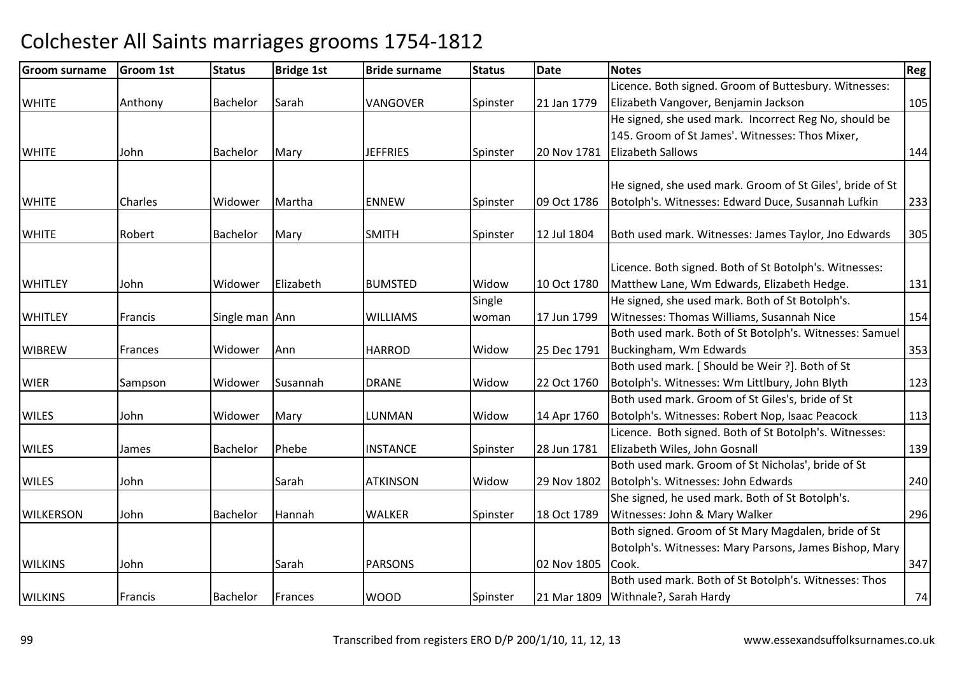| <b>Groom surname</b> | <b>Groom 1st</b> | <b>Status</b>   | <b>Bridge 1st</b> | <b>Bride surname</b> | <b>Status</b> | <b>Date</b> | <b>Notes</b>                                              | <b>Reg</b> |
|----------------------|------------------|-----------------|-------------------|----------------------|---------------|-------------|-----------------------------------------------------------|------------|
|                      |                  |                 |                   |                      |               |             | Licence. Both signed. Groom of Buttesbury. Witnesses:     |            |
| <b>WHITE</b>         | Anthony          | <b>Bachelor</b> | Sarah             | VANGOVER             | Spinster      | 21 Jan 1779 | Elizabeth Vangover, Benjamin Jackson                      | 105        |
|                      |                  |                 |                   |                      |               |             | He signed, she used mark. Incorrect Reg No, should be     |            |
|                      |                  |                 |                   |                      |               |             | 145. Groom of St James'. Witnesses: Thos Mixer,           |            |
| <b>WHITE</b>         | John             | Bachelor        | Mary              | <b>JEFFRIES</b>      | Spinster      | 20 Nov 1781 | <b>Elizabeth Sallows</b>                                  | 144        |
|                      |                  |                 |                   |                      |               |             |                                                           |            |
|                      |                  |                 |                   |                      |               |             | He signed, she used mark. Groom of St Giles', bride of St |            |
| <b>WHITE</b>         | Charles          | Widower         | Martha            | <b>ENNEW</b>         | Spinster      | 09 Oct 1786 | Botolph's. Witnesses: Edward Duce, Susannah Lufkin        | 233        |
| <b>WHITE</b>         | Robert           | <b>Bachelor</b> | Mary              | <b>SMITH</b>         | Spinster      | 12 Jul 1804 | Both used mark. Witnesses: James Taylor, Jno Edwards      | 305        |
|                      |                  |                 |                   |                      |               |             |                                                           |            |
|                      |                  |                 |                   |                      |               |             | Licence. Both signed. Both of St Botolph's. Witnesses:    |            |
| <b>WHITLEY</b>       | John             | Widower         | Elizabeth         | <b>BUMSTED</b>       | Widow         | 10 Oct 1780 | Matthew Lane, Wm Edwards, Elizabeth Hedge.                | 131        |
|                      |                  |                 |                   |                      | Single        |             | He signed, she used mark. Both of St Botolph's.           |            |
| <b>WHITLEY</b>       | Francis          | Single man Ann  |                   | <b>WILLIAMS</b>      | woman         | 17 Jun 1799 | Witnesses: Thomas Williams, Susannah Nice                 | 154        |
|                      |                  |                 |                   |                      |               |             | Both used mark. Both of St Botolph's. Witnesses: Samuel   |            |
| <b>WIBREW</b>        | Frances          | Widower         | Ann               | <b>HARROD</b>        | Widow         | 25 Dec 1791 | Buckingham, Wm Edwards                                    | 353        |
|                      |                  |                 |                   |                      |               |             | Both used mark. [ Should be Weir ?]. Both of St           |            |
| <b>WIER</b>          | Sampson          | Widower         | Susannah          | <b>DRANE</b>         | Widow         | 22 Oct 1760 | Botolph's. Witnesses: Wm Littlbury, John Blyth            | 123        |
|                      |                  |                 |                   |                      |               |             | Both used mark. Groom of St Giles's, bride of St          |            |
| <b>WILES</b>         | John             | Widower         | Mary              | <b>LUNMAN</b>        | Widow         | 14 Apr 1760 | Botolph's. Witnesses: Robert Nop, Isaac Peacock           | 113        |
|                      |                  |                 |                   |                      |               |             | Licence. Both signed. Both of St Botolph's. Witnesses:    |            |
| <b>WILES</b>         | James            | Bachelor        | Phebe             | <b>INSTANCE</b>      | Spinster      | 28 Jun 1781 | Elizabeth Wiles, John Gosnall                             | 139        |
|                      |                  |                 |                   |                      |               |             | Both used mark. Groom of St Nicholas', bride of St        |            |
| <b>WILES</b>         | John             |                 | Sarah             | <b>ATKINSON</b>      | Widow         | 29 Nov 1802 | Botolph's. Witnesses: John Edwards                        | 240        |
|                      |                  |                 |                   |                      |               |             | She signed, he used mark. Both of St Botolph's.           |            |
| <b>WILKERSON</b>     | John             | <b>Bachelor</b> | Hannah            | <b>WALKER</b>        | Spinster      | 18 Oct 1789 | Witnesses: John & Mary Walker                             | 296        |
|                      |                  |                 |                   |                      |               |             | Both signed. Groom of St Mary Magdalen, bride of St       |            |
|                      |                  |                 |                   |                      |               |             | Botolph's. Witnesses: Mary Parsons, James Bishop, Mary    |            |
| <b>WILKINS</b>       | John             |                 | Sarah             | <b>PARSONS</b>       |               | 02 Nov 1805 | Cook.                                                     | 347        |
|                      |                  |                 |                   |                      |               |             | Both used mark. Both of St Botolph's. Witnesses: Thos     |            |
| <b>WILKINS</b>       | Francis          | <b>Bachelor</b> | Frances           | <b>WOOD</b>          | Spinster      |             | 21 Mar 1809   Withnale?, Sarah Hardy                      | 74         |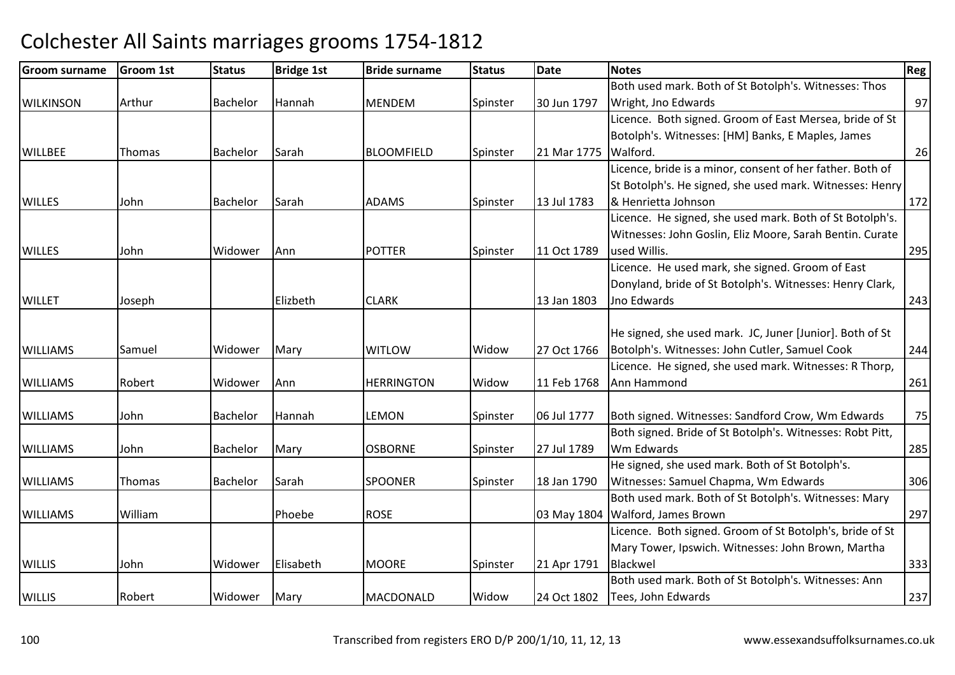| <b>Groom surname</b> | Groom 1st | <b>Status</b>   | <b>Bridge 1st</b> | <b>Bride surname</b> | <b>Status</b> | <b>Date</b> | <b>Notes</b>                                              | Reg |
|----------------------|-----------|-----------------|-------------------|----------------------|---------------|-------------|-----------------------------------------------------------|-----|
|                      |           |                 |                   |                      |               |             | Both used mark. Both of St Botolph's. Witnesses: Thos     |     |
| <b>WILKINSON</b>     | Arthur    | <b>Bachelor</b> | Hannah            | <b>MENDEM</b>        | Spinster      | 30 Jun 1797 | Wright, Jno Edwards                                       | 97  |
|                      |           |                 |                   |                      |               |             | Licence. Both signed. Groom of East Mersea, bride of St   |     |
|                      |           |                 |                   |                      |               |             | Botolph's. Witnesses: [HM] Banks, E Maples, James         |     |
| <b>WILLBEE</b>       | Thomas    | Bachelor        | Sarah             | <b>BLOOMFIELD</b>    | Spinster      | 21 Mar 1775 | Walford.                                                  | 26  |
|                      |           |                 |                   |                      |               |             | Licence, bride is a minor, consent of her father. Both of |     |
|                      |           |                 |                   |                      |               |             | St Botolph's. He signed, she used mark. Witnesses: Henry  |     |
| <b>WILLES</b>        | John      | <b>Bachelor</b> | Sarah             | <b>ADAMS</b>         | Spinster      | 13 Jul 1783 | & Henrietta Johnson                                       | 172 |
|                      |           |                 |                   |                      |               |             | Licence. He signed, she used mark. Both of St Botolph's.  |     |
|                      |           |                 |                   |                      |               |             | Witnesses: John Goslin, Eliz Moore, Sarah Bentin. Curate  |     |
| <b>WILLES</b>        | John      | Widower         | Ann               | <b>POTTER</b>        | Spinster      | 11 Oct 1789 | used Willis.                                              | 295 |
|                      |           |                 |                   |                      |               |             | Licence. He used mark, she signed. Groom of East          |     |
|                      |           |                 |                   |                      |               |             | Donyland, bride of St Botolph's. Witnesses: Henry Clark,  |     |
| <b>WILLET</b>        | Joseph    |                 | Elizbeth          | <b>CLARK</b>         |               | 13 Jan 1803 | Jno Edwards                                               | 243 |
|                      |           |                 |                   |                      |               |             |                                                           |     |
|                      |           |                 |                   |                      |               |             | He signed, she used mark. JC, Juner [Junior]. Both of St  |     |
| <b>WILLIAMS</b>      | Samuel    | Widower         | Mary              | <b>WITLOW</b>        | Widow         | 27 Oct 1766 | Botolph's. Witnesses: John Cutler, Samuel Cook            | 244 |
|                      |           |                 |                   |                      |               |             | Licence. He signed, she used mark. Witnesses: R Thorp,    |     |
| <b>WILLIAMS</b>      | Robert    | Widower         | Ann               | <b>HERRINGTON</b>    | Widow         | 11 Feb 1768 | Ann Hammond                                               | 261 |
|                      |           |                 |                   |                      |               |             |                                                           |     |
| <b>WILLIAMS</b>      | John      | Bachelor        | Hannah            | <b>LEMON</b>         | Spinster      | 06 Jul 1777 | Both signed. Witnesses: Sandford Crow, Wm Edwards         | 75  |
|                      |           |                 |                   |                      |               |             | Both signed. Bride of St Botolph's. Witnesses: Robt Pitt, |     |
| <b>WILLIAMS</b>      | John      | Bachelor        | Mary              | <b>OSBORNE</b>       | Spinster      | 27 Jul 1789 | Wm Edwards                                                | 285 |
|                      |           |                 |                   |                      |               |             | He signed, she used mark. Both of St Botolph's.           |     |
| <b>WILLIAMS</b>      | Thomas    | <b>Bachelor</b> | Sarah             | <b>SPOONER</b>       | Spinster      | 18 Jan 1790 | Witnesses: Samuel Chapma, Wm Edwards                      | 306 |
|                      |           |                 |                   |                      |               |             | Both used mark. Both of St Botolph's. Witnesses: Mary     |     |
| <b>WILLIAMS</b>      | William   |                 | Phoebe            | <b>ROSE</b>          |               | 03 May 1804 | Walford, James Brown                                      | 297 |
|                      |           |                 |                   |                      |               |             | Licence. Both signed. Groom of St Botolph's, bride of St  |     |
|                      |           |                 |                   |                      |               |             | Mary Tower, Ipswich. Witnesses: John Brown, Martha        |     |
| <b>WILLIS</b>        | John      | Widower         | Elisabeth         | <b>MOORE</b>         | Spinster      | 21 Apr 1791 | Blackwel                                                  | 333 |
|                      |           |                 |                   |                      |               |             | Both used mark. Both of St Botolph's. Witnesses: Ann      |     |
| <b>WILLIS</b>        | Robert    | Widower         | Mary              | <b>MACDONALD</b>     | Widow         | 24 Oct 1802 | Tees, John Edwards                                        | 237 |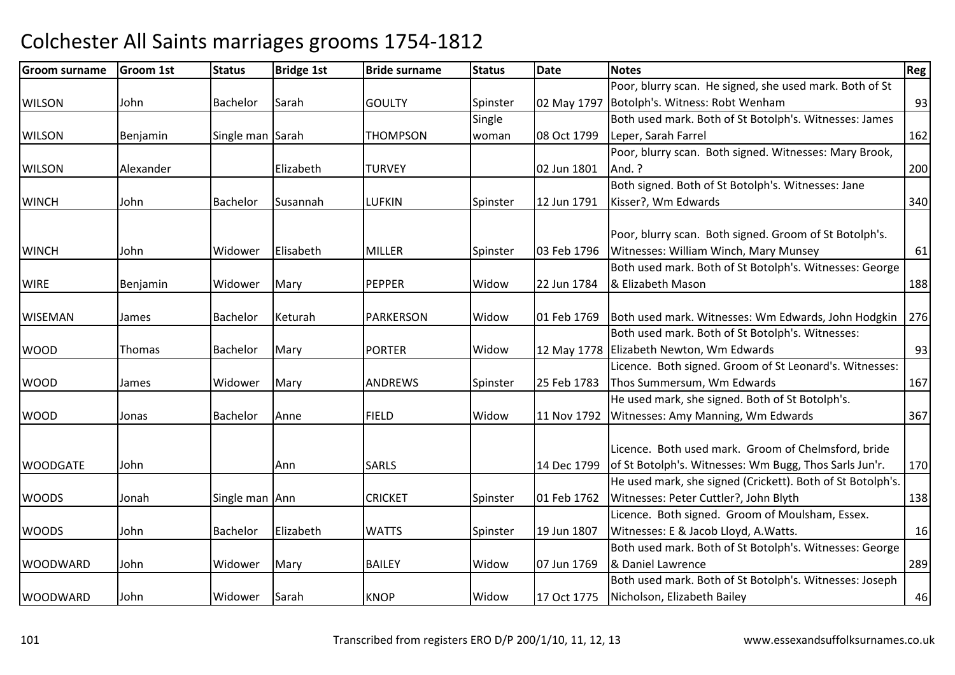| Groom surname   | Groom 1st | <b>Status</b>    | <b>Bridge 1st</b> | <b>Bride surname</b> | <b>Status</b> | Date        | <b>Notes</b>                                               | Reg |
|-----------------|-----------|------------------|-------------------|----------------------|---------------|-------------|------------------------------------------------------------|-----|
|                 |           |                  |                   |                      |               |             | Poor, blurry scan. He signed, she used mark. Both of St    |     |
| <b>WILSON</b>   | John      | Bachelor         | Sarah             | <b>GOULTY</b>        | Spinster      | 02 May 1797 | Botolph's. Witness: Robt Wenham                            | 93  |
|                 |           |                  |                   |                      | Single        |             | Both used mark. Both of St Botolph's. Witnesses: James     |     |
| <b>WILSON</b>   | Benjamin  | Single man Sarah |                   | <b>THOMPSON</b>      | woman         | 08 Oct 1799 | Leper, Sarah Farrel                                        | 162 |
|                 |           |                  |                   |                      |               |             | Poor, blurry scan. Both signed. Witnesses: Mary Brook,     |     |
| <b>WILSON</b>   | Alexander |                  | Elizabeth         | <b>TURVEY</b>        |               | 02 Jun 1801 | And. ?                                                     | 200 |
|                 |           |                  |                   |                      |               |             | Both signed. Both of St Botolph's. Witnesses: Jane         |     |
| <b>WINCH</b>    | John      | Bachelor         | Susannah          | <b>LUFKIN</b>        | Spinster      | 12 Jun 1791 | Kisser?, Wm Edwards                                        | 340 |
|                 |           |                  |                   |                      |               |             | Poor, blurry scan. Both signed. Groom of St Botolph's.     |     |
| <b>WINCH</b>    | John      | Widower          | Elisabeth         | <b>MILLER</b>        | Spinster      | 03 Feb 1796 | Witnesses: William Winch, Mary Munsey                      | 61  |
|                 |           |                  |                   |                      |               |             | Both used mark. Both of St Botolph's. Witnesses: George    |     |
| <b>WIRE</b>     | Benjamin  | Widower          | Mary              | <b>PEPPER</b>        | Widow         | 22 Jun 1784 | & Elizabeth Mason                                          | 188 |
|                 |           |                  |                   |                      |               |             |                                                            |     |
| <b>WISEMAN</b>  | James     | Bachelor         | Keturah           | <b>PARKERSON</b>     | Widow         | 01 Feb 1769 | Both used mark. Witnesses: Wm Edwards, John Hodgkin        | 276 |
|                 |           |                  |                   |                      |               |             | Both used mark. Both of St Botolph's. Witnesses:           |     |
| <b>WOOD</b>     | Thomas    | Bachelor         | Mary              | <b>PORTER</b>        | Widow         |             | 12 May 1778 Elizabeth Newton, Wm Edwards                   | 93  |
|                 |           |                  |                   |                      |               |             | Licence. Both signed. Groom of St Leonard's. Witnesses:    |     |
| <b>WOOD</b>     | James     | Widower          | Mary              | <b>ANDREWS</b>       | Spinster      | 25 Feb 1783 | Thos Summersum, Wm Edwards                                 | 167 |
|                 |           |                  |                   |                      |               |             | He used mark, she signed. Both of St Botolph's.            |     |
| <b>WOOD</b>     | Jonas     | Bachelor         | Anne              | <b>FIELD</b>         | Widow         | 11 Nov 1792 | Witnesses: Amy Manning, Wm Edwards                         | 367 |
|                 |           |                  |                   |                      |               |             | Licence. Both used mark. Groom of Chelmsford, bride        |     |
| <b>WOODGATE</b> | John      |                  | Ann               | <b>SARLS</b>         |               | 14 Dec 1799 | of St Botolph's. Witnesses: Wm Bugg, Thos Sarls Jun'r.     | 170 |
|                 |           |                  |                   |                      |               |             | He used mark, she signed (Crickett). Both of St Botolph's. |     |
| <b>WOODS</b>    | Jonah     | Single man Ann   |                   | <b>CRICKET</b>       | Spinster      | 01 Feb 1762 | Witnesses: Peter Cuttler?, John Blyth                      | 138 |
|                 |           |                  |                   |                      |               |             | Licence. Both signed. Groom of Moulsham, Essex.            |     |
| <b>WOODS</b>    | John      | Bachelor         | Elizabeth         | <b>WATTS</b>         | Spinster      | 19 Jun 1807 | Witnesses: E & Jacob Lloyd, A. Watts.                      | 16  |
|                 |           |                  |                   |                      |               |             | Both used mark. Both of St Botolph's. Witnesses: George    |     |
| <b>WOODWARD</b> | John      | Widower          | Mary              | <b>BAILEY</b>        | Widow         | 07 Jun 1769 | & Daniel Lawrence                                          | 289 |
|                 |           |                  |                   |                      |               |             | Both used mark. Both of St Botolph's. Witnesses: Joseph    |     |
| <b>WOODWARD</b> | John      | Widower          | Sarah             | <b>KNOP</b>          | Widow         | 17 Oct 1775 | Nicholson, Elizabeth Bailey                                | 46  |
|                 |           |                  |                   |                      |               |             |                                                            |     |